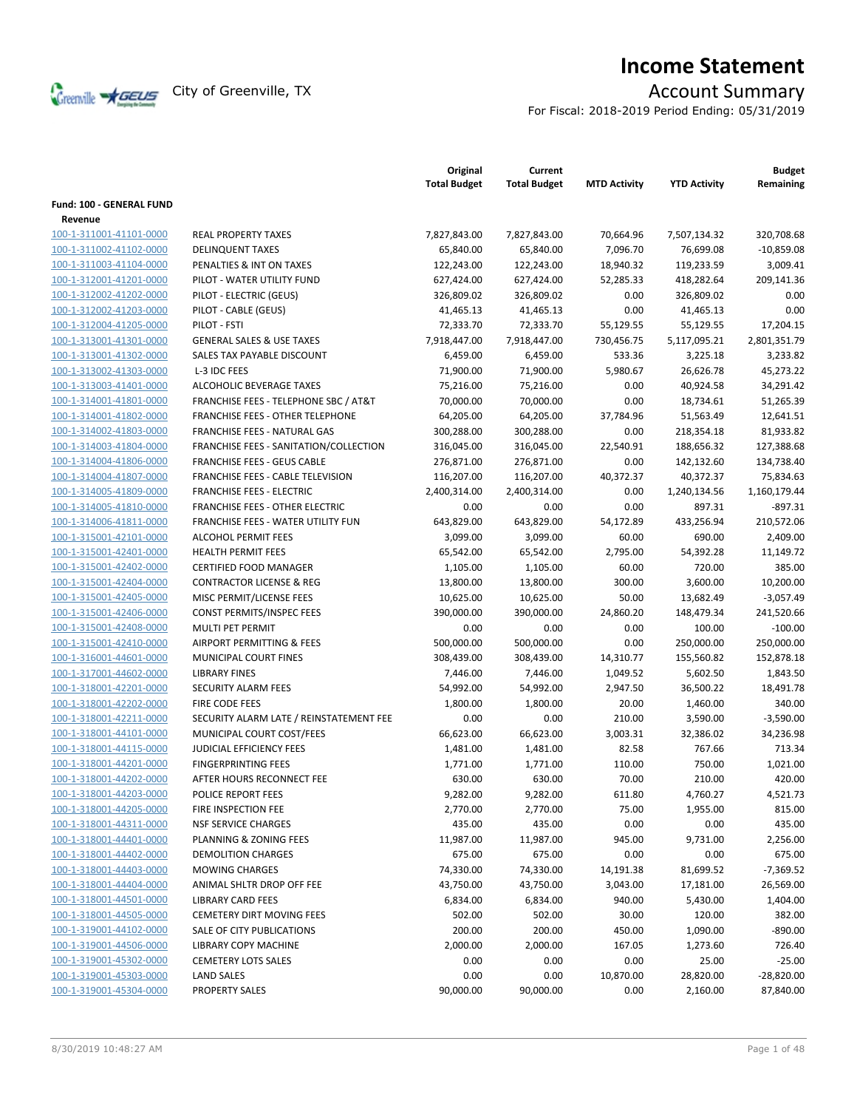

# **Income Statement**

For Fiscal: 2018-2019 Period Ending: 05/31/2019

|                          |                                         | Original<br><b>Total Budget</b> | Current<br><b>Total Budget</b> | <b>MTD Activity</b> | <b>YTD Activity</b> | <b>Budget</b><br>Remaining |
|--------------------------|-----------------------------------------|---------------------------------|--------------------------------|---------------------|---------------------|----------------------------|
| Fund: 100 - GENERAL FUND |                                         |                                 |                                |                     |                     |                            |
| Revenue                  |                                         |                                 |                                |                     |                     |                            |
| 100-1-311001-41101-0000  | <b>REAL PROPERTY TAXES</b>              | 7,827,843.00                    | 7,827,843.00                   | 70,664.96           | 7,507,134.32        | 320,708.68                 |
| 100-1-311002-41102-0000  | <b>DELINQUENT TAXES</b>                 | 65,840.00                       | 65,840.00                      | 7,096.70            | 76,699.08           | $-10,859.08$               |
| 100-1-311003-41104-0000  | PENALTIES & INT ON TAXES                | 122,243.00                      | 122,243.00                     | 18,940.32           | 119,233.59          | 3,009.41                   |
| 100-1-312001-41201-0000  | PILOT - WATER UTILITY FUND              | 627,424.00                      | 627,424.00                     | 52,285.33           | 418,282.64          | 209,141.36                 |
| 100-1-312002-41202-0000  | PILOT - ELECTRIC (GEUS)                 | 326,809.02                      | 326,809.02                     | 0.00                | 326,809.02          | 0.00                       |
| 100-1-312002-41203-0000  | PILOT - CABLE (GEUS)                    | 41,465.13                       | 41,465.13                      | 0.00                | 41,465.13           | 0.00                       |
| 100-1-312004-41205-0000  | PILOT - FSTI                            | 72,333.70                       | 72,333.70                      | 55,129.55           | 55,129.55           | 17,204.15                  |
| 100-1-313001-41301-0000  | <b>GENERAL SALES &amp; USE TAXES</b>    | 7,918,447.00                    | 7,918,447.00                   | 730,456.75          | 5,117,095.21        | 2,801,351.79               |
| 100-1-313001-41302-0000  | SALES TAX PAYABLE DISCOUNT              | 6,459.00                        | 6,459.00                       | 533.36              | 3,225.18            | 3,233.82                   |
| 100-1-313002-41303-0000  | L-3 IDC FEES                            | 71,900.00                       | 71,900.00                      | 5,980.67            | 26,626.78           | 45,273.22                  |
| 100-1-313003-41401-0000  | ALCOHOLIC BEVERAGE TAXES                | 75,216.00                       | 75,216.00                      | 0.00                | 40,924.58           | 34,291.42                  |
| 100-1-314001-41801-0000  | FRANCHISE FEES - TELEPHONE SBC / AT&T   | 70,000.00                       | 70,000.00                      | 0.00                | 18,734.61           | 51,265.39                  |
| 100-1-314001-41802-0000  | <b>FRANCHISE FEES - OTHER TELEPHONE</b> | 64,205.00                       | 64,205.00                      | 37,784.96           | 51,563.49           | 12,641.51                  |
| 100-1-314002-41803-0000  | FRANCHISE FEES - NATURAL GAS            | 300,288.00                      | 300,288.00                     | 0.00                | 218,354.18          | 81,933.82                  |
| 100-1-314003-41804-0000  | FRANCHISE FEES - SANITATION/COLLECTION  | 316,045.00                      | 316,045.00                     | 22,540.91           | 188,656.32          | 127,388.68                 |
| 100-1-314004-41806-0000  | <b>FRANCHISE FEES - GEUS CABLE</b>      | 276,871.00                      | 276,871.00                     | 0.00                | 142,132.60          | 134,738.40                 |
| 100-1-314004-41807-0000  | FRANCHISE FEES - CABLE TELEVISION       | 116,207.00                      | 116,207.00                     | 40,372.37           | 40,372.37           | 75,834.63                  |
| 100-1-314005-41809-0000  | <b>FRANCHISE FEES - ELECTRIC</b>        | 2,400,314.00                    | 2,400,314.00                   | 0.00                | 1,240,134.56        | 1,160,179.44               |
| 100-1-314005-41810-0000  | <b>FRANCHISE FEES - OTHER ELECTRIC</b>  | 0.00                            | 0.00                           | 0.00                | 897.31              | $-897.31$                  |
| 100-1-314006-41811-0000  | FRANCHISE FEES - WATER UTILITY FUN      | 643,829.00                      | 643,829.00                     | 54,172.89           | 433,256.94          | 210,572.06                 |
| 100-1-315001-42101-0000  | ALCOHOL PERMIT FEES                     | 3,099.00                        | 3,099.00                       | 60.00               | 690.00              | 2.409.00                   |
| 100-1-315001-42401-0000  | <b>HEALTH PERMIT FEES</b>               | 65,542.00                       | 65,542.00                      | 2,795.00            | 54,392.28           | 11,149.72                  |
| 100-1-315001-42402-0000  | CERTIFIED FOOD MANAGER                  | 1,105.00                        | 1,105.00                       | 60.00               | 720.00              | 385.00                     |
| 100-1-315001-42404-0000  | <b>CONTRACTOR LICENSE &amp; REG</b>     | 13,800.00                       | 13,800.00                      | 300.00              | 3,600.00            | 10,200.00                  |
| 100-1-315001-42405-0000  | MISC PERMIT/LICENSE FEES                | 10,625.00                       | 10,625.00                      | 50.00               | 13,682.49           | $-3,057.49$                |
| 100-1-315001-42406-0000  | CONST PERMITS/INSPEC FEES               | 390,000.00                      | 390,000.00                     | 24,860.20           | 148,479.34          | 241,520.66                 |
| 100-1-315001-42408-0000  | MULTI PET PERMIT                        | 0.00                            | 0.00                           | 0.00                | 100.00              | $-100.00$                  |
| 100-1-315001-42410-0000  | AIRPORT PERMITTING & FEES               | 500,000.00                      | 500,000.00                     | 0.00                | 250,000.00          | 250,000.00                 |
| 100-1-316001-44601-0000  | MUNICIPAL COURT FINES                   | 308,439.00                      | 308,439.00                     | 14,310.77           | 155,560.82          | 152,878.18                 |
| 100-1-317001-44602-0000  | <b>LIBRARY FINES</b>                    | 7,446.00                        | 7,446.00                       | 1,049.52            | 5,602.50            | 1,843.50                   |
| 100-1-318001-42201-0000  | SECURITY ALARM FEES                     | 54,992.00                       | 54,992.00                      | 2,947.50            | 36,500.22           | 18,491.78                  |
| 100-1-318001-42202-0000  | <b>FIRE CODE FEES</b>                   | 1,800.00                        | 1,800.00                       | 20.00               | 1,460.00            | 340.00                     |
| 100-1-318001-42211-0000  | SECURITY ALARM LATE / REINSTATEMENT FEE | 0.00                            | 0.00                           | 210.00              | 3,590.00            | $-3,590.00$                |
| 100-1-318001-44101-0000  | MUNICIPAL COURT COST/FEES               | 66,623.00                       | 66,623.00                      | 3,003.31            | 32,386.02           | 34,236.98                  |
| 100-1-318001-44115-0000  | <b>JUDICIAL EFFICIENCY FEES</b>         | 1,481.00                        | 1,481.00                       | 82.58               | 767.66              | 713.34                     |
| 100-1-318001-44201-0000  | <b>FINGERPRINTING FEES</b>              | 1,771.00                        | 1,771.00                       | 110.00              | 750.00              | 1,021.00                   |
| 100-1-318001-44202-0000  | AFTER HOURS RECONNECT FEE               | 630.00                          | 630.00                         | 70.00               | 210.00              | 420.00                     |
| 100-1-318001-44203-0000  | POLICE REPORT FEES                      | 9,282.00                        | 9,282.00                       | 611.80              | 4,760.27            | 4,521.73                   |
| 100-1-318001-44205-0000  | FIRE INSPECTION FEE                     | 2,770.00                        | 2,770.00                       | 75.00               | 1,955.00            | 815.00                     |
| 100-1-318001-44311-0000  | <b>NSF SERVICE CHARGES</b>              | 435.00                          | 435.00                         | 0.00                | 0.00                | 435.00                     |
| 100-1-318001-44401-0000  | PLANNING & ZONING FEES                  | 11,987.00                       | 11,987.00                      | 945.00              | 9,731.00            | 2,256.00                   |
| 100-1-318001-44402-0000  | DEMOLITION CHARGES                      | 675.00                          | 675.00                         | 0.00                | 0.00                | 675.00                     |
| 100-1-318001-44403-0000  | MOWING CHARGES                          | 74,330.00                       | 74,330.00                      | 14,191.38           | 81,699.52           | $-7,369.52$                |
| 100-1-318001-44404-0000  | ANIMAL SHLTR DROP OFF FEE               | 43,750.00                       | 43,750.00                      | 3,043.00            | 17,181.00           | 26,569.00                  |
| 100-1-318001-44501-0000  | <b>LIBRARY CARD FEES</b>                | 6,834.00                        | 6,834.00                       | 940.00              | 5,430.00            | 1,404.00                   |
| 100-1-318001-44505-0000  | <b>CEMETERY DIRT MOVING FEES</b>        | 502.00                          | 502.00                         | 30.00               | 120.00              | 382.00                     |
| 100-1-319001-44102-0000  | SALE OF CITY PUBLICATIONS               | 200.00                          | 200.00                         | 450.00              | 1,090.00            | $-890.00$                  |
| 100-1-319001-44506-0000  | LIBRARY COPY MACHINE                    | 2,000.00                        | 2,000.00                       | 167.05              | 1,273.60            | 726.40                     |
| 100-1-319001-45302-0000  | <b>CEMETERY LOTS SALES</b>              | 0.00                            | 0.00                           | 0.00                | 25.00               | $-25.00$                   |
| 100-1-319001-45303-0000  | <b>LAND SALES</b>                       | 0.00                            | 0.00                           | 10,870.00           | 28,820.00           | $-28,820.00$               |
| 100-1-319001-45304-0000  | <b>PROPERTY SALES</b>                   | 90,000.00                       | 90,000.00                      | 0.00                | 2,160.00            | 87,840.00                  |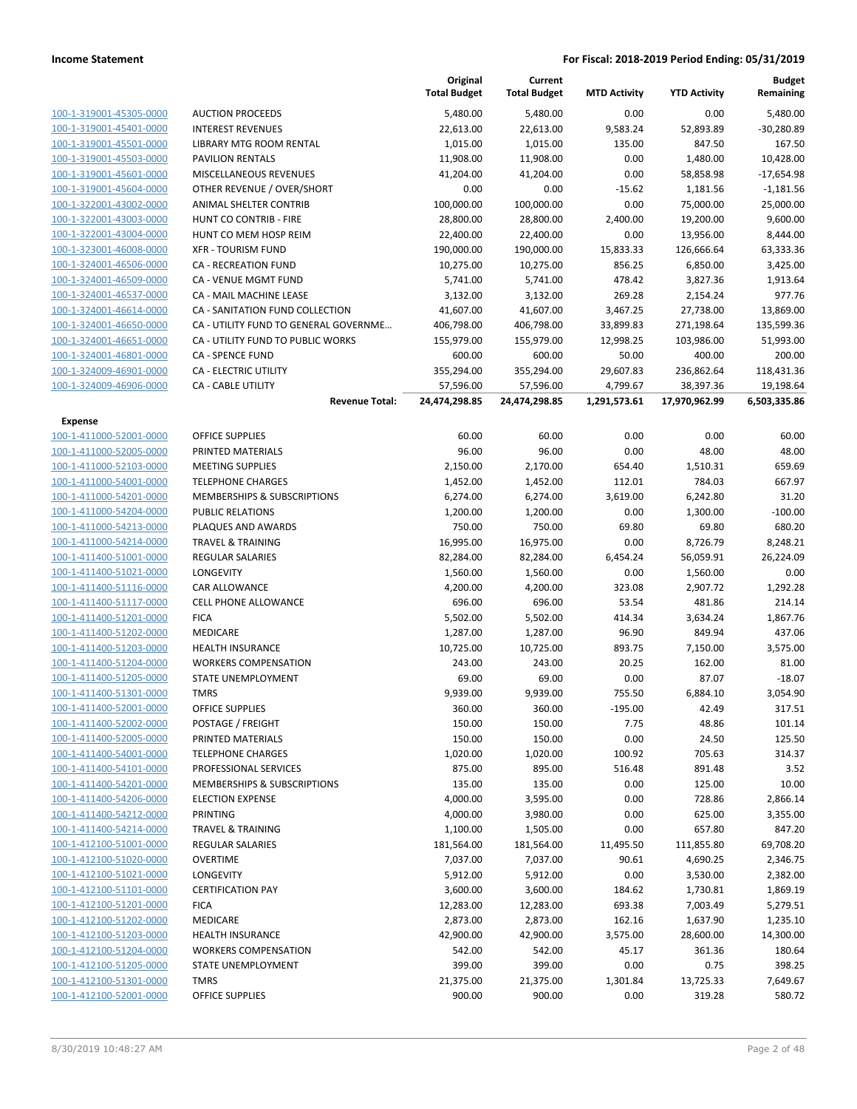|                                                    |                                                        | Original<br><b>Total Budget</b> | Current<br><b>Total Budget</b> | <b>MTD Activity</b> | <b>YTD Activity</b> | <b>Budget</b><br>Remaining |
|----------------------------------------------------|--------------------------------------------------------|---------------------------------|--------------------------------|---------------------|---------------------|----------------------------|
| 100-1-319001-45305-0000                            | <b>AUCTION PROCEEDS</b>                                | 5,480.00                        | 5,480.00                       | 0.00                | 0.00                | 5,480.00                   |
| 100-1-319001-45401-0000                            | <b>INTEREST REVENUES</b>                               | 22,613.00                       | 22,613.00                      | 9,583.24            | 52,893.89           | $-30,280.89$               |
| 100-1-319001-45501-0000                            | LIBRARY MTG ROOM RENTAL                                | 1,015.00                        | 1,015.00                       | 135.00              | 847.50              | 167.50                     |
| 100-1-319001-45503-0000                            | <b>PAVILION RENTALS</b>                                | 11,908.00                       | 11,908.00                      | 0.00                | 1,480.00            | 10,428.00                  |
| 100-1-319001-45601-0000                            | MISCELLANEOUS REVENUES                                 | 41,204.00                       | 41,204.00                      | 0.00                | 58,858.98           | $-17,654.98$               |
| 100-1-319001-45604-0000                            | OTHER REVENUE / OVER/SHORT                             | 0.00                            | 0.00                           | $-15.62$            | 1,181.56            | $-1,181.56$                |
| 100-1-322001-43002-0000                            | ANIMAL SHELTER CONTRIB                                 | 100,000.00                      | 100,000.00                     | 0.00                | 75,000.00           | 25,000.00                  |
| 100-1-322001-43003-0000                            | <b>HUNT CO CONTRIB - FIRE</b>                          | 28,800.00                       | 28,800.00                      | 2,400.00            | 19,200.00           | 9,600.00                   |
| 100-1-322001-43004-0000                            | HUNT CO MEM HOSP REIM                                  | 22,400.00                       | 22,400.00                      | 0.00                | 13,956.00           | 8,444.00                   |
| 100-1-323001-46008-0000                            | <b>XFR - TOURISM FUND</b>                              | 190,000.00                      | 190,000.00                     | 15,833.33           | 126,666.64          | 63,333.36                  |
| 100-1-324001-46506-0000                            | <b>CA - RECREATION FUND</b>                            | 10,275.00                       | 10,275.00                      | 856.25              | 6,850.00            | 3,425.00                   |
| 100-1-324001-46509-0000                            | CA - VENUE MGMT FUND                                   | 5,741.00                        | 5,741.00                       | 478.42              | 3,827.36            | 1,913.64                   |
| 100-1-324001-46537-0000                            | CA - MAIL MACHINE LEASE                                | 3,132.00                        | 3,132.00                       | 269.28              | 2,154.24            | 977.76                     |
| 100-1-324001-46614-0000                            | CA - SANITATION FUND COLLECTION                        | 41,607.00                       | 41,607.00                      | 3,467.25            | 27,738.00           | 13,869.00                  |
| 100-1-324001-46650-0000                            | CA - UTILITY FUND TO GENERAL GOVERNME                  | 406,798.00                      | 406,798.00                     | 33,899.83           | 271,198.64          | 135,599.36                 |
| 100-1-324001-46651-0000                            | CA - UTILITY FUND TO PUBLIC WORKS                      | 155,979.00                      | 155,979.00                     | 12,998.25           | 103,986.00          | 51,993.00                  |
| 100-1-324001-46801-0000                            | <b>CA - SPENCE FUND</b>                                | 600.00                          | 600.00                         | 50.00               | 400.00              | 200.00                     |
| 100-1-324009-46901-0000                            | CA - ELECTRIC UTILITY                                  | 355,294.00                      | 355,294.00                     | 29,607.83           | 236,862.64          | 118,431.36                 |
| 100-1-324009-46906-0000                            | CA - CABLE UTILITY                                     | 57,596.00                       | 57,596.00                      | 4,799.67            | 38,397.36           | 19,198.64                  |
|                                                    | <b>Revenue Total:</b>                                  | 24,474,298.85                   | 24,474,298.85                  | 1,291,573.61        | 17,970,962.99       | 6,503,335.86               |
| <b>Expense</b>                                     |                                                        |                                 |                                |                     |                     |                            |
| 100-1-411000-52001-0000                            | <b>OFFICE SUPPLIES</b>                                 | 60.00                           | 60.00                          | 0.00                | 0.00                | 60.00                      |
| 100-1-411000-52005-0000                            | PRINTED MATERIALS                                      | 96.00                           | 96.00                          | 0.00                | 48.00               | 48.00                      |
| 100-1-411000-52103-0000                            | <b>MEETING SUPPLIES</b>                                | 2,150.00                        | 2,170.00                       | 654.40              | 1,510.31            | 659.69                     |
| 100-1-411000-54001-0000                            | <b>TELEPHONE CHARGES</b>                               | 1,452.00                        | 1,452.00                       | 112.01              | 784.03              | 667.97                     |
| 100-1-411000-54201-0000<br>100-1-411000-54204-0000 | MEMBERSHIPS & SUBSCRIPTIONS<br><b>PUBLIC RELATIONS</b> | 6,274.00                        | 6,274.00                       | 3,619.00            | 6,242.80            | 31.20<br>$-100.00$         |
| 100-1-411000-54213-0000                            | PLAQUES AND AWARDS                                     | 1,200.00<br>750.00              | 1,200.00<br>750.00             | 0.00<br>69.80       | 1,300.00<br>69.80   | 680.20                     |
| 100-1-411000-54214-0000                            | <b>TRAVEL &amp; TRAINING</b>                           | 16,995.00                       | 16,975.00                      | 0.00                | 8,726.79            | 8,248.21                   |
| 100-1-411400-51001-0000                            | <b>REGULAR SALARIES</b>                                | 82,284.00                       | 82,284.00                      | 6,454.24            | 56,059.91           | 26,224.09                  |
| 100-1-411400-51021-0000                            | LONGEVITY                                              | 1,560.00                        | 1,560.00                       | 0.00                | 1,560.00            | 0.00                       |
| 100-1-411400-51116-0000                            | CAR ALLOWANCE                                          | 4,200.00                        | 4,200.00                       | 323.08              | 2,907.72            | 1,292.28                   |
| 100-1-411400-51117-0000                            | CELL PHONE ALLOWANCE                                   | 696.00                          | 696.00                         | 53.54               | 481.86              | 214.14                     |
| 100-1-411400-51201-0000                            | <b>FICA</b>                                            | 5,502.00                        | 5,502.00                       | 414.34              | 3,634.24            | 1,867.76                   |
| 100-1-411400-51202-0000                            | MEDICARE                                               | 1,287.00                        | 1,287.00                       | 96.90               | 849.94              | 437.06                     |
| 100-1-411400-51203-0000                            | <b>HEALTH INSURANCE</b>                                | 10,725.00                       | 10,725.00                      | 893.75              | 7,150.00            | 3,575.00                   |
| 100-1-411400-51204-0000                            | <b>WORKERS COMPENSATION</b>                            | 243.00                          | 243.00                         | 20.25               | 162.00              | 81.00                      |
| 100-1-411400-51205-0000                            | STATE UNEMPLOYMENT                                     | 69.00                           | 69.00                          | 0.00                | 87.07               | $-18.07$                   |
| 100-1-411400-51301-0000                            | <b>TMRS</b>                                            | 9,939.00                        | 9,939.00                       | 755.50              | 6,884.10            | 3,054.90                   |
| 100-1-411400-52001-0000                            | <b>OFFICE SUPPLIES</b>                                 | 360.00                          | 360.00                         | $-195.00$           | 42.49               | 317.51                     |
| 100-1-411400-52002-0000                            | POSTAGE / FREIGHT                                      | 150.00                          | 150.00                         | 7.75                | 48.86               | 101.14                     |
| 100-1-411400-52005-0000                            | PRINTED MATERIALS                                      | 150.00                          | 150.00                         | 0.00                | 24.50               | 125.50                     |
| 100-1-411400-54001-0000                            | <b>TELEPHONE CHARGES</b>                               | 1,020.00                        | 1,020.00                       | 100.92              | 705.63              | 314.37                     |
| 100-1-411400-54101-0000                            | PROFESSIONAL SERVICES                                  | 875.00                          | 895.00                         | 516.48              | 891.48              | 3.52                       |
| 100-1-411400-54201-0000                            | MEMBERSHIPS & SUBSCRIPTIONS                            | 135.00                          | 135.00                         | 0.00                | 125.00              | 10.00                      |
| 100-1-411400-54206-0000                            | <b>ELECTION EXPENSE</b>                                | 4,000.00                        | 3,595.00                       | 0.00                | 728.86              | 2,866.14                   |
| 100-1-411400-54212-0000                            | <b>PRINTING</b>                                        | 4,000.00                        | 3,980.00                       | 0.00                | 625.00              | 3,355.00                   |
| 100-1-411400-54214-0000                            | <b>TRAVEL &amp; TRAINING</b>                           | 1,100.00                        | 1,505.00                       | 0.00                | 657.80              | 847.20                     |
| 100-1-412100-51001-0000                            | REGULAR SALARIES                                       | 181,564.00                      | 181,564.00                     | 11,495.50           | 111,855.80          | 69,708.20                  |
| 100-1-412100-51020-0000                            | <b>OVERTIME</b>                                        | 7,037.00                        | 7,037.00                       | 90.61               | 4,690.25            | 2,346.75                   |
| 100-1-412100-51021-0000                            | LONGEVITY                                              | 5,912.00                        | 5,912.00                       | 0.00                | 3,530.00            | 2,382.00                   |
| 100-1-412100-51101-0000                            | <b>CERTIFICATION PAY</b>                               | 3,600.00                        | 3,600.00                       | 184.62              | 1,730.81            | 1,869.19                   |
| 100-1-412100-51201-0000                            | <b>FICA</b>                                            | 12,283.00                       | 12,283.00                      | 693.38              | 7,003.49            | 5,279.51                   |
| 100-1-412100-51202-0000                            | MEDICARE                                               | 2,873.00                        | 2,873.00                       | 162.16              | 1,637.90            | 1,235.10                   |
| 100-1-412100-51203-0000                            | <b>HEALTH INSURANCE</b>                                | 42,900.00                       | 42,900.00                      | 3,575.00            | 28,600.00           | 14,300.00                  |
| 100-1-412100-51204-0000                            | <b>WORKERS COMPENSATION</b>                            | 542.00                          | 542.00                         | 45.17               | 361.36              | 180.64                     |
| 100-1-412100-51205-0000                            | STATE UNEMPLOYMENT                                     | 399.00                          | 399.00                         | 0.00                | 0.75                | 398.25                     |
| 100-1-412100-51301-0000                            | <b>TMRS</b>                                            | 21,375.00                       | 21,375.00                      | 1,301.84            | 13,725.33           | 7,649.67                   |
| 100-1-412100-52001-0000                            | <b>OFFICE SUPPLIES</b>                                 | 900.00                          | 900.00                         | 0.00                | 319.28              | 580.72                     |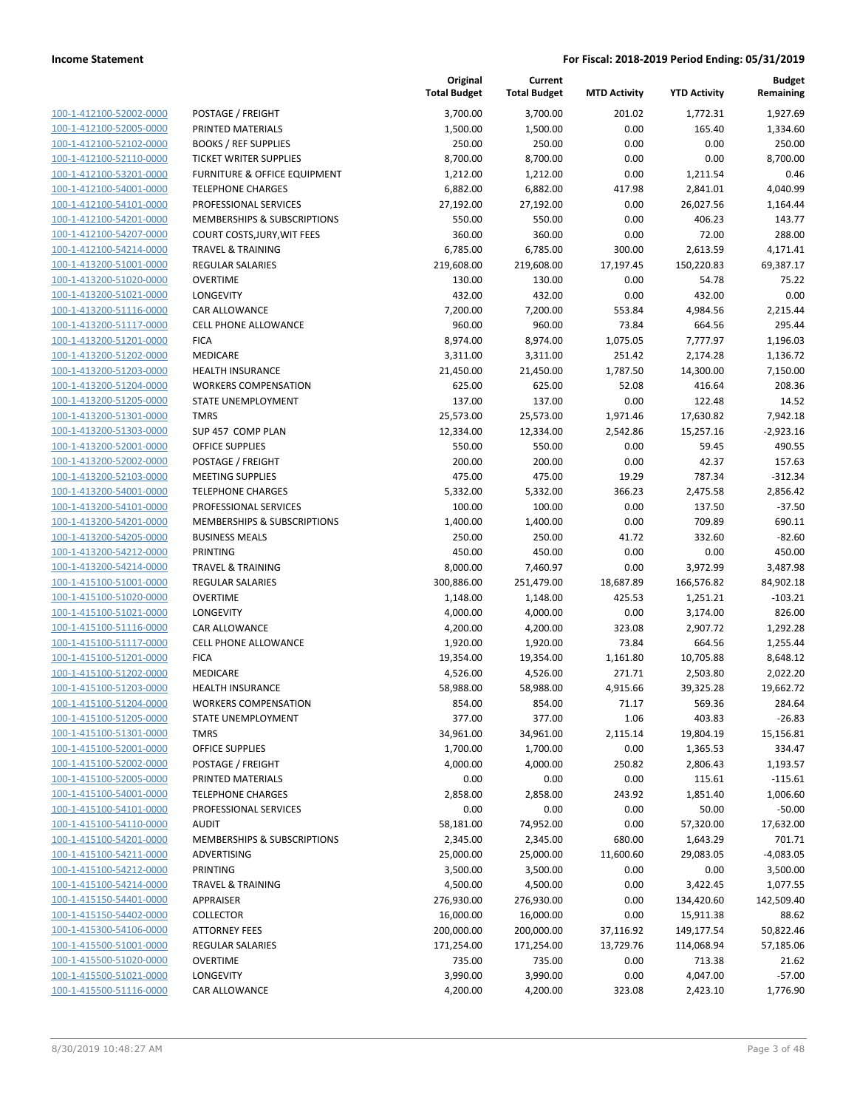|                         |                                    | Original<br><b>Total Budget</b> | Current<br><b>Total Budget</b> | <b>MTD Activity</b> | <b>YTD Activity</b> | <b>Budget</b><br>Remaining |
|-------------------------|------------------------------------|---------------------------------|--------------------------------|---------------------|---------------------|----------------------------|
| 100-1-412100-52002-0000 | POSTAGE / FREIGHT                  | 3,700.00                        | 3,700.00                       | 201.02              | 1,772.31            | 1,927.69                   |
| 100-1-412100-52005-0000 | PRINTED MATERIALS                  | 1,500.00                        | 1,500.00                       | 0.00                | 165.40              | 1,334.60                   |
| 100-1-412100-52102-0000 | <b>BOOKS / REF SUPPLIES</b>        | 250.00                          | 250.00                         | 0.00                | 0.00                | 250.00                     |
| 100-1-412100-52110-0000 | <b>TICKET WRITER SUPPLIES</b>      | 8,700.00                        | 8,700.00                       | 0.00                | 0.00                | 8,700.00                   |
| 100-1-412100-53201-0000 | FURNITURE & OFFICE EQUIPMENT       | 1,212.00                        | 1,212.00                       | 0.00                | 1,211.54            | 0.46                       |
| 100-1-412100-54001-0000 | <b>TELEPHONE CHARGES</b>           | 6,882.00                        | 6,882.00                       | 417.98              | 2,841.01            | 4,040.99                   |
| 100-1-412100-54101-0000 | PROFESSIONAL SERVICES              | 27,192.00                       | 27,192.00                      | 0.00                | 26,027.56           | 1,164.44                   |
| 100-1-412100-54201-0000 | MEMBERSHIPS & SUBSCRIPTIONS        | 550.00                          | 550.00                         | 0.00                | 406.23              | 143.77                     |
| 100-1-412100-54207-0000 | <b>COURT COSTS, JURY, WIT FEES</b> | 360.00                          | 360.00                         | 0.00                | 72.00               | 288.00                     |
| 100-1-412100-54214-0000 | <b>TRAVEL &amp; TRAINING</b>       | 6,785.00                        | 6,785.00                       | 300.00              | 2,613.59            | 4,171.41                   |
| 100-1-413200-51001-0000 | REGULAR SALARIES                   | 219,608.00                      | 219,608.00                     | 17,197.45           | 150,220.83          | 69,387.17                  |
| 100-1-413200-51020-0000 | <b>OVERTIME</b>                    | 130.00                          | 130.00                         | 0.00                | 54.78               | 75.22                      |
| 100-1-413200-51021-0000 | LONGEVITY                          | 432.00                          | 432.00                         | 0.00                | 432.00              | 0.00                       |
| 100-1-413200-51116-0000 | CAR ALLOWANCE                      | 7,200.00                        | 7,200.00                       | 553.84              | 4,984.56            | 2,215.44                   |
| 100-1-413200-51117-0000 | CELL PHONE ALLOWANCE               | 960.00                          | 960.00                         | 73.84               | 664.56              | 295.44                     |
| 100-1-413200-51201-0000 | <b>FICA</b>                        | 8,974.00                        | 8,974.00                       | 1,075.05            | 7,777.97            | 1,196.03                   |
| 100-1-413200-51202-0000 | <b>MEDICARE</b>                    | 3,311.00                        | 3,311.00                       | 251.42              | 2,174.28            | 1,136.72                   |
| 100-1-413200-51203-0000 | <b>HEALTH INSURANCE</b>            | 21,450.00                       | 21,450.00                      | 1,787.50            | 14,300.00           | 7,150.00                   |
| 100-1-413200-51204-0000 | <b>WORKERS COMPENSATION</b>        | 625.00                          | 625.00                         | 52.08               | 416.64              | 208.36                     |
| 100-1-413200-51205-0000 | STATE UNEMPLOYMENT                 | 137.00                          | 137.00                         | 0.00                | 122.48              | 14.52                      |
| 100-1-413200-51301-0000 | <b>TMRS</b>                        | 25,573.00                       | 25,573.00                      | 1,971.46            | 17,630.82           | 7,942.18                   |
| 100-1-413200-51303-0000 | SUP 457 COMP PLAN                  | 12,334.00                       | 12,334.00                      | 2,542.86            | 15,257.16           | $-2,923.16$                |
| 100-1-413200-52001-0000 | <b>OFFICE SUPPLIES</b>             | 550.00                          | 550.00                         | 0.00                | 59.45               | 490.55                     |
| 100-1-413200-52002-0000 | POSTAGE / FREIGHT                  | 200.00                          | 200.00                         | 0.00                | 42.37               | 157.63                     |
| 100-1-413200-52103-0000 | <b>MEETING SUPPLIES</b>            | 475.00                          | 475.00                         | 19.29               | 787.34              | $-312.34$                  |
| 100-1-413200-54001-0000 | <b>TELEPHONE CHARGES</b>           | 5,332.00                        | 5,332.00                       | 366.23              | 2,475.58            | 2,856.42                   |
| 100-1-413200-54101-0000 | PROFESSIONAL SERVICES              | 100.00                          | 100.00                         | 0.00                | 137.50              | $-37.50$                   |
| 100-1-413200-54201-0000 | MEMBERSHIPS & SUBSCRIPTIONS        | 1,400.00                        | 1,400.00                       | 0.00                | 709.89              | 690.11                     |
| 100-1-413200-54205-0000 | <b>BUSINESS MEALS</b>              | 250.00                          | 250.00                         | 41.72               | 332.60              | $-82.60$                   |
| 100-1-413200-54212-0000 | <b>PRINTING</b>                    | 450.00                          | 450.00                         | 0.00                | 0.00                | 450.00                     |
| 100-1-413200-54214-0000 | <b>TRAVEL &amp; TRAINING</b>       | 8,000.00                        | 7,460.97                       | 0.00                | 3,972.99            | 3,487.98                   |
| 100-1-415100-51001-0000 | <b>REGULAR SALARIES</b>            | 300,886.00                      | 251,479.00                     | 18,687.89           | 166,576.82          | 84,902.18                  |
| 100-1-415100-51020-0000 | <b>OVERTIME</b>                    | 1,148.00                        | 1,148.00                       | 425.53              | 1,251.21            | $-103.21$                  |
| 100-1-415100-51021-0000 | LONGEVITY                          | 4,000.00                        | 4,000.00                       | 0.00                | 3,174.00            | 826.00                     |
| 100-1-415100-51116-0000 | CAR ALLOWANCE                      | 4,200.00                        | 4,200.00                       | 323.08              | 2,907.72            | 1,292.28                   |
| 100-1-415100-51117-0000 | <b>CELL PHONE ALLOWANCE</b>        | 1,920.00                        | 1,920.00                       | 73.84               | 664.56              | 1,255.44                   |
| 100-1-415100-51201-0000 | <b>FICA</b>                        | 19,354.00                       | 19,354.00                      | 1,161.80            | 10,705.88           | 8,648.12                   |
| 100-1-415100-51202-0000 | MEDICARE                           | 4,526.00                        | 4,526.00                       | 271.71              | 2,503.80            | 2,022.20                   |
| 100-1-415100-51203-0000 | <b>HEALTH INSURANCE</b>            | 58,988.00                       | 58,988.00                      | 4,915.66            | 39,325.28           | 19,662.72                  |
| 100-1-415100-51204-0000 | <b>WORKERS COMPENSATION</b>        | 854.00                          | 854.00                         | 71.17               | 569.36              | 284.64                     |
| 100-1-415100-51205-0000 | <b>STATE UNEMPLOYMENT</b>          | 377.00                          | 377.00                         | 1.06                | 403.83              | $-26.83$                   |
| 100-1-415100-51301-0000 | <b>TMRS</b>                        | 34,961.00                       | 34,961.00                      | 2,115.14            | 19,804.19           | 15,156.81                  |
| 100-1-415100-52001-0000 | <b>OFFICE SUPPLIES</b>             | 1,700.00                        | 1,700.00                       | 0.00                | 1,365.53            | 334.47                     |
| 100-1-415100-52002-0000 | POSTAGE / FREIGHT                  | 4,000.00                        | 4,000.00                       | 250.82              | 2,806.43            | 1,193.57                   |
| 100-1-415100-52005-0000 | PRINTED MATERIALS                  | 0.00                            | 0.00                           | 0.00                | 115.61              | $-115.61$                  |
| 100-1-415100-54001-0000 | <b>TELEPHONE CHARGES</b>           | 2,858.00                        | 2,858.00                       | 243.92              | 1,851.40            | 1,006.60                   |
| 100-1-415100-54101-0000 | PROFESSIONAL SERVICES              | 0.00                            | 0.00                           | 0.00                | 50.00               | $-50.00$                   |
| 100-1-415100-54110-0000 | <b>AUDIT</b>                       | 58,181.00                       | 74,952.00                      | 0.00                | 57,320.00           | 17,632.00                  |
| 100-1-415100-54201-0000 | MEMBERSHIPS & SUBSCRIPTIONS        | 2,345.00                        | 2,345.00                       | 680.00              | 1,643.29            | 701.71                     |
| 100-1-415100-54211-0000 | ADVERTISING                        | 25,000.00                       | 25,000.00                      | 11,600.60           | 29,083.05           | $-4,083.05$                |
| 100-1-415100-54212-0000 | <b>PRINTING</b>                    | 3,500.00                        | 3,500.00                       | 0.00                | 0.00                | 3,500.00                   |
| 100-1-415100-54214-0000 | <b>TRAVEL &amp; TRAINING</b>       | 4,500.00                        | 4,500.00                       | 0.00                | 3,422.45            | 1,077.55                   |
| 100-1-415150-54401-0000 | APPRAISER                          | 276,930.00                      | 276,930.00                     | 0.00                | 134,420.60          | 142,509.40                 |
| 100-1-415150-54402-0000 | <b>COLLECTOR</b>                   | 16,000.00                       | 16,000.00                      | 0.00                | 15,911.38           | 88.62                      |
| 100-1-415300-54106-0000 | <b>ATTORNEY FEES</b>               | 200,000.00                      | 200,000.00                     | 37,116.92           | 149,177.54          | 50,822.46                  |
| 100-1-415500-51001-0000 | REGULAR SALARIES                   | 171,254.00                      | 171,254.00                     | 13,729.76           | 114,068.94          | 57,185.06                  |
| 100-1-415500-51020-0000 | <b>OVERTIME</b>                    | 735.00                          | 735.00                         | 0.00                | 713.38              | 21.62                      |
| 100-1-415500-51021-0000 | LONGEVITY                          | 3,990.00                        | 3,990.00                       | 0.00                | 4,047.00            | $-57.00$                   |
| 100-1-415500-51116-0000 | CAR ALLOWANCE                      | 4,200.00                        | 4,200.00                       | 323.08              | 2,423.10            | 1,776.90                   |
|                         |                                    |                                 |                                |                     |                     |                            |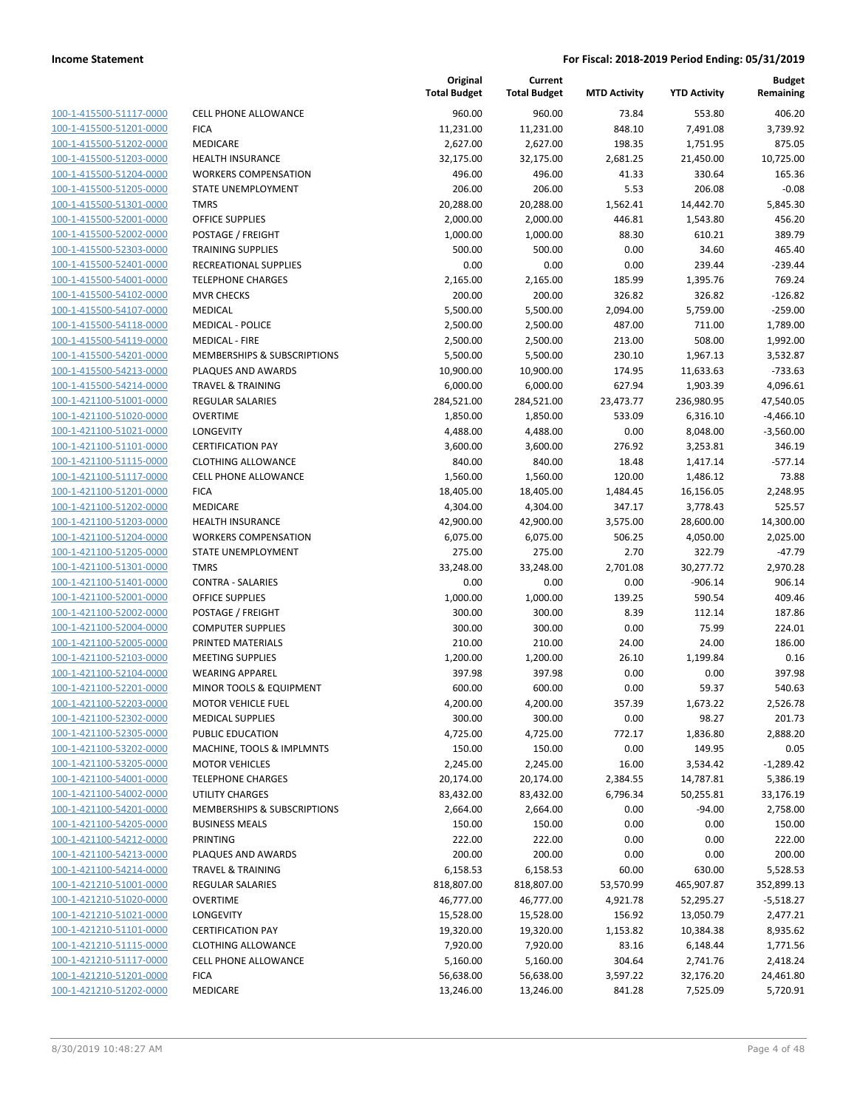| 100-1-415500-51117-0000        |
|--------------------------------|
| 100-1-415500-51201-0000        |
| 100-1-415500-51202-0000        |
| 100-1-415500-51203-0000        |
| 100-1-415500-51204-0000        |
| 100-1-415500-51205-0000        |
| 100-1-415500-51301-0000        |
| 100-1-415500-52001-0000        |
| 100-1-415500-52002-0000        |
| 100-1-415500-52303-0000        |
| 100-1-415500-52401-0000        |
| 100-1-415500-54001-0000        |
| 100-1-415500-54102-0000        |
| 100-1-415500-54107-0000        |
| <u>100-1-415500-54118-0000</u> |
| 100-1-415500-54119-0000        |
| 100-1-415500-54201-0000        |
| 100-1-415500-54213-0000        |
| 100-1-415500-54214-0000        |
| 100-1-421100-51001-0000        |
| 100-1-421100-51020-0000        |
| 100-1-421100-51021-0000        |
| 100-1-421100-51101-0000        |
| 100-1-421100-51115-0000        |
| <u>100-1-421100-51117-0000</u> |
| 100-1-421100-51201-0000        |
| 100-1-421100-51202-0000        |
| 100-1-421100-51203-0000        |
| 100-1-421100-51204-0000        |
| <u>100-1-421100-51205-0000</u> |
| 100-1-421100-51301-0000        |
| 100-1-421100-51401-0000        |
| 100-1-421100-52001-0000        |
| 100-1-421100-52002-0000        |
| 100-1-421100-52004-0000        |
| 100-1-421100-52005-0000        |
|                                |
| 100-1-421100-52103-0000        |
| 100-1-421100-52104-0000        |
| 100-1-421100-52201-0000        |
| 100-1-421100-52203-0000        |
| 100-1-421100-52302-0000        |
| 100-1-421100-52305-0000        |
| 100-1-421100-53202-0000        |
| <u>100-1-421100-53205-0000</u> |
| 100-1-421100-54001-0000        |
| <u>100-1-421100-54002-0000</u> |
| 100-1-421100-54201-0000        |
| 100-1-421100-54205-0000        |
| <u>100-1-421100-54212-0000</u> |
| <u>100-1-421100-54213-0000</u> |
| 100-1-421100-54214-0000        |
| 100-1-421210-51001-0000        |
| 100-1-421210-51020-0000        |
| <u>100-1-421210-51021-0000</u> |
| <u>100-1-421210-51101-0000</u> |
| <u>100-1-421210-51115-0000</u> |
| <u>100-1-421210-51117-0000</u> |
| 100-1-421210-51201-0000        |
| 100-1-421210-51202-0000        |
|                                |

| CELL PHONE ALLOWANCE         |
|------------------------------|
| FICA                         |
| MEDICARE                     |
| HEALTH INSURANCE             |
| WORKERS COMPENSATION         |
| STATE UNEMPLOYMENT           |
| TMRS                         |
| OFFICE SUPPLIES              |
| POSTAGE / FREIGHT            |
| <b>TRAINING SUPPLIES</b>     |
| RECREATIONAL SUPPLIES        |
| TELEPHONE CHARGES            |
| MVR CHECKS                   |
| MEDICAL                      |
| MEDICAL - POLICE             |
| MEDICAL - FIRE               |
| MEMBERSHIPS & SUBSCRIPTIONS  |
| PLAQUES AND AWARDS           |
| TRAVEL & TRAINING            |
| REGULAR SALARIES             |
| OVERTIME                     |
| LONGEVITY                    |
| CERTIFICATION PAY            |
| CLOTHING ALLOWANCE           |
| CELL PHONE ALLOWANCE         |
| FICA                         |
| MEDICARE                     |
| HEALTH INSURANCE             |
| WORKERS COMPENSATION         |
| STATE UNEMPLOYMENT           |
| TMRS                         |
| CONTRA - SALARIES            |
| OFFICE SUPPLIES              |
| POSTAGE / FREIGHT            |
| COMPUTER SUPPLIES            |
| PRINTED MATERIALS            |
| MEETING SUPPLIES             |
| WEARING APPAREL              |
| MINOR TOOLS & EQUIPMENT      |
| MOTOR VEHICLE FUEL           |
| <b>MEDICAL SUPPLIES</b>      |
| PUBLIC EDUCATION             |
| MACHINE, TOOLS & IMPLMNTS    |
| <b>MOTOR VEHICLES</b>        |
| <b>TELEPHONE CHARGES</b>     |
| UTILITY CHARGES              |
| MEMBERSHIPS & SUBSCRIPTIONS  |
| <b>BUSINESS MEALS</b>        |
| PRINTING                     |
| PLAQUES AND AWARDS           |
| <b>TRAVEL &amp; TRAINING</b> |
| REGULAR SALARIES             |
| OVERTIME                     |
| LONGEVITY                    |
| <b>CERTIFICATION PAY</b>     |
| CLOTHING ALLOWANCE           |
| CELL PHONE ALLOWANCE         |
| FICA                         |
|                              |

|                         |                              | Original<br><b>Total Budget</b> | Current<br><b>Total Budget</b> | <b>MTD Activity</b> | <b>YTD Activity</b> | <b>Budget</b><br>Remaining |
|-------------------------|------------------------------|---------------------------------|--------------------------------|---------------------|---------------------|----------------------------|
| 100-1-415500-51117-0000 | <b>CELL PHONE ALLOWANCE</b>  | 960.00                          | 960.00                         | 73.84               | 553.80              | 406.20                     |
| 100-1-415500-51201-0000 | <b>FICA</b>                  | 11,231.00                       | 11,231.00                      | 848.10              | 7,491.08            | 3,739.92                   |
| 100-1-415500-51202-0000 | <b>MEDICARE</b>              | 2,627.00                        | 2,627.00                       | 198.35              | 1,751.95            | 875.05                     |
| 100-1-415500-51203-0000 | <b>HEALTH INSURANCE</b>      | 32,175.00                       | 32,175.00                      | 2,681.25            | 21,450.00           | 10,725.00                  |
| 100-1-415500-51204-0000 | <b>WORKERS COMPENSATION</b>  | 496.00                          | 496.00                         | 41.33               | 330.64              | 165.36                     |
| 100-1-415500-51205-0000 | STATE UNEMPLOYMENT           | 206.00                          | 206.00                         | 5.53                | 206.08              | $-0.08$                    |
| 100-1-415500-51301-0000 | <b>TMRS</b>                  | 20,288.00                       | 20,288.00                      | 1,562.41            | 14,442.70           | 5,845.30                   |
| 100-1-415500-52001-0000 | <b>OFFICE SUPPLIES</b>       | 2,000.00                        | 2,000.00                       | 446.81              | 1,543.80            | 456.20                     |
| 100-1-415500-52002-0000 | POSTAGE / FREIGHT            | 1,000.00                        | 1,000.00                       | 88.30               | 610.21              | 389.79                     |
| 100-1-415500-52303-0000 | <b>TRAINING SUPPLIES</b>     | 500.00                          | 500.00                         | 0.00                | 34.60               | 465.40                     |
| 100-1-415500-52401-0000 | <b>RECREATIONAL SUPPLIES</b> | 0.00                            | 0.00                           | 0.00                | 239.44              | $-239.44$                  |
| 100-1-415500-54001-0000 | <b>TELEPHONE CHARGES</b>     | 2,165.00                        | 2,165.00                       | 185.99              | 1,395.76            | 769.24                     |
| 100-1-415500-54102-0000 | <b>MVR CHECKS</b>            | 200.00                          | 200.00                         | 326.82              | 326.82              | $-126.82$                  |
| 100-1-415500-54107-0000 | <b>MEDICAL</b>               | 5,500.00                        | 5,500.00                       | 2,094.00            | 5,759.00            | $-259.00$                  |
| 100-1-415500-54118-0000 | <b>MEDICAL - POLICE</b>      | 2,500.00                        | 2,500.00                       | 487.00              | 711.00              | 1,789.00                   |
| 100-1-415500-54119-0000 | <b>MEDICAL - FIRE</b>        | 2,500.00                        | 2,500.00                       | 213.00              | 508.00              | 1,992.00                   |
| 100-1-415500-54201-0000 | MEMBERSHIPS & SUBSCRIPTIONS  | 5,500.00                        | 5,500.00                       | 230.10              | 1,967.13            | 3,532.87                   |
| 100-1-415500-54213-0000 | PLAQUES AND AWARDS           | 10,900.00                       | 10,900.00                      | 174.95              | 11,633.63           | $-733.63$                  |
| 100-1-415500-54214-0000 | <b>TRAVEL &amp; TRAINING</b> | 6,000.00                        | 6,000.00                       | 627.94              | 1,903.39            | 4,096.61                   |
| 100-1-421100-51001-0000 | REGULAR SALARIES             | 284,521.00                      | 284,521.00                     | 23,473.77           | 236,980.95          | 47,540.05                  |
| 100-1-421100-51020-0000 | <b>OVERTIME</b>              | 1,850.00                        | 1,850.00                       | 533.09              | 6,316.10            | $-4,466.10$                |
| 100-1-421100-51021-0000 | LONGEVITY                    | 4,488.00                        | 4,488.00                       | 0.00                | 8,048.00            | $-3,560.00$                |
| 100-1-421100-51101-0000 | <b>CERTIFICATION PAY</b>     | 3,600.00                        | 3,600.00                       | 276.92              | 3,253.81            | 346.19                     |
| 100-1-421100-51115-0000 | <b>CLOTHING ALLOWANCE</b>    | 840.00                          | 840.00                         | 18.48               | 1,417.14            | $-577.14$                  |
| 100-1-421100-51117-0000 | <b>CELL PHONE ALLOWANCE</b>  | 1,560.00                        | 1,560.00                       | 120.00              | 1,486.12            | 73.88                      |
| 100-1-421100-51201-0000 | <b>FICA</b>                  | 18,405.00                       | 18,405.00                      | 1,484.45            | 16,156.05           | 2,248.95                   |
| 100-1-421100-51202-0000 | <b>MEDICARE</b>              | 4,304.00                        | 4,304.00                       | 347.17              | 3,778.43            | 525.57                     |
| 100-1-421100-51203-0000 | <b>HEALTH INSURANCE</b>      | 42,900.00                       | 42,900.00                      | 3,575.00            | 28,600.00           | 14,300.00                  |
| 100-1-421100-51204-0000 | <b>WORKERS COMPENSATION</b>  | 6,075.00                        | 6,075.00                       | 506.25              | 4,050.00            | 2,025.00                   |
| 100-1-421100-51205-0000 | STATE UNEMPLOYMENT           | 275.00                          | 275.00                         | 2.70                | 322.79              | $-47.79$                   |
| 100-1-421100-51301-0000 | <b>TMRS</b>                  | 33,248.00                       | 33,248.00                      | 2,701.08            | 30,277.72           | 2,970.28                   |
| 100-1-421100-51401-0000 | <b>CONTRA - SALARIES</b>     | 0.00                            | 0.00                           | 0.00                | $-906.14$           | 906.14                     |
| 100-1-421100-52001-0000 | <b>OFFICE SUPPLIES</b>       | 1,000.00                        | 1,000.00                       | 139.25              | 590.54              | 409.46                     |
| 100-1-421100-52002-0000 | POSTAGE / FREIGHT            | 300.00                          | 300.00                         | 8.39                | 112.14              | 187.86                     |
| 100-1-421100-52004-0000 | <b>COMPUTER SUPPLIES</b>     | 300.00                          | 300.00                         | 0.00                | 75.99               | 224.01                     |
| 100-1-421100-52005-0000 | PRINTED MATERIALS            | 210.00                          | 210.00                         | 24.00               | 24.00               | 186.00                     |
| 100-1-421100-52103-0000 | <b>MEETING SUPPLIES</b>      | 1,200.00                        | 1,200.00                       | 26.10               | 1,199.84            | 0.16                       |
| 100-1-421100-52104-0000 | <b>WEARING APPAREL</b>       | 397.98                          | 397.98                         | 0.00                | 0.00                | 397.98                     |
| 100-1-421100-52201-0000 | MINOR TOOLS & EQUIPMENT      | 600.00                          | 600.00                         | 0.00                | 59.37               | 540.63                     |
| 100-1-421100-52203-0000 | <b>MOTOR VEHICLE FUEL</b>    | 4,200.00                        | 4,200.00                       | 357.39              | 1,673.22            | 2,526.78                   |
| 100-1-421100-52302-0000 | <b>MEDICAL SUPPLIES</b>      | 300.00                          | 300.00                         | 0.00                | 98.27               | 201.73                     |
| 100-1-421100-52305-0000 | PUBLIC EDUCATION             | 4,725.00                        | 4,725.00                       | 772.17              | 1,836.80            | 2,888.20                   |
| 100-1-421100-53202-0000 | MACHINE, TOOLS & IMPLMNTS    | 150.00                          | 150.00                         | 0.00                | 149.95              | 0.05                       |
| 100-1-421100-53205-0000 | <b>MOTOR VEHICLES</b>        | 2,245.00                        | 2,245.00                       | 16.00               | 3,534.42            | $-1,289.42$                |
| 100-1-421100-54001-0000 | <b>TELEPHONE CHARGES</b>     | 20,174.00                       | 20,174.00                      | 2,384.55            | 14,787.81           | 5,386.19                   |
| 100-1-421100-54002-0000 | UTILITY CHARGES              | 83,432.00                       | 83,432.00                      | 6,796.34            | 50,255.81           | 33,176.19                  |
| 100-1-421100-54201-0000 | MEMBERSHIPS & SUBSCRIPTIONS  | 2,664.00                        | 2,664.00                       | 0.00                | $-94.00$            | 2,758.00                   |
| 100-1-421100-54205-0000 | <b>BUSINESS MEALS</b>        | 150.00                          | 150.00                         | 0.00                | 0.00                | 150.00                     |
| 100-1-421100-54212-0000 | <b>PRINTING</b>              | 222.00                          | 222.00                         | 0.00                | 0.00                | 222.00                     |
| 100-1-421100-54213-0000 | PLAQUES AND AWARDS           | 200.00                          | 200.00                         | 0.00                | 0.00                | 200.00                     |
| 100-1-421100-54214-0000 | <b>TRAVEL &amp; TRAINING</b> | 6,158.53                        | 6,158.53                       | 60.00               | 630.00              | 5,528.53                   |
| 100-1-421210-51001-0000 | <b>REGULAR SALARIES</b>      | 818,807.00                      | 818,807.00                     | 53,570.99           | 465,907.87          | 352,899.13                 |
| 100-1-421210-51020-0000 | <b>OVERTIME</b>              | 46,777.00                       | 46,777.00                      | 4,921.78            | 52,295.27           | $-5,518.27$                |
| 100-1-421210-51021-0000 | LONGEVITY                    | 15,528.00                       | 15,528.00                      | 156.92              | 13,050.79           | 2,477.21                   |
| 100-1-421210-51101-0000 | <b>CERTIFICATION PAY</b>     | 19,320.00                       | 19,320.00                      | 1,153.82            | 10,384.38           | 8,935.62                   |
| 100-1-421210-51115-0000 | <b>CLOTHING ALLOWANCE</b>    | 7,920.00                        | 7,920.00                       | 83.16               | 6,148.44            | 1,771.56                   |
| 100-1-421210-51117-0000 | <b>CELL PHONE ALLOWANCE</b>  | 5,160.00                        | 5,160.00                       | 304.64              | 2,741.76            | 2,418.24                   |
| 100-1-421210-51201-0000 | <b>FICA</b>                  | 56,638.00                       | 56,638.00                      | 3,597.22            | 32,176.20           | 24,461.80                  |
| 100-1-421210-51202-0000 | MEDICARE                     | 13,246.00                       | 13,246.00                      | 841.28              | 7,525.09            | 5,720.91                   |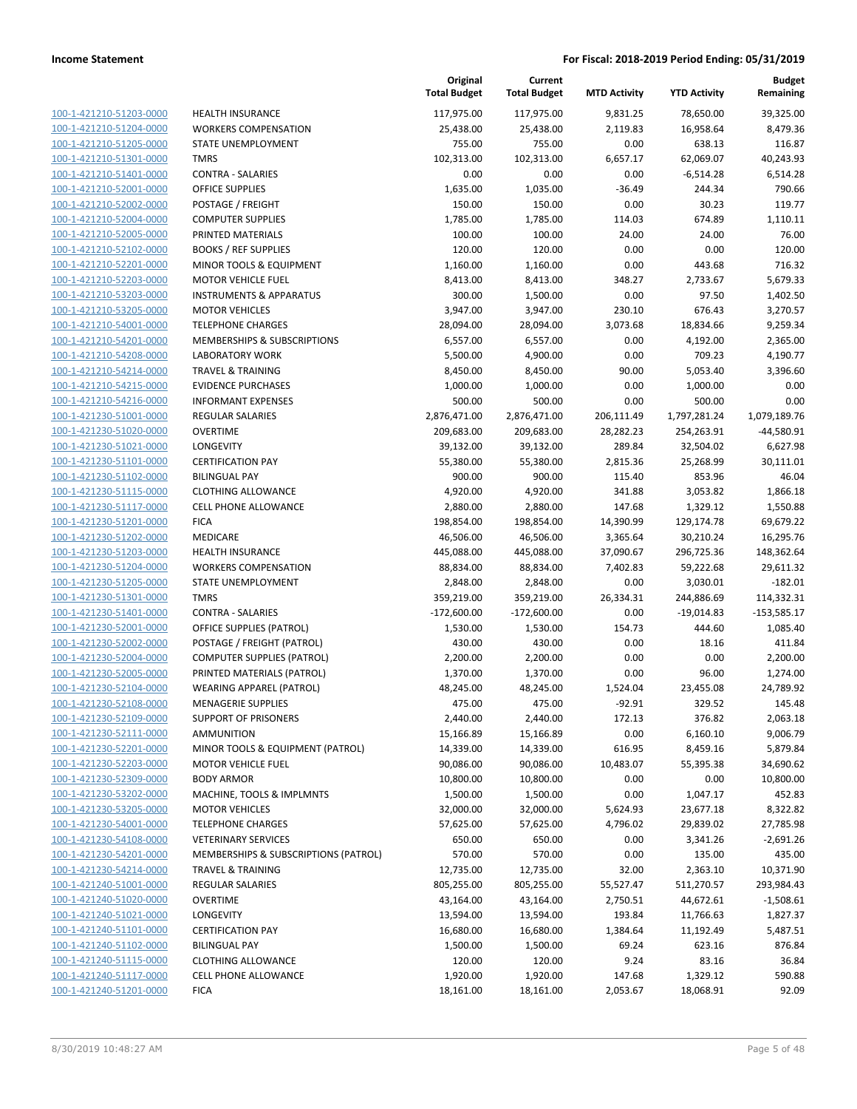| 100-1-421210-51203-0000        |
|--------------------------------|
| 100-1-421210-51204-0000        |
| 100-1-421210-51205-0000        |
| 100-1-421210-51301-0000        |
| <u>100-1-421210-51401-0000</u> |
| 100-1-421210-52001-0000        |
| 100-1-421210-52002-0000        |
| 100-1-421210-52004-0000        |
| 100-1-421210-52005-0000        |
| 100-1-421210-52102-0000        |
| 100-1-421210-52201-0000        |
| 100-1-421210-52203-0000        |
| 100-1-421210-53203-0000        |
| 100-1-421210-53205-0000        |
| <u>100-1-421210-54001-0000</u> |
| 100-1-421210-54201-0000        |
| 100-1-421210-54208-0000        |
| 100-1-421210-54214-0000        |
|                                |
| 100-1-421210-54215-0000        |
| <u>100-1-421210-54216-0000</u> |
| 100-1-421230-51001-0000        |
| 100-1-421230-51020-0000        |
| 100-1-421230-51021-0000        |
| 100-1-421230-51101-0000        |
| <u>100-1-421230-51102-0000</u> |
| 100-1-421230-51115-0000        |
| 100-1-421230-51117-0000        |
| 100-1-421230-51201-0000        |
| 100-1-421230-51202-0000        |
| 100-1-421230-51203-0000        |
| 100-1-421230-51204-0000        |
| 100-1-421230-51205-0000        |
| 100-1-421230-51301-0000        |
| 100-1-421230-51401-0000        |
| <u>100-1-421230-52001-0000</u> |
| 100-1-421230-52002-0000        |
| 100-1-421230-52004-0000        |
| 100-1-421230-52005-0000        |
| 100-1-421230-52104-0000        |
|                                |
| 100-1-421230-52108-0000        |
| 100-1-421230-52109-0000        |
| 100-1-421230-52111-0000        |
| 100-1-421230-52201-0000        |
| <u>100-1-421230-52203-0000</u> |
| 100-1-421230-52309-0000        |
| 100-1-421230-53202-0000        |
| 100-1-421230-53205-0000        |
| 100-1-421230-54001-0000        |
| 100-1-421230-54108-0000        |
| 100-1-421230-54201-0000        |
| <u>100-1-421230-54214-0000</u> |
| 100-1-421240-51001-0000        |
| 100-1-421240-51020-0000        |
| <u>100-1-421240-51021-0000</u> |
| 100-1-421240-51101-0000        |
| <u>100-1-421240-51102-0000</u> |
| 100-1-421240-51115-0000        |
| 100-1-421240-51117-0000        |
| <u>100-1-421240-51201-0000</u> |
|                                |

|                         |                                      | Original<br><b>Total Budget</b> | Current<br><b>Total Budget</b> | <b>MTD Activity</b> | <b>YTD Activity</b> | <b>Budget</b><br>Remaining |
|-------------------------|--------------------------------------|---------------------------------|--------------------------------|---------------------|---------------------|----------------------------|
| 100-1-421210-51203-0000 | <b>HEALTH INSURANCE</b>              | 117,975.00                      | 117,975.00                     | 9,831.25            | 78,650.00           | 39,325.00                  |
| 100-1-421210-51204-0000 | <b>WORKERS COMPENSATION</b>          | 25,438.00                       | 25,438.00                      | 2,119.83            | 16,958.64           | 8,479.36                   |
| 100-1-421210-51205-0000 | STATE UNEMPLOYMENT                   | 755.00                          | 755.00                         | 0.00                | 638.13              | 116.87                     |
| 100-1-421210-51301-0000 | <b>TMRS</b>                          | 102,313.00                      | 102,313.00                     | 6,657.17            | 62,069.07           | 40,243.93                  |
| 100-1-421210-51401-0000 | <b>CONTRA - SALARIES</b>             | 0.00                            | 0.00                           | 0.00                | $-6,514.28$         | 6,514.28                   |
| 100-1-421210-52001-0000 | <b>OFFICE SUPPLIES</b>               | 1,635.00                        | 1,035.00                       | $-36.49$            | 244.34              | 790.66                     |
| 100-1-421210-52002-0000 | POSTAGE / FREIGHT                    | 150.00                          | 150.00                         | 0.00                | 30.23               | 119.77                     |
| 100-1-421210-52004-0000 | <b>COMPUTER SUPPLIES</b>             | 1,785.00                        | 1,785.00                       | 114.03              | 674.89              | 1,110.11                   |
| 100-1-421210-52005-0000 | PRINTED MATERIALS                    | 100.00                          | 100.00                         | 24.00               | 24.00               | 76.00                      |
| 100-1-421210-52102-0000 | <b>BOOKS / REF SUPPLIES</b>          | 120.00                          | 120.00                         | 0.00                | 0.00                | 120.00                     |
| 100-1-421210-52201-0000 | MINOR TOOLS & EQUIPMENT              | 1,160.00                        | 1,160.00                       | 0.00                | 443.68              | 716.32                     |
| 100-1-421210-52203-0000 | <b>MOTOR VEHICLE FUEL</b>            | 8,413.00                        | 8,413.00                       | 348.27              | 2,733.67            | 5,679.33                   |
| 100-1-421210-53203-0000 | <b>INSTRUMENTS &amp; APPARATUS</b>   | 300.00                          | 1,500.00                       | 0.00                | 97.50               | 1,402.50                   |
| 100-1-421210-53205-0000 | <b>MOTOR VEHICLES</b>                | 3,947.00                        | 3,947.00                       | 230.10              | 676.43              | 3,270.57                   |
| 100-1-421210-54001-0000 | <b>TELEPHONE CHARGES</b>             | 28,094.00                       | 28,094.00                      | 3,073.68            | 18,834.66           | 9,259.34                   |
| 100-1-421210-54201-0000 | MEMBERSHIPS & SUBSCRIPTIONS          | 6,557.00                        | 6,557.00                       | 0.00                | 4,192.00            | 2,365.00                   |
| 100-1-421210-54208-0000 | <b>LABORATORY WORK</b>               | 5,500.00                        | 4,900.00                       | 0.00                | 709.23              | 4,190.77                   |
| 100-1-421210-54214-0000 | <b>TRAVEL &amp; TRAINING</b>         | 8,450.00                        | 8,450.00                       | 90.00               | 5,053.40            | 3,396.60                   |
| 100-1-421210-54215-0000 | <b>EVIDENCE PURCHASES</b>            | 1,000.00                        | 1,000.00                       | 0.00                | 1,000.00            | 0.00                       |
| 100-1-421210-54216-0000 | <b>INFORMANT EXPENSES</b>            | 500.00                          | 500.00                         | 0.00                | 500.00              | 0.00                       |
| 100-1-421230-51001-0000 | <b>REGULAR SALARIES</b>              | 2,876,471.00                    | 2,876,471.00                   | 206,111.49          | 1,797,281.24        | 1,079,189.76               |
| 100-1-421230-51020-0000 | <b>OVERTIME</b>                      | 209,683.00                      | 209,683.00                     | 28,282.23           | 254,263.91          | $-44,580.91$               |
| 100-1-421230-51021-0000 | LONGEVITY                            | 39,132.00                       | 39,132.00                      | 289.84              | 32,504.02           | 6,627.98                   |
| 100-1-421230-51101-0000 | <b>CERTIFICATION PAY</b>             | 55,380.00                       | 55,380.00                      | 2,815.36            | 25,268.99           | 30,111.01                  |
| 100-1-421230-51102-0000 | <b>BILINGUAL PAY</b>                 | 900.00                          | 900.00                         | 115.40              | 853.96              | 46.04                      |
| 100-1-421230-51115-0000 | <b>CLOTHING ALLOWANCE</b>            | 4,920.00                        | 4,920.00                       | 341.88              | 3,053.82            | 1,866.18                   |
| 100-1-421230-51117-0000 | <b>CELL PHONE ALLOWANCE</b>          | 2,880.00                        | 2,880.00                       | 147.68              | 1,329.12            | 1,550.88                   |
| 100-1-421230-51201-0000 | <b>FICA</b>                          | 198,854.00                      | 198,854.00                     | 14,390.99           | 129,174.78          | 69,679.22                  |
| 100-1-421230-51202-0000 | MEDICARE                             | 46,506.00                       | 46,506.00                      | 3,365.64            | 30,210.24           | 16,295.76                  |
| 100-1-421230-51203-0000 | <b>HEALTH INSURANCE</b>              | 445,088.00                      | 445,088.00                     | 37,090.67           | 296,725.36          | 148,362.64                 |
| 100-1-421230-51204-0000 | <b>WORKERS COMPENSATION</b>          | 88,834.00                       | 88,834.00                      | 7,402.83            | 59,222.68           | 29,611.32                  |
| 100-1-421230-51205-0000 | STATE UNEMPLOYMENT                   | 2,848.00                        | 2,848.00                       | 0.00                | 3,030.01            | $-182.01$                  |
| 100-1-421230-51301-0000 | <b>TMRS</b>                          | 359,219.00                      | 359,219.00                     | 26,334.31           | 244,886.69          | 114,332.31                 |
| 100-1-421230-51401-0000 | <b>CONTRA - SALARIES</b>             | $-172,600.00$                   | $-172,600.00$                  | 0.00                | $-19,014.83$        | $-153,585.17$              |
| 100-1-421230-52001-0000 | OFFICE SUPPLIES (PATROL)             | 1,530.00                        | 1,530.00                       | 154.73              | 444.60              | 1,085.40                   |
| 100-1-421230-52002-0000 | POSTAGE / FREIGHT (PATROL)           | 430.00                          | 430.00                         | 0.00                | 18.16               | 411.84                     |
| 100-1-421230-52004-0000 | <b>COMPUTER SUPPLIES (PATROL)</b>    | 2,200.00                        | 2,200.00                       | 0.00                | 0.00                | 2,200.00                   |
| 100-1-421230-52005-0000 | PRINTED MATERIALS (PATROL)           | 1,370.00                        | 1,370.00                       | 0.00                | 96.00               | 1,274.00                   |
| 100-1-421230-52104-0000 | <b>WEARING APPAREL (PATROL)</b>      | 48,245.00                       | 48,245.00                      | 1,524.04            | 23,455.08           | 24,789.92                  |
| 100-1-421230-52108-0000 | <b>MENAGERIE SUPPLIES</b>            | 475.00                          | 475.00                         | $-92.91$            | 329.52              | 145.48                     |
| 100-1-421230-52109-0000 | <b>SUPPORT OF PRISONERS</b>          | 2,440.00                        | 2,440.00                       | 172.13              | 376.82              | 2,063.18                   |
| 100-1-421230-52111-0000 | AMMUNITION                           | 15,166.89                       | 15,166.89                      | 0.00                | 6,160.10            | 9,006.79                   |
| 100-1-421230-52201-0000 | MINOR TOOLS & EQUIPMENT (PATROL)     | 14,339.00                       | 14,339.00                      | 616.95              | 8,459.16            | 5,879.84                   |
| 100-1-421230-52203-0000 | <b>MOTOR VEHICLE FUEL</b>            | 90,086.00                       | 90,086.00                      | 10,483.07           | 55,395.38           | 34,690.62                  |
| 100-1-421230-52309-0000 | <b>BODY ARMOR</b>                    | 10,800.00                       | 10,800.00                      | 0.00                | 0.00                | 10,800.00                  |
| 100-1-421230-53202-0000 | MACHINE, TOOLS & IMPLMNTS            | 1,500.00                        | 1,500.00                       | 0.00                | 1,047.17            | 452.83                     |
| 100-1-421230-53205-0000 | <b>MOTOR VEHICLES</b>                | 32,000.00                       | 32,000.00                      | 5,624.93            | 23,677.18           | 8,322.82                   |
| 100-1-421230-54001-0000 | <b>TELEPHONE CHARGES</b>             | 57,625.00                       | 57,625.00                      | 4,796.02            | 29,839.02           | 27,785.98                  |
| 100-1-421230-54108-0000 | <b>VETERINARY SERVICES</b>           | 650.00                          | 650.00                         | 0.00                | 3,341.26            | $-2,691.26$                |
| 100-1-421230-54201-0000 | MEMBERSHIPS & SUBSCRIPTIONS (PATROL) | 570.00                          | 570.00                         | 0.00                | 135.00              | 435.00                     |
| 100-1-421230-54214-0000 | <b>TRAVEL &amp; TRAINING</b>         | 12,735.00                       | 12,735.00                      | 32.00               | 2,363.10            | 10,371.90                  |
| 100-1-421240-51001-0000 | REGULAR SALARIES                     | 805,255.00                      | 805,255.00                     | 55,527.47           | 511,270.57          | 293,984.43                 |
| 100-1-421240-51020-0000 | <b>OVERTIME</b>                      | 43,164.00                       | 43,164.00                      | 2,750.51            | 44,672.61           | $-1,508.61$                |
| 100-1-421240-51021-0000 | LONGEVITY                            | 13,594.00                       | 13,594.00                      | 193.84              | 11,766.63           | 1,827.37                   |
| 100-1-421240-51101-0000 | <b>CERTIFICATION PAY</b>             | 16,680.00                       | 16,680.00                      | 1,384.64            | 11,192.49           | 5,487.51                   |
| 100-1-421240-51102-0000 | <b>BILINGUAL PAY</b>                 | 1,500.00                        | 1,500.00                       | 69.24               | 623.16              | 876.84                     |
| 100-1-421240-51115-0000 | <b>CLOTHING ALLOWANCE</b>            | 120.00                          | 120.00                         | 9.24                | 83.16               | 36.84                      |
| 100-1-421240-51117-0000 | CELL PHONE ALLOWANCE                 | 1,920.00                        | 1,920.00                       | 147.68              | 1,329.12            | 590.88                     |
| 100-1-421240-51201-0000 | <b>FICA</b>                          | 18,161.00                       | 18,161.00                      | 2,053.67            | 18,068.91           | 92.09                      |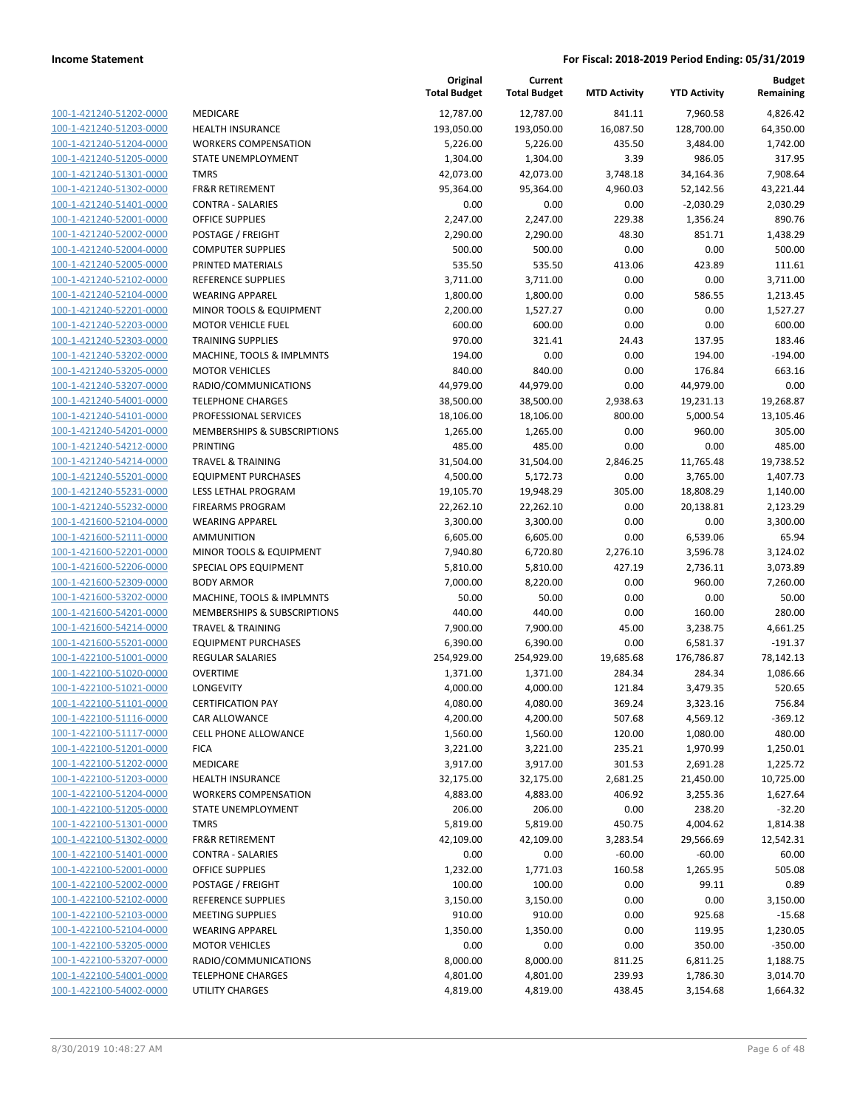|                         |                                                    | Original<br><b>Total Budget</b> | Current<br><b>Total Budget</b> | <b>MTD Activity</b> | <b>YTD Activity</b> | Budget<br>Remaining |
|-------------------------|----------------------------------------------------|---------------------------------|--------------------------------|---------------------|---------------------|---------------------|
| 100-1-421240-51202-0000 | MEDICARE                                           | 12,787.00                       | 12,787.00                      | 841.11              | 7,960.58            | 4,826.42            |
| 100-1-421240-51203-0000 | <b>HEALTH INSURANCE</b>                            | 193,050.00                      | 193,050.00                     | 16,087.50           | 128,700.00          | 64,350.00           |
| 100-1-421240-51204-0000 | <b>WORKERS COMPENSATION</b>                        | 5,226.00                        | 5,226.00                       | 435.50              | 3,484.00            | 1,742.00            |
| 100-1-421240-51205-0000 | STATE UNEMPLOYMENT                                 | 1,304.00                        | 1,304.00                       | 3.39                | 986.05              | 317.95              |
| 100-1-421240-51301-0000 | <b>TMRS</b>                                        | 42,073.00                       | 42,073.00                      | 3,748.18            | 34,164.36           | 7,908.64            |
| 100-1-421240-51302-0000 | <b>FR&amp;R RETIREMENT</b>                         | 95,364.00                       | 95,364.00                      | 4,960.03            | 52,142.56           | 43,221.44           |
| 100-1-421240-51401-0000 | <b>CONTRA - SALARIES</b>                           | 0.00                            | 0.00                           | 0.00                | $-2,030.29$         | 2,030.29            |
| 100-1-421240-52001-0000 | <b>OFFICE SUPPLIES</b>                             | 2,247.00                        | 2,247.00                       | 229.38              | 1,356.24            | 890.76              |
| 100-1-421240-52002-0000 | POSTAGE / FREIGHT                                  | 2,290.00                        | 2,290.00                       | 48.30               | 851.71              | 1,438.29            |
| 100-1-421240-52004-0000 | <b>COMPUTER SUPPLIES</b>                           | 500.00                          | 500.00                         | 0.00                | 0.00                | 500.00              |
| 100-1-421240-52005-0000 | PRINTED MATERIALS                                  | 535.50                          | 535.50                         | 413.06              | 423.89              | 111.61              |
| 100-1-421240-52102-0000 | <b>REFERENCE SUPPLIES</b>                          | 3,711.00                        | 3,711.00                       | 0.00                | 0.00                | 3,711.00            |
| 100-1-421240-52104-0000 | <b>WEARING APPAREL</b>                             | 1,800.00                        | 1,800.00                       | 0.00                | 586.55              | 1,213.45            |
| 100-1-421240-52201-0000 | MINOR TOOLS & EQUIPMENT                            | 2,200.00                        | 1,527.27                       | 0.00                | 0.00                | 1,527.27            |
| 100-1-421240-52203-0000 | <b>MOTOR VEHICLE FUEL</b>                          | 600.00                          | 600.00                         | 0.00                | 0.00                | 600.00              |
| 100-1-421240-52303-0000 | <b>TRAINING SUPPLIES</b>                           | 970.00                          | 321.41                         | 24.43               | 137.95              | 183.46              |
| 100-1-421240-53202-0000 | MACHINE, TOOLS & IMPLMNTS                          | 194.00                          | 0.00                           | 0.00                | 194.00              | $-194.00$           |
| 100-1-421240-53205-0000 | <b>MOTOR VEHICLES</b>                              | 840.00                          | 840.00                         | 0.00                | 176.84              | 663.16              |
| 100-1-421240-53207-0000 | RADIO/COMMUNICATIONS                               | 44,979.00                       | 44,979.00                      | 0.00                | 44,979.00           | 0.00                |
| 100-1-421240-54001-0000 | <b>TELEPHONE CHARGES</b>                           | 38,500.00                       | 38,500.00                      | 2,938.63            | 19,231.13           | 19,268.87           |
| 100-1-421240-54101-0000 | PROFESSIONAL SERVICES                              | 18,106.00                       | 18,106.00                      | 800.00              | 5,000.54            | 13,105.46           |
| 100-1-421240-54201-0000 | <b>MEMBERSHIPS &amp; SUBSCRIPTIONS</b>             | 1,265.00                        | 1,265.00                       | 0.00                | 960.00              | 305.00              |
| 100-1-421240-54212-0000 | <b>PRINTING</b>                                    | 485.00                          | 485.00                         | 0.00                | 0.00                | 485.00              |
| 100-1-421240-54214-0000 | <b>TRAVEL &amp; TRAINING</b>                       | 31,504.00                       | 31,504.00                      | 2,846.25            | 11,765.48           | 19,738.52           |
| 100-1-421240-55201-0000 | <b>EQUIPMENT PURCHASES</b>                         | 4,500.00                        | 5,172.73                       | 0.00                | 3,765.00            | 1,407.73            |
| 100-1-421240-55231-0000 | LESS LETHAL PROGRAM                                | 19,105.70                       | 19,948.29                      | 305.00              | 18,808.29           | 1,140.00            |
| 100-1-421240-55232-0000 | <b>FIREARMS PROGRAM</b>                            | 22,262.10                       | 22,262.10                      | 0.00                | 20,138.81           | 2,123.29            |
| 100-1-421600-52104-0000 | <b>WEARING APPAREL</b>                             | 3,300.00                        | 3,300.00                       | 0.00                | 0.00                | 3,300.00            |
| 100-1-421600-52111-0000 | <b>AMMUNITION</b>                                  | 6,605.00                        | 6,605.00                       | 0.00                | 6,539.06            | 65.94               |
| 100-1-421600-52201-0000 | MINOR TOOLS & EQUIPMENT                            | 7,940.80                        | 6,720.80                       | 2,276.10            | 3,596.78            | 3,124.02            |
| 100-1-421600-52206-0000 | SPECIAL OPS EQUIPMENT                              | 5,810.00                        | 5,810.00                       | 427.19              | 2,736.11            | 3,073.89            |
| 100-1-421600-52309-0000 | <b>BODY ARMOR</b>                                  | 7,000.00                        | 8,220.00                       | 0.00                | 960.00              | 7,260.00            |
| 100-1-421600-53202-0000 | MACHINE, TOOLS & IMPLMNTS                          | 50.00                           | 50.00                          | 0.00                | 0.00                | 50.00               |
| 100-1-421600-54201-0000 | MEMBERSHIPS & SUBSCRIPTIONS                        | 440.00                          | 440.00                         | 0.00                | 160.00              | 280.00              |
| 100-1-421600-54214-0000 | <b>TRAVEL &amp; TRAINING</b>                       | 7,900.00                        | 7,900.00                       | 45.00               | 3,238.75            | 4,661.25            |
| 100-1-421600-55201-0000 | <b>EQUIPMENT PURCHASES</b>                         | 6,390.00                        | 6,390.00                       | 0.00                | 6,581.37            | $-191.37$           |
| 100-1-422100-51001-0000 | <b>REGULAR SALARIES</b>                            | 254,929.00                      | 254,929.00                     | 19,685.68           | 176,786.87          | 78,142.13           |
| 100-1-422100-51020-0000 | <b>OVERTIME</b>                                    | 1,371.00                        | 1,371.00                       | 284.34              | 284.34              | 1,086.66            |
| 100-1-422100-51021-0000 | LONGEVITY                                          | 4,000.00                        | 4,000.00                       | 121.84              | 3,479.35            | 520.65              |
| 100-1-422100-51101-0000 | <b>CERTIFICATION PAY</b>                           | 4,080.00                        | 4,080.00                       | 369.24              | 3,323.16            | 756.84              |
| 100-1-422100-51116-0000 | CAR ALLOWANCE                                      | 4,200.00                        | 4,200.00                       | 507.68              | 4,569.12            | $-369.12$           |
| 100-1-422100-51117-0000 | <b>CELL PHONE ALLOWANCE</b>                        | 1,560.00                        | 1,560.00                       | 120.00              | 1,080.00            | 480.00              |
| 100-1-422100-51201-0000 | <b>FICA</b>                                        | 3,221.00                        | 3,221.00                       | 235.21              | 1,970.99            | 1,250.01            |
| 100-1-422100-51202-0000 | MEDICARE                                           | 3,917.00                        | 3,917.00                       | 301.53              | 2,691.28            | 1,225.72            |
| 100-1-422100-51203-0000 | <b>HEALTH INSURANCE</b>                            | 32,175.00                       | 32,175.00                      | 2,681.25            | 21,450.00           | 10,725.00           |
| 100-1-422100-51204-0000 | <b>WORKERS COMPENSATION</b>                        | 4,883.00                        | 4,883.00                       | 406.92              | 3,255.36            | 1,627.64            |
| 100-1-422100-51205-0000 | STATE UNEMPLOYMENT                                 | 206.00                          | 206.00                         | 0.00                | 238.20              | $-32.20$            |
| 100-1-422100-51301-0000 | <b>TMRS</b>                                        | 5,819.00                        | 5,819.00                       | 450.75              | 4,004.62            | 1,814.38            |
| 100-1-422100-51302-0000 | <b>FR&amp;R RETIREMENT</b>                         | 42,109.00                       | 42,109.00                      | 3,283.54            | 29,566.69           | 12,542.31           |
| 100-1-422100-51401-0000 | <b>CONTRA - SALARIES</b><br><b>OFFICE SUPPLIES</b> | 0.00                            | 0.00                           | $-60.00$            | $-60.00$            | 60.00<br>505.08     |
| 100-1-422100-52001-0000 |                                                    | 1,232.00                        | 1,771.03                       | 160.58              | 1,265.95            |                     |
| 100-1-422100-52002-0000 | POSTAGE / FREIGHT                                  | 100.00                          | 100.00                         | 0.00                | 99.11               | 0.89                |
| 100-1-422100-52102-0000 | REFERENCE SUPPLIES                                 | 3,150.00                        | 3,150.00                       | 0.00                | 0.00                | 3,150.00            |
| 100-1-422100-52103-0000 | <b>MEETING SUPPLIES</b>                            | 910.00                          | 910.00                         | 0.00                | 925.68              | $-15.68$            |
| 100-1-422100-52104-0000 | <b>WEARING APPAREL</b>                             | 1,350.00                        | 1,350.00                       | 0.00                | 119.95              | 1,230.05            |
| 100-1-422100-53205-0000 | <b>MOTOR VEHICLES</b>                              | 0.00                            | 0.00                           | 0.00                | 350.00              | $-350.00$           |
| 100-1-422100-53207-0000 | RADIO/COMMUNICATIONS                               | 8,000.00                        | 8,000.00                       | 811.25              | 6,811.25            | 1,188.75            |
| 100-1-422100-54001-0000 | <b>TELEPHONE CHARGES</b>                           | 4,801.00                        | 4,801.00                       | 239.93              | 1,786.30            | 3,014.70            |
| 100-1-422100-54002-0000 | UTILITY CHARGES                                    | 4,819.00                        | 4,819.00                       | 438.45              | 3,154.68            | 1,664.32            |
|                         |                                                    |                                 |                                |                     |                     |                     |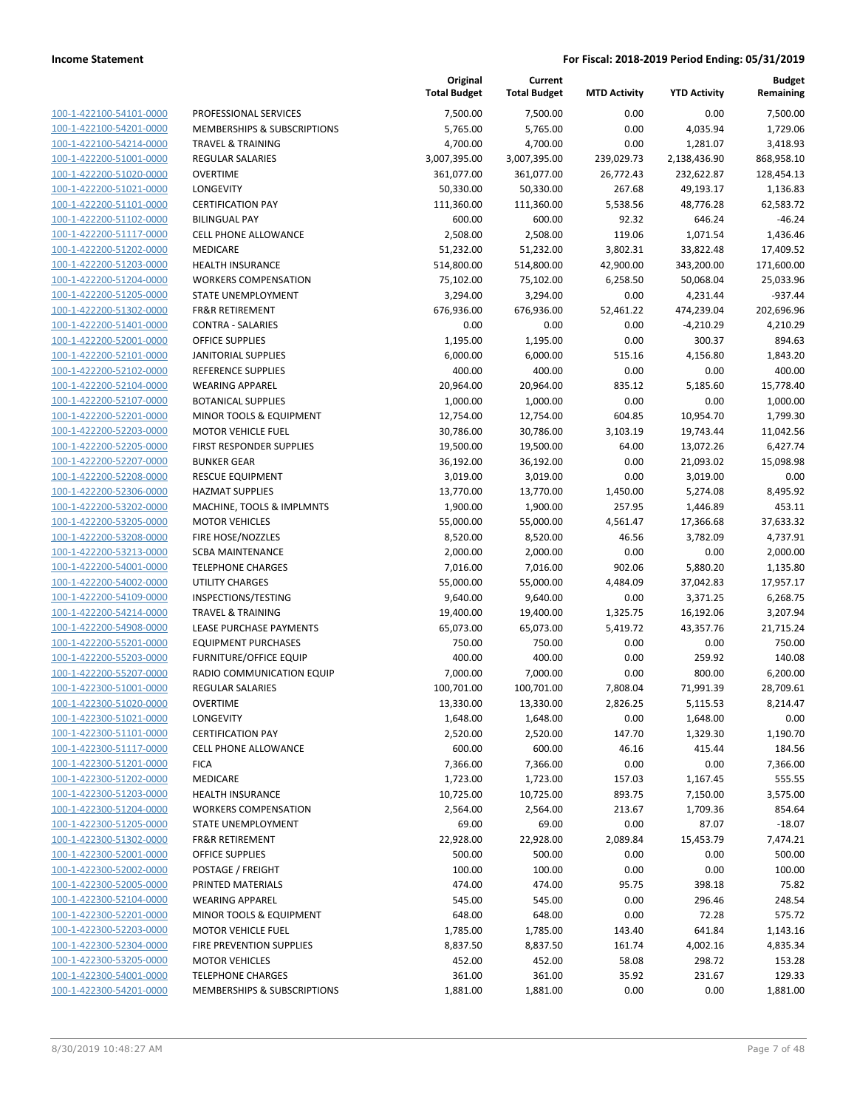|                         |                               | Original<br><b>Total Budget</b> | Current<br><b>Total Budget</b> | <b>MTD Activity</b> | <b>YTD Activity</b> | <b>Budget</b><br>Remaining |
|-------------------------|-------------------------------|---------------------------------|--------------------------------|---------------------|---------------------|----------------------------|
| 100-1-422100-54101-0000 | PROFESSIONAL SERVICES         | 7,500.00                        | 7,500.00                       | 0.00                | 0.00                | 7,500.00                   |
| 100-1-422100-54201-0000 | MEMBERSHIPS & SUBSCRIPTIONS   | 5,765.00                        | 5,765.00                       | 0.00                | 4,035.94            | 1,729.06                   |
| 100-1-422100-54214-0000 | <b>TRAVEL &amp; TRAINING</b>  | 4,700.00                        | 4,700.00                       | 0.00                | 1,281.07            | 3,418.93                   |
| 100-1-422200-51001-0000 | <b>REGULAR SALARIES</b>       | 3,007,395.00                    | 3,007,395.00                   | 239,029.73          | 2,138,436.90        | 868,958.10                 |
| 100-1-422200-51020-0000 | <b>OVERTIME</b>               | 361,077.00                      | 361,077.00                     | 26,772.43           | 232,622.87          | 128,454.13                 |
| 100-1-422200-51021-0000 | LONGEVITY                     | 50,330.00                       | 50,330.00                      | 267.68              | 49,193.17           | 1,136.83                   |
| 100-1-422200-51101-0000 | <b>CERTIFICATION PAY</b>      | 111,360.00                      | 111,360.00                     | 5,538.56            | 48,776.28           | 62,583.72                  |
| 100-1-422200-51102-0000 | <b>BILINGUAL PAY</b>          | 600.00                          | 600.00                         | 92.32               | 646.24              | $-46.24$                   |
| 100-1-422200-51117-0000 | <b>CELL PHONE ALLOWANCE</b>   | 2,508.00                        | 2,508.00                       | 119.06              | 1,071.54            | 1,436.46                   |
| 100-1-422200-51202-0000 | <b>MEDICARE</b>               | 51,232.00                       | 51,232.00                      | 3,802.31            | 33,822.48           | 17,409.52                  |
| 100-1-422200-51203-0000 | <b>HEALTH INSURANCE</b>       | 514,800.00                      | 514,800.00                     | 42,900.00           | 343,200.00          | 171,600.00                 |
| 100-1-422200-51204-0000 | <b>WORKERS COMPENSATION</b>   | 75,102.00                       | 75,102.00                      | 6,258.50            | 50,068.04           | 25,033.96                  |
| 100-1-422200-51205-0000 | STATE UNEMPLOYMENT            | 3,294.00                        | 3,294.00                       | 0.00                | 4,231.44            | $-937.44$                  |
| 100-1-422200-51302-0000 | <b>FR&amp;R RETIREMENT</b>    | 676,936.00                      | 676,936.00                     | 52,461.22           | 474,239.04          | 202,696.96                 |
| 100-1-422200-51401-0000 | <b>CONTRA - SALARIES</b>      | 0.00                            | 0.00                           | 0.00                | $-4,210.29$         | 4,210.29                   |
| 100-1-422200-52001-0000 | <b>OFFICE SUPPLIES</b>        | 1,195.00                        | 1,195.00                       | 0.00                | 300.37              | 894.63                     |
| 100-1-422200-52101-0000 | <b>JANITORIAL SUPPLIES</b>    | 6,000.00                        | 6,000.00                       | 515.16              | 4,156.80            | 1,843.20                   |
| 100-1-422200-52102-0000 | <b>REFERENCE SUPPLIES</b>     | 400.00                          | 400.00                         | 0.00                | 0.00                | 400.00                     |
| 100-1-422200-52104-0000 | <b>WEARING APPAREL</b>        | 20,964.00                       | 20,964.00                      | 835.12              | 5,185.60            | 15,778.40                  |
| 100-1-422200-52107-0000 | <b>BOTANICAL SUPPLIES</b>     | 1,000.00                        | 1,000.00                       | 0.00                | 0.00                | 1,000.00                   |
| 100-1-422200-52201-0000 | MINOR TOOLS & EQUIPMENT       | 12,754.00                       | 12,754.00                      | 604.85              | 10,954.70           | 1,799.30                   |
| 100-1-422200-52203-0000 | <b>MOTOR VEHICLE FUEL</b>     | 30,786.00                       | 30,786.00                      | 3,103.19            | 19,743.44           | 11,042.56                  |
| 100-1-422200-52205-0000 | FIRST RESPONDER SUPPLIES      | 19,500.00                       | 19,500.00                      | 64.00               | 13,072.26           | 6,427.74                   |
| 100-1-422200-52207-0000 | <b>BUNKER GEAR</b>            | 36,192.00                       | 36,192.00                      | 0.00                | 21,093.02           | 15,098.98                  |
| 100-1-422200-52208-0000 | <b>RESCUE EQUIPMENT</b>       | 3,019.00                        | 3,019.00                       | 0.00                | 3,019.00            | 0.00                       |
| 100-1-422200-52306-0000 | <b>HAZMAT SUPPLIES</b>        | 13,770.00                       | 13,770.00                      | 1,450.00            | 5,274.08            | 8,495.92                   |
| 100-1-422200-53202-0000 | MACHINE, TOOLS & IMPLMNTS     | 1,900.00                        | 1,900.00                       | 257.95              | 1,446.89            | 453.11                     |
| 100-1-422200-53205-0000 | <b>MOTOR VEHICLES</b>         | 55,000.00                       | 55,000.00                      | 4,561.47            | 17,366.68           | 37,633.32                  |
| 100-1-422200-53208-0000 | FIRE HOSE/NOZZLES             | 8,520.00                        | 8,520.00                       | 46.56               | 3,782.09            | 4,737.91                   |
| 100-1-422200-53213-0000 | <b>SCBA MAINTENANCE</b>       | 2,000.00                        | 2,000.00                       | 0.00                | 0.00                | 2,000.00                   |
| 100-1-422200-54001-0000 | <b>TELEPHONE CHARGES</b>      | 7,016.00                        | 7,016.00                       | 902.06              | 5,880.20            | 1,135.80                   |
| 100-1-422200-54002-0000 | <b>UTILITY CHARGES</b>        | 55,000.00                       | 55,000.00                      | 4,484.09            | 37,042.83           | 17,957.17                  |
| 100-1-422200-54109-0000 | INSPECTIONS/TESTING           | 9,640.00                        | 9,640.00                       | 0.00                | 3,371.25            | 6,268.75                   |
| 100-1-422200-54214-0000 | <b>TRAVEL &amp; TRAINING</b>  | 19,400.00                       | 19,400.00                      | 1,325.75            | 16,192.06           | 3,207.94                   |
| 100-1-422200-54908-0000 | LEASE PURCHASE PAYMENTS       | 65,073.00                       | 65,073.00                      | 5,419.72            | 43,357.76           | 21,715.24                  |
| 100-1-422200-55201-0000 | <b>EQUIPMENT PURCHASES</b>    | 750.00                          | 750.00                         | 0.00                | 0.00                | 750.00                     |
| 100-1-422200-55203-0000 | <b>FURNITURE/OFFICE EQUIP</b> | 400.00                          | 400.00                         | 0.00                | 259.92              | 140.08                     |
| 100-1-422200-55207-0000 | RADIO COMMUNICATION EQUIP     | 7,000.00                        | 7,000.00                       | 0.00                | 800.00              | 6,200.00                   |
| 100-1-422300-51001-0000 | <b>REGULAR SALARIES</b>       | 100,701.00                      | 100,701.00                     | 7,808.04            | 71,991.39           | 28,709.61                  |
| 100-1-422300-51020-0000 | <b>OVERTIME</b>               | 13,330.00                       | 13,330.00                      | 2,826.25            | 5,115.53            | 8,214.47                   |
| 100-1-422300-51021-0000 | LONGEVITY                     | 1,648.00                        | 1,648.00                       | 0.00                | 1,648.00            | 0.00                       |
| 100-1-422300-51101-0000 | <b>CERTIFICATION PAY</b>      | 2,520.00                        | 2,520.00                       | 147.70              | 1,329.30            | 1,190.70                   |
| 100-1-422300-51117-0000 | <b>CELL PHONE ALLOWANCE</b>   | 600.00                          | 600.00                         | 46.16               | 415.44              | 184.56                     |
| 100-1-422300-51201-0000 | <b>FICA</b>                   | 7,366.00                        | 7,366.00                       | 0.00                | 0.00                | 7,366.00                   |
| 100-1-422300-51202-0000 | MEDICARE                      | 1,723.00                        | 1,723.00                       | 157.03              | 1,167.45            | 555.55                     |
| 100-1-422300-51203-0000 | <b>HEALTH INSURANCE</b>       | 10,725.00                       | 10,725.00                      | 893.75              | 7,150.00            | 3,575.00                   |
| 100-1-422300-51204-0000 | <b>WORKERS COMPENSATION</b>   | 2,564.00                        | 2,564.00                       | 213.67              | 1,709.36            | 854.64                     |
| 100-1-422300-51205-0000 | STATE UNEMPLOYMENT            | 69.00                           | 69.00                          | 0.00                | 87.07               | $-18.07$                   |
| 100-1-422300-51302-0000 | <b>FR&amp;R RETIREMENT</b>    | 22,928.00                       | 22,928.00                      | 2,089.84            | 15,453.79           | 7,474.21                   |
| 100-1-422300-52001-0000 | <b>OFFICE SUPPLIES</b>        | 500.00                          | 500.00                         | 0.00                | 0.00                | 500.00                     |
| 100-1-422300-52002-0000 | POSTAGE / FREIGHT             | 100.00                          | 100.00                         | 0.00                | 0.00                | 100.00                     |
| 100-1-422300-52005-0000 | PRINTED MATERIALS             | 474.00                          | 474.00                         | 95.75               | 398.18              | 75.82                      |
| 100-1-422300-52104-0000 | <b>WEARING APPAREL</b>        | 545.00                          | 545.00                         | 0.00                | 296.46              | 248.54                     |
| 100-1-422300-52201-0000 | MINOR TOOLS & EQUIPMENT       | 648.00                          | 648.00                         | 0.00                | 72.28               | 575.72                     |
| 100-1-422300-52203-0000 | <b>MOTOR VEHICLE FUEL</b>     | 1,785.00                        | 1,785.00                       | 143.40              | 641.84              | 1,143.16                   |
| 100-1-422300-52304-0000 | FIRE PREVENTION SUPPLIES      | 8,837.50                        | 8,837.50                       | 161.74              | 4,002.16            | 4,835.34                   |
| 100-1-422300-53205-0000 | <b>MOTOR VEHICLES</b>         | 452.00                          | 452.00                         | 58.08               | 298.72              | 153.28                     |
| 100-1-422300-54001-0000 | <b>TELEPHONE CHARGES</b>      | 361.00                          | 361.00                         | 35.92               | 231.67              | 129.33                     |
| 100-1-422300-54201-0000 | MEMBERSHIPS & SUBSCRIPTIONS   | 1,881.00                        | 1,881.00                       | 0.00                | 0.00                | 1,881.00                   |
|                         |                               |                                 |                                |                     |                     |                            |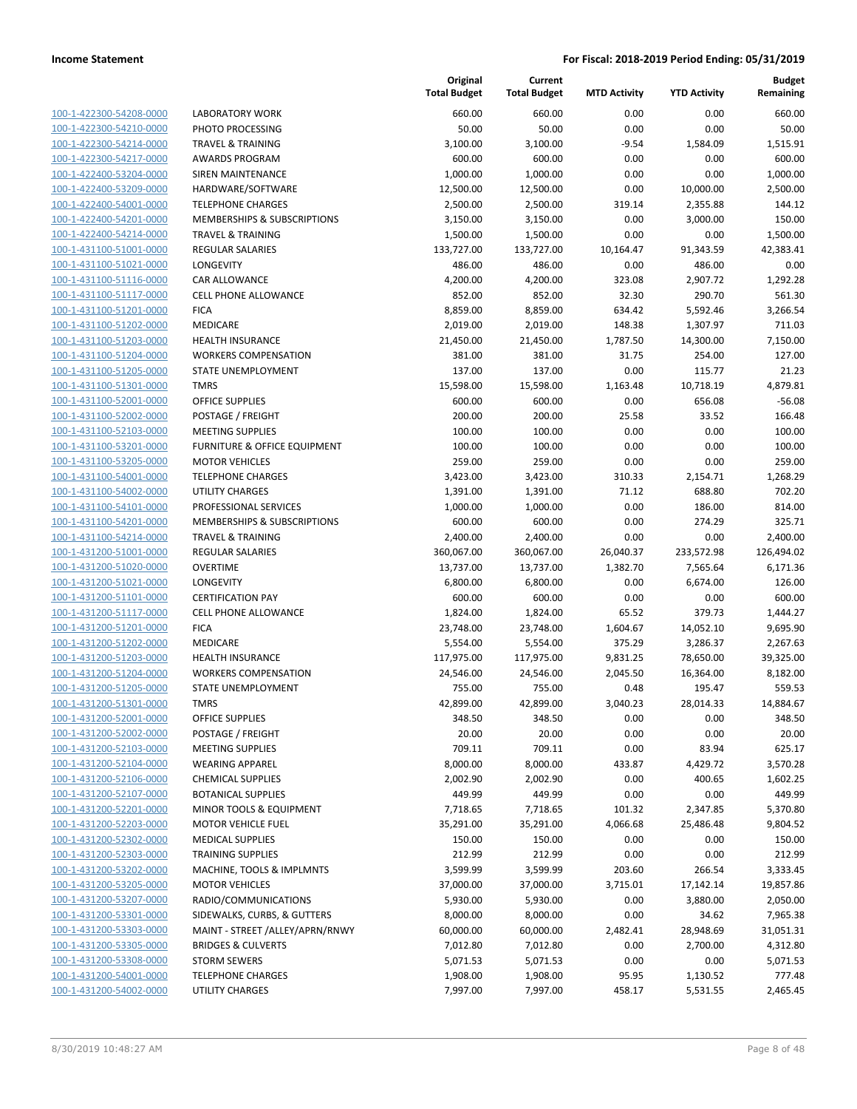| 100-1-422300-54208-0000        |
|--------------------------------|
| 100-1-422300-54210-0000        |
| 100-1-422300-54214-0000        |
| 100-1-422300-54217-0000        |
| 100-1-422400-53204-0000        |
| 100-1-422400-53209-0000        |
|                                |
| 100-1-422400-54001-0000        |
| 100-1-422400-54201-0000        |
| 100-1-422400-54214-0000        |
| 100-1-431100-51001-0000        |
| 100-1-431100-51021-0000        |
| 100-1-431100-51116-0000        |
| 100-1-431100-51117-0000        |
| 100-1-431100-51201-0000        |
| 100-1-431100-51202-0000        |
| 100-1-431100-51203-0000        |
| 100-1-431100-51204-0000        |
| 100-1-431100-51205-0000        |
|                                |
| 100-1-431100-51301-0000        |
| 100-1-431100-52001-0000        |
| 100-1-431100-52002-0000        |
| 100-1-431100-52103-0000        |
| 100-1-431100-53201-0000        |
| 100-1-431100-53205-0000        |
| 100-1-431100-54001-0000        |
| 100-1-431100-54002-0000        |
| 100-1-431100-54101-0000        |
| 100-1-431100-54201-0000        |
| 100-1-431100-54214-0000        |
|                                |
| 100-1-431200-51001-0000        |
| 100-1-431200-51020-0000        |
| 100-1-431200-51021-0000        |
| 100-1-431200-51101-0000        |
| 100-1-431200-51117-0000        |
| 100-1-431200-51201-0000        |
| 100-1-431200-51202-0000        |
| 100-1-431200-51203-0000        |
| 100-1-431200-51204-0000        |
| 100-1-431200-51205-0000        |
| 100-1-431200-51301-0000        |
| 100-1-431200-52001-0000        |
|                                |
| <u>100-1-431200-52002-0000</u> |
| 100-1-431200-52103-0000        |
| 100-1-431200-52104-0000        |
| 100-1-431200-52106-0000        |
| 100-1-431200-52107-0000        |
| <u>100-1-431200-52201-0000</u> |
| <u>100-1-431200-52203-0000</u> |
| 100-1-431200-52302-0000        |
| 100-1-431200-52303-0000        |
| 100-1-431200-53202-0000        |
| <u>100-1-431200-53205-0000</u> |
|                                |
| <u>100-1-431200-53207-0000</u> |
| 100-1-431200-53301-0000        |
| 100-1-431200-53303-0000        |
| 100-1-431200-53305-0000        |
| <u>100-1-431200-53308-0000</u> |
| <u>100-1-431200-54001-0000</u> |
| 100-1-431200-54002-0000        |
|                                |

|                                                    |                                                          | Original<br><b>Total Budget</b> | Current<br><b>Total Budget</b> | <b>MTD Activity</b> | <b>YTD Activity</b> | <b>Budget</b><br>Remaining |
|----------------------------------------------------|----------------------------------------------------------|---------------------------------|--------------------------------|---------------------|---------------------|----------------------------|
| 100-1-422300-54208-0000                            | <b>LABORATORY WORK</b>                                   | 660.00                          | 660.00                         | 0.00                | 0.00                | 660.00                     |
| 100-1-422300-54210-0000                            | PHOTO PROCESSING                                         | 50.00                           | 50.00                          | 0.00                | 0.00                | 50.00                      |
| 100-1-422300-54214-0000                            | <b>TRAVEL &amp; TRAINING</b>                             | 3,100.00                        | 3,100.00                       | $-9.54$             | 1,584.09            | 1,515.91                   |
| 100-1-422300-54217-0000                            | <b>AWARDS PROGRAM</b>                                    | 600.00                          | 600.00                         | 0.00                | 0.00                | 600.00                     |
| 100-1-422400-53204-0000                            | <b>SIREN MAINTENANCE</b>                                 | 1,000.00                        | 1,000.00                       | 0.00                | 0.00                | 1,000.00                   |
| 100-1-422400-53209-0000                            | HARDWARE/SOFTWARE                                        | 12,500.00                       | 12,500.00                      | 0.00                | 10,000.00           | 2,500.00                   |
| 100-1-422400-54001-0000                            | <b>TELEPHONE CHARGES</b>                                 | 2,500.00                        | 2,500.00                       | 319.14              | 2,355.88            | 144.12                     |
| 100-1-422400-54201-0000                            | <b>MEMBERSHIPS &amp; SUBSCRIPTIONS</b>                   | 3,150.00                        | 3,150.00                       | 0.00                | 3,000.00            | 150.00                     |
| 100-1-422400-54214-0000                            | <b>TRAVEL &amp; TRAINING</b>                             | 1,500.00                        | 1,500.00                       | 0.00                | 0.00                | 1,500.00                   |
| 100-1-431100-51001-0000                            | <b>REGULAR SALARIES</b>                                  | 133,727.00                      | 133,727.00                     | 10,164.47           | 91,343.59           | 42,383.41                  |
| 100-1-431100-51021-0000                            | LONGEVITY                                                | 486.00                          | 486.00                         | 0.00                | 486.00              | 0.00                       |
| 100-1-431100-51116-0000                            | CAR ALLOWANCE                                            | 4,200.00                        | 4,200.00                       | 323.08              | 2,907.72            | 1,292.28                   |
| 100-1-431100-51117-0000                            | <b>CELL PHONE ALLOWANCE</b>                              | 852.00                          | 852.00                         | 32.30               | 290.70              | 561.30                     |
| 100-1-431100-51201-0000                            | <b>FICA</b>                                              | 8,859.00                        | 8,859.00                       | 634.42              | 5,592.46            | 3,266.54                   |
| 100-1-431100-51202-0000                            | MEDICARE                                                 | 2,019.00                        | 2,019.00                       | 148.38              | 1,307.97            | 711.03                     |
| 100-1-431100-51203-0000                            | <b>HEALTH INSURANCE</b>                                  | 21,450.00                       | 21,450.00                      | 1,787.50            | 14,300.00           | 7,150.00                   |
| 100-1-431100-51204-0000                            | <b>WORKERS COMPENSATION</b>                              | 381.00                          | 381.00                         | 31.75               | 254.00              | 127.00                     |
| 100-1-431100-51205-0000                            | <b>STATE UNEMPLOYMENT</b>                                | 137.00                          | 137.00                         | 0.00                | 115.77              | 21.23                      |
| 100-1-431100-51301-0000                            | <b>TMRS</b>                                              | 15,598.00                       | 15,598.00                      | 1,163.48            | 10,718.19           | 4,879.81                   |
| 100-1-431100-52001-0000                            | OFFICE SUPPLIES                                          | 600.00                          | 600.00                         | 0.00                | 656.08              | $-56.08$                   |
| 100-1-431100-52002-0000                            | POSTAGE / FREIGHT                                        | 200.00                          | 200.00                         | 25.58               | 33.52               | 166.48                     |
| 100-1-431100-52103-0000                            | <b>MEETING SUPPLIES</b>                                  | 100.00                          | 100.00                         | 0.00                | 0.00                | 100.00                     |
| 100-1-431100-53201-0000                            | <b>FURNITURE &amp; OFFICE EQUIPMENT</b>                  | 100.00                          | 100.00                         | 0.00                | 0.00                | 100.00                     |
| 100-1-431100-53205-0000                            | <b>MOTOR VEHICLES</b>                                    | 259.00                          | 259.00                         | 0.00                | 0.00                | 259.00                     |
| 100-1-431100-54001-0000                            | <b>TELEPHONE CHARGES</b>                                 | 3,423.00                        | 3,423.00                       | 310.33              | 2,154.71            | 1,268.29                   |
| 100-1-431100-54002-0000                            | UTILITY CHARGES                                          | 1,391.00                        | 1,391.00                       | 71.12               | 688.80              | 702.20                     |
| 100-1-431100-54101-0000                            | PROFESSIONAL SERVICES                                    | 1,000.00                        | 1,000.00                       | 0.00                | 186.00              | 814.00                     |
| 100-1-431100-54201-0000                            | <b>MEMBERSHIPS &amp; SUBSCRIPTIONS</b>                   | 600.00                          | 600.00                         | 0.00                | 274.29              | 325.71                     |
| 100-1-431100-54214-0000                            | <b>TRAVEL &amp; TRAINING</b>                             | 2,400.00                        | 2,400.00                       | 0.00                | 0.00                | 2,400.00                   |
| 100-1-431200-51001-0000                            | REGULAR SALARIES                                         | 360,067.00                      | 360,067.00                     | 26,040.37           | 233,572.98          | 126,494.02                 |
| 100-1-431200-51020-0000                            | <b>OVERTIME</b>                                          | 13,737.00                       | 13,737.00                      | 1,382.70            | 7,565.64            | 6,171.36                   |
| 100-1-431200-51021-0000                            | LONGEVITY                                                | 6,800.00                        | 6,800.00                       | 0.00                | 6,674.00            | 126.00                     |
| 100-1-431200-51101-0000                            | <b>CERTIFICATION PAY</b>                                 | 600.00                          | 600.00                         | 0.00                | 0.00                | 600.00                     |
| 100-1-431200-51117-0000                            | <b>CELL PHONE ALLOWANCE</b>                              | 1,824.00                        | 1,824.00                       | 65.52               | 379.73              | 1,444.27                   |
| 100-1-431200-51201-0000                            | <b>FICA</b>                                              | 23,748.00                       | 23,748.00                      | 1,604.67            | 14,052.10           | 9,695.90                   |
| 100-1-431200-51202-0000                            | MEDICARE                                                 | 5,554.00                        | 5,554.00                       | 375.29              | 3,286.37            | 2,267.63                   |
| 100-1-431200-51203-0000<br>100-1-431200-51204-0000 | <b>HEALTH INSURANCE</b>                                  | 117,975.00                      | 117,975.00                     | 9,831.25            | 78,650.00           | 39,325.00                  |
| 100-1-431200-51205-0000                            | <b>WORKERS COMPENSATION</b><br><b>STATE UNEMPLOYMENT</b> | 24,546.00<br>755.00             | 24,546.00                      | 2,045.50            | 16,364.00           | 8,182.00                   |
| 100-1-431200-51301-0000                            | <b>TMRS</b>                                              | 42,899.00                       | 755.00<br>42,899.00            | 0.48<br>3,040.23    | 195.47<br>28,014.33 | 559.53<br>14,884.67        |
| 100-1-431200-52001-0000                            | <b>OFFICE SUPPLIES</b>                                   | 348.50                          | 348.50                         | 0.00                | 0.00                | 348.50                     |
| 100-1-431200-52002-0000                            | POSTAGE / FREIGHT                                        | 20.00                           | 20.00                          | 0.00                | 0.00                | 20.00                      |
| 100-1-431200-52103-0000                            | <b>MEETING SUPPLIES</b>                                  | 709.11                          | 709.11                         | 0.00                | 83.94               | 625.17                     |
| 100-1-431200-52104-0000                            | <b>WEARING APPAREL</b>                                   | 8,000.00                        | 8,000.00                       | 433.87              | 4,429.72            | 3,570.28                   |
| 100-1-431200-52106-0000                            | <b>CHEMICAL SUPPLIES</b>                                 | 2,002.90                        | 2,002.90                       | 0.00                | 400.65              | 1,602.25                   |
| 100-1-431200-52107-0000                            | <b>BOTANICAL SUPPLIES</b>                                | 449.99                          | 449.99                         | 0.00                | 0.00                | 449.99                     |
| 100-1-431200-52201-0000                            | MINOR TOOLS & EQUIPMENT                                  | 7,718.65                        | 7,718.65                       | 101.32              | 2,347.85            | 5,370.80                   |
| 100-1-431200-52203-0000                            | <b>MOTOR VEHICLE FUEL</b>                                | 35,291.00                       | 35,291.00                      | 4,066.68            | 25,486.48           | 9,804.52                   |
| 100-1-431200-52302-0000                            | <b>MEDICAL SUPPLIES</b>                                  | 150.00                          | 150.00                         | 0.00                | 0.00                | 150.00                     |
| 100-1-431200-52303-0000                            | <b>TRAINING SUPPLIES</b>                                 | 212.99                          | 212.99                         | 0.00                | 0.00                | 212.99                     |
| 100-1-431200-53202-0000                            | MACHINE, TOOLS & IMPLMNTS                                | 3,599.99                        | 3,599.99                       | 203.60              | 266.54              | 3,333.45                   |
| 100-1-431200-53205-0000                            | <b>MOTOR VEHICLES</b>                                    | 37,000.00                       | 37,000.00                      | 3,715.01            | 17,142.14           | 19,857.86                  |
| 100-1-431200-53207-0000                            | RADIO/COMMUNICATIONS                                     | 5,930.00                        | 5,930.00                       | 0.00                | 3,880.00            | 2,050.00                   |
| 100-1-431200-53301-0000                            | SIDEWALKS, CURBS, & GUTTERS                              | 8,000.00                        | 8,000.00                       | 0.00                | 34.62               | 7,965.38                   |
| 100-1-431200-53303-0000                            | MAINT - STREET /ALLEY/APRN/RNWY                          | 60,000.00                       | 60,000.00                      | 2,482.41            | 28,948.69           | 31,051.31                  |
| 100-1-431200-53305-0000                            | <b>BRIDGES &amp; CULVERTS</b>                            | 7,012.80                        | 7,012.80                       | 0.00                | 2,700.00            | 4,312.80                   |
| 100-1-431200-53308-0000                            | <b>STORM SEWERS</b>                                      | 5,071.53                        | 5,071.53                       | 0.00                | 0.00                | 5,071.53                   |
| 100-1-431200-54001-0000                            | <b>TELEPHONE CHARGES</b>                                 | 1,908.00                        | 1,908.00                       | 95.95               | 1,130.52            | 777.48                     |
| 100-1-431200-54002-0000                            | UTILITY CHARGES                                          | 7,997.00                        | 7,997.00                       | 458.17              | 5,531.55            | 2,465.45                   |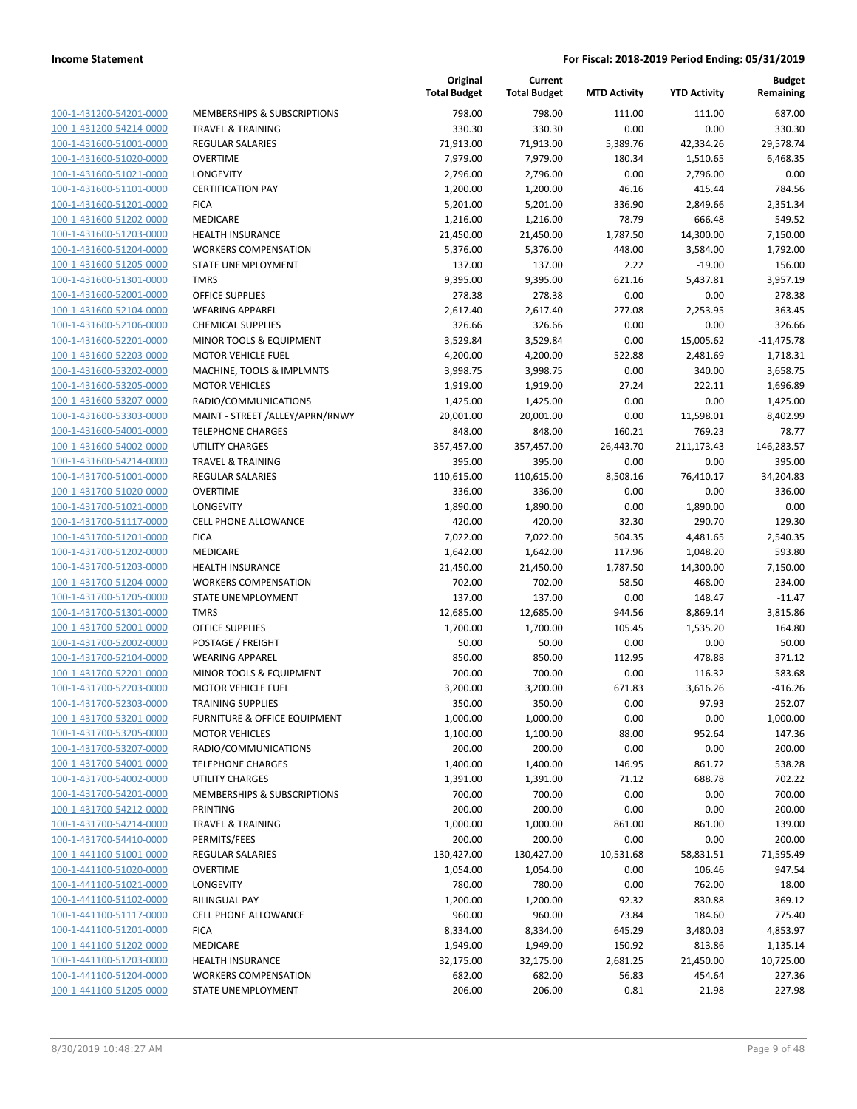| 100-1-431200-54201-0000        |
|--------------------------------|
| 100-1-431200-54214-0000        |
| 100-1-431600-51001-0000        |
| 100-1-431600-51020-0000        |
| 100-1-431600-51021-0000        |
| 100-1-431600-51101-0000        |
| 100-1-431600-51201-0000        |
| 100-1-431600-51202-0000        |
| <u>100-1-431600-51203-0000</u> |
| 100-1-431600-51204-0000        |
| 100-1-431600-51205-0000        |
| 100-1-431600-51301-0000        |
| 100-1-431600-52001-0000        |
| 100-1-431600-52104-0000        |
| 100-1-431600-52106-0000        |
|                                |
| 100-1-431600-52201-0000        |
| 100-1-431600-52203-0000        |
| 100-1-431600-53202-0000        |
| 100-1-431600-53205-0000        |
| 100-1-431600-53207-0000        |
| 100-1-431600-53303-0000        |
| 100-1-431600-54001-0000        |
| 100-1-431600-54002-0000        |
| 100-1-431600-54214-0000        |
| 100-1-431700-51001-0000        |
| 100-1-431700-51020-0000        |
| 100-1-431700-51021-0000        |
| 100-1-431700-51117-0000        |
| <u>100-1-431700-51201-0000</u> |
| 100-1-431700-51202-0000        |
| 100-1-431700-51203-0000        |
| 100-1-431700-51204-0000        |
| 100-1-431700-51205-0000        |
| <u>100-1-431700-51301-0000</u> |
| 100-1-431700-52001-0000        |
|                                |
| 100-1-431700-52002-0000        |
| 100-1-431700-52104-0000        |
| 100-1-431700-52201-0000        |
| 100-1-431700-52203-0000        |
| 100-1-431700-52303-0000        |
| 100-1-431700-53201-0000        |
| <u>100-1-431700-53205-0000</u> |
| 100-1-431700-53207-0000        |
| 100-1-431700-54001-0000        |
| <u>100-1-431700-54002-0000</u> |
| <u>100-1-431700-54201-0000</u> |
| <u>100-1-431700-54212-0000</u> |
| 100-1-431700-54214-0000        |
| 100-1-431700-54410-0000        |
| 100-1-441100-51001-0000        |
| 100-1-441100-51020-0000        |
| 100-1-441100-51021-0000        |
| 100-1-441100-51102-0000        |
| 100-1-441100-51117-0000        |
|                                |
| <u>100-1-441100-51201-0000</u> |
| <u>100-1-441100-51202-0000</u> |
| 100-1-441100-51203-0000        |
| 100-1-441100-51204-0000        |
| 100-1-441100-51205-0000        |

|                         |                                 | Original<br><b>Total Budget</b> | Current<br><b>Total Budget</b> | <b>MTD Activity</b> | <b>YTD Activity</b> | <b>Budget</b><br>Remaining |
|-------------------------|---------------------------------|---------------------------------|--------------------------------|---------------------|---------------------|----------------------------|
| 100-1-431200-54201-0000 | MEMBERSHIPS & SUBSCRIPTIONS     | 798.00                          | 798.00                         | 111.00              | 111.00              | 687.00                     |
| 100-1-431200-54214-0000 | <b>TRAVEL &amp; TRAINING</b>    | 330.30                          | 330.30                         | 0.00                | 0.00                | 330.30                     |
| 100-1-431600-51001-0000 | <b>REGULAR SALARIES</b>         | 71,913.00                       | 71,913.00                      | 5,389.76            | 42,334.26           | 29,578.74                  |
| 100-1-431600-51020-0000 | <b>OVERTIME</b>                 | 7,979.00                        | 7,979.00                       | 180.34              | 1,510.65            | 6,468.35                   |
| 100-1-431600-51021-0000 | LONGEVITY                       | 2,796.00                        | 2,796.00                       | 0.00                | 2,796.00            | 0.00                       |
| 100-1-431600-51101-0000 | <b>CERTIFICATION PAY</b>        | 1,200.00                        | 1,200.00                       | 46.16               | 415.44              | 784.56                     |
| 100-1-431600-51201-0000 | <b>FICA</b>                     | 5,201.00                        | 5,201.00                       | 336.90              | 2,849.66            | 2,351.34                   |
| 100-1-431600-51202-0000 | MEDICARE                        | 1,216.00                        | 1,216.00                       | 78.79               | 666.48              | 549.52                     |
| 100-1-431600-51203-0000 | <b>HEALTH INSURANCE</b>         | 21,450.00                       | 21,450.00                      | 1,787.50            | 14,300.00           | 7,150.00                   |
| 100-1-431600-51204-0000 | <b>WORKERS COMPENSATION</b>     | 5,376.00                        | 5,376.00                       | 448.00              | 3,584.00            | 1,792.00                   |
| 100-1-431600-51205-0000 | STATE UNEMPLOYMENT              | 137.00                          | 137.00                         | 2.22                | $-19.00$            | 156.00                     |
| 100-1-431600-51301-0000 | <b>TMRS</b>                     | 9,395.00                        | 9,395.00                       | 621.16              | 5,437.81            | 3,957.19                   |
| 100-1-431600-52001-0000 | <b>OFFICE SUPPLIES</b>          | 278.38                          | 278.38                         | 0.00                | 0.00                | 278.38                     |
| 100-1-431600-52104-0000 | <b>WEARING APPAREL</b>          | 2,617.40                        | 2,617.40                       | 277.08              | 2,253.95            | 363.45                     |
| 100-1-431600-52106-0000 | <b>CHEMICAL SUPPLIES</b>        | 326.66                          | 326.66                         | 0.00                | 0.00                | 326.66                     |
| 100-1-431600-52201-0000 | MINOR TOOLS & EQUIPMENT         | 3,529.84                        | 3,529.84                       | 0.00                | 15,005.62           | $-11,475.78$               |
| 100-1-431600-52203-0000 | <b>MOTOR VEHICLE FUEL</b>       | 4,200.00                        | 4,200.00                       | 522.88              | 2,481.69            | 1,718.31                   |
| 100-1-431600-53202-0000 | MACHINE, TOOLS & IMPLMNTS       | 3,998.75                        | 3,998.75                       | 0.00                | 340.00              | 3,658.75                   |
| 100-1-431600-53205-0000 | <b>MOTOR VEHICLES</b>           | 1,919.00                        | 1,919.00                       | 27.24               | 222.11              | 1,696.89                   |
| 100-1-431600-53207-0000 | RADIO/COMMUNICATIONS            | 1,425.00                        | 1,425.00                       | 0.00                | 0.00                | 1,425.00                   |
| 100-1-431600-53303-0000 | MAINT - STREET /ALLEY/APRN/RNWY | 20,001.00                       | 20,001.00                      | 0.00                | 11,598.01           | 8,402.99                   |
| 100-1-431600-54001-0000 | <b>TELEPHONE CHARGES</b>        | 848.00                          | 848.00                         | 160.21              | 769.23              | 78.77                      |
| 100-1-431600-54002-0000 | <b>UTILITY CHARGES</b>          | 357,457.00                      | 357,457.00                     | 26,443.70           | 211,173.43          | 146,283.57                 |
| 100-1-431600-54214-0000 | <b>TRAVEL &amp; TRAINING</b>    | 395.00                          | 395.00                         | 0.00                | 0.00                | 395.00                     |
| 100-1-431700-51001-0000 | <b>REGULAR SALARIES</b>         | 110,615.00                      | 110,615.00                     | 8,508.16            | 76,410.17           | 34,204.83                  |
| 100-1-431700-51020-0000 | <b>OVERTIME</b>                 | 336.00                          | 336.00                         | 0.00                | 0.00                | 336.00                     |
| 100-1-431700-51021-0000 | LONGEVITY                       | 1,890.00                        | 1,890.00                       | 0.00                | 1,890.00            | 0.00                       |
| 100-1-431700-51117-0000 | <b>CELL PHONE ALLOWANCE</b>     | 420.00                          | 420.00                         | 32.30               | 290.70              | 129.30                     |
| 100-1-431700-51201-0000 | <b>FICA</b>                     | 7,022.00                        | 7,022.00                       | 504.35              | 4,481.65            | 2,540.35                   |
| 100-1-431700-51202-0000 | MEDICARE                        | 1,642.00                        | 1,642.00                       | 117.96              | 1,048.20            | 593.80                     |
| 100-1-431700-51203-0000 | <b>HEALTH INSURANCE</b>         | 21,450.00                       | 21,450.00                      | 1,787.50            | 14,300.00           | 7,150.00                   |
| 100-1-431700-51204-0000 | <b>WORKERS COMPENSATION</b>     | 702.00                          | 702.00                         | 58.50               | 468.00              | 234.00                     |
| 100-1-431700-51205-0000 | STATE UNEMPLOYMENT              | 137.00                          | 137.00                         | 0.00                | 148.47              | $-11.47$                   |
| 100-1-431700-51301-0000 | <b>TMRS</b>                     | 12,685.00                       | 12,685.00                      | 944.56              | 8,869.14            | 3,815.86                   |
| 100-1-431700-52001-0000 | <b>OFFICE SUPPLIES</b>          | 1,700.00                        | 1,700.00                       | 105.45              | 1,535.20            | 164.80                     |
| 100-1-431700-52002-0000 | POSTAGE / FREIGHT               | 50.00                           | 50.00                          | 0.00                | 0.00                | 50.00                      |
| 100-1-431700-52104-0000 | <b>WEARING APPAREL</b>          | 850.00                          | 850.00                         | 112.95              | 478.88              | 371.12                     |
| 100-1-431700-52201-0000 | MINOR TOOLS & EQUIPMENT         | 700.00                          | 700.00                         | 0.00                | 116.32              | 583.68                     |
| 100-1-431700-52203-0000 | <b>MOTOR VEHICLE FUEL</b>       | 3,200.00                        | 3,200.00                       | 671.83              | 3,616.26            | $-416.26$                  |
| 100-1-431700-52303-0000 | TRAINING SUPPLIES               | 350.00                          | 350.00                         | 0.00                | 97.93               | 252.07                     |
| 100-1-431700-53201-0000 | FURNITURE & OFFICE EQUIPMENT    | 1,000.00                        | 1,000.00                       | 0.00                | 0.00                | 1,000.00                   |
| 100-1-431700-53205-0000 | <b>MOTOR VEHICLES</b>           | 1,100.00                        | 1,100.00                       | 88.00               | 952.64              | 147.36                     |
| 100-1-431700-53207-0000 | RADIO/COMMUNICATIONS            | 200.00                          | 200.00                         | 0.00                | 0.00                | 200.00                     |
| 100-1-431700-54001-0000 | <b>TELEPHONE CHARGES</b>        | 1,400.00                        | 1,400.00                       | 146.95              | 861.72              | 538.28                     |
| 100-1-431700-54002-0000 | <b>UTILITY CHARGES</b>          | 1,391.00                        | 1,391.00                       | 71.12               | 688.78              | 702.22                     |
| 100-1-431700-54201-0000 | MEMBERSHIPS & SUBSCRIPTIONS     | 700.00                          | 700.00                         | 0.00                | 0.00                | 700.00                     |
| 100-1-431700-54212-0000 | PRINTING                        | 200.00                          | 200.00                         | 0.00                | 0.00                | 200.00                     |
| 100-1-431700-54214-0000 | <b>TRAVEL &amp; TRAINING</b>    | 1,000.00                        | 1,000.00                       | 861.00              | 861.00              | 139.00                     |
| 100-1-431700-54410-0000 | PERMITS/FEES                    | 200.00                          | 200.00                         | 0.00                | 0.00                | 200.00                     |
| 100-1-441100-51001-0000 | <b>REGULAR SALARIES</b>         | 130,427.00                      | 130,427.00                     | 10,531.68           | 58,831.51           | 71,595.49                  |
| 100-1-441100-51020-0000 | <b>OVERTIME</b>                 | 1,054.00                        | 1,054.00                       | 0.00                | 106.46              | 947.54                     |
| 100-1-441100-51021-0000 | LONGEVITY                       | 780.00                          | 780.00                         | 0.00                | 762.00              | 18.00                      |
| 100-1-441100-51102-0000 | <b>BILINGUAL PAY</b>            | 1,200.00                        | 1,200.00                       | 92.32               | 830.88              | 369.12                     |
| 100-1-441100-51117-0000 | <b>CELL PHONE ALLOWANCE</b>     | 960.00                          | 960.00                         | 73.84               | 184.60              | 775.40                     |
| 100-1-441100-51201-0000 | <b>FICA</b>                     | 8,334.00                        | 8,334.00                       | 645.29              | 3,480.03            | 4,853.97                   |
| 100-1-441100-51202-0000 | MEDICARE                        | 1,949.00                        | 1,949.00                       | 150.92              | 813.86              | 1,135.14                   |
| 100-1-441100-51203-0000 | <b>HEALTH INSURANCE</b>         | 32,175.00                       | 32,175.00                      | 2,681.25            | 21,450.00           | 10,725.00                  |
| 100-1-441100-51204-0000 | <b>WORKERS COMPENSATION</b>     | 682.00                          | 682.00                         | 56.83               | 454.64              | 227.36                     |
| 100-1-441100-51205-0000 | STATE UNEMPLOYMENT              | 206.00                          | 206.00                         | 0.81                | $-21.98$            | 227.98                     |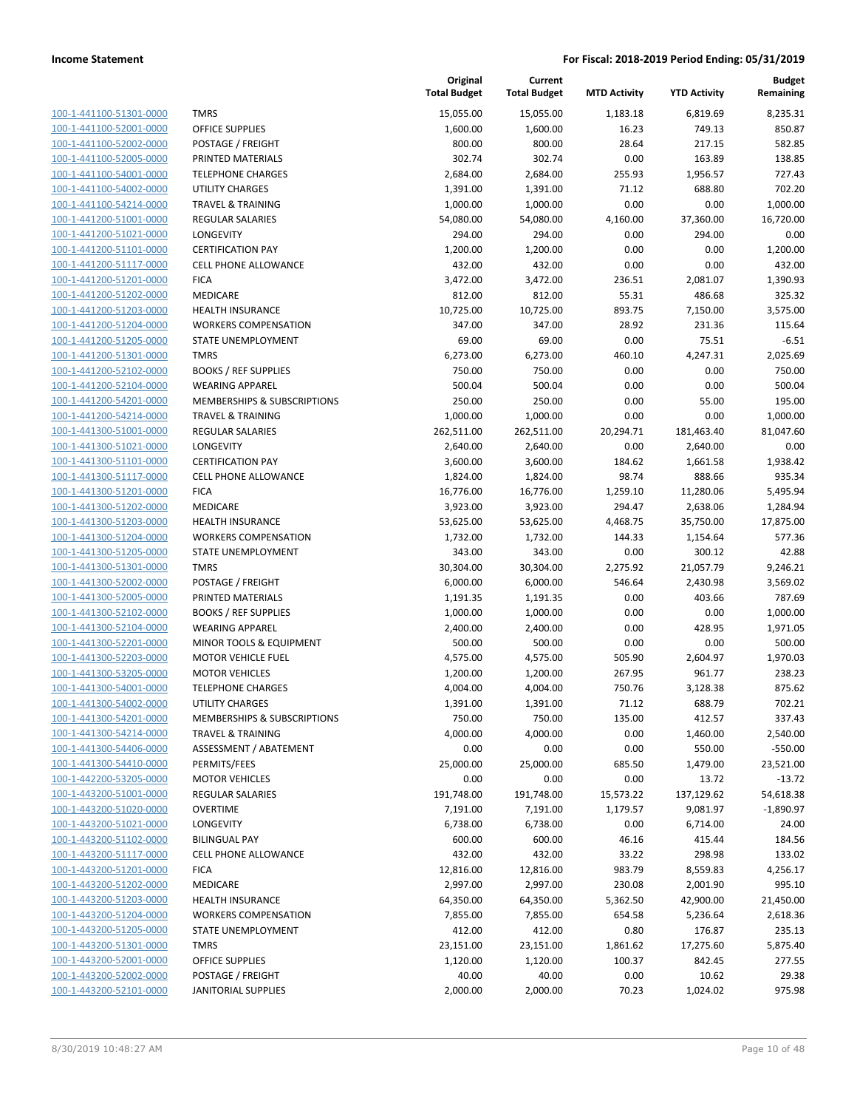| 100-1-441100-51301-0000        |
|--------------------------------|
| 100-1-441100-52001-0000        |
| 100-1-441100-52002-0000        |
| 100-1-441100-52005-0000        |
| 100-1-441100-54001-0000        |
| 100-1-441100-54002-0000        |
| 100-1-441100-54214-0000        |
| 100-1-441200-51001-0000        |
| 100-1-441200-51021-0000        |
| 100-1-441200-51101-0000        |
| 100-1-441200-51117-0000        |
| 100-1-441200-51201-0000        |
| 100-1-441200-51202-0000        |
| 100-1-441200-51203-0000        |
|                                |
| 100-1-441200-51204-0000        |
| 100-1-441200-51205-0000        |
| 100-1-441200-51301-0000        |
| 100-1-441200-52102-0000        |
| 100-1-441200-52104-0000        |
| 100-1-441200-54201-0000        |
| 100-1-441200-54214-0000        |
| 100-1-441300-51001-0000        |
| 100-1-441300-51021-0000        |
| 100-1-441300-51101-0000        |
| 100-1-441300-51117-0000        |
| 100-1-441300-51201-0000        |
| 100-1-441300-51202-0000        |
| 100-1-441300-51203-0000        |
| 100-1-441300-51204-0000        |
| 100-1-441300-51205-0000        |
| 100-1-441300-51301-0000        |
| 100-1-441300-52002-0000        |
| 100-1-441300-52005-0000        |
|                                |
| 100-1-441300-52102-0000        |
| 100-1-441300-52104-0000        |
| 100-1-441300-52201-0000        |
| 100-1-441300-52203-0000        |
| 100-1-441300-53205-0000        |
| 100-1-441300-54001-0000        |
| 100-1-441300-54002-0000        |
| 100-1-441300-54201-0000        |
| <u>100-1-441300-54214-0000</u> |
| 100-1-441300-54406-0000        |
| 100-1-441300-54410-0000        |
| 100-1-442200-53205-0000        |
| <u>100-1-443200-51001-0000</u> |
| <u>100-1-443200-51020-0000</u> |
| <u>100-1-443200-51021-0000</u> |
| <u>100-1-443200-51102-0000</u> |
| 100-1-443200-51117-0000        |
| <u>100-1-443200-51201-0000</u> |
|                                |
| <u>100-1-443200-51202-0000</u> |
| 100-1-443200-51203-0000        |
| 100-1-443200-51204-0000        |
| 100-1-443200-51205-0000        |
| <u>100-1-443200-51301-0000</u> |
| <u>100-1-443200-52001-0000</u> |
| <u>100-1-443200-52002-0000</u> |
| 100-1-443200-52101-0000        |
|                                |

|                         |                              | Original<br><b>Total Budget</b> | Current<br><b>Total Budget</b> | <b>MTD Activity</b> | <b>YTD Activity</b> | Budget<br>Remaining |
|-------------------------|------------------------------|---------------------------------|--------------------------------|---------------------|---------------------|---------------------|
| 100-1-441100-51301-0000 | <b>TMRS</b>                  | 15,055.00                       | 15,055.00                      | 1,183.18            | 6,819.69            | 8,235.31            |
| 100-1-441100-52001-0000 | <b>OFFICE SUPPLIES</b>       | 1,600.00                        | 1,600.00                       | 16.23               | 749.13              | 850.87              |
| 100-1-441100-52002-0000 | POSTAGE / FREIGHT            | 800.00                          | 800.00                         | 28.64               | 217.15              | 582.85              |
| 100-1-441100-52005-0000 | PRINTED MATERIALS            | 302.74                          | 302.74                         | 0.00                | 163.89              | 138.85              |
| 100-1-441100-54001-0000 | <b>TELEPHONE CHARGES</b>     | 2,684.00                        | 2,684.00                       | 255.93              | 1,956.57            | 727.43              |
| 100-1-441100-54002-0000 | <b>UTILITY CHARGES</b>       | 1,391.00                        | 1,391.00                       | 71.12               | 688.80              | 702.20              |
| 100-1-441100-54214-0000 | <b>TRAVEL &amp; TRAINING</b> | 1,000.00                        | 1,000.00                       | 0.00                | 0.00                | 1,000.00            |
| 100-1-441200-51001-0000 | <b>REGULAR SALARIES</b>      | 54,080.00                       | 54,080.00                      | 4,160.00            | 37,360.00           | 16,720.00           |
| 100-1-441200-51021-0000 | LONGEVITY                    | 294.00                          | 294.00                         | 0.00                | 294.00              | 0.00                |
| 100-1-441200-51101-0000 | <b>CERTIFICATION PAY</b>     | 1,200.00                        | 1,200.00                       | 0.00                | 0.00                | 1,200.00            |
| 100-1-441200-51117-0000 | <b>CELL PHONE ALLOWANCE</b>  | 432.00                          | 432.00                         | 0.00                | 0.00                | 432.00              |
| 100-1-441200-51201-0000 | <b>FICA</b>                  | 3,472.00                        | 3,472.00                       | 236.51              | 2,081.07            | 1,390.93            |
| 100-1-441200-51202-0000 | MEDICARE                     | 812.00                          | 812.00                         | 55.31               | 486.68              | 325.32              |
| 100-1-441200-51203-0000 | <b>HEALTH INSURANCE</b>      | 10,725.00                       | 10,725.00                      | 893.75              | 7,150.00            | 3,575.00            |
| 100-1-441200-51204-0000 | <b>WORKERS COMPENSATION</b>  | 347.00                          | 347.00                         | 28.92               | 231.36              | 115.64              |
| 100-1-441200-51205-0000 | STATE UNEMPLOYMENT           | 69.00                           | 69.00                          | 0.00                | 75.51               | $-6.51$             |
| 100-1-441200-51301-0000 | <b>TMRS</b>                  | 6,273.00                        | 6,273.00                       | 460.10              | 4,247.31            | 2,025.69            |
| 100-1-441200-52102-0000 | <b>BOOKS / REF SUPPLIES</b>  | 750.00                          | 750.00                         | 0.00                | 0.00                | 750.00              |
| 100-1-441200-52104-0000 | <b>WEARING APPAREL</b>       | 500.04                          | 500.04                         | 0.00                | 0.00                | 500.04              |
| 100-1-441200-54201-0000 | MEMBERSHIPS & SUBSCRIPTIONS  | 250.00                          | 250.00                         | 0.00                | 55.00               | 195.00              |
| 100-1-441200-54214-0000 | <b>TRAVEL &amp; TRAINING</b> | 1,000.00                        | 1,000.00                       | 0.00                | 0.00                | 1,000.00            |
| 100-1-441300-51001-0000 | <b>REGULAR SALARIES</b>      | 262,511.00                      | 262,511.00                     | 20,294.71           | 181,463.40          | 81,047.60           |
| 100-1-441300-51021-0000 | <b>LONGEVITY</b>             | 2,640.00                        | 2,640.00                       | 0.00                | 2,640.00            | 0.00                |
| 100-1-441300-51101-0000 | <b>CERTIFICATION PAY</b>     | 3,600.00                        | 3,600.00                       | 184.62              | 1,661.58            | 1,938.42            |
| 100-1-441300-51117-0000 | <b>CELL PHONE ALLOWANCE</b>  | 1,824.00                        | 1,824.00                       | 98.74               | 888.66              | 935.34              |
| 100-1-441300-51201-0000 | <b>FICA</b>                  | 16,776.00                       | 16,776.00                      | 1,259.10            | 11,280.06           | 5,495.94            |
| 100-1-441300-51202-0000 | MEDICARE                     | 3,923.00                        | 3,923.00                       | 294.47              | 2,638.06            | 1,284.94            |
| 100-1-441300-51203-0000 | <b>HEALTH INSURANCE</b>      | 53,625.00                       | 53,625.00                      | 4,468.75            | 35,750.00           | 17,875.00           |
| 100-1-441300-51204-0000 | <b>WORKERS COMPENSATION</b>  | 1,732.00                        | 1,732.00                       | 144.33              | 1,154.64            | 577.36              |
| 100-1-441300-51205-0000 | STATE UNEMPLOYMENT           | 343.00                          | 343.00                         | 0.00                | 300.12              | 42.88               |
| 100-1-441300-51301-0000 | <b>TMRS</b>                  | 30,304.00                       | 30,304.00                      | 2,275.92            | 21,057.79           | 9,246.21            |
| 100-1-441300-52002-0000 | POSTAGE / FREIGHT            | 6,000.00                        | 6,000.00                       | 546.64              | 2,430.98            | 3,569.02            |
| 100-1-441300-52005-0000 | PRINTED MATERIALS            | 1,191.35                        | 1,191.35                       | 0.00                | 403.66              | 787.69              |
| 100-1-441300-52102-0000 | <b>BOOKS / REF SUPPLIES</b>  | 1,000.00                        | 1,000.00                       | 0.00                | 0.00                | 1,000.00            |
| 100-1-441300-52104-0000 | <b>WEARING APPAREL</b>       | 2,400.00                        | 2,400.00                       | 0.00                | 428.95              | 1,971.05            |
| 100-1-441300-52201-0000 | MINOR TOOLS & EQUIPMENT      | 500.00                          | 500.00                         | 0.00                | 0.00                | 500.00              |
| 100-1-441300-52203-0000 | <b>MOTOR VEHICLE FUEL</b>    | 4,575.00                        | 4,575.00                       | 505.90              | 2,604.97            | 1,970.03            |
| 100-1-441300-53205-0000 | <b>MOTOR VEHICLES</b>        | 1,200.00                        | 1,200.00                       | 267.95              | 961.77              | 238.23              |
| 100-1-441300-54001-0000 | <b>TELEPHONE CHARGES</b>     | 4,004.00                        | 4,004.00                       | 750.76              | 3,128.38            | 875.62              |
| 100-1-441300-54002-0000 | UTILITY CHARGES              | 1,391.00                        | 1,391.00                       | 71.12               | 688.79              | 702.21              |
| 100-1-441300-54201-0000 | MEMBERSHIPS & SUBSCRIPTIONS  | 750.00                          | 750.00                         | 135.00              | 412.57              | 337.43              |
| 100-1-441300-54214-0000 | <b>TRAVEL &amp; TRAINING</b> | 4,000.00                        | 4,000.00                       | 0.00                | 1,460.00            | 2,540.00            |
| 100-1-441300-54406-0000 | ASSESSMENT / ABATEMENT       | 0.00                            | 0.00                           | 0.00                | 550.00              | $-550.00$           |
| 100-1-441300-54410-0000 | PERMITS/FEES                 | 25,000.00                       | 25,000.00                      | 685.50              | 1,479.00            | 23,521.00           |
| 100-1-442200-53205-0000 | <b>MOTOR VEHICLES</b>        | 0.00                            | 0.00                           | 0.00                | 13.72               | $-13.72$            |
| 100-1-443200-51001-0000 | <b>REGULAR SALARIES</b>      | 191,748.00                      | 191,748.00                     | 15,573.22           | 137,129.62          | 54,618.38           |
| 100-1-443200-51020-0000 | <b>OVERTIME</b>              | 7,191.00                        | 7,191.00                       | 1,179.57            | 9,081.97            | $-1,890.97$         |
| 100-1-443200-51021-0000 | LONGEVITY                    | 6,738.00                        | 6,738.00                       | 0.00                | 6,714.00            | 24.00               |
| 100-1-443200-51102-0000 | <b>BILINGUAL PAY</b>         | 600.00                          | 600.00                         | 46.16               | 415.44              | 184.56              |
| 100-1-443200-51117-0000 | CELL PHONE ALLOWANCE         | 432.00                          | 432.00                         | 33.22               | 298.98              | 133.02              |
| 100-1-443200-51201-0000 | <b>FICA</b>                  | 12,816.00                       | 12,816.00                      | 983.79              | 8,559.83            | 4,256.17            |
| 100-1-443200-51202-0000 | MEDICARE                     | 2,997.00                        | 2,997.00                       | 230.08              | 2,001.90            | 995.10              |
| 100-1-443200-51203-0000 | <b>HEALTH INSURANCE</b>      | 64,350.00                       | 64,350.00                      | 5,362.50            | 42,900.00           | 21,450.00           |
| 100-1-443200-51204-0000 | <b>WORKERS COMPENSATION</b>  | 7,855.00                        | 7,855.00                       | 654.58              | 5,236.64            | 2,618.36            |
| 100-1-443200-51205-0000 | STATE UNEMPLOYMENT           | 412.00                          | 412.00                         | 0.80                | 176.87              | 235.13              |
| 100-1-443200-51301-0000 | <b>TMRS</b>                  | 23,151.00                       | 23,151.00                      | 1,861.62            | 17,275.60           | 5,875.40            |
| 100-1-443200-52001-0000 | OFFICE SUPPLIES              | 1,120.00                        | 1,120.00                       | 100.37              | 842.45              | 277.55              |
| 100-1-443200-52002-0000 | POSTAGE / FREIGHT            | 40.00                           | 40.00                          | 0.00                | 10.62               | 29.38               |
| 100-1-443200-52101-0000 | <b>JANITORIAL SUPPLIES</b>   | 2,000.00                        | 2,000.00                       | 70.23               | 1,024.02            | 975.98              |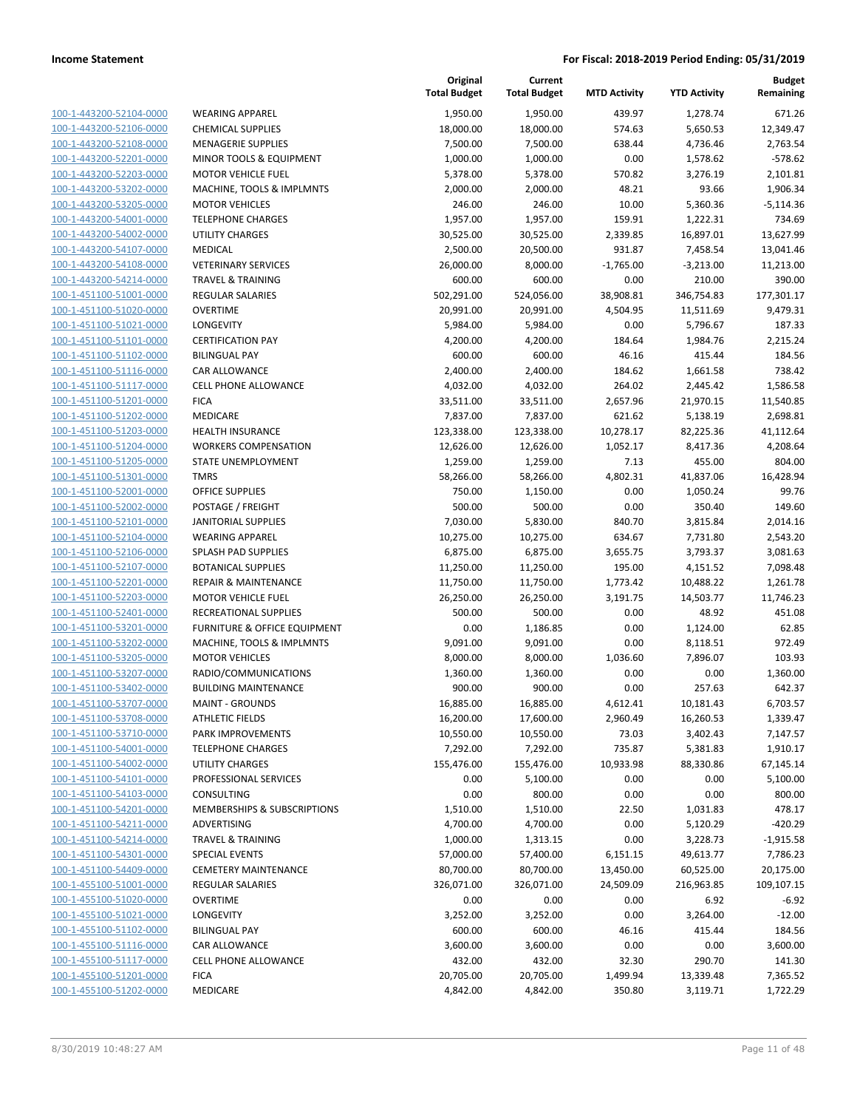**Current**

**Original**

**Budget Remaining**

| 100-1-443200-52104-0000        |
|--------------------------------|
| 100-1-443200-52106-0000        |
| 100-1-443200-52108-0000        |
| 100-1-443200-52201-0000        |
| 100-1-443200-52203-0000        |
|                                |
| 100-1-443200-53202-0000        |
| 100-1-443200-53205-0000        |
| 100-1-443200-54001-0000        |
| 100-1-443200-54002-0000        |
| 100-1-443200-54107-0000        |
| 100-1-443200-54108-0000        |
| 100-1-443200-54214-0000        |
| 100-1-451100-51001-0000        |
| 100-1-451100-51020-0000        |
|                                |
| 100-1-451100-51021-0000        |
| 100-1-451100-51101-0000        |
| 100-1-451100-51102-0000        |
| 100-1-451100-51116-0000        |
| 100-1-451100-51117-0000        |
| 100-1-451100-51201-0000        |
| 100-1-451100-51202-0000        |
| 100-1-451100-51203-0000        |
| 100-1-451100-51204-0000        |
| 100-1-451100-51205-0000        |
|                                |
| 100-1-451100-51301-0000        |
| 100-1-451100-52001-0000        |
| 100-1-451100-52002-0000        |
| 100-1-451100-52101-0000        |
| 100-1-451100-52104-0000        |
| 100-1-451100-52106-0000        |
| 100-1-451100-52107-0000        |
| 100-1-451100-52201-0000        |
| 100-1-451100-52203-0000        |
| 100-1-451100-52401-0000        |
|                                |
| 100-1-451100-53201-0000        |
| 100-1-451100-53202-0000        |
| 100-1-451100-53205-0000        |
| 100-1-451100-53207-0000        |
| 100-1-451100-53402-0000        |
| 100-1-451100-53707-0000        |
| 100-1-451100-53708-0000        |
| 100-1-451100-53710-0000        |
| 100-1-451100-54001-0000        |
|                                |
| <u>100-1-451100-54002-0000</u> |
| 100-1-451100-54101-0000        |
| 100-1-451100-54103-0000        |
| <u>100-1-451100-54201-0000</u> |
| 100-1-451100-54211-0000        |
| <u>100-1-451100-54214-0000</u> |
| 100-1-451100-54301-0000        |
| 100-1-451100-54409-0000        |
| 100-1-455100-51001-0000        |
|                                |
| <u>100-1-455100-51020-0000</u> |
| <u>100-1-455100-51021-0000</u> |
| 100-1-455100-51102-0000        |
| 100-1-455100-51116-0000        |
| 100-1-455100-51117-0000        |
| <u>100-1-455100-51201-0000</u> |
|                                |
| 100-1-455100-51202-0000        |

|                         |                                 | <b>Total Budget</b> | <b>Total Budget</b> | <b>MTD Activity</b> | <b>YTD Activity</b> | Remaining   |
|-------------------------|---------------------------------|---------------------|---------------------|---------------------|---------------------|-------------|
| 100-1-443200-52104-0000 | <b>WEARING APPAREL</b>          | 1,950.00            | 1,950.00            | 439.97              | 1,278.74            | 671.26      |
| 100-1-443200-52106-0000 | <b>CHEMICAL SUPPLIES</b>        | 18,000.00           | 18,000.00           | 574.63              | 5,650.53            | 12,349.47   |
| 100-1-443200-52108-0000 | <b>MENAGERIE SUPPLIES</b>       | 7,500.00            | 7,500.00            | 638.44              | 4,736.46            | 2,763.54    |
| 100-1-443200-52201-0000 | MINOR TOOLS & EQUIPMENT         | 1,000.00            | 1,000.00            | 0.00                | 1,578.62            | $-578.62$   |
| 100-1-443200-52203-0000 | <b>MOTOR VEHICLE FUEL</b>       | 5,378.00            | 5,378.00            | 570.82              | 3,276.19            | 2,101.81    |
| 100-1-443200-53202-0000 | MACHINE, TOOLS & IMPLMNTS       | 2,000.00            | 2,000.00            | 48.21               | 93.66               | 1,906.34    |
| 100-1-443200-53205-0000 | <b>MOTOR VEHICLES</b>           | 246.00              | 246.00              | 10.00               | 5,360.36            | $-5,114.36$ |
| 100-1-443200-54001-0000 | <b>TELEPHONE CHARGES</b>        | 1,957.00            | 1,957.00            | 159.91              | 1,222.31            | 734.69      |
| 100-1-443200-54002-0000 | <b>UTILITY CHARGES</b>          | 30,525.00           | 30,525.00           | 2,339.85            | 16,897.01           | 13,627.99   |
| 100-1-443200-54107-0000 | MEDICAL                         | 2,500.00            | 20,500.00           | 931.87              | 7,458.54            | 13,041.46   |
| 100-1-443200-54108-0000 | <b>VETERINARY SERVICES</b>      | 26,000.00           | 8,000.00            | $-1,765.00$         | $-3,213.00$         | 11,213.00   |
| 100-1-443200-54214-0000 | <b>TRAVEL &amp; TRAINING</b>    | 600.00              | 600.00              | 0.00                | 210.00              | 390.00      |
| 100-1-451100-51001-0000 | <b>REGULAR SALARIES</b>         | 502,291.00          | 524,056.00          | 38,908.81           | 346,754.83          | 177,301.17  |
| 100-1-451100-51020-0000 | <b>OVERTIME</b>                 | 20,991.00           | 20,991.00           | 4,504.95            | 11,511.69           | 9,479.31    |
| 100-1-451100-51021-0000 | LONGEVITY                       | 5,984.00            | 5,984.00            | 0.00                | 5,796.67            | 187.33      |
| 100-1-451100-51101-0000 | <b>CERTIFICATION PAY</b>        | 4,200.00            | 4,200.00            | 184.64              | 1,984.76            | 2,215.24    |
| 100-1-451100-51102-0000 | <b>BILINGUAL PAY</b>            | 600.00              | 600.00              | 46.16               | 415.44              | 184.56      |
| 100-1-451100-51116-0000 | <b>CAR ALLOWANCE</b>            | 2,400.00            | 2,400.00            | 184.62              | 1,661.58            | 738.42      |
| 100-1-451100-51117-0000 | <b>CELL PHONE ALLOWANCE</b>     | 4,032.00            | 4,032.00            | 264.02              | 2,445.42            | 1,586.58    |
| 100-1-451100-51201-0000 | <b>FICA</b>                     | 33,511.00           | 33,511.00           | 2,657.96            | 21,970.15           | 11,540.85   |
| 100-1-451100-51202-0000 | MEDICARE                        | 7,837.00            | 7,837.00            | 621.62              | 5,138.19            | 2,698.81    |
| 100-1-451100-51203-0000 | <b>HEALTH INSURANCE</b>         | 123,338.00          | 123,338.00          | 10,278.17           | 82,225.36           | 41,112.64   |
| 100-1-451100-51204-0000 | <b>WORKERS COMPENSATION</b>     | 12,626.00           | 12,626.00           | 1,052.17            | 8,417.36            | 4,208.64    |
| 100-1-451100-51205-0000 | STATE UNEMPLOYMENT              | 1,259.00            | 1,259.00            | 7.13                | 455.00              | 804.00      |
| 100-1-451100-51301-0000 | <b>TMRS</b>                     | 58,266.00           | 58,266.00           | 4,802.31            | 41,837.06           | 16,428.94   |
| 100-1-451100-52001-0000 | <b>OFFICE SUPPLIES</b>          | 750.00              | 1,150.00            | 0.00                | 1,050.24            | 99.76       |
| 100-1-451100-52002-0000 | POSTAGE / FREIGHT               | 500.00              | 500.00              | 0.00                | 350.40              | 149.60      |
| 100-1-451100-52101-0000 | <b>JANITORIAL SUPPLIES</b>      | 7,030.00            | 5,830.00            | 840.70              | 3,815.84            | 2,014.16    |
| 100-1-451100-52104-0000 | <b>WEARING APPAREL</b>          | 10,275.00           | 10,275.00           | 634.67              | 7,731.80            | 2,543.20    |
| 100-1-451100-52106-0000 | SPLASH PAD SUPPLIES             | 6,875.00            | 6,875.00            | 3,655.75            | 3,793.37            | 3,081.63    |
| 100-1-451100-52107-0000 | <b>BOTANICAL SUPPLIES</b>       | 11,250.00           | 11,250.00           | 195.00              | 4,151.52            | 7,098.48    |
| 100-1-451100-52201-0000 | <b>REPAIR &amp; MAINTENANCE</b> | 11,750.00           | 11,750.00           | 1,773.42            | 10,488.22           | 1,261.78    |
| 100-1-451100-52203-0000 | <b>MOTOR VEHICLE FUEL</b>       | 26,250.00           | 26,250.00           | 3,191.75            | 14,503.77           | 11,746.23   |
| 100-1-451100-52401-0000 | RECREATIONAL SUPPLIES           | 500.00              | 500.00              | 0.00                | 48.92               | 451.08      |
| 100-1-451100-53201-0000 | FURNITURE & OFFICE EQUIPMENT    | 0.00                | 1,186.85            | 0.00                | 1,124.00            | 62.85       |
| 100-1-451100-53202-0000 | MACHINE, TOOLS & IMPLMNTS       | 9,091.00            | 9,091.00            | 0.00                | 8,118.51            | 972.49      |
| 100-1-451100-53205-0000 | <b>MOTOR VEHICLES</b>           | 8,000.00            | 8,000.00            | 1,036.60            | 7,896.07            | 103.93      |
| 100-1-451100-53207-0000 | RADIO/COMMUNICATIONS            | 1,360.00            | 1,360.00            | 0.00                | 0.00                | 1,360.00    |
| 100-1-451100-53402-0000 | <b>BUILDING MAINTENANCE</b>     | 900.00              | 900.00              | 0.00                | 257.63              | 642.37      |
| 100-1-451100-53707-0000 | <b>MAINT - GROUNDS</b>          | 16,885.00           | 16,885.00           | 4,612.41            | 10,181.43           | 6,703.57    |
| 100-1-451100-53708-0000 | <b>ATHLETIC FIELDS</b>          | 16,200.00           | 17,600.00           | 2,960.49            | 16,260.53           | 1,339.47    |
| 100-1-451100-53710-0000 | PARK IMPROVEMENTS               | 10,550.00           | 10,550.00           | 73.03               | 3,402.43            | 7,147.57    |
| 100-1-451100-54001-0000 | <b>TELEPHONE CHARGES</b>        | 7,292.00            | 7,292.00            | 735.87              | 5,381.83            | 1,910.17    |
| 100-1-451100-54002-0000 | UTILITY CHARGES                 | 155,476.00          | 155,476.00          | 10,933.98           | 88,330.86           | 67,145.14   |
| 100-1-451100-54101-0000 | PROFESSIONAL SERVICES           | 0.00                | 5,100.00            | 0.00                | 0.00                | 5,100.00    |
| 100-1-451100-54103-0000 | <b>CONSULTING</b>               | 0.00                | 800.00              | 0.00                | 0.00                | 800.00      |
| 100-1-451100-54201-0000 | MEMBERSHIPS & SUBSCRIPTIONS     | 1,510.00            | 1,510.00            | 22.50               | 1,031.83            | 478.17      |
| 100-1-451100-54211-0000 | ADVERTISING                     | 4,700.00            | 4,700.00            | 0.00                | 5,120.29            | $-420.29$   |
| 100-1-451100-54214-0000 | <b>TRAVEL &amp; TRAINING</b>    | 1,000.00            | 1,313.15            | 0.00                | 3,228.73            | $-1,915.58$ |
| 100-1-451100-54301-0000 | <b>SPECIAL EVENTS</b>           | 57,000.00           | 57,400.00           | 6,151.15            | 49,613.77           | 7,786.23    |
| 100-1-451100-54409-0000 | <b>CEMETERY MAINTENANCE</b>     | 80,700.00           | 80,700.00           | 13,450.00           | 60,525.00           | 20,175.00   |
| 100-1-455100-51001-0000 | <b>REGULAR SALARIES</b>         | 326,071.00          | 326,071.00          | 24,509.09           | 216,963.85          | 109,107.15  |
| 100-1-455100-51020-0000 | <b>OVERTIME</b>                 | 0.00                | 0.00                | 0.00                | 6.92                | $-6.92$     |
| 100-1-455100-51021-0000 | <b>LONGEVITY</b>                | 3,252.00            | 3,252.00            | 0.00                | 3,264.00            | $-12.00$    |
| 100-1-455100-51102-0000 | <b>BILINGUAL PAY</b>            | 600.00              | 600.00              | 46.16               | 415.44              | 184.56      |
| 100-1-455100-51116-0000 | CAR ALLOWANCE                   | 3,600.00            | 3,600.00            | 0.00                | 0.00                | 3,600.00    |
| 100-1-455100-51117-0000 | CELL PHONE ALLOWANCE            | 432.00              | 432.00              | 32.30               | 290.70              | 141.30      |
| 100-1-455100-51201-0000 | <b>FICA</b>                     | 20,705.00           | 20,705.00           | 1,499.94            | 13,339.48           | 7,365.52    |
| 100-1-455100-51202-0000 | MEDICARE                        | 4,842.00            | 4,842.00            | 350.80              | 3,119.71            | 1,722.29    |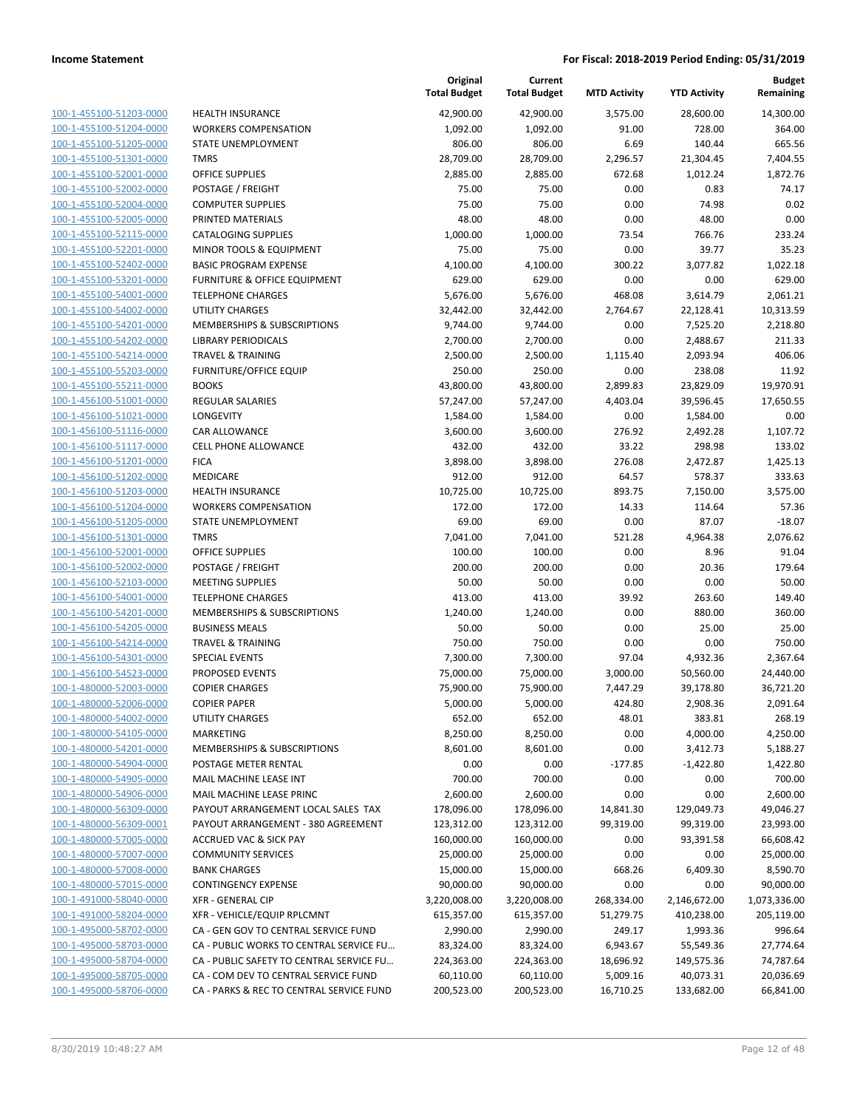| 100-1-455100-51203-0000        |
|--------------------------------|
| 100-1-455100-51204-0000        |
| 100-1-455100-51205-0000        |
| 100-1-455100-51301-0000        |
| 100-1-455100-52001-0000        |
| 100-1-455100-52002-0000        |
| 100-1-455100-52004-0000        |
| 100-1-455100-52005-0000        |
| 100-1-455100-52115-0000        |
| 100-1-455100-52201-0000        |
| 100-1-455100-52402-0000        |
| 100-1-455100-53201-0000        |
| 100-1-455100-54001-0000        |
| 100-1-455100-54002-0000        |
| <u>100-1-455100-54201-0000</u> |
| 100-1-455100-54202-0000        |
|                                |
| 100-1-455100-54214-0000        |
| 100-1-455100-55203-0000        |
| 100-1-455100-55211-0000        |
| 100-1-456100-51001-0000        |
| 100-1-456100-51021-0000        |
| 100-1-456100-51116-0000        |
| 100-1-456100-51117-0000        |
| 100-1-456100-51201-0000        |
| <u>100-1-456100-51202-0000</u> |
| 100-1-456100-51203-0000        |
| 100-1-456100-51204-0000        |
| 100-1-456100-51205-0000        |
| 100-1-456100-51301-0000        |
| 100-1-456100-52001-0000        |
| 100-1-456100-52002-0000        |
| 100-1-456100-52103-0000        |
| 100-1-456100-54001-0000        |
| 100-1-456100-54201-0000        |
| <u>100-1-456100-54205-0000</u> |
|                                |
| 100-1-456100-54214-0000        |
| 100-1-456100-54301-0000        |
| 100-1-456100-54523-0000        |
| 100-1-480000-52003-0000        |
| 100-1-480000-52006-0000        |
| 100-1-480000-54002-0000        |
| 100-1-480000-54105-0000        |
| 100-1-480000-54201-0000        |
| <u>100-1-480000-54904-0000</u> |
| <u>100-1-480000-54905-0000</u> |
| 100-1-480000-54906-0000        |
| 100-1-480000-56309-0000        |
| 100-1-480000-56309-0001        |
| 100-1-480000-57005-0000        |
| <u>100-1-480000-57007-0000</u> |
| 100-1-480000-57008-0000        |
| 100-1-480000-57015-0000        |
| 100-1-491000-58040-0000        |
|                                |
| 100-1-491000-58204-0000        |
| <u>100-1-495000-58702-0000</u> |
| <u>100-1-495000-58703-0000</u> |
| 100-1-495000-58704-0000        |
| 100-1-495000-58705-0000        |
| 100-1-495000-58706-0000        |
|                                |

|                         |                                          | Original<br><b>Total Budget</b> | Current<br><b>Total Budget</b> | <b>MTD Activity</b> | <b>YTD Activity</b> | <b>Budget</b><br>Remaining |
|-------------------------|------------------------------------------|---------------------------------|--------------------------------|---------------------|---------------------|----------------------------|
| 100-1-455100-51203-0000 | <b>HEALTH INSURANCE</b>                  | 42,900.00                       | 42,900.00                      | 3,575.00            | 28,600.00           | 14,300.00                  |
| 100-1-455100-51204-0000 | <b>WORKERS COMPENSATION</b>              | 1,092.00                        | 1,092.00                       | 91.00               | 728.00              | 364.00                     |
| 100-1-455100-51205-0000 | STATE UNEMPLOYMENT                       | 806.00                          | 806.00                         | 6.69                | 140.44              | 665.56                     |
| 100-1-455100-51301-0000 | <b>TMRS</b>                              | 28,709.00                       | 28,709.00                      | 2,296.57            | 21,304.45           | 7,404.55                   |
| 100-1-455100-52001-0000 | <b>OFFICE SUPPLIES</b>                   | 2,885.00                        | 2,885.00                       | 672.68              | 1,012.24            | 1,872.76                   |
| 100-1-455100-52002-0000 | POSTAGE / FREIGHT                        | 75.00                           | 75.00                          | 0.00                | 0.83                | 74.17                      |
| 100-1-455100-52004-0000 | <b>COMPUTER SUPPLIES</b>                 | 75.00                           | 75.00                          | 0.00                | 74.98               | 0.02                       |
| 100-1-455100-52005-0000 | PRINTED MATERIALS                        | 48.00                           | 48.00                          | 0.00                | 48.00               | 0.00                       |
| 100-1-455100-52115-0000 | <b>CATALOGING SUPPLIES</b>               | 1,000.00                        | 1,000.00                       | 73.54               | 766.76              | 233.24                     |
| 100-1-455100-52201-0000 | MINOR TOOLS & EQUIPMENT                  | 75.00                           | 75.00                          | 0.00                | 39.77               | 35.23                      |
| 100-1-455100-52402-0000 | <b>BASIC PROGRAM EXPENSE</b>             | 4,100.00                        | 4,100.00                       | 300.22              | 3,077.82            | 1,022.18                   |
| 100-1-455100-53201-0000 | FURNITURE & OFFICE EQUIPMENT             | 629.00                          | 629.00                         | 0.00                | 0.00                | 629.00                     |
| 100-1-455100-54001-0000 | <b>TELEPHONE CHARGES</b>                 | 5,676.00                        | 5,676.00                       | 468.08              | 3,614.79            | 2,061.21                   |
| 100-1-455100-54002-0000 | <b>UTILITY CHARGES</b>                   | 32,442.00                       | 32,442.00                      | 2,764.67            | 22,128.41           | 10,313.59                  |
| 100-1-455100-54201-0000 | MEMBERSHIPS & SUBSCRIPTIONS              | 9,744.00                        | 9,744.00                       | 0.00                | 7,525.20            | 2,218.80                   |
| 100-1-455100-54202-0000 | <b>LIBRARY PERIODICALS</b>               | 2,700.00                        | 2,700.00                       | 0.00                | 2,488.67            | 211.33                     |
| 100-1-455100-54214-0000 | <b>TRAVEL &amp; TRAINING</b>             | 2,500.00                        | 2,500.00                       | 1,115.40            | 2,093.94            | 406.06                     |
| 100-1-455100-55203-0000 | <b>FURNITURE/OFFICE EQUIP</b>            | 250.00                          | 250.00                         | 0.00                | 238.08              | 11.92                      |
| 100-1-455100-55211-0000 | <b>BOOKS</b>                             | 43,800.00                       | 43,800.00                      | 2,899.83            | 23,829.09           | 19,970.91                  |
| 100-1-456100-51001-0000 | <b>REGULAR SALARIES</b>                  | 57,247.00                       | 57,247.00                      | 4,403.04            | 39,596.45           | 17,650.55                  |
| 100-1-456100-51021-0000 | <b>LONGEVITY</b>                         | 1,584.00                        | 1,584.00                       | 0.00                | 1,584.00            | 0.00                       |
| 100-1-456100-51116-0000 | CAR ALLOWANCE                            | 3,600.00                        | 3,600.00                       | 276.92              | 2,492.28            | 1,107.72                   |
| 100-1-456100-51117-0000 | <b>CELL PHONE ALLOWANCE</b>              | 432.00                          | 432.00                         | 33.22               | 298.98              | 133.02                     |
| 100-1-456100-51201-0000 | <b>FICA</b>                              | 3,898.00                        | 3,898.00                       | 276.08              | 2,472.87            | 1,425.13                   |
| 100-1-456100-51202-0000 | MEDICARE                                 | 912.00                          | 912.00                         | 64.57               | 578.37              | 333.63                     |
| 100-1-456100-51203-0000 | <b>HEALTH INSURANCE</b>                  | 10,725.00                       | 10,725.00                      | 893.75              | 7,150.00            | 3,575.00                   |
| 100-1-456100-51204-0000 | <b>WORKERS COMPENSATION</b>              | 172.00                          | 172.00                         | 14.33               | 114.64              | 57.36                      |
| 100-1-456100-51205-0000 | STATE UNEMPLOYMENT                       | 69.00                           | 69.00                          | 0.00                | 87.07               | $-18.07$                   |
| 100-1-456100-51301-0000 | <b>TMRS</b>                              | 7,041.00                        | 7,041.00                       | 521.28              | 4,964.38            | 2,076.62                   |
| 100-1-456100-52001-0000 | <b>OFFICE SUPPLIES</b>                   | 100.00                          | 100.00                         | 0.00                | 8.96                | 91.04                      |
| 100-1-456100-52002-0000 | POSTAGE / FREIGHT                        | 200.00                          | 200.00                         | 0.00                | 20.36               | 179.64                     |
| 100-1-456100-52103-0000 | <b>MEETING SUPPLIES</b>                  | 50.00                           | 50.00                          | 0.00                | 0.00                | 50.00                      |
| 100-1-456100-54001-0000 | <b>TELEPHONE CHARGES</b>                 | 413.00                          | 413.00                         | 39.92               | 263.60              | 149.40                     |
| 100-1-456100-54201-0000 | MEMBERSHIPS & SUBSCRIPTIONS              | 1,240.00                        | 1,240.00                       | 0.00                | 880.00              | 360.00                     |
| 100-1-456100-54205-0000 | <b>BUSINESS MEALS</b>                    | 50.00                           | 50.00                          | 0.00                | 25.00               | 25.00                      |
| 100-1-456100-54214-0000 | <b>TRAVEL &amp; TRAINING</b>             | 750.00                          | 750.00                         | 0.00                | 0.00                | 750.00                     |
| 100-1-456100-54301-0000 | <b>SPECIAL EVENTS</b>                    | 7,300.00                        | 7,300.00                       | 97.04               | 4,932.36            | 2,367.64                   |
| 100-1-456100-54523-0000 | <b>PROPOSED EVENTS</b>                   | 75,000.00                       | 75,000.00                      | 3,000.00            | 50,560.00           | 24,440.00                  |
| 100-1-480000-52003-0000 | <b>COPIER CHARGES</b>                    | 75,900.00                       | 75,900.00                      | 7,447.29            | 39,178.80           | 36,721.20                  |
| 100-1-480000-52006-0000 | <b>COPIER PAPER</b>                      | 5,000.00                        | 5,000.00                       | 424.80              | 2,908.36            | 2,091.64                   |
| 100-1-480000-54002-0000 | <b>UTILITY CHARGES</b>                   | 652.00                          | 652.00                         | 48.01               | 383.81              | 268.19                     |
| 100-1-480000-54105-0000 | <b>MARKETING</b>                         | 8,250.00                        | 8,250.00                       | 0.00                | 4,000.00            | 4,250.00                   |
| 100-1-480000-54201-0000 | MEMBERSHIPS & SUBSCRIPTIONS              | 8,601.00                        | 8,601.00                       | 0.00                | 3,412.73            | 5,188.27                   |
| 100-1-480000-54904-0000 | POSTAGE METER RENTAL                     | 0.00                            | 0.00                           | $-177.85$           | $-1,422.80$         | 1,422.80                   |
| 100-1-480000-54905-0000 | MAIL MACHINE LEASE INT                   | 700.00                          | 700.00                         | 0.00                | 0.00                | 700.00                     |
| 100-1-480000-54906-0000 | MAIL MACHINE LEASE PRINC                 | 2,600.00                        | 2,600.00                       | 0.00                | 0.00                | 2,600.00                   |
| 100-1-480000-56309-0000 | PAYOUT ARRANGEMENT LOCAL SALES TAX       | 178,096.00                      | 178,096.00                     | 14,841.30           | 129,049.73          | 49,046.27                  |
| 100-1-480000-56309-0001 | PAYOUT ARRANGEMENT - 380 AGREEMENT       | 123,312.00                      | 123,312.00                     | 99,319.00           | 99,319.00           | 23,993.00                  |
| 100-1-480000-57005-0000 | <b>ACCRUED VAC &amp; SICK PAY</b>        | 160,000.00                      | 160,000.00                     | 0.00                | 93,391.58           | 66,608.42                  |
| 100-1-480000-57007-0000 | <b>COMMUNITY SERVICES</b>                | 25,000.00                       | 25,000.00                      | 0.00                | 0.00                | 25,000.00                  |
| 100-1-480000-57008-0000 | <b>BANK CHARGES</b>                      | 15,000.00                       | 15,000.00                      | 668.26              | 6,409.30            | 8,590.70                   |
| 100-1-480000-57015-0000 | <b>CONTINGENCY EXPENSE</b>               | 90,000.00                       | 90,000.00                      | 0.00                | 0.00                | 90,000.00                  |
| 100-1-491000-58040-0000 | <b>XFR - GENERAL CIP</b>                 | 3,220,008.00                    | 3,220,008.00                   | 268,334.00          | 2,146,672.00        | 1,073,336.00               |
| 100-1-491000-58204-0000 | XFR - VEHICLE/EQUIP RPLCMNT              | 615,357.00                      | 615,357.00                     | 51,279.75           | 410,238.00          | 205,119.00                 |
| 100-1-495000-58702-0000 | CA - GEN GOV TO CENTRAL SERVICE FUND     | 2,990.00                        | 2,990.00                       | 249.17              | 1,993.36            | 996.64                     |
| 100-1-495000-58703-0000 | CA - PUBLIC WORKS TO CENTRAL SERVICE FU  | 83,324.00                       | 83,324.00                      | 6,943.67            | 55,549.36           | 27,774.64                  |
| 100-1-495000-58704-0000 | CA - PUBLIC SAFETY TO CENTRAL SERVICE FU | 224,363.00                      | 224,363.00                     | 18,696.92           | 149,575.36          | 74,787.64                  |
| 100-1-495000-58705-0000 | CA - COM DEV TO CENTRAL SERVICE FUND     | 60,110.00                       | 60,110.00                      | 5,009.16            | 40,073.31           | 20,036.69                  |
| 100-1-495000-58706-0000 | CA - PARKS & REC TO CENTRAL SERVICE FUND | 200,523.00                      | 200,523.00                     | 16,710.25           | 133,682.00          | 66,841.00                  |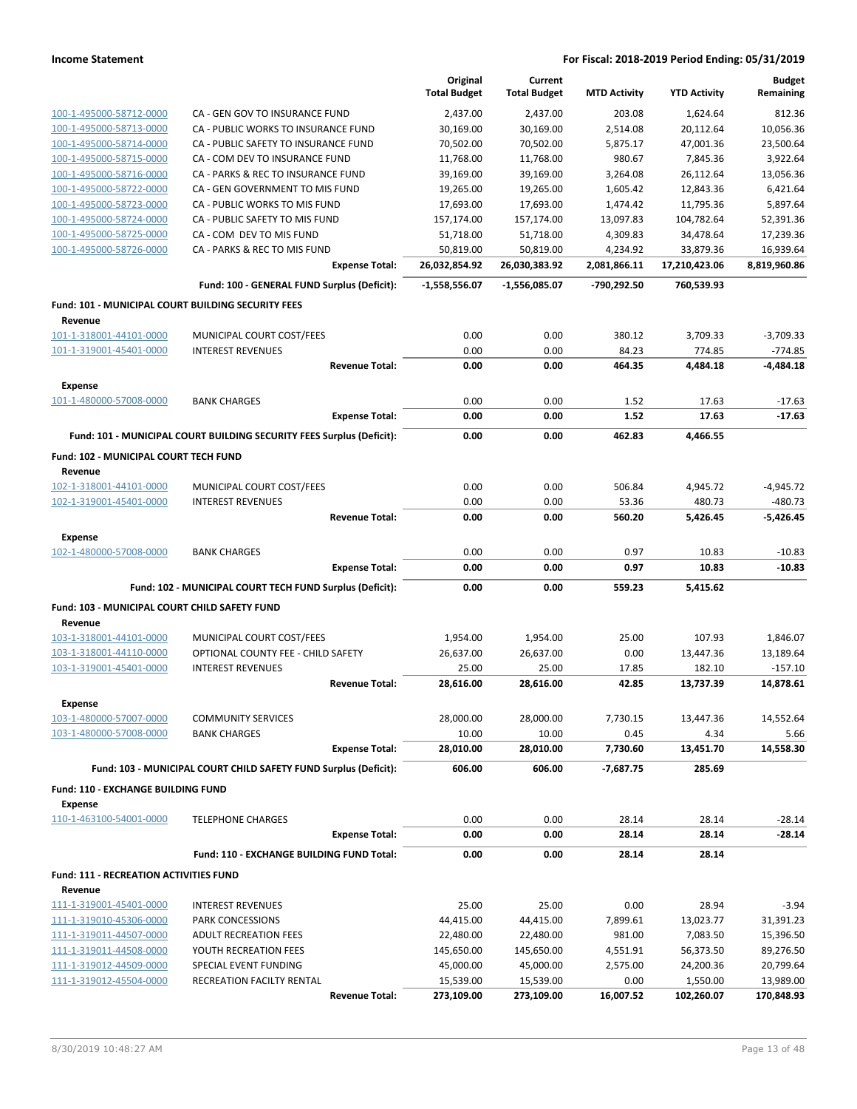|                                                    |                                                                       | Original            | Current                 |                     |                       | <b>Budget</b> |
|----------------------------------------------------|-----------------------------------------------------------------------|---------------------|-------------------------|---------------------|-----------------------|---------------|
|                                                    |                                                                       | <b>Total Budget</b> | <b>Total Budget</b>     | <b>MTD Activity</b> | <b>YTD Activity</b>   | Remaining     |
| 100-1-495000-58712-0000                            | CA - GEN GOV TO INSURANCE FUND                                        | 2,437.00            | 2.437.00                | 203.08              | 1,624.64              | 812.36        |
| 100-1-495000-58713-0000                            | CA - PUBLIC WORKS TO INSURANCE FUND                                   | 30,169.00           | 30,169.00               | 2,514.08            | 20,112.64             | 10,056.36     |
| 100-1-495000-58714-0000                            | CA - PUBLIC SAFETY TO INSURANCE FUND                                  | 70,502.00           | 70,502.00               | 5,875.17            | 47,001.36             | 23,500.64     |
| 100-1-495000-58715-0000                            | CA - COM DEV TO INSURANCE FUND                                        | 11,768.00           | 11,768.00               | 980.67              | 7,845.36              | 3.922.64      |
| 100-1-495000-58716-0000                            | CA - PARKS & REC TO INSURANCE FUND                                    | 39,169.00           | 39,169.00               | 3,264.08            | 26,112.64             | 13,056.36     |
| 100-1-495000-58722-0000                            | CA - GEN GOVERNMENT TO MIS FUND                                       | 19,265.00           | 19,265.00               | 1,605.42            | 12,843.36             | 6,421.64      |
| 100-1-495000-58723-0000                            | CA - PUBLIC WORKS TO MIS FUND                                         | 17,693.00           | 17,693.00               | 1,474.42            | 11,795.36             | 5,897.64      |
| 100-1-495000-58724-0000                            | CA - PUBLIC SAFETY TO MIS FUND                                        | 157,174.00          | 157,174.00              | 13,097.83           | 104,782.64            | 52,391.36     |
| 100-1-495000-58725-0000                            | CA - COM DEV TO MIS FUND                                              | 51,718.00           | 51,718.00               | 4,309.83            | 34,478.64             | 17,239.36     |
| 100-1-495000-58726-0000                            | CA - PARKS & REC TO MIS FUND                                          | 50,819.00           | 50,819.00               | 4,234.92            | 33,879.36             | 16,939.64     |
|                                                    | <b>Expense Total:</b>                                                 | 26,032,854.92       | 26,030,383.92           | 2,081,866.11        | 17,210,423.06         | 8,819,960.86  |
|                                                    | Fund: 100 - GENERAL FUND Surplus (Deficit):                           | -1,558,556.07       | $-1,556,085.07$         | -790,292.50         | 760,539.93            |               |
|                                                    |                                                                       |                     |                         |                     |                       |               |
| Fund: 101 - MUNICIPAL COURT BUILDING SECURITY FEES |                                                                       |                     |                         |                     |                       |               |
| Revenue                                            |                                                                       |                     |                         |                     |                       |               |
| 101-1-318001-44101-0000                            | MUNICIPAL COURT COST/FEES                                             | 0.00                | 0.00                    | 380.12              | 3,709.33              | $-3,709.33$   |
| 101-1-319001-45401-0000                            | <b>INTEREST REVENUES</b>                                              | 0.00                | 0.00                    | 84.23               | 774.85                | $-774.85$     |
|                                                    | <b>Revenue Total:</b>                                                 | 0.00                | 0.00                    | 464.35              | 4,484.18              | $-4,484.18$   |
| <b>Expense</b>                                     |                                                                       |                     |                         |                     |                       |               |
| 101-1-480000-57008-0000                            | <b>BANK CHARGES</b>                                                   | 0.00                | 0.00                    | 1.52                | 17.63                 | $-17.63$      |
|                                                    | <b>Expense Total:</b>                                                 | 0.00                | 0.00                    | 1.52                | 17.63                 | $-17.63$      |
|                                                    | Fund: 101 - MUNICIPAL COURT BUILDING SECURITY FEES Surplus (Deficit): | 0.00                | 0.00                    | 462.83              | 4,466.55              |               |
| Fund: 102 - MUNICIPAL COURT TECH FUND              |                                                                       |                     |                         |                     |                       |               |
| Revenue                                            |                                                                       |                     |                         |                     |                       |               |
| 102-1-318001-44101-0000                            | MUNICIPAL COURT COST/FEES                                             | 0.00                | 0.00                    | 506.84              | 4,945.72              | $-4,945.72$   |
| 102-1-319001-45401-0000                            | <b>INTEREST REVENUES</b>                                              | 0.00                | 0.00                    | 53.36               | 480.73                | $-480.73$     |
|                                                    | <b>Revenue Total:</b>                                                 | 0.00                | 0.00                    | 560.20              | 5,426.45              | $-5,426.45$   |
| <b>Expense</b>                                     |                                                                       |                     |                         |                     |                       |               |
| 102-1-480000-57008-0000                            | <b>BANK CHARGES</b>                                                   | 0.00                | 0.00                    | 0.97                | 10.83                 | $-10.83$      |
|                                                    | <b>Expense Total:</b>                                                 | 0.00                | 0.00                    | 0.97                | 10.83                 | $-10.83$      |
|                                                    | Fund: 102 - MUNICIPAL COURT TECH FUND Surplus (Deficit):              | 0.00                | 0.00                    | 559.23              | 5,415.62              |               |
|                                                    |                                                                       |                     |                         |                     |                       |               |
| Fund: 103 - MUNICIPAL COURT CHILD SAFETY FUND      |                                                                       |                     |                         |                     |                       |               |
| Revenue                                            |                                                                       |                     |                         |                     |                       |               |
| 103-1-318001-44101-0000                            | MUNICIPAL COURT COST/FEES                                             | 1,954.00            | 1,954.00                | 25.00               | 107.93                | 1,846.07      |
| 103-1-318001-44110-0000                            | OPTIONAL COUNTY FEE - CHILD SAFETY                                    | 26,637.00           | 26,637.00               | 0.00                | 13,447.36             | 13,189.64     |
| 103-1-319001-45401-0000                            | <b>INTEREST REVENUES</b>                                              | 25.00               | 25.00                   | 17.85               | 182.10                | $-157.10$     |
|                                                    | <b>Revenue Total:</b>                                                 | 28,616.00           | 28,616.00               | 42.85               | 13,737.39             | 14,878.61     |
| <b>Expense</b>                                     |                                                                       |                     |                         |                     |                       |               |
| 103-1-480000-57007-0000                            | <b>COMMUNITY SERVICES</b>                                             | 28,000.00           | 28,000.00               | 7,730.15            | 13,447.36             | 14,552.64     |
| 103-1-480000-57008-0000                            | <b>BANK CHARGES</b>                                                   | 10.00               | 10.00                   | 0.45                | 4.34                  | 5.66          |
|                                                    | <b>Expense Total:</b>                                                 | 28,010.00           | 28,010.00               | 7,730.60            | 13,451.70             | 14,558.30     |
|                                                    | Fund: 103 - MUNICIPAL COURT CHILD SAFETY FUND Surplus (Deficit):      | 606.00              | 606.00                  | -7,687.75           | 285.69                |               |
| <b>Fund: 110 - EXCHANGE BUILDING FUND</b>          |                                                                       |                     |                         |                     |                       |               |
| Expense                                            |                                                                       |                     |                         |                     |                       |               |
| 110-1-463100-54001-0000                            | <b>TELEPHONE CHARGES</b>                                              | 0.00                | 0.00                    | 28.14               | 28.14                 | $-28.14$      |
|                                                    | <b>Expense Total:</b>                                                 | 0.00                | 0.00                    | 28.14               | 28.14                 | $-28.14$      |
|                                                    | Fund: 110 - EXCHANGE BUILDING FUND Total:                             | 0.00                | 0.00                    | 28.14               | 28.14                 |               |
| Fund: 111 - RECREATION ACTIVITIES FUND             |                                                                       |                     |                         |                     |                       |               |
| Revenue                                            |                                                                       |                     |                         |                     |                       |               |
| 111-1-319001-45401-0000                            | <b>INTEREST REVENUES</b>                                              | 25.00               | 25.00                   | 0.00                | 28.94                 | $-3.94$       |
| 111-1-319010-45306-0000                            | PARK CONCESSIONS                                                      | 44,415.00           | 44,415.00               | 7,899.61            | 13,023.77             | 31,391.23     |
| 111-1-319011-44507-0000                            | <b>ADULT RECREATION FEES</b>                                          | 22,480.00           | 22,480.00               | 981.00              | 7,083.50              | 15,396.50     |
| 111-1-319011-44508-0000                            | YOUTH RECREATION FEES                                                 | 145,650.00          |                         |                     | 56,373.50             | 89,276.50     |
| 111-1-319012-44509-0000                            | SPECIAL EVENT FUNDING                                                 | 45,000.00           | 145,650.00<br>45,000.00 | 4,551.91            |                       | 20,799.64     |
| 111-1-319012-45504-0000                            | RECREATION FACILTY RENTAL                                             | 15,539.00           |                         | 2,575.00<br>0.00    | 24,200.36<br>1,550.00 | 13,989.00     |
|                                                    |                                                                       |                     | 15,539.00               |                     |                       |               |
|                                                    | <b>Revenue Total:</b>                                                 | 273,109.00          | 273,109.00              | 16,007.52           | 102,260.07            | 170,848.93    |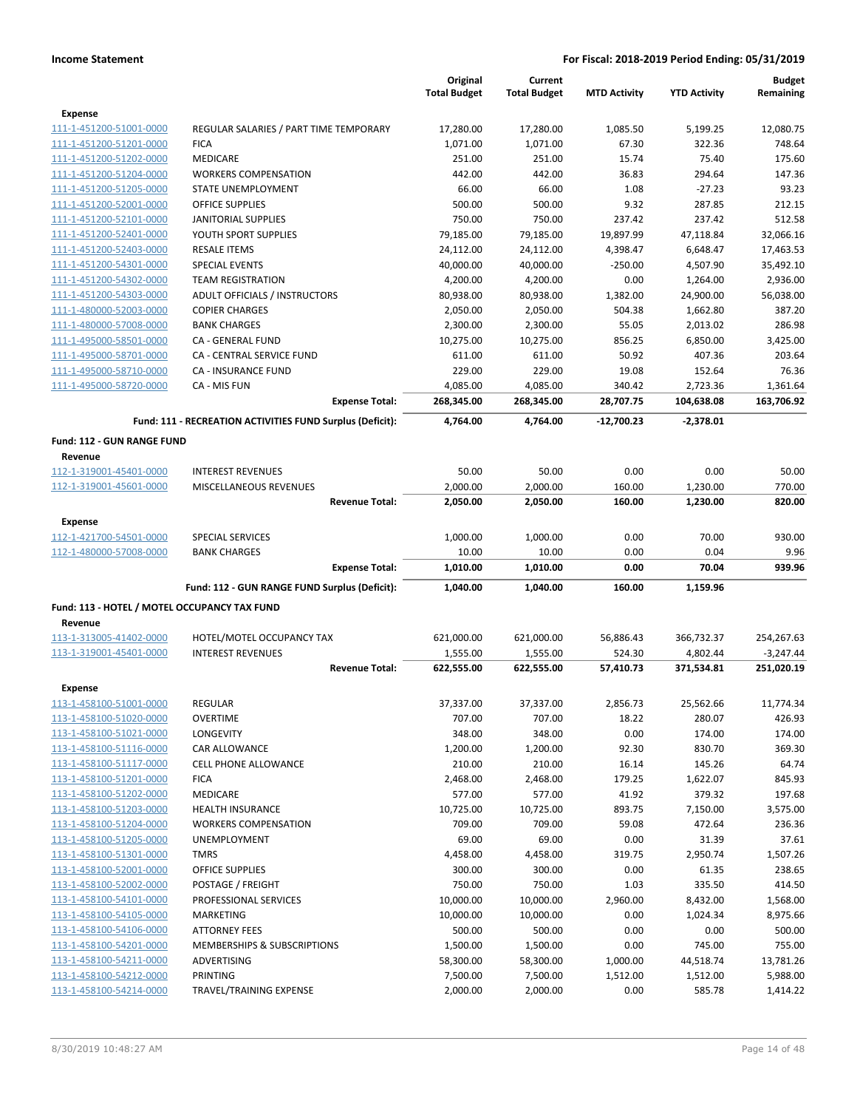|                                                    |                                                           | Original               | Current                |                     |                        | <b>Budget</b>          |
|----------------------------------------------------|-----------------------------------------------------------|------------------------|------------------------|---------------------|------------------------|------------------------|
|                                                    |                                                           | <b>Total Budget</b>    | <b>Total Budget</b>    | <b>MTD Activity</b> | <b>YTD Activity</b>    | Remaining              |
| Expense                                            |                                                           |                        |                        |                     |                        |                        |
| 111-1-451200-51001-0000                            | REGULAR SALARIES / PART TIME TEMPORARY                    | 17,280.00              | 17,280.00              | 1,085.50            | 5,199.25               | 12,080.75              |
| 111-1-451200-51201-0000                            | <b>FICA</b>                                               | 1,071.00               | 1,071.00               | 67.30               | 322.36                 | 748.64                 |
| 111-1-451200-51202-0000                            | <b>MEDICARE</b>                                           | 251.00                 | 251.00                 | 15.74               | 75.40                  | 175.60                 |
| 111-1-451200-51204-0000                            | <b>WORKERS COMPENSATION</b>                               | 442.00                 | 442.00                 | 36.83               | 294.64                 | 147.36                 |
| 111-1-451200-51205-0000                            | STATE UNEMPLOYMENT                                        | 66.00                  | 66.00                  | 1.08                | $-27.23$               | 93.23                  |
| 111-1-451200-52001-0000                            | <b>OFFICE SUPPLIES</b>                                    | 500.00                 | 500.00                 | 9.32                | 287.85                 | 212.15                 |
| 111-1-451200-52101-0000                            | JANITORIAL SUPPLIES                                       | 750.00                 | 750.00                 | 237.42              | 237.42                 | 512.58                 |
| 111-1-451200-52401-0000                            | YOUTH SPORT SUPPLIES                                      | 79,185.00              | 79,185.00              | 19,897.99           | 47,118.84              | 32,066.16              |
| 111-1-451200-52403-0000                            | <b>RESALE ITEMS</b>                                       | 24,112.00              | 24,112.00              | 4,398.47            | 6,648.47               | 17,463.53              |
| 111-1-451200-54301-0000                            | <b>SPECIAL EVENTS</b>                                     | 40,000.00              | 40,000.00              | $-250.00$           | 4,507.90               | 35,492.10              |
| 111-1-451200-54302-0000                            | <b>TEAM REGISTRATION</b>                                  | 4,200.00               | 4,200.00               | 0.00                | 1,264.00               | 2,936.00               |
| 111-1-451200-54303-0000                            | ADULT OFFICIALS / INSTRUCTORS                             | 80,938.00              | 80,938.00              | 1,382.00            | 24,900.00              | 56,038.00              |
| 111-1-480000-52003-0000                            | <b>COPIER CHARGES</b>                                     | 2,050.00               | 2,050.00               | 504.38              | 1,662.80               | 387.20                 |
| 111-1-480000-57008-0000                            | <b>BANK CHARGES</b><br>CA - GENERAL FUND                  | 2,300.00               | 2,300.00               | 55.05               | 2,013.02               | 286.98                 |
| 111-1-495000-58501-0000<br>111-1-495000-58701-0000 | CA - CENTRAL SERVICE FUND                                 | 10,275.00<br>611.00    | 10,275.00<br>611.00    | 856.25<br>50.92     | 6,850.00<br>407.36     | 3,425.00<br>203.64     |
|                                                    | CA - INSURANCE FUND                                       | 229.00                 | 229.00                 | 19.08               |                        | 76.36                  |
| 111-1-495000-58710-0000<br>111-1-495000-58720-0000 | CA - MIS FUN                                              |                        |                        | 340.42              | 152.64                 |                        |
|                                                    | <b>Expense Total:</b>                                     | 4,085.00<br>268,345.00 | 4,085.00<br>268,345.00 | 28,707.75           | 2,723.36<br>104,638.08 | 1,361.64<br>163,706.92 |
|                                                    |                                                           |                        |                        |                     |                        |                        |
|                                                    | Fund: 111 - RECREATION ACTIVITIES FUND Surplus (Deficit): | 4,764.00               | 4,764.00               | $-12.700.23$        | $-2,378.01$            |                        |
| Fund: 112 - GUN RANGE FUND                         |                                                           |                        |                        |                     |                        |                        |
| Revenue                                            |                                                           |                        |                        |                     |                        |                        |
| 112-1-319001-45401-0000                            | <b>INTEREST REVENUES</b>                                  | 50.00                  | 50.00                  | 0.00                | 0.00                   | 50.00                  |
| 112-1-319001-45601-0000                            | MISCELLANEOUS REVENUES                                    | 2,000.00               | 2,000.00               | 160.00              | 1,230.00               | 770.00                 |
|                                                    | <b>Revenue Total:</b>                                     | 2,050.00               | 2,050.00               | 160.00              | 1,230.00               | 820.00                 |
| <b>Expense</b>                                     |                                                           |                        |                        |                     |                        |                        |
| 112-1-421700-54501-0000                            | <b>SPECIAL SERVICES</b>                                   | 1,000.00               | 1,000.00               | 0.00                | 70.00                  | 930.00                 |
| 112-1-480000-57008-0000                            | <b>BANK CHARGES</b>                                       | 10.00                  | 10.00                  | 0.00                | 0.04                   | 9.96                   |
|                                                    | <b>Expense Total:</b>                                     | 1,010.00               | 1,010.00               | 0.00                | 70.04                  | 939.96                 |
|                                                    | Fund: 112 - GUN RANGE FUND Surplus (Deficit):             | 1,040.00               | 1,040.00               | 160.00              | 1,159.96               |                        |
| Fund: 113 - HOTEL / MOTEL OCCUPANCY TAX FUND       |                                                           |                        |                        |                     |                        |                        |
| Revenue                                            |                                                           |                        |                        |                     |                        |                        |
| 113-1-313005-41402-0000                            | HOTEL/MOTEL OCCUPANCY TAX                                 | 621,000.00             | 621,000.00             | 56,886.43           | 366,732.37             | 254,267.63             |
| 113-1-319001-45401-0000                            | <b>INTEREST REVENUES</b>                                  | 1,555.00               | 1,555.00               | 524.30              | 4,802.44               | $-3,247.44$            |
|                                                    | <b>Revenue Total:</b>                                     | 622,555.00             | 622,555.00             | 57,410.73           | 371,534.81             | 251,020.19             |
| Expense                                            |                                                           |                        |                        |                     |                        |                        |
| 113-1-458100-51001-0000                            | REGULAR                                                   | 37,337.00              | 37,337.00              | 2,856.73            | 25,562.66              | 11,774.34              |
| 113-1-458100-51020-0000                            | <b>OVERTIME</b>                                           | 707.00                 | 707.00                 | 18.22               | 280.07                 | 426.93                 |
| 113-1-458100-51021-0000                            | <b>LONGEVITY</b>                                          | 348.00                 | 348.00                 | 0.00                | 174.00                 | 174.00                 |
| 113-1-458100-51116-0000                            | <b>CAR ALLOWANCE</b>                                      | 1,200.00               | 1,200.00               | 92.30               | 830.70                 | 369.30                 |
| 113-1-458100-51117-0000                            | <b>CELL PHONE ALLOWANCE</b>                               | 210.00                 | 210.00                 | 16.14               | 145.26                 | 64.74                  |
| 113-1-458100-51201-0000                            | <b>FICA</b>                                               | 2,468.00               | 2,468.00               | 179.25              | 1,622.07               | 845.93                 |
| 113-1-458100-51202-0000                            | <b>MEDICARE</b>                                           | 577.00                 | 577.00                 | 41.92               | 379.32                 | 197.68                 |
| 113-1-458100-51203-0000                            | <b>HEALTH INSURANCE</b>                                   | 10,725.00              | 10,725.00              | 893.75              | 7,150.00               | 3,575.00               |
| 113-1-458100-51204-0000                            | <b>WORKERS COMPENSATION</b>                               | 709.00                 | 709.00                 | 59.08               | 472.64                 | 236.36                 |
| 113-1-458100-51205-0000                            | UNEMPLOYMENT                                              | 69.00                  | 69.00                  | 0.00                | 31.39                  | 37.61                  |
| 113-1-458100-51301-0000                            | <b>TMRS</b>                                               | 4,458.00               | 4,458.00               | 319.75              | 2,950.74               | 1,507.26               |
| 113-1-458100-52001-0000                            | OFFICE SUPPLIES                                           | 300.00                 | 300.00                 | 0.00                | 61.35                  | 238.65                 |
| 113-1-458100-52002-0000                            | POSTAGE / FREIGHT                                         | 750.00                 | 750.00                 | 1.03                | 335.50                 | 414.50                 |
| 113-1-458100-54101-0000                            | PROFESSIONAL SERVICES                                     | 10,000.00              | 10,000.00              | 2,960.00            | 8,432.00               | 1,568.00               |
| 113-1-458100-54105-0000                            | <b>MARKETING</b>                                          | 10,000.00              | 10,000.00              | 0.00                | 1,024.34               | 8,975.66               |
| 113-1-458100-54106-0000                            | <b>ATTORNEY FEES</b>                                      | 500.00                 | 500.00                 | 0.00                | 0.00                   | 500.00                 |
| 113-1-458100-54201-0000                            | MEMBERSHIPS & SUBSCRIPTIONS                               | 1,500.00               | 1,500.00               | 0.00                | 745.00                 | 755.00                 |
| 113-1-458100-54211-0000                            | ADVERTISING                                               | 58,300.00              | 58,300.00              | 1,000.00            | 44,518.74              | 13,781.26              |
| 113-1-458100-54212-0000                            | <b>PRINTING</b>                                           | 7,500.00               | 7,500.00               | 1,512.00            | 1,512.00               | 5,988.00               |
| 113-1-458100-54214-0000                            | TRAVEL/TRAINING EXPENSE                                   | 2,000.00               | 2,000.00               | 0.00                | 585.78                 | 1,414.22               |
|                                                    |                                                           |                        |                        |                     |                        |                        |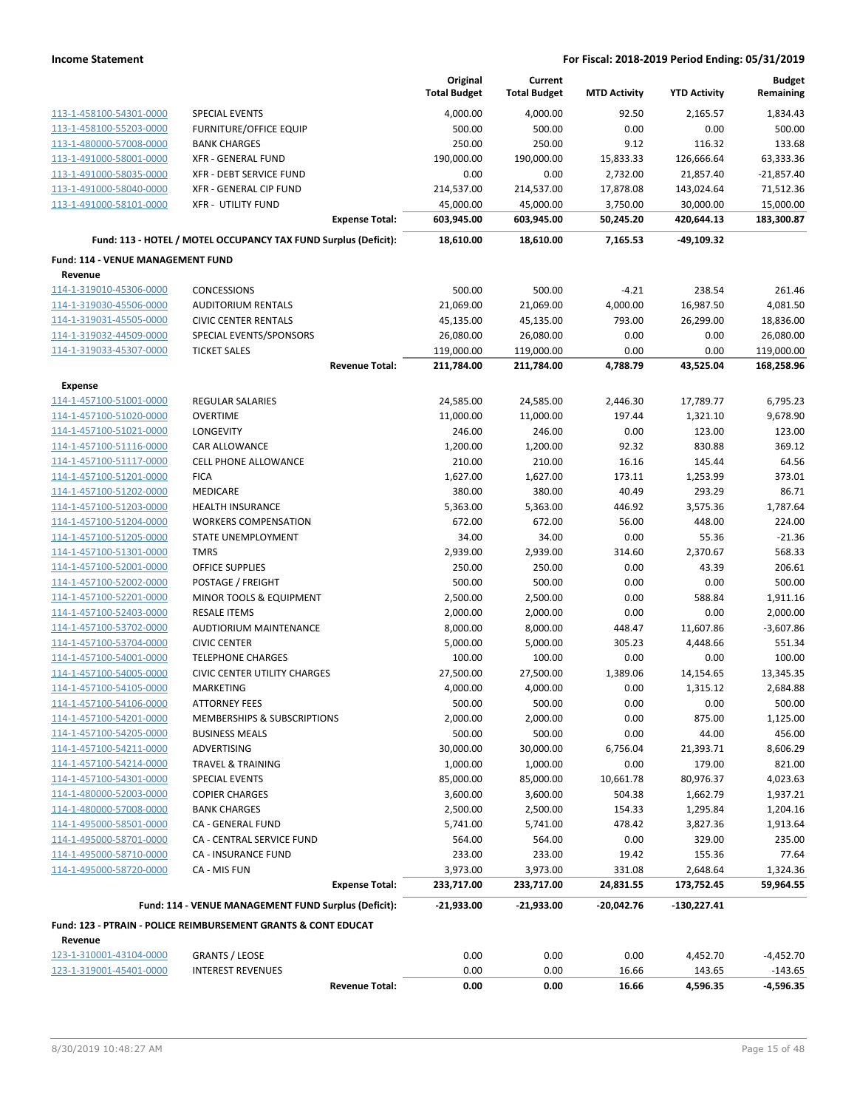|                                                    |                                                                 | Original<br><b>Total Budget</b> | Current<br><b>Total Budget</b> | <b>MTD Activity</b> | <b>YTD Activity</b> | <b>Budget</b><br>Remaining |
|----------------------------------------------------|-----------------------------------------------------------------|---------------------------------|--------------------------------|---------------------|---------------------|----------------------------|
| 113-1-458100-54301-0000                            | <b>SPECIAL EVENTS</b>                                           | 4,000.00                        | 4,000.00                       | 92.50               | 2,165.57            | 1,834.43                   |
| 113-1-458100-55203-0000                            | <b>FURNITURE/OFFICE EQUIP</b>                                   | 500.00                          | 500.00                         | 0.00                | 0.00                | 500.00                     |
| 113-1-480000-57008-0000                            | <b>BANK CHARGES</b>                                             | 250.00                          | 250.00                         | 9.12                | 116.32              | 133.68                     |
| 113-1-491000-58001-0000                            | <b>XFR - GENERAL FUND</b>                                       | 190,000.00                      | 190,000.00                     | 15,833.33           | 126,666.64          | 63,333.36                  |
| 113-1-491000-58035-0000                            | XFR - DEBT SERVICE FUND                                         | 0.00                            | 0.00                           | 2,732.00            | 21,857.40           | $-21,857.40$               |
| 113-1-491000-58040-0000                            | XFR - GENERAL CIP FUND                                          | 214,537.00                      | 214,537.00                     | 17,878.08           | 143,024.64          | 71,512.36                  |
| 113-1-491000-58101-0000                            | <b>XFR - UTILITY FUND</b>                                       | 45,000.00                       | 45,000.00                      | 3,750.00            | 30,000.00           | 15,000.00                  |
|                                                    | <b>Expense Total:</b>                                           | 603,945.00                      | 603,945.00                     | 50,245.20           | 420,644.13          | 183,300.87                 |
|                                                    | Fund: 113 - HOTEL / MOTEL OCCUPANCY TAX FUND Surplus (Deficit): | 18,610.00                       | 18,610.00                      | 7,165.53            | -49,109.32          |                            |
| Fund: 114 - VENUE MANAGEMENT FUND                  |                                                                 |                                 |                                |                     |                     |                            |
| Revenue                                            |                                                                 |                                 |                                |                     |                     |                            |
| 114-1-319010-45306-0000                            | <b>CONCESSIONS</b>                                              | 500.00                          | 500.00                         | $-4.21$             | 238.54              | 261.46                     |
| 114-1-319030-45506-0000                            | <b>AUDITORIUM RENTALS</b>                                       | 21,069.00                       | 21,069.00                      | 4,000.00            | 16,987.50           | 4,081.50                   |
| 114-1-319031-45505-0000                            | <b>CIVIC CENTER RENTALS</b>                                     | 45,135.00                       | 45,135.00                      | 793.00              | 26,299.00           | 18,836.00                  |
| 114-1-319032-44509-0000                            | SPECIAL EVENTS/SPONSORS                                         | 26,080.00                       | 26,080.00                      | 0.00                | 0.00                | 26,080.00                  |
| 114-1-319033-45307-0000                            | <b>TICKET SALES</b>                                             | 119,000.00                      | 119,000.00                     | 0.00                | 0.00                | 119,000.00                 |
|                                                    | <b>Revenue Total:</b>                                           | 211,784.00                      | 211,784.00                     | 4,788.79            | 43,525.04           | 168,258.96                 |
| <b>Expense</b>                                     |                                                                 |                                 |                                |                     |                     |                            |
| 114-1-457100-51001-0000                            | <b>REGULAR SALARIES</b>                                         | 24,585.00                       | 24,585.00                      | 2,446.30            | 17,789.77           | 6,795.23                   |
| 114-1-457100-51020-0000                            | <b>OVERTIME</b>                                                 | 11,000.00                       | 11,000.00                      | 197.44              | 1,321.10            | 9,678.90                   |
| 114-1-457100-51021-0000                            | LONGEVITY                                                       | 246.00                          | 246.00                         | 0.00                | 123.00              | 123.00                     |
| 114-1-457100-51116-0000                            | CAR ALLOWANCE                                                   | 1,200.00                        | 1,200.00                       | 92.32               | 830.88              | 369.12                     |
| 114-1-457100-51117-0000                            | <b>CELL PHONE ALLOWANCE</b>                                     | 210.00                          | 210.00                         | 16.16               | 145.44              | 64.56                      |
| 114-1-457100-51201-0000<br>114-1-457100-51202-0000 | <b>FICA</b><br>MEDICARE                                         | 1,627.00<br>380.00              | 1,627.00<br>380.00             | 173.11<br>40.49     | 1,253.99<br>293.29  | 373.01<br>86.71            |
| 114-1-457100-51203-0000                            | <b>HEALTH INSURANCE</b>                                         | 5,363.00                        | 5,363.00                       | 446.92              | 3,575.36            | 1,787.64                   |
| 114-1-457100-51204-0000                            | <b>WORKERS COMPENSATION</b>                                     | 672.00                          | 672.00                         | 56.00               | 448.00              | 224.00                     |
| 114-1-457100-51205-0000                            | STATE UNEMPLOYMENT                                              | 34.00                           | 34.00                          | 0.00                | 55.36               | $-21.36$                   |
| 114-1-457100-51301-0000                            | <b>TMRS</b>                                                     | 2,939.00                        | 2,939.00                       | 314.60              | 2,370.67            | 568.33                     |
| 114-1-457100-52001-0000                            | <b>OFFICE SUPPLIES</b>                                          | 250.00                          | 250.00                         | 0.00                | 43.39               | 206.61                     |
| 114-1-457100-52002-0000                            | POSTAGE / FREIGHT                                               | 500.00                          | 500.00                         | 0.00                | 0.00                | 500.00                     |
| 114-1-457100-52201-0000                            | MINOR TOOLS & EQUIPMENT                                         | 2,500.00                        | 2,500.00                       | 0.00                | 588.84              | 1,911.16                   |
| 114-1-457100-52403-0000                            | <b>RESALE ITEMS</b>                                             | 2,000.00                        | 2,000.00                       | 0.00                | 0.00                | 2,000.00                   |
| 114-1-457100-53702-0000                            | AUDTIORIUM MAINTENANCE                                          | 8,000.00                        | 8,000.00                       | 448.47              | 11,607.86           | $-3,607.86$                |
| 114-1-457100-53704-0000                            | <b>CIVIC CENTER</b>                                             | 5,000.00                        | 5,000.00                       | 305.23              | 4,448.66            | 551.34                     |
| 114-1-457100-54001-0000                            | <b>TELEPHONE CHARGES</b>                                        | 100.00                          | 100.00                         | 0.00                | 0.00                | 100.00                     |
| 114-1-457100-54005-0000                            | <b>CIVIC CENTER UTILITY CHARGES</b>                             | 27,500.00                       | 27,500.00                      | 1,389.06            | 14,154.65           | 13,345.35                  |
| 114-1-457100-54105-0000                            | MARKETING                                                       | 4,000.00                        | 4,000.00                       | 0.00                | 1,315.12            | 2,684.88                   |
| <u>114-1-457100-54106-0000</u>                     | <b>ATTORNEY FEES</b>                                            | 500.00                          | 500.00                         | 0.00                | 0.00                | 500.00                     |
| 114-1-457100-54201-0000                            | MEMBERSHIPS & SUBSCRIPTIONS                                     | 2,000.00                        | 2,000.00                       | 0.00                | 875.00              | 1,125.00                   |
| 114-1-457100-54205-0000                            | <b>BUSINESS MEALS</b>                                           | 500.00                          | 500.00                         | 0.00                | 44.00               | 456.00                     |
| 114-1-457100-54211-0000                            | ADVERTISING                                                     | 30,000.00                       | 30,000.00                      | 6,756.04            | 21,393.71           | 8,606.29                   |
| 114-1-457100-54214-0000                            | <b>TRAVEL &amp; TRAINING</b>                                    | 1,000.00                        | 1,000.00                       | 0.00                | 179.00              | 821.00                     |
| 114-1-457100-54301-0000                            | SPECIAL EVENTS                                                  | 85,000.00                       | 85,000.00                      | 10,661.78           | 80,976.37           | 4,023.63                   |
| 114-1-480000-52003-0000                            | <b>COPIER CHARGES</b>                                           | 3,600.00                        | 3,600.00                       | 504.38              | 1,662.79            | 1,937.21                   |
| 114-1-480000-57008-0000                            | <b>BANK CHARGES</b>                                             | 2,500.00                        | 2,500.00                       | 154.33              | 1,295.84            | 1,204.16                   |
| 114-1-495000-58501-0000                            | CA - GENERAL FUND                                               | 5,741.00                        | 5,741.00                       | 478.42              | 3,827.36            | 1,913.64                   |
| 114-1-495000-58701-0000                            | CA - CENTRAL SERVICE FUND                                       | 564.00                          | 564.00                         | 0.00                | 329.00              | 235.00                     |
| 114-1-495000-58710-0000                            | CA - INSURANCE FUND                                             | 233.00                          | 233.00                         | 19.42               | 155.36              | 77.64                      |
| 114-1-495000-58720-0000                            | CA - MIS FUN                                                    | 3,973.00                        | 3,973.00                       | 331.08              | 2,648.64            | 1,324.36<br>59,964.55      |
|                                                    | <b>Expense Total:</b>                                           | 233,717.00                      | 233,717.00                     | 24,831.55           | 173,752.45          |                            |
|                                                    | Fund: 114 - VENUE MANAGEMENT FUND Surplus (Deficit):            | -21,933.00                      | -21,933.00                     | -20,042.76          | -130,227.41         |                            |
|                                                    | Fund: 123 - PTRAIN - POLICE REIMBURSEMENT GRANTS & CONT EDUCAT  |                                 |                                |                     |                     |                            |
| Revenue                                            |                                                                 |                                 |                                |                     |                     |                            |
| 123-1-310001-43104-0000<br>123-1-319001-45401-0000 | <b>GRANTS / LEOSE</b><br><b>INTEREST REVENUES</b>               | 0.00<br>0.00                    | 0.00<br>0.00                   | 0.00<br>16.66       | 4,452.70            | $-4,452.70$                |
|                                                    | <b>Revenue Total:</b>                                           | 0.00                            | 0.00                           | 16.66               | 143.65<br>4,596.35  | $-143.65$<br>$-4,596.35$   |
|                                                    |                                                                 |                                 |                                |                     |                     |                            |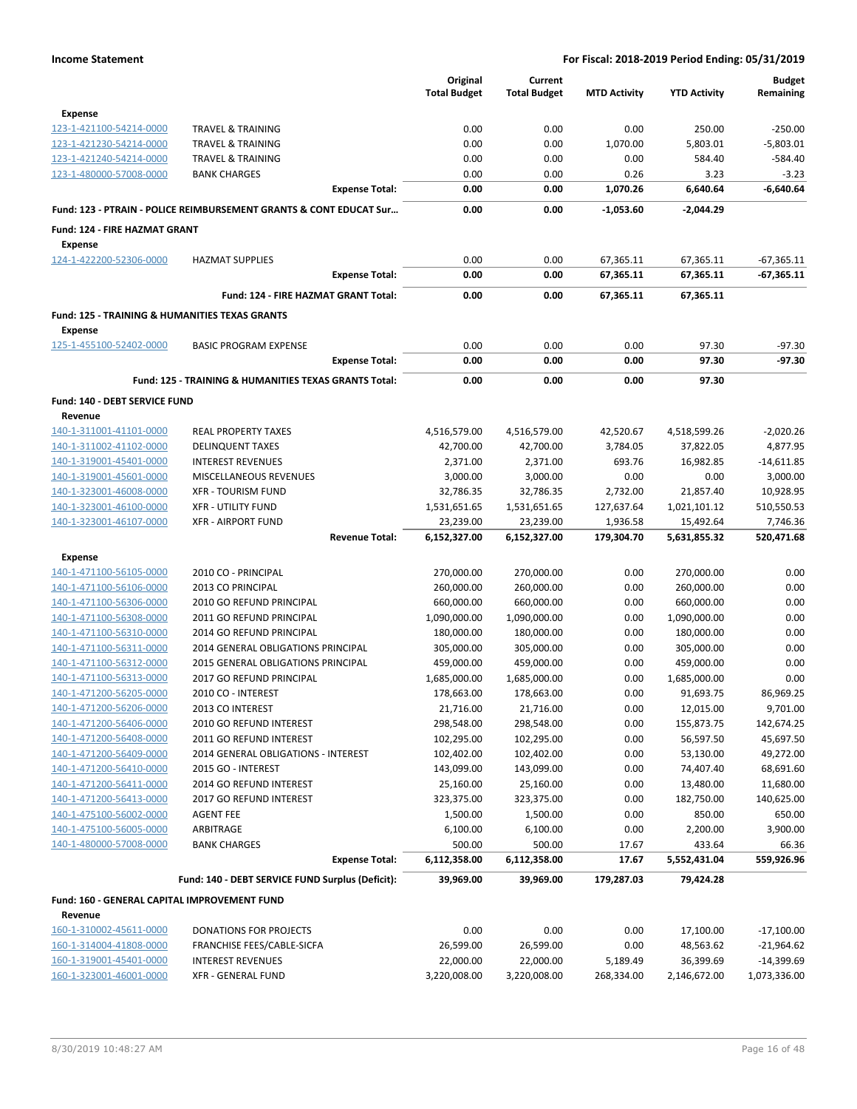|                                                           |                                                                    | Original               | Current              |                     |                        | <b>Budget</b>           |
|-----------------------------------------------------------|--------------------------------------------------------------------|------------------------|----------------------|---------------------|------------------------|-------------------------|
|                                                           |                                                                    | <b>Total Budget</b>    | <b>Total Budget</b>  | <b>MTD Activity</b> | <b>YTD Activity</b>    | Remaining               |
| <b>Expense</b>                                            |                                                                    |                        |                      |                     |                        |                         |
| 123-1-421100-54214-0000                                   | <b>TRAVEL &amp; TRAINING</b>                                       | 0.00                   | 0.00                 | 0.00                | 250.00                 | $-250.00$               |
| 123-1-421230-54214-0000                                   | <b>TRAVEL &amp; TRAINING</b>                                       | 0.00                   | 0.00                 | 1,070.00            | 5,803.01               | $-5,803.01$             |
| 123-1-421240-54214-0000                                   | <b>TRAVEL &amp; TRAINING</b>                                       | 0.00                   | 0.00                 | 0.00                | 584.40                 | $-584.40$               |
| 123-1-480000-57008-0000                                   | <b>BANK CHARGES</b>                                                | 0.00                   | 0.00                 | 0.26                | 3.23                   | $-3.23$                 |
|                                                           | <b>Expense Total:</b>                                              | 0.00                   | 0.00                 | 1,070.26            | 6,640.64               | $-6,640.64$             |
|                                                           | Fund: 123 - PTRAIN - POLICE REIMBURSEMENT GRANTS & CONT EDUCAT Sur | 0.00                   | 0.00                 | $-1,053.60$         | -2,044.29              |                         |
| Fund: 124 - FIRE HAZMAT GRANT                             |                                                                    |                        |                      |                     |                        |                         |
| <b>Expense</b>                                            |                                                                    |                        |                      |                     |                        |                         |
| 124-1-422200-52306-0000                                   | <b>HAZMAT SUPPLIES</b>                                             | 0.00                   | 0.00                 | 67,365.11           | 67,365.11              | $-67,365.11$            |
|                                                           | <b>Expense Total:</b>                                              | 0.00                   | 0.00                 | 67,365.11           | 67,365.11              | $-67,365.11$            |
|                                                           | Fund: 124 - FIRE HAZMAT GRANT Total:                               | 0.00                   | 0.00                 | 67,365.11           | 67,365.11              |                         |
| <b>Fund: 125 - TRAINING &amp; HUMANITIES TEXAS GRANTS</b> |                                                                    |                        |                      |                     |                        |                         |
| <b>Expense</b>                                            |                                                                    |                        |                      |                     |                        |                         |
| 125-1-455100-52402-0000                                   | <b>BASIC PROGRAM EXPENSE</b>                                       | 0.00                   | 0.00                 | 0.00                | 97.30                  | $-97.30$                |
|                                                           | <b>Expense Total:</b>                                              | 0.00                   | 0.00                 | 0.00                | 97.30                  | $-97.30$                |
|                                                           |                                                                    |                        |                      |                     |                        |                         |
|                                                           | <b>Fund: 125 - TRAINING &amp; HUMANITIES TEXAS GRANTS Total:</b>   | 0.00                   | 0.00                 | 0.00                | 97.30                  |                         |
| Fund: 140 - DEBT SERVICE FUND                             |                                                                    |                        |                      |                     |                        |                         |
| Revenue                                                   | <b>REAL PROPERTY TAXES</b>                                         |                        | 4,516,579.00         |                     |                        |                         |
| 140-1-311001-41101-0000                                   | <b>DELINQUENT TAXES</b>                                            | 4,516,579.00           |                      | 42,520.67           | 4,518,599.26           | $-2,020.26$<br>4,877.95 |
| 140-1-311002-41102-0000<br>140-1-319001-45401-0000        | <b>INTEREST REVENUES</b>                                           | 42,700.00              | 42,700.00            | 3,784.05<br>693.76  | 37,822.05<br>16,982.85 | $-14,611.85$            |
| 140-1-319001-45601-0000                                   | MISCELLANEOUS REVENUES                                             | 2,371.00<br>3,000.00   | 2,371.00<br>3,000.00 | 0.00                | 0.00                   | 3,000.00                |
| 140-1-323001-46008-0000                                   | <b>XFR - TOURISM FUND</b>                                          | 32,786.35              | 32,786.35            | 2,732.00            | 21,857.40              | 10,928.95               |
| 140-1-323001-46100-0000                                   | <b>XFR - UTILITY FUND</b>                                          | 1,531,651.65           | 1,531,651.65         | 127,637.64          | 1,021,101.12           | 510,550.53              |
| 140-1-323001-46107-0000                                   | <b>XFR - AIRPORT FUND</b>                                          | 23,239.00              | 23,239.00            | 1,936.58            | 15,492.64              | 7,746.36                |
|                                                           | <b>Revenue Total:</b>                                              | 6,152,327.00           | 6,152,327.00         | 179,304.70          | 5,631,855.32           | 520,471.68              |
|                                                           |                                                                    |                        |                      |                     |                        |                         |
| <b>Expense</b>                                            |                                                                    |                        |                      |                     |                        |                         |
| 140-1-471100-56105-0000                                   | 2010 CO - PRINCIPAL                                                | 270,000.00             | 270,000.00           | 0.00                | 270,000.00             | 0.00                    |
| 140-1-471100-56106-0000                                   | 2013 CO PRINCIPAL                                                  | 260,000.00             | 260,000.00           | 0.00                | 260,000.00             | 0.00                    |
| 140-1-471100-56306-0000                                   | 2010 GO REFUND PRINCIPAL                                           | 660,000.00             | 660,000.00           | 0.00                | 660,000.00             | 0.00                    |
| 140-1-471100-56308-0000                                   | 2011 GO REFUND PRINCIPAL                                           | 1,090,000.00           | 1,090,000.00         | 0.00                | 1,090,000.00           | 0.00                    |
| 140-1-471100-56310-0000                                   | 2014 GO REFUND PRINCIPAL                                           | 180,000.00             | 180,000.00           | 0.00                | 180,000.00             | 0.00                    |
| 140-1-471100-56311-0000                                   | 2014 GENERAL OBLIGATIONS PRINCIPAL                                 | 305,000.00             | 305,000.00           | 0.00                | 305,000.00             | 0.00                    |
| 140-1-471100-56312-0000                                   | 2015 GENERAL OBLIGATIONS PRINCIPAL                                 | 459,000.00             | 459,000.00           | 0.00                | 459,000.00             | 0.00                    |
| 140-1-471100-56313-0000                                   | 2017 GO REFUND PRINCIPAL                                           | 1,685,000.00           | 1,685,000.00         | 0.00                | 1,685,000.00           | 0.00                    |
| 140-1-471200-56205-0000                                   | 2010 CO - INTEREST                                                 | 178,663.00             | 178,663.00           | 0.00                | 91,693.75              | 86,969.25               |
| 140-1-471200-56206-0000                                   | 2013 CO INTEREST                                                   | 21,716.00              | 21,716.00            | 0.00                | 12,015.00              | 9,701.00                |
| 140-1-471200-56406-0000                                   | 2010 GO REFUND INTEREST                                            | 298,548.00             | 298,548.00           | 0.00                | 155,873.75             | 142,674.25              |
| 140-1-471200-56408-0000                                   | 2011 GO REFUND INTEREST                                            | 102,295.00             | 102,295.00           | 0.00                | 56,597.50              | 45,697.50               |
| 140-1-471200-56409-0000                                   | 2014 GENERAL OBLIGATIONS - INTEREST                                | 102,402.00             | 102,402.00           | 0.00                | 53,130.00              | 49,272.00               |
| 140-1-471200-56410-0000                                   | 2015 GO - INTEREST                                                 | 143,099.00             | 143,099.00           | 0.00                | 74,407.40              | 68,691.60               |
| 140-1-471200-56411-0000                                   | 2014 GO REFUND INTEREST                                            | 25,160.00              | 25,160.00            | 0.00                | 13,480.00              | 11,680.00               |
| 140-1-471200-56413-0000                                   | 2017 GO REFUND INTEREST                                            | 323,375.00             | 323,375.00           | 0.00                | 182,750.00             | 140,625.00              |
| 140-1-475100-56002-0000                                   | <b>AGENT FEE</b>                                                   | 1,500.00               | 1,500.00             | 0.00                | 850.00                 | 650.00                  |
| 140-1-475100-56005-0000                                   | ARBITRAGE                                                          | 6,100.00               | 6,100.00             | 0.00                | 2,200.00               | 3,900.00                |
| 140-1-480000-57008-0000                                   | <b>BANK CHARGES</b>                                                | 500.00<br>6,112,358.00 | 500.00               | 17.67               | 433.64                 | 66.36                   |
|                                                           | <b>Expense Total:</b>                                              |                        | 6,112,358.00         | 17.67               | 5,552,431.04           | 559,926.96              |
|                                                           | Fund: 140 - DEBT SERVICE FUND Surplus (Deficit):                   | 39,969.00              | 39,969.00            | 179,287.03          | 79,424.28              |                         |
| Fund: 160 - GENERAL CAPITAL IMPROVEMENT FUND              |                                                                    |                        |                      |                     |                        |                         |
| Revenue                                                   |                                                                    |                        |                      |                     |                        |                         |
| 160-1-310002-45611-0000                                   | DONATIONS FOR PROJECTS                                             | 0.00                   | 0.00                 | 0.00                | 17,100.00              | $-17,100.00$            |
| 160-1-314004-41808-0000                                   | FRANCHISE FEES/CABLE-SICFA                                         | 26,599.00              | 26,599.00            | 0.00                | 48,563.62              | $-21,964.62$            |
| 160-1-319001-45401-0000                                   | <b>INTEREST REVENUES</b>                                           | 22,000.00              | 22,000.00            | 5,189.49            | 36,399.69              | $-14,399.69$            |
| 160-1-323001-46001-0000                                   | <b>XFR - GENERAL FUND</b>                                          | 3,220,008.00           | 3,220,008.00         | 268,334.00          | 2,146,672.00           | 1,073,336.00            |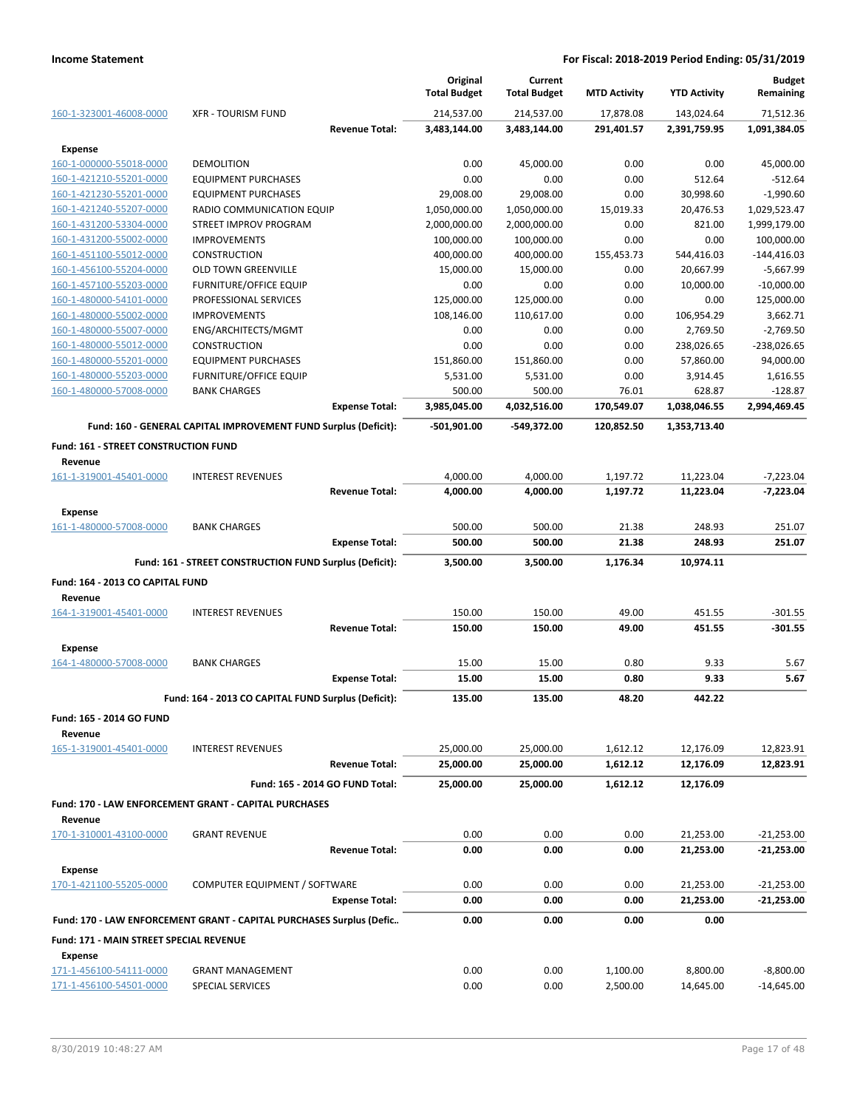|                                                           |                                                                      | Original<br><b>Total Budget</b> | Current<br><b>Total Budget</b> | <b>MTD Activity</b> | <b>YTD Activity</b>    | <b>Budget</b><br>Remaining |
|-----------------------------------------------------------|----------------------------------------------------------------------|---------------------------------|--------------------------------|---------------------|------------------------|----------------------------|
| 160-1-323001-46008-0000                                   | <b>XFR - TOURISM FUND</b>                                            | 214,537.00                      | 214,537.00                     | 17,878.08           | 143,024.64             | 71,512.36                  |
|                                                           | <b>Revenue Total:</b>                                                | 3,483,144.00                    | 3,483,144.00                   | 291,401.57          | 2,391,759.95           | 1,091,384.05               |
| <b>Expense</b>                                            |                                                                      |                                 |                                |                     |                        |                            |
| 160-1-000000-55018-0000                                   | <b>DEMOLITION</b>                                                    | 0.00                            | 45,000.00                      | 0.00                | 0.00                   | 45,000.00                  |
| 160-1-421210-55201-0000                                   | <b>EQUIPMENT PURCHASES</b>                                           | 0.00                            | 0.00                           | 0.00                | 512.64                 | $-512.64$                  |
| 160-1-421230-55201-0000                                   | <b>EQUIPMENT PURCHASES</b>                                           | 29,008.00                       | 29,008.00                      | 0.00                | 30,998.60              | $-1,990.60$                |
| 160-1-421240-55207-0000                                   | RADIO COMMUNICATION EQUIP                                            | 1,050,000.00                    | 1,050,000.00                   | 15,019.33           | 20,476.53              | 1,029,523.47               |
| 160-1-431200-53304-0000                                   | STREET IMPROV PROGRAM                                                | 2,000,000.00                    | 2,000,000.00                   | 0.00                | 821.00                 | 1,999,179.00               |
| 160-1-431200-55002-0000                                   | <b>IMPROVEMENTS</b>                                                  | 100,000.00                      | 100,000.00                     | 0.00                | 0.00                   | 100,000.00                 |
| 160-1-451100-55012-0000                                   | CONSTRUCTION                                                         | 400,000.00                      | 400,000.00                     | 155,453.73          | 544,416.03             | $-144,416.03$              |
| 160-1-456100-55204-0000                                   | OLD TOWN GREENVILLE                                                  | 15,000.00                       | 15,000.00                      | 0.00                | 20,667.99              | $-5,667.99$                |
| 160-1-457100-55203-0000                                   | <b>FURNITURE/OFFICE EQUIP</b>                                        | 0.00                            | 0.00                           | 0.00                | 10,000.00              | $-10,000.00$               |
| 160-1-480000-54101-0000                                   | PROFESSIONAL SERVICES                                                | 125,000.00                      | 125,000.00                     | 0.00                | 0.00                   | 125,000.00                 |
| 160-1-480000-55002-0000                                   | <b>IMPROVEMENTS</b>                                                  | 108,146.00                      | 110,617.00                     | 0.00                | 106,954.29             | 3,662.71                   |
| 160-1-480000-55007-0000                                   | ENG/ARCHITECTS/MGMT                                                  | 0.00                            | 0.00                           | 0.00                | 2,769.50               | $-2,769.50$                |
| 160-1-480000-55012-0000                                   | <b>CONSTRUCTION</b>                                                  | 0.00                            | 0.00                           | 0.00                | 238,026.65             | $-238,026.65$              |
| 160-1-480000-55201-0000                                   | <b>EQUIPMENT PURCHASES</b>                                           | 151,860.00                      | 151,860.00                     | 0.00                | 57,860.00              | 94,000.00                  |
| 160-1-480000-55203-0000<br>160-1-480000-57008-0000        | <b>FURNITURE/OFFICE EQUIP</b>                                        | 5,531.00<br>500.00              | 5,531.00                       | 0.00                | 3,914.45               | 1,616.55                   |
|                                                           | <b>BANK CHARGES</b><br><b>Expense Total:</b>                         | 3,985,045.00                    | 500.00<br>4,032,516.00         | 76.01<br>170,549.07 | 628.87<br>1,038,046.55 | $-128.87$<br>2,994,469.45  |
|                                                           | Fund: 160 - GENERAL CAPITAL IMPROVEMENT FUND Surplus (Deficit):      | $-501,901.00$                   | -549,372.00                    | 120,852.50          | 1,353,713.40           |                            |
|                                                           |                                                                      |                                 |                                |                     |                        |                            |
| Fund: 161 - STREET CONSTRUCTION FUND<br>Revenue           |                                                                      |                                 |                                |                     |                        |                            |
| 161-1-319001-45401-0000                                   | <b>INTEREST REVENUES</b>                                             | 4,000.00                        | 4,000.00                       | 1,197.72            | 11,223.04              | $-7,223.04$                |
|                                                           | <b>Revenue Total:</b>                                                | 4,000.00                        | 4,000.00                       | 1,197.72            | 11,223.04              | $-7,223.04$                |
| <b>Expense</b>                                            |                                                                      |                                 |                                |                     |                        |                            |
| 161-1-480000-57008-0000                                   | <b>BANK CHARGES</b>                                                  | 500.00                          | 500.00                         | 21.38               | 248.93                 | 251.07                     |
|                                                           | <b>Expense Total:</b>                                                | 500.00                          | 500.00                         | 21.38               | 248.93                 | 251.07                     |
|                                                           | Fund: 161 - STREET CONSTRUCTION FUND Surplus (Deficit):              | 3,500.00                        | 3,500.00                       | 1,176.34            | 10,974.11              |                            |
| Fund: 164 - 2013 CO CAPITAL FUND                          |                                                                      |                                 |                                |                     |                        |                            |
| Revenue                                                   |                                                                      |                                 |                                |                     |                        |                            |
| 164-1-319001-45401-0000                                   | <b>INTEREST REVENUES</b>                                             | 150.00                          | 150.00                         | 49.00               | 451.55                 | $-301.55$                  |
|                                                           | <b>Revenue Total:</b>                                                | 150.00                          | 150.00                         | 49.00               | 451.55                 | -301.55                    |
| <b>Expense</b>                                            |                                                                      |                                 |                                |                     |                        |                            |
| 164-1-480000-57008-0000                                   | <b>BANK CHARGES</b>                                                  | 15.00                           | 15.00                          | 0.80                | 9.33                   | 5.67                       |
|                                                           | <b>Expense Total:</b>                                                | 15.00                           | 15.00                          | 0.80                | 9.33                   | 5.67                       |
|                                                           |                                                                      |                                 |                                |                     |                        |                            |
|                                                           | Fund: 164 - 2013 CO CAPITAL FUND Surplus (Deficit):                  | 135.00                          | 135.00                         | 48.20               | 442.22                 |                            |
| <b>Fund: 165 - 2014 GO FUND</b><br>Revenue                |                                                                      |                                 |                                |                     |                        |                            |
| 165-1-319001-45401-0000                                   | <b>INTEREST REVENUES</b>                                             | 25,000.00                       | 25,000.00                      | 1,612.12            | 12,176.09              | 12,823.91                  |
|                                                           | <b>Revenue Total:</b>                                                | 25,000.00                       | 25,000.00                      | 1,612.12            | 12,176.09              | 12,823.91                  |
|                                                           | Fund: 165 - 2014 GO FUND Total:                                      | 25,000.00                       | 25,000.00                      | 1,612.12            | 12,176.09              |                            |
|                                                           | Fund: 170 - LAW ENFORCEMENT GRANT - CAPITAL PURCHASES                |                                 |                                |                     |                        |                            |
| Revenue<br>170-1-310001-43100-0000                        | <b>GRANT REVENUE</b>                                                 | 0.00                            | 0.00                           | 0.00                | 21,253.00              | $-21,253.00$               |
|                                                           | <b>Revenue Total:</b>                                                | 0.00                            | 0.00                           | 0.00                | 21,253.00              | $-21,253.00$               |
|                                                           |                                                                      |                                 |                                |                     |                        |                            |
| <b>Expense</b>                                            |                                                                      |                                 |                                |                     |                        |                            |
| 170-1-421100-55205-0000                                   | COMPUTER EQUIPMENT / SOFTWARE                                        | 0.00                            | 0.00                           | 0.00                | 21,253.00              | $-21,253.00$               |
|                                                           | <b>Expense Total:</b>                                                | 0.00                            | 0.00                           | 0.00                | 21,253.00              | $-21,253.00$               |
|                                                           | Fund: 170 - LAW ENFORCEMENT GRANT - CAPITAL PURCHASES Surplus (Defic | 0.00                            | 0.00                           | 0.00                | 0.00                   |                            |
| Fund: 171 - MAIN STREET SPECIAL REVENUE<br><b>Expense</b> |                                                                      |                                 |                                |                     |                        |                            |
| 171-1-456100-54111-0000                                   | <b>GRANT MANAGEMENT</b>                                              | 0.00                            | 0.00                           | 1,100.00            | 8,800.00               | $-8,800.00$                |
| 171-1-456100-54501-0000                                   | SPECIAL SERVICES                                                     | 0.00                            | 0.00                           | 2,500.00            | 14,645.00              | $-14,645.00$               |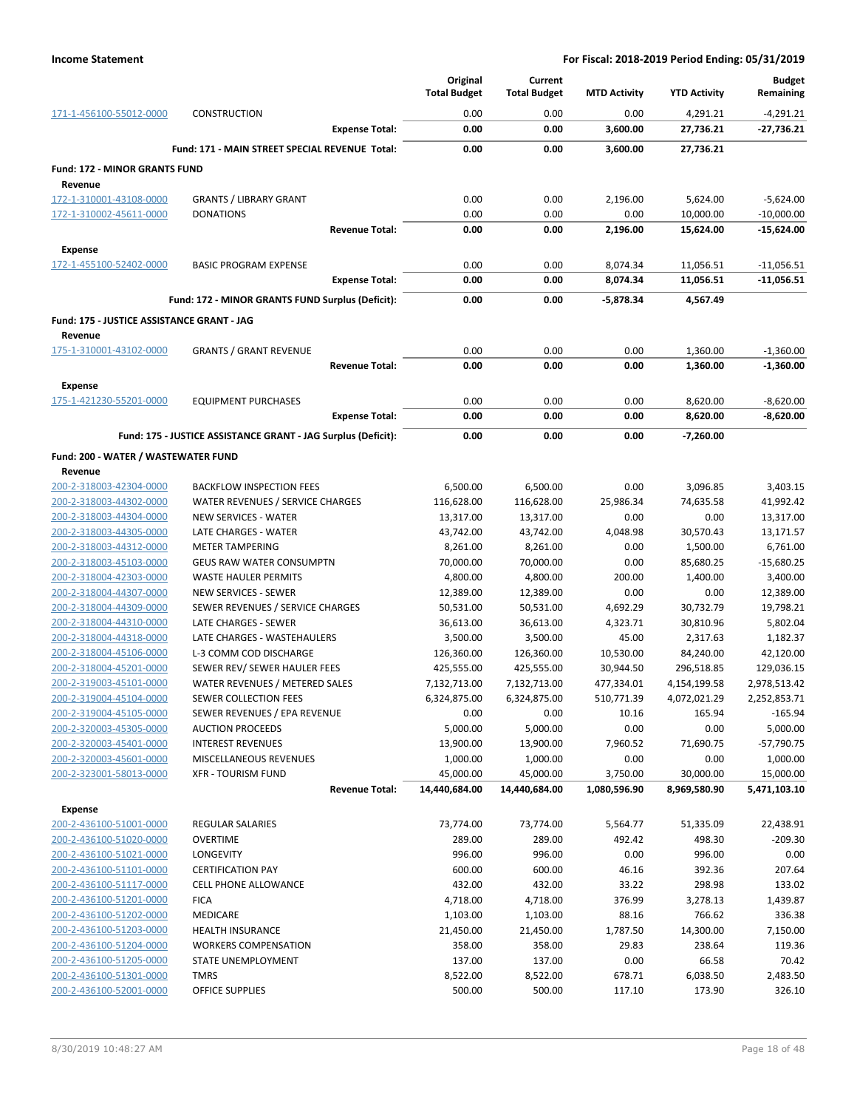|                                            |                                                               |                       | Original<br><b>Total Budget</b> | Current<br><b>Total Budget</b> | <b>MTD Activity</b> | <b>YTD Activity</b>  | <b>Budget</b><br>Remaining |
|--------------------------------------------|---------------------------------------------------------------|-----------------------|---------------------------------|--------------------------------|---------------------|----------------------|----------------------------|
| 171-1-456100-55012-0000                    | CONSTRUCTION                                                  |                       | 0.00                            | 0.00                           | 0.00                | 4,291.21             | $-4,291.21$                |
|                                            |                                                               | <b>Expense Total:</b> | 0.00                            | 0.00                           | 3,600.00            | 27,736.21            | $-27,736.21$               |
|                                            | Fund: 171 - MAIN STREET SPECIAL REVENUE Total:                |                       | 0.00                            | 0.00                           | 3,600.00            | 27,736.21            |                            |
| <b>Fund: 172 - MINOR GRANTS FUND</b>       |                                                               |                       |                                 |                                |                     |                      |                            |
| Revenue                                    |                                                               |                       |                                 |                                |                     |                      |                            |
| 172-1-310001-43108-0000                    | <b>GRANTS / LIBRARY GRANT</b>                                 |                       | 0.00                            | 0.00                           | 2,196.00            | 5,624.00             | $-5,624.00$                |
| 172-1-310002-45611-0000                    | <b>DONATIONS</b>                                              |                       | 0.00                            | 0.00                           | 0.00                | 10,000.00            | $-10,000.00$               |
|                                            |                                                               | <b>Revenue Total:</b> | 0.00                            | 0.00                           | 2,196.00            | 15,624.00            | $-15,624.00$               |
| <b>Expense</b>                             |                                                               |                       |                                 |                                |                     |                      |                            |
| 172-1-455100-52402-0000                    | <b>BASIC PROGRAM EXPENSE</b>                                  |                       | 0.00                            | 0.00                           | 8,074.34            | 11,056.51            | $-11,056.51$               |
|                                            |                                                               | <b>Expense Total:</b> | 0.00                            | 0.00                           | 8,074.34            | 11,056.51            | $-11,056.51$               |
|                                            | Fund: 172 - MINOR GRANTS FUND Surplus (Deficit):              |                       | 0.00                            | 0.00                           | -5,878.34           | 4,567.49             |                            |
| Fund: 175 - JUSTICE ASSISTANCE GRANT - JAG |                                                               |                       |                                 |                                |                     |                      |                            |
| Revenue                                    |                                                               |                       |                                 |                                |                     |                      |                            |
| 175-1-310001-43102-0000                    | <b>GRANTS / GRANT REVENUE</b>                                 |                       | 0.00                            | 0.00                           | 0.00                | 1,360.00             | $-1,360.00$                |
|                                            |                                                               | <b>Revenue Total:</b> | 0.00                            | 0.00                           | 0.00                | 1,360.00             | $-1,360.00$                |
| <b>Expense</b>                             |                                                               |                       |                                 |                                |                     |                      |                            |
| 175-1-421230-55201-0000                    | <b>EQUIPMENT PURCHASES</b>                                    | <b>Expense Total:</b> | 0.00<br>0.00                    | 0.00<br>0.00                   | 0.00<br>0.00        | 8,620.00<br>8,620.00 | $-8,620.00$<br>$-8,620.00$ |
|                                            |                                                               |                       |                                 |                                |                     |                      |                            |
|                                            | Fund: 175 - JUSTICE ASSISTANCE GRANT - JAG Surplus (Deficit): |                       | 0.00                            | 0.00                           | 0.00                | -7,260.00            |                            |
| Fund: 200 - WATER / WASTEWATER FUND        |                                                               |                       |                                 |                                |                     |                      |                            |
| Revenue                                    |                                                               |                       |                                 |                                |                     |                      |                            |
| 200-2-318003-42304-0000                    | <b>BACKFLOW INSPECTION FEES</b>                               |                       | 6,500.00                        | 6,500.00                       | 0.00                | 3,096.85             | 3,403.15                   |
| 200-2-318003-44302-0000                    | WATER REVENUES / SERVICE CHARGES                              |                       | 116,628.00                      | 116,628.00                     | 25,986.34           | 74,635.58            | 41,992.42                  |
| 200-2-318003-44304-0000                    | <b>NEW SERVICES - WATER</b>                                   |                       | 13,317.00                       | 13,317.00                      | 0.00                | 0.00                 | 13,317.00                  |
| 200-2-318003-44305-0000                    | LATE CHARGES - WATER                                          |                       | 43,742.00                       | 43,742.00                      | 4,048.98            | 30,570.43            | 13,171.57                  |
| 200-2-318003-44312-0000                    | <b>METER TAMPERING</b>                                        |                       | 8,261.00                        | 8,261.00                       | 0.00                | 1,500.00             | 6,761.00                   |
| 200-2-318003-45103-0000                    | <b>GEUS RAW WATER CONSUMPTN</b>                               |                       | 70,000.00                       | 70,000.00                      | 0.00                | 85,680.25            | $-15,680.25$               |
| 200-2-318004-42303-0000                    | WASTE HAULER PERMITS                                          |                       | 4,800.00                        | 4,800.00                       | 200.00              | 1,400.00             | 3,400.00                   |
| 200-2-318004-44307-0000                    | <b>NEW SERVICES - SEWER</b>                                   |                       | 12,389.00                       | 12,389.00                      | 0.00                | 0.00                 | 12,389.00                  |
| 200-2-318004-44309-0000                    | SEWER REVENUES / SERVICE CHARGES                              |                       | 50,531.00                       | 50,531.00                      | 4,692.29            | 30,732.79            | 19,798.21                  |
| 200-2-318004-44310-0000                    | LATE CHARGES - SEWER                                          |                       | 36,613.00                       | 36,613.00                      | 4,323.71            | 30,810.96            | 5,802.04                   |
| 200-2-318004-44318-0000                    | LATE CHARGES - WASTEHAULERS                                   |                       | 3,500.00                        | 3,500.00                       | 45.00               | 2,317.63             | 1,182.37                   |
| 200-2-318004-45106-0000                    | L-3 COMM COD DISCHARGE                                        |                       | 126,360.00                      | 126,360.00                     | 10,530.00           | 84,240.00            | 42,120.00                  |
| 200-2-318004-45201-0000                    | SEWER REV/ SEWER HAULER FEES                                  |                       | 425,555.00                      | 425,555.00                     | 30,944.50           | 296,518.85           | 129,036.15                 |
| 200-2-319003-45101-0000                    | WATER REVENUES / METERED SALES                                |                       | 7,132,713.00                    | 7,132,713.00                   | 477,334.01          | 4,154,199.58         | 2,978,513.42               |
| 200-2-319004-45104-0000                    | SEWER COLLECTION FEES                                         |                       | 6,324,875.00                    | 6,324,875.00                   | 510,771.39          | 4,072,021.29         | 2,252,853.71               |
| 200-2-319004-45105-0000                    | SEWER REVENUES / EPA REVENUE                                  |                       | 0.00                            | 0.00                           | 10.16               | 165.94               | $-165.94$                  |
| 200-2-320003-45305-0000                    | <b>AUCTION PROCEEDS</b>                                       |                       | 5,000.00                        | 5,000.00                       | 0.00                | 0.00                 | 5,000.00                   |
| 200-2-320003-45401-0000                    | <b>INTEREST REVENUES</b>                                      |                       | 13,900.00                       | 13,900.00                      | 7,960.52            | 71,690.75            | $-57,790.75$               |
| 200-2-320003-45601-0000                    | <b>MISCELLANEOUS REVENUES</b>                                 |                       | 1,000.00                        | 1,000.00                       | 0.00                | 0.00                 | 1,000.00                   |
| 200-2-323001-58013-0000                    | <b>XFR - TOURISM FUND</b>                                     |                       | 45,000.00                       | 45,000.00                      | 3,750.00            | 30,000.00            | 15,000.00                  |
|                                            |                                                               | <b>Revenue Total:</b> | 14,440,684.00                   | 14,440,684.00                  | 1,080,596.90        | 8,969,580.90         | 5,471,103.10               |
| <b>Expense</b>                             |                                                               |                       |                                 |                                |                     |                      |                            |
| 200-2-436100-51001-0000                    | <b>REGULAR SALARIES</b>                                       |                       | 73,774.00                       | 73,774.00                      | 5,564.77            | 51,335.09            | 22,438.91                  |
| 200-2-436100-51020-0000                    | <b>OVERTIME</b>                                               |                       | 289.00                          | 289.00                         | 492.42              | 498.30               | $-209.30$                  |
| 200-2-436100-51021-0000                    | LONGEVITY                                                     |                       | 996.00                          | 996.00                         | 0.00                | 996.00               | 0.00                       |
| 200-2-436100-51101-0000                    | <b>CERTIFICATION PAY</b>                                      |                       | 600.00                          | 600.00                         | 46.16               | 392.36               | 207.64                     |
| 200-2-436100-51117-0000                    | <b>CELL PHONE ALLOWANCE</b>                                   |                       | 432.00                          | 432.00                         | 33.22               | 298.98               | 133.02                     |
| 200-2-436100-51201-0000                    | <b>FICA</b>                                                   |                       | 4,718.00                        | 4,718.00                       | 376.99              | 3,278.13             | 1,439.87                   |
| 200-2-436100-51202-0000                    | MEDICARE                                                      |                       | 1,103.00                        | 1,103.00                       | 88.16               | 766.62               | 336.38                     |
| 200-2-436100-51203-0000                    | <b>HEALTH INSURANCE</b>                                       |                       | 21,450.00                       | 21,450.00                      | 1,787.50            | 14,300.00            | 7,150.00                   |
| 200-2-436100-51204-0000                    | <b>WORKERS COMPENSATION</b>                                   |                       | 358.00                          | 358.00                         | 29.83               | 238.64               | 119.36                     |
| 200-2-436100-51205-0000                    | STATE UNEMPLOYMENT                                            |                       | 137.00                          | 137.00                         | 0.00                | 66.58                | 70.42                      |
| 200-2-436100-51301-0000                    | <b>TMRS</b>                                                   |                       | 8,522.00                        | 8,522.00                       | 678.71              | 6,038.50             | 2,483.50                   |
| 200-2-436100-52001-0000                    | <b>OFFICE SUPPLIES</b>                                        |                       | 500.00                          | 500.00                         | 117.10              | 173.90               | 326.10                     |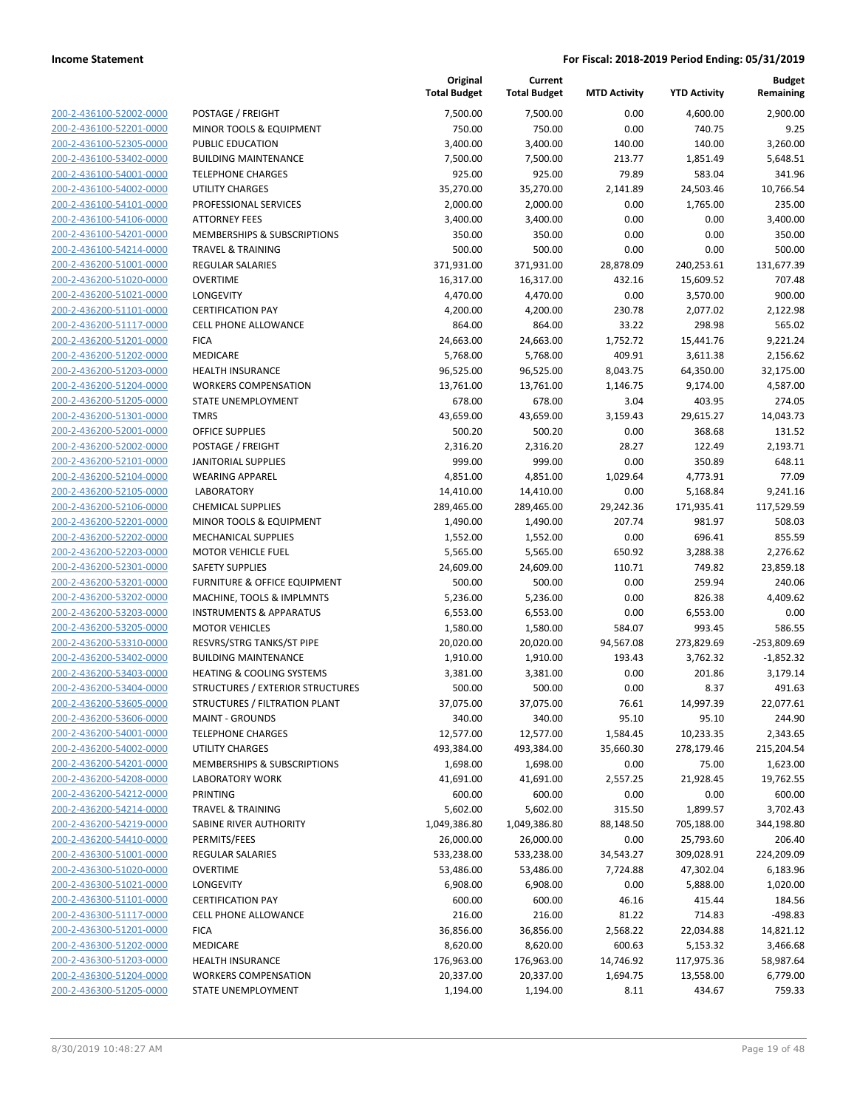| 200-2-436100-52002-0000                            |
|----------------------------------------------------|
| 200-2-436100-52201-0000                            |
| 200-2-436100-52305-0000                            |
| 200-2-436100-53402-0000                            |
| 200-2-436100-54001-0000                            |
|                                                    |
| 200-2-436100-54002-0000                            |
| 200-2-436100-54101-0000                            |
| 200-2-436100-54106-0000                            |
| 200-2-436100-54201-0000                            |
| 200-2-436100-54214-0000                            |
| 200-2-436200-51001-0000                            |
| 200-2-436200-51020-0000                            |
| <u>200-2-436200-51021-0000</u>                     |
| 200-2-436200-51101-0000                            |
| 200-2-436200-51117-0000                            |
| 200-2-436200-51201-0000                            |
| 200-2-436200-51202-0000                            |
|                                                    |
| 200-2-436200-51203-0000                            |
| 200-2-436200-51204-0000                            |
| 200-2-436200-51205-0000                            |
| 200-2-436200-51301-0000                            |
| 200-2-436200-52001-0000                            |
| <u>200-2-436200-52002-0000</u>                     |
| 200-2-436200-52101-0000                            |
| 200-2-436200-52104-0000                            |
| 200-2-436200-52105-0000                            |
| 200-2-436200-52106-0000                            |
|                                                    |
| 200-2-436200-52201-0000                            |
| 200-2-436200-52202-0000                            |
| 200-2-436200-52203-0000                            |
| 200-2-436200-52301-0000                            |
| 200-2-436200-53201-0000                            |
| <u>200-2-436200-53202-0000</u>                     |
| 200-2-436200-53203-0000                            |
| 200-2-436200-53205-0000                            |
| 200-2-436200-53310-0000                            |
| 200-2-436200-53402-0000                            |
|                                                    |
| <u>200-2-436200-53403-0000</u>                     |
| 200-2-436200-53404-0000                            |
| 200-2-436200-53605-0000                            |
| 200-2-436200-53606-0000                            |
| 200-2-436200-54001-0000                            |
| <u>200-2-436200-54002-0000</u>                     |
| 200-2-436200-54201-0000                            |
|                                                    |
| 200-2-436200-54208-0000                            |
|                                                    |
| 200-2-436200-54212-0000                            |
| 200-2-436200-54214-0000                            |
| <u>200-2-436200-54219-0000</u>                     |
| <u>200-2-436200-54410-0000</u>                     |
| 200-2-436300-51001-0000                            |
| 200-2-436300-51020-0000                            |
| 200-2-436300-51021-0000                            |
| <u>200-2-436300-51101-0000</u>                     |
| 200-2-436300-51117-0000                            |
| 200-2-436300-51201-0000                            |
| 200-2-436300-51202-0000                            |
|                                                    |
| <u>200-2-436300-51203-0000</u>                     |
| 200-2-436300-51204-0000<br>200-2-436300-51205-0000 |

|                         |                                        | Original<br><b>Total Budget</b> | Current<br><b>Total Budget</b> | <b>MTD Activity</b> | <b>YTD Activity</b> | <b>Budget</b><br>Remaining |
|-------------------------|----------------------------------------|---------------------------------|--------------------------------|---------------------|---------------------|----------------------------|
| 200-2-436100-52002-0000 | POSTAGE / FREIGHT                      | 7,500.00                        | 7,500.00                       | 0.00                | 4,600.00            | 2,900.00                   |
| 200-2-436100-52201-0000 | MINOR TOOLS & EQUIPMENT                | 750.00                          | 750.00                         | 0.00                | 740.75              | 9.25                       |
| 200-2-436100-52305-0000 | PUBLIC EDUCATION                       | 3,400.00                        | 3,400.00                       | 140.00              | 140.00              | 3,260.00                   |
| 200-2-436100-53402-0000 | <b>BUILDING MAINTENANCE</b>            | 7,500.00                        | 7,500.00                       | 213.77              | 1,851.49            | 5,648.51                   |
| 200-2-436100-54001-0000 | <b>TELEPHONE CHARGES</b>               | 925.00                          | 925.00                         | 79.89               | 583.04              | 341.96                     |
| 200-2-436100-54002-0000 | UTILITY CHARGES                        | 35,270.00                       | 35,270.00                      | 2,141.89            | 24,503.46           | 10,766.54                  |
| 200-2-436100-54101-0000 | PROFESSIONAL SERVICES                  | 2,000.00                        | 2,000.00                       | 0.00                | 1,765.00            | 235.00                     |
| 200-2-436100-54106-0000 | <b>ATTORNEY FEES</b>                   | 3,400.00                        | 3,400.00                       | 0.00                | 0.00                | 3,400.00                   |
| 200-2-436100-54201-0000 | <b>MEMBERSHIPS &amp; SUBSCRIPTIONS</b> | 350.00                          | 350.00                         | 0.00                | 0.00                | 350.00                     |
| 200-2-436100-54214-0000 | <b>TRAVEL &amp; TRAINING</b>           | 500.00                          | 500.00                         | 0.00                | 0.00                | 500.00                     |
| 200-2-436200-51001-0000 | REGULAR SALARIES                       | 371,931.00                      | 371,931.00                     | 28,878.09           | 240,253.61          | 131,677.39                 |
| 200-2-436200-51020-0000 | <b>OVERTIME</b>                        | 16,317.00                       | 16,317.00                      | 432.16              | 15,609.52           | 707.48                     |
| 200-2-436200-51021-0000 | LONGEVITY                              | 4,470.00                        | 4,470.00                       | 0.00                | 3,570.00            | 900.00                     |
| 200-2-436200-51101-0000 | <b>CERTIFICATION PAY</b>               | 4,200.00                        | 4,200.00                       | 230.78              | 2,077.02            | 2,122.98                   |
| 200-2-436200-51117-0000 | <b>CELL PHONE ALLOWANCE</b>            | 864.00                          | 864.00                         | 33.22               | 298.98              | 565.02                     |
| 200-2-436200-51201-0000 | <b>FICA</b>                            | 24,663.00                       | 24,663.00                      | 1,752.72            | 15,441.76           | 9,221.24                   |
| 200-2-436200-51202-0000 | MEDICARE                               | 5,768.00                        | 5,768.00                       | 409.91              | 3,611.38            | 2,156.62                   |
| 200-2-436200-51203-0000 | <b>HEALTH INSURANCE</b>                | 96,525.00                       | 96,525.00                      | 8,043.75            | 64,350.00           | 32,175.00                  |
| 200-2-436200-51204-0000 | <b>WORKERS COMPENSATION</b>            | 13,761.00                       | 13,761.00                      | 1,146.75            | 9,174.00            | 4,587.00                   |
| 200-2-436200-51205-0000 | STATE UNEMPLOYMENT                     | 678.00                          | 678.00                         | 3.04                | 403.95              | 274.05                     |
| 200-2-436200-51301-0000 | <b>TMRS</b>                            | 43,659.00                       | 43,659.00                      | 3,159.43            | 29,615.27           | 14,043.73                  |
| 200-2-436200-52001-0000 | <b>OFFICE SUPPLIES</b>                 | 500.20                          | 500.20                         | 0.00                | 368.68              | 131.52                     |
| 200-2-436200-52002-0000 | POSTAGE / FREIGHT                      | 2,316.20                        | 2,316.20                       | 28.27               | 122.49              | 2,193.71                   |
| 200-2-436200-52101-0000 | <b>JANITORIAL SUPPLIES</b>             | 999.00                          | 999.00                         | 0.00                | 350.89              | 648.11                     |
| 200-2-436200-52104-0000 | <b>WEARING APPAREL</b>                 | 4,851.00                        | 4,851.00                       | 1,029.64            | 4,773.91            | 77.09                      |
| 200-2-436200-52105-0000 | <b>LABORATORY</b>                      | 14,410.00                       | 14,410.00                      | 0.00                | 5,168.84            | 9,241.16                   |
| 200-2-436200-52106-0000 | <b>CHEMICAL SUPPLIES</b>               | 289,465.00                      | 289,465.00                     | 29,242.36           | 171,935.41          | 117,529.59                 |
| 200-2-436200-52201-0000 | MINOR TOOLS & EQUIPMENT                | 1,490.00                        | 1,490.00                       | 207.74              | 981.97              | 508.03                     |
| 200-2-436200-52202-0000 | <b>MECHANICAL SUPPLIES</b>             | 1,552.00                        | 1,552.00                       | 0.00                | 696.41              | 855.59                     |
| 200-2-436200-52203-0000 | <b>MOTOR VEHICLE FUEL</b>              | 5,565.00                        | 5,565.00                       | 650.92              | 3,288.38            | 2,276.62                   |
| 200-2-436200-52301-0000 | <b>SAFETY SUPPLIES</b>                 | 24,609.00                       | 24,609.00                      | 110.71              | 749.82              | 23,859.18                  |
| 200-2-436200-53201-0000 | FURNITURE & OFFICE EQUIPMENT           | 500.00                          | 500.00                         | 0.00                | 259.94              | 240.06                     |
| 200-2-436200-53202-0000 | MACHINE, TOOLS & IMPLMNTS              | 5,236.00                        | 5,236.00                       | 0.00                | 826.38              | 4,409.62                   |
| 200-2-436200-53203-0000 | <b>INSTRUMENTS &amp; APPARATUS</b>     | 6,553.00                        | 6,553.00                       | 0.00                | 6,553.00            | 0.00                       |
| 200-2-436200-53205-0000 | <b>MOTOR VEHICLES</b>                  | 1,580.00                        | 1,580.00                       | 584.07              | 993.45              | 586.55                     |
| 200-2-436200-53310-0000 | RESVRS/STRG TANKS/ST PIPE              | 20,020.00                       | 20,020.00                      | 94,567.08           | 273,829.69          | $-253,809.69$              |
| 200-2-436200-53402-0000 | <b>BUILDING MAINTENANCE</b>            | 1,910.00                        | 1,910.00                       | 193.43              | 3,762.32            | $-1,852.32$                |
| 200-2-436200-53403-0000 | HEATING & COOLING SYSTEMS              | 3,381.00                        | 3,381.00                       | 0.00                | 201.86              | 3,179.14                   |
| 200-2-436200-53404-0000 | STRUCTURES / EXTERIOR STRUCTURES       | 500.00                          | 500.00                         | 0.00                | 8.37                | 491.63                     |
| 200-2-436200-53605-0000 | STRUCTURES / FILTRATION PLANT          | 37,075.00                       | 37,075.00                      | 76.61               | 14,997.39           | 22,077.61                  |
| 200-2-436200-53606-0000 | <b>MAINT - GROUNDS</b>                 | 340.00                          | 340.00                         | 95.10               | 95.10               | 244.90                     |
| 200-2-436200-54001-0000 | <b>TELEPHONE CHARGES</b>               | 12,577.00                       | 12,577.00                      | 1,584.45            | 10,233.35           | 2,343.65                   |
| 200-2-436200-54002-0000 | UTILITY CHARGES                        | 493,384.00                      | 493,384.00                     | 35,660.30           | 278,179.46          | 215,204.54                 |
| 200-2-436200-54201-0000 | MEMBERSHIPS & SUBSCRIPTIONS            | 1,698.00                        | 1,698.00                       | 0.00                | 75.00               | 1,623.00                   |
| 200-2-436200-54208-0000 | <b>LABORATORY WORK</b>                 | 41,691.00                       | 41,691.00                      | 2,557.25            | 21,928.45           | 19,762.55                  |
| 200-2-436200-54212-0000 | PRINTING                               | 600.00                          | 600.00                         | 0.00                | 0.00                | 600.00                     |
| 200-2-436200-54214-0000 | <b>TRAVEL &amp; TRAINING</b>           | 5,602.00                        | 5,602.00                       | 315.50              | 1,899.57            | 3,702.43                   |
| 200-2-436200-54219-0000 | SABINE RIVER AUTHORITY                 | 1,049,386.80                    | 1,049,386.80                   | 88,148.50           | 705,188.00          | 344,198.80                 |
| 200-2-436200-54410-0000 | PERMITS/FEES                           | 26,000.00                       | 26,000.00                      | 0.00                | 25,793.60           | 206.40                     |
| 200-2-436300-51001-0000 | REGULAR SALARIES                       | 533,238.00                      | 533,238.00                     | 34,543.27           | 309,028.91          | 224,209.09                 |
| 200-2-436300-51020-0000 | <b>OVERTIME</b>                        | 53,486.00                       | 53,486.00                      | 7,724.88            | 47,302.04           | 6,183.96                   |
| 200-2-436300-51021-0000 | LONGEVITY                              | 6,908.00                        | 6,908.00                       | 0.00                | 5,888.00            | 1,020.00                   |
| 200-2-436300-51101-0000 | <b>CERTIFICATION PAY</b>               | 600.00                          | 600.00                         | 46.16               | 415.44              | 184.56                     |
| 200-2-436300-51117-0000 | <b>CELL PHONE ALLOWANCE</b>            | 216.00                          | 216.00                         | 81.22               | 714.83              | $-498.83$                  |
| 200-2-436300-51201-0000 | <b>FICA</b>                            | 36,856.00                       | 36,856.00                      | 2,568.22            | 22,034.88           | 14,821.12                  |
| 200-2-436300-51202-0000 | MEDICARE                               | 8,620.00                        | 8,620.00                       | 600.63              | 5,153.32            | 3,466.68                   |
| 200-2-436300-51203-0000 | <b>HEALTH INSURANCE</b>                | 176,963.00                      | 176,963.00                     | 14,746.92           | 117,975.36          | 58,987.64                  |
| 200-2-436300-51204-0000 | <b>WORKERS COMPENSATION</b>            | 20,337.00                       | 20,337.00                      | 1,694.75            | 13,558.00           | 6,779.00                   |
| 200-2-436300-51205-0000 | STATE UNEMPLOYMENT                     | 1,194.00                        | 1,194.00                       | 8.11                | 434.67              | 759.33                     |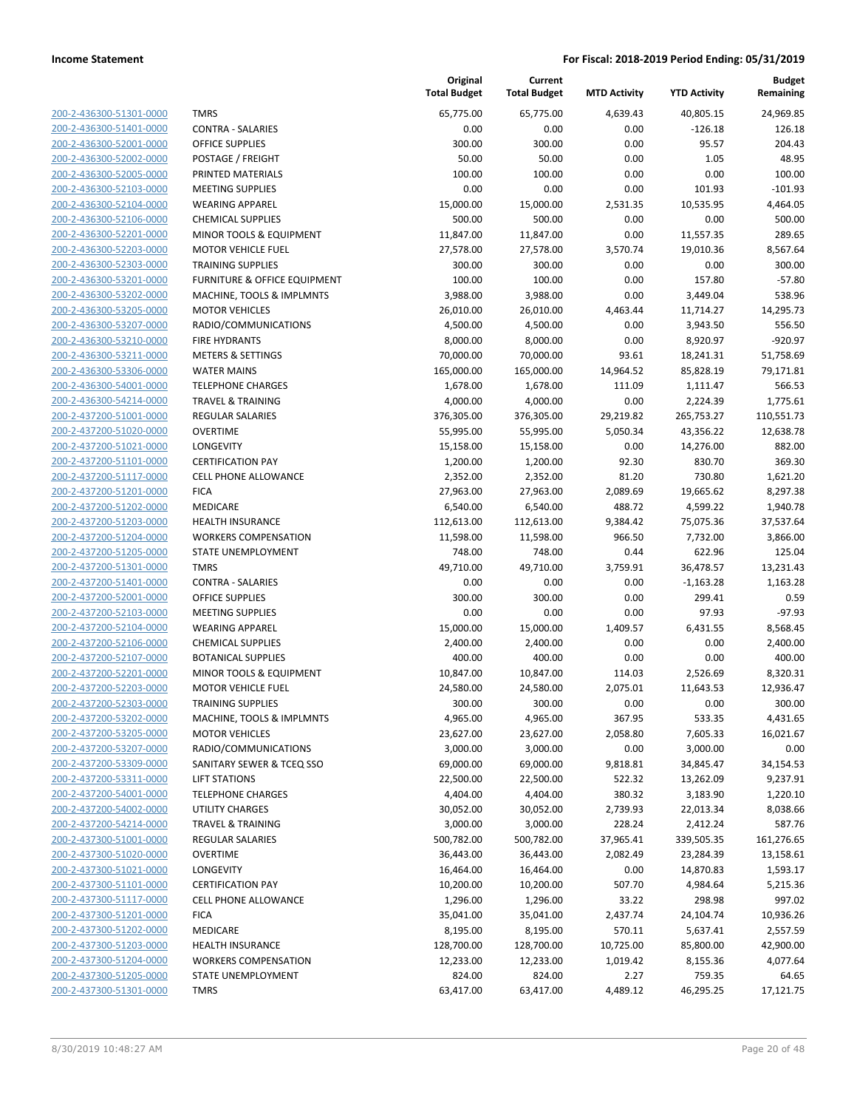| 200-2-436300-51301-0000        |
|--------------------------------|
| 200-2-436300-51401-0000        |
| 200-2-436300-52001-0000        |
| 200-2-436300-52002-0000        |
| 200-2-436300-52005-0000        |
| <u>200-2-436300-52103-0000</u> |
| 200-2-436300-52104-0000        |
| 200-2-436300-52106-0000        |
| <u>200-2-436300-52201-0000</u> |
| <u>200-2-436300-52203-0000</u> |
| 200-2-436300-52303-0000        |
| 200-2-436300-53201-0000        |
| 200-2-436300-53202-0000        |
| 200-2-436300-53205-0000        |
| <u>200-2-436300-53207-0000</u> |
| 200-2-436300-53210-0000        |
| 200-2-436300-53211-0000        |
| 200-2-436300-53306-0000        |
|                                |
| 200-2-436300-54001-0000        |
| <u>200-2-436300-54214-0000</u> |
| 200-2-437200-51001-0000        |
| 200-2-437200-51020-0000        |
| 200-2-437200-51021-0000        |
| 200-2-437200-51101-0000        |
| <u>200-2-437200-51117-0000</u> |
| 200-2-437200-51201-0000        |
| 200-2-437200-51202-0000        |
| 200-2-437200-51203-0000        |
| 200-2-437200-51204-0000        |
| 200-2-437200-51205-0000        |
| 200-2-437200-51301-0000        |
| 200-2-437200-51401-0000        |
| 200-2-437200-52001-0000        |
| 200-2-437200-52103-0000        |
| 200-2-437200-52104-0000        |
| 200-2-437200-52106-0000        |
| 200-2-437200-52107-0000        |
| 200-2-437200-52201-0000        |
| 200-2-437200-52203-0000        |
| 200-2-437200-52303-0000        |
| 200-2-437200-53202-0000        |
| <u>200-2-437200-53205-0000</u> |
|                                |
| 200-2-437200-53207-0000        |
| 200-2-437200-53309-0000        |
| <u>200-2-437200-53311-0000</u> |
| 200-2-437200-54001-0000        |
| 200-2-437200-54002-0000        |
| 200-2-437200-54214-0000        |
| 200-2-437300-51001-0000        |
| <u>200-2-437300-51020-0000</u> |
| 200-2-437300-51021-0000        |
| 200-2-437300-51101-0000        |
| 200-2-437300-51117-0000        |
| 200-2-437300-51201-0000        |
| <u>200-2-437300-51202-0000</u> |
| <u>200-2-437300-51203-0000</u> |
| 200-2-437300-51204-0000        |
| 200-2-437300-51205-0000        |
| 200-2-437300-51301-0000        |
|                                |

|                         |                              | Original<br><b>Total Budget</b> | Current<br><b>Total Budget</b> | <b>MTD Activity</b> | <b>YTD Activity</b> | <b>Budget</b><br>Remaining |
|-------------------------|------------------------------|---------------------------------|--------------------------------|---------------------|---------------------|----------------------------|
| 200-2-436300-51301-0000 | <b>TMRS</b>                  | 65,775.00                       | 65,775.00                      | 4,639.43            | 40,805.15           | 24,969.85                  |
| 200-2-436300-51401-0000 | <b>CONTRA - SALARIES</b>     | 0.00                            | 0.00                           | 0.00                | $-126.18$           | 126.18                     |
| 200-2-436300-52001-0000 | <b>OFFICE SUPPLIES</b>       | 300.00                          | 300.00                         | 0.00                | 95.57               | 204.43                     |
| 200-2-436300-52002-0000 | POSTAGE / FREIGHT            | 50.00                           | 50.00                          | 0.00                | 1.05                | 48.95                      |
| 200-2-436300-52005-0000 | PRINTED MATERIALS            | 100.00                          | 100.00                         | 0.00                | 0.00                | 100.00                     |
| 200-2-436300-52103-0000 | <b>MEETING SUPPLIES</b>      | 0.00                            | 0.00                           | 0.00                | 101.93              | $-101.93$                  |
| 200-2-436300-52104-0000 | <b>WEARING APPAREL</b>       | 15,000.00                       | 15,000.00                      | 2,531.35            | 10,535.95           | 4,464.05                   |
| 200-2-436300-52106-0000 | <b>CHEMICAL SUPPLIES</b>     | 500.00                          | 500.00                         | 0.00                | 0.00                | 500.00                     |
| 200-2-436300-52201-0000 | MINOR TOOLS & EQUIPMENT      | 11,847.00                       | 11,847.00                      | 0.00                | 11,557.35           | 289.65                     |
| 200-2-436300-52203-0000 | <b>MOTOR VEHICLE FUEL</b>    | 27,578.00                       | 27,578.00                      | 3,570.74            | 19,010.36           | 8,567.64                   |
| 200-2-436300-52303-0000 | <b>TRAINING SUPPLIES</b>     | 300.00                          | 300.00                         | 0.00                | 0.00                | 300.00                     |
| 200-2-436300-53201-0000 | FURNITURE & OFFICE EQUIPMENT | 100.00                          | 100.00                         | 0.00                | 157.80              | $-57.80$                   |
| 200-2-436300-53202-0000 | MACHINE, TOOLS & IMPLMNTS    | 3,988.00                        | 3,988.00                       | 0.00                | 3,449.04            | 538.96                     |
| 200-2-436300-53205-0000 | <b>MOTOR VEHICLES</b>        | 26,010.00                       | 26,010.00                      | 4,463.44            | 11,714.27           | 14,295.73                  |
| 200-2-436300-53207-0000 | RADIO/COMMUNICATIONS         | 4,500.00                        | 4,500.00                       | 0.00                | 3,943.50            | 556.50                     |
| 200-2-436300-53210-0000 | <b>FIRE HYDRANTS</b>         | 8,000.00                        | 8,000.00                       | 0.00                | 8,920.97            | -920.97                    |
| 200-2-436300-53211-0000 | <b>METERS &amp; SETTINGS</b> | 70,000.00                       | 70,000.00                      | 93.61               | 18,241.31           | 51,758.69                  |
| 200-2-436300-53306-0000 | <b>WATER MAINS</b>           | 165,000.00                      | 165,000.00                     | 14,964.52           | 85,828.19           | 79,171.81                  |
| 200-2-436300-54001-0000 | <b>TELEPHONE CHARGES</b>     | 1,678.00                        | 1,678.00                       | 111.09              | 1,111.47            | 566.53                     |
| 200-2-436300-54214-0000 | <b>TRAVEL &amp; TRAINING</b> | 4,000.00                        | 4,000.00                       | 0.00                | 2,224.39            | 1,775.61                   |
| 200-2-437200-51001-0000 | <b>REGULAR SALARIES</b>      | 376,305.00                      | 376,305.00                     | 29,219.82           | 265,753.27          | 110,551.73                 |
| 200-2-437200-51020-0000 | <b>OVERTIME</b>              | 55,995.00                       | 55,995.00                      | 5,050.34            | 43,356.22           | 12,638.78                  |
| 200-2-437200-51021-0000 | LONGEVITY                    | 15,158.00                       | 15,158.00                      | 0.00                | 14,276.00           | 882.00                     |
| 200-2-437200-51101-0000 | <b>CERTIFICATION PAY</b>     | 1,200.00                        | 1,200.00                       | 92.30               | 830.70              | 369.30                     |
| 200-2-437200-51117-0000 | <b>CELL PHONE ALLOWANCE</b>  | 2,352.00                        | 2,352.00                       | 81.20               | 730.80              | 1,621.20                   |
| 200-2-437200-51201-0000 | <b>FICA</b>                  | 27,963.00                       | 27,963.00                      | 2,089.69            | 19,665.62           | 8,297.38                   |
| 200-2-437200-51202-0000 | MEDICARE                     | 6,540.00                        | 6,540.00                       | 488.72              | 4,599.22            | 1,940.78                   |
| 200-2-437200-51203-0000 | <b>HEALTH INSURANCE</b>      | 112,613.00                      | 112,613.00                     | 9,384.42            | 75,075.36           | 37,537.64                  |
| 200-2-437200-51204-0000 | <b>WORKERS COMPENSATION</b>  | 11,598.00                       | 11,598.00                      | 966.50              | 7,732.00            | 3,866.00                   |
| 200-2-437200-51205-0000 | STATE UNEMPLOYMENT           | 748.00                          | 748.00                         | 0.44                | 622.96              | 125.04                     |
| 200-2-437200-51301-0000 | <b>TMRS</b>                  | 49,710.00                       | 49,710.00                      | 3,759.91            | 36,478.57           | 13,231.43                  |
| 200-2-437200-51401-0000 | <b>CONTRA - SALARIES</b>     | 0.00                            | 0.00                           | 0.00                | $-1,163.28$         | 1,163.28                   |
| 200-2-437200-52001-0000 | <b>OFFICE SUPPLIES</b>       | 300.00                          | 300.00                         | 0.00                | 299.41              | 0.59                       |
| 200-2-437200-52103-0000 | <b>MEETING SUPPLIES</b>      | 0.00                            | 0.00                           | 0.00                | 97.93               | $-97.93$                   |
| 200-2-437200-52104-0000 | <b>WEARING APPAREL</b>       | 15,000.00                       | 15,000.00                      | 1,409.57            | 6,431.55            | 8,568.45                   |
| 200-2-437200-52106-0000 | <b>CHEMICAL SUPPLIES</b>     | 2,400.00                        | 2,400.00                       | 0.00                | 0.00                | 2,400.00                   |
| 200-2-437200-52107-0000 | <b>BOTANICAL SUPPLIES</b>    | 400.00                          | 400.00                         | 0.00                | 0.00                | 400.00                     |
| 200-2-437200-52201-0000 | MINOR TOOLS & EQUIPMENT      | 10,847.00                       | 10,847.00                      | 114.03              | 2,526.69            | 8,320.31                   |
| 200-2-437200-52203-0000 | <b>MOTOR VEHICLE FUEL</b>    | 24,580.00                       | 24,580.00                      | 2,075.01            | 11,643.53           | 12,936.47                  |
| 200-2-437200-52303-0000 | <b>TRAINING SUPPLIES</b>     | 300.00                          | 300.00                         | 0.00                | 0.00                | 300.00                     |
| 200-2-437200-53202-0000 | MACHINE, TOOLS & IMPLMNTS    | 4,965.00                        | 4,965.00                       | 367.95              | 533.35              | 4,431.65                   |
| 200-2-437200-53205-0000 | <b>MOTOR VEHICLES</b>        | 23,627.00                       | 23,627.00                      | 2,058.80            | 7,605.33            | 16,021.67                  |
| 200-2-437200-53207-0000 | RADIO/COMMUNICATIONS         | 3,000.00                        | 3,000.00                       | 0.00                | 3,000.00            | 0.00                       |
| 200-2-437200-53309-0000 | SANITARY SEWER & TCEQ SSO    | 69,000.00                       | 69,000.00                      | 9,818.81            | 34,845.47           | 34,154.53                  |
| 200-2-437200-53311-0000 | <b>LIFT STATIONS</b>         | 22,500.00                       | 22,500.00                      | 522.32              | 13,262.09           | 9,237.91                   |
| 200-2-437200-54001-0000 | <b>TELEPHONE CHARGES</b>     | 4,404.00                        | 4,404.00                       | 380.32              | 3,183.90            | 1,220.10                   |
| 200-2-437200-54002-0000 | <b>UTILITY CHARGES</b>       | 30,052.00                       | 30,052.00                      | 2,739.93            | 22,013.34           | 8,038.66                   |
| 200-2-437200-54214-0000 | <b>TRAVEL &amp; TRAINING</b> | 3,000.00                        | 3,000.00                       | 228.24              | 2,412.24            | 587.76                     |
| 200-2-437300-51001-0000 | REGULAR SALARIES             | 500,782.00                      | 500,782.00                     | 37,965.41           | 339,505.35          | 161,276.65                 |
| 200-2-437300-51020-0000 | <b>OVERTIME</b>              | 36,443.00                       | 36,443.00                      | 2,082.49            | 23,284.39           | 13,158.61                  |
| 200-2-437300-51021-0000 | LONGEVITY                    | 16,464.00                       | 16,464.00                      | 0.00                | 14,870.83           | 1,593.17                   |
| 200-2-437300-51101-0000 | <b>CERTIFICATION PAY</b>     | 10,200.00                       | 10,200.00                      | 507.70              | 4,984.64            | 5,215.36                   |
| 200-2-437300-51117-0000 | CELL PHONE ALLOWANCE         | 1,296.00                        | 1,296.00                       | 33.22               | 298.98              | 997.02                     |
| 200-2-437300-51201-0000 | <b>FICA</b>                  | 35,041.00                       | 35,041.00                      | 2,437.74            | 24,104.74           | 10,936.26                  |
| 200-2-437300-51202-0000 | MEDICARE                     | 8,195.00                        | 8,195.00                       | 570.11              | 5,637.41            | 2,557.59                   |
| 200-2-437300-51203-0000 | <b>HEALTH INSURANCE</b>      | 128,700.00                      | 128,700.00                     | 10,725.00           | 85,800.00           | 42,900.00                  |
| 200-2-437300-51204-0000 | <b>WORKERS COMPENSATION</b>  | 12,233.00                       | 12,233.00                      | 1,019.42            | 8,155.36            | 4,077.64                   |
| 200-2-437300-51205-0000 | STATE UNEMPLOYMENT           | 824.00                          | 824.00                         | 2.27                | 759.35              | 64.65                      |
| 200-2-437300-51301-0000 | <b>TMRS</b>                  | 63,417.00                       | 63,417.00                      | 4,489.12            | 46,295.25           | 17,121.75                  |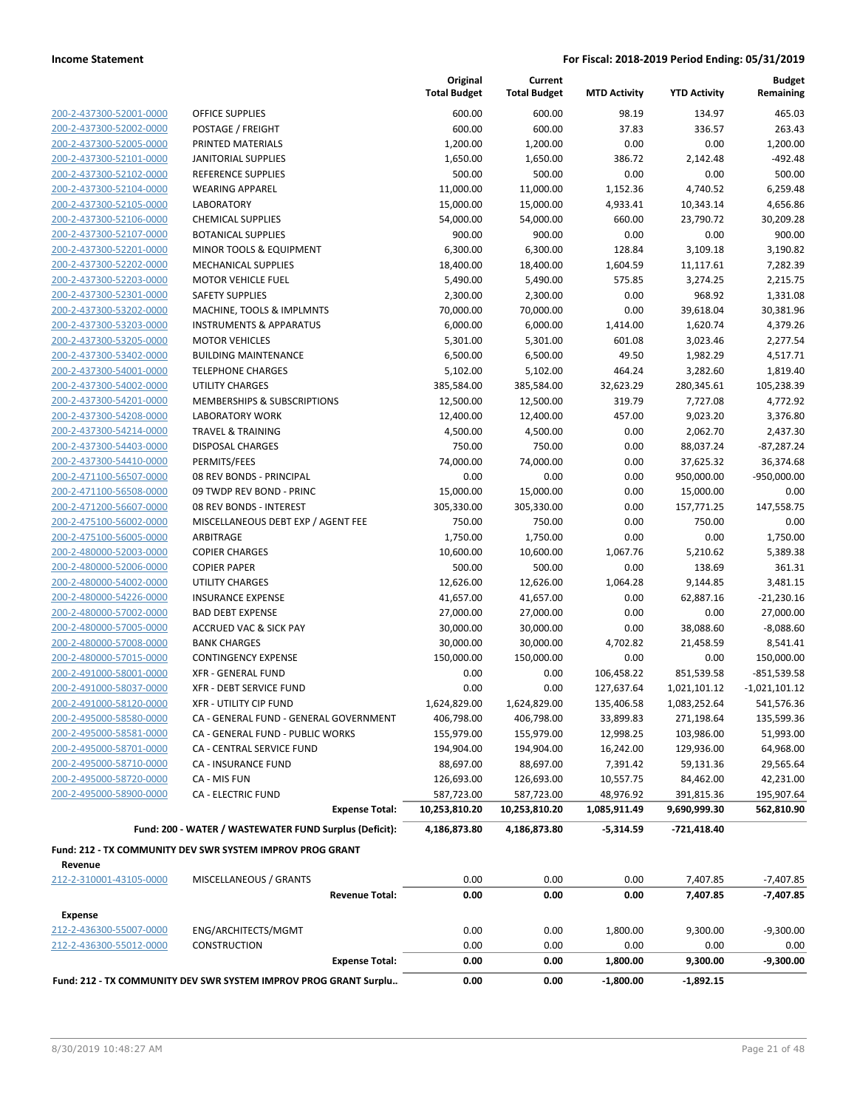|                         |                                                                  |                       | Original<br><b>Total Budget</b> | Current<br><b>Total Budget</b> | <b>MTD Activity</b> | <b>YTD Activity</b> | <b>Budget</b><br>Remaining |
|-------------------------|------------------------------------------------------------------|-----------------------|---------------------------------|--------------------------------|---------------------|---------------------|----------------------------|
| 200-2-437300-52001-0000 | <b>OFFICE SUPPLIES</b>                                           |                       | 600.00                          | 600.00                         | 98.19               | 134.97              | 465.03                     |
| 200-2-437300-52002-0000 | POSTAGE / FREIGHT                                                |                       | 600.00                          | 600.00                         | 37.83               | 336.57              | 263.43                     |
| 200-2-437300-52005-0000 | PRINTED MATERIALS                                                |                       | 1,200.00                        | 1,200.00                       | 0.00                | 0.00                | 1,200.00                   |
| 200-2-437300-52101-0000 | <b>JANITORIAL SUPPLIES</b>                                       |                       | 1,650.00                        | 1,650.00                       | 386.72              | 2,142.48            | $-492.48$                  |
| 200-2-437300-52102-0000 | <b>REFERENCE SUPPLIES</b>                                        |                       | 500.00                          | 500.00                         | 0.00                | 0.00                | 500.00                     |
| 200-2-437300-52104-0000 | <b>WEARING APPAREL</b>                                           |                       | 11,000.00                       | 11,000.00                      | 1,152.36            | 4,740.52            | 6,259.48                   |
| 200-2-437300-52105-0000 | <b>LABORATORY</b>                                                |                       | 15,000.00                       | 15,000.00                      | 4,933.41            | 10,343.14           | 4,656.86                   |
| 200-2-437300-52106-0000 | <b>CHEMICAL SUPPLIES</b>                                         |                       | 54,000.00                       | 54,000.00                      | 660.00              | 23,790.72           | 30,209.28                  |
| 200-2-437300-52107-0000 | <b>BOTANICAL SUPPLIES</b>                                        |                       | 900.00                          | 900.00                         | 0.00                | 0.00                | 900.00                     |
| 200-2-437300-52201-0000 | MINOR TOOLS & EQUIPMENT                                          |                       | 6,300.00                        | 6,300.00                       | 128.84              | 3,109.18            | 3,190.82                   |
| 200-2-437300-52202-0000 | <b>MECHANICAL SUPPLIES</b>                                       |                       | 18,400.00                       | 18,400.00                      | 1,604.59            | 11,117.61           | 7,282.39                   |
| 200-2-437300-52203-0000 | <b>MOTOR VEHICLE FUEL</b>                                        |                       | 5,490.00                        | 5,490.00                       | 575.85              | 3,274.25            | 2,215.75                   |
| 200-2-437300-52301-0000 | <b>SAFETY SUPPLIES</b>                                           |                       | 2,300.00                        | 2,300.00                       | 0.00                | 968.92              | 1,331.08                   |
| 200-2-437300-53202-0000 | MACHINE, TOOLS & IMPLMNTS                                        |                       | 70,000.00                       | 70,000.00                      | 0.00                | 39,618.04           | 30,381.96                  |
| 200-2-437300-53203-0000 | <b>INSTRUMENTS &amp; APPARATUS</b>                               |                       | 6,000.00                        | 6,000.00                       | 1,414.00            | 1,620.74            | 4,379.26                   |
| 200-2-437300-53205-0000 | <b>MOTOR VEHICLES</b>                                            |                       | 5,301.00                        | 5,301.00                       | 601.08              | 3,023.46            | 2,277.54                   |
| 200-2-437300-53402-0000 | <b>BUILDING MAINTENANCE</b>                                      |                       | 6,500.00                        | 6,500.00                       | 49.50               | 1,982.29            | 4,517.71                   |
| 200-2-437300-54001-0000 | <b>TELEPHONE CHARGES</b>                                         |                       | 5,102.00                        | 5,102.00                       | 464.24              | 3,282.60            | 1,819.40                   |
| 200-2-437300-54002-0000 | <b>UTILITY CHARGES</b>                                           |                       | 385,584.00                      | 385,584.00                     | 32,623.29           | 280,345.61          | 105,238.39                 |
| 200-2-437300-54201-0000 | MEMBERSHIPS & SUBSCRIPTIONS                                      |                       | 12,500.00                       | 12,500.00                      | 319.79              | 7,727.08            | 4,772.92                   |
| 200-2-437300-54208-0000 | <b>LABORATORY WORK</b>                                           |                       | 12,400.00                       | 12,400.00                      | 457.00              | 9,023.20            | 3,376.80                   |
| 200-2-437300-54214-0000 | <b>TRAVEL &amp; TRAINING</b>                                     |                       | 4,500.00                        | 4,500.00                       | 0.00                | 2,062.70            | 2,437.30                   |
| 200-2-437300-54403-0000 | <b>DISPOSAL CHARGES</b>                                          |                       | 750.00                          | 750.00                         | 0.00                | 88,037.24           | $-87,287.24$               |
| 200-2-437300-54410-0000 | PERMITS/FEES                                                     |                       | 74,000.00                       | 74,000.00                      | 0.00                | 37,625.32           | 36,374.68                  |
| 200-2-471100-56507-0000 | 08 REV BONDS - PRINCIPAL                                         |                       | 0.00                            | 0.00                           | 0.00                | 950,000.00          | $-950,000.00$              |
| 200-2-471100-56508-0000 | 09 TWDP REV BOND - PRINC                                         |                       | 15,000.00                       | 15,000.00                      | 0.00                | 15,000.00           | 0.00                       |
| 200-2-471200-56607-0000 | 08 REV BONDS - INTEREST                                          |                       | 305,330.00                      | 305,330.00                     | 0.00                | 157,771.25          | 147,558.75                 |
| 200-2-475100-56002-0000 | MISCELLANEOUS DEBT EXP / AGENT FEE                               |                       | 750.00                          | 750.00                         | 0.00                | 750.00              | 0.00                       |
| 200-2-475100-56005-0000 | ARBITRAGE                                                        |                       | 1,750.00                        | 1,750.00                       | 0.00                | 0.00                | 1,750.00                   |
| 200-2-480000-52003-0000 | <b>COPIER CHARGES</b>                                            |                       | 10,600.00                       | 10,600.00                      | 1,067.76            | 5,210.62            | 5,389.38                   |
| 200-2-480000-52006-0000 | <b>COPIER PAPER</b>                                              |                       | 500.00                          | 500.00                         | 0.00                | 138.69              | 361.31                     |
| 200-2-480000-54002-0000 | <b>UTILITY CHARGES</b>                                           |                       | 12,626.00                       | 12,626.00                      | 1,064.28            | 9,144.85            | 3,481.15                   |
| 200-2-480000-54226-0000 | <b>INSURANCE EXPENSE</b>                                         |                       | 41,657.00                       | 41,657.00                      | 0.00                | 62,887.16           | $-21,230.16$               |
| 200-2-480000-57002-0000 | <b>BAD DEBT EXPENSE</b>                                          |                       | 27,000.00                       | 27,000.00                      | 0.00                | 0.00                | 27,000.00                  |
| 200-2-480000-57005-0000 | <b>ACCRUED VAC &amp; SICK PAY</b>                                |                       | 30,000.00                       | 30,000.00                      | 0.00                | 38,088.60           | $-8,088.60$                |
| 200-2-480000-57008-0000 | <b>BANK CHARGES</b>                                              |                       | 30,000.00                       | 30,000.00                      | 4,702.82            | 21,458.59           | 8,541.41                   |
| 200-2-480000-57015-0000 | <b>CONTINGENCY EXPENSE</b>                                       |                       | 150,000.00                      | 150,000.00                     | 0.00                | 0.00                | 150,000.00                 |
| 200-2-491000-58001-0000 | <b>XFR - GENERAL FUND</b>                                        |                       | 0.00                            | 0.00                           | 106,458.22          | 851,539.58          | $-851,539.58$              |
| 200-2-491000-58037-0000 | <b>XFR - DEBT SERVICE FUND</b>                                   |                       | 0.00                            | 0.00                           | 127,637.64          | 1,021,101.12        | $-1,021,101.12$            |
| 200-2-491000-58120-0000 | XFR - UTILITY CIP FUND                                           |                       | 1,624,829.00                    | 1,624,829.00                   | 135,406.58          | 1,083,252.64        | 541,576.36                 |
| 200-2-495000-58580-0000 | CA - GENERAL FUND - GENERAL GOVERNMENT                           |                       | 406,798.00                      | 406,798.00                     | 33,899.83           | 271,198.64          | 135,599.36                 |
| 200-2-495000-58581-0000 | CA - GENERAL FUND - PUBLIC WORKS                                 |                       | 155,979.00                      | 155,979.00                     | 12,998.25           | 103,986.00          | 51,993.00                  |
| 200-2-495000-58701-0000 | CA - CENTRAL SERVICE FUND                                        |                       | 194,904.00                      | 194,904.00                     | 16,242.00           | 129,936.00          | 64,968.00                  |
| 200-2-495000-58710-0000 | CA - INSURANCE FUND                                              |                       | 88,697.00                       | 88,697.00                      | 7,391.42            | 59,131.36           | 29,565.64                  |
| 200-2-495000-58720-0000 | CA - MIS FUN                                                     |                       | 126,693.00                      | 126,693.00                     | 10,557.75           | 84,462.00           | 42,231.00                  |
| 200-2-495000-58900-0000 | <b>CA - ELECTRIC FUND</b>                                        |                       | 587,723.00                      | 587,723.00                     | 48,976.92           | 391,815.36          | 195,907.64                 |
|                         |                                                                  | <b>Expense Total:</b> | 10,253,810.20                   | 10,253,810.20                  | 1,085,911.49        | 9,690,999.30        | 562,810.90                 |
|                         | Fund: 200 - WATER / WASTEWATER FUND Surplus (Deficit):           |                       | 4,186,873.80                    | 4,186,873.80                   | $-5,314.59$         | -721,418.40         |                            |
|                         | Fund: 212 - TX COMMUNITY DEV SWR SYSTEM IMPROV PROG GRANT        |                       |                                 |                                |                     |                     |                            |
| Revenue                 |                                                                  |                       |                                 |                                |                     |                     |                            |
| 212-2-310001-43105-0000 | MISCELLANEOUS / GRANTS                                           |                       | 0.00                            | 0.00                           | 0.00                | 7,407.85            | $-7,407.85$                |
|                         |                                                                  | <b>Revenue Total:</b> | 0.00                            | 0.00                           | 0.00                | 7,407.85            | -7,407.85                  |
| Expense                 |                                                                  |                       |                                 |                                |                     |                     |                            |
| 212-2-436300-55007-0000 | ENG/ARCHITECTS/MGMT                                              |                       | 0.00                            | 0.00                           | 1,800.00            | 9,300.00            | $-9,300.00$                |
| 212-2-436300-55012-0000 | <b>CONSTRUCTION</b>                                              |                       | 0.00                            | 0.00                           | 0.00                | 0.00                | 0.00                       |
|                         |                                                                  | <b>Expense Total:</b> | 0.00                            | 0.00                           | 1,800.00            | 9,300.00            | $-9,300.00$                |
|                         | Fund: 212 - TX COMMUNITY DEV SWR SYSTEM IMPROV PROG GRANT Surplu |                       | 0.00                            | 0.00                           | $-1,800.00$         | $-1,892.15$         |                            |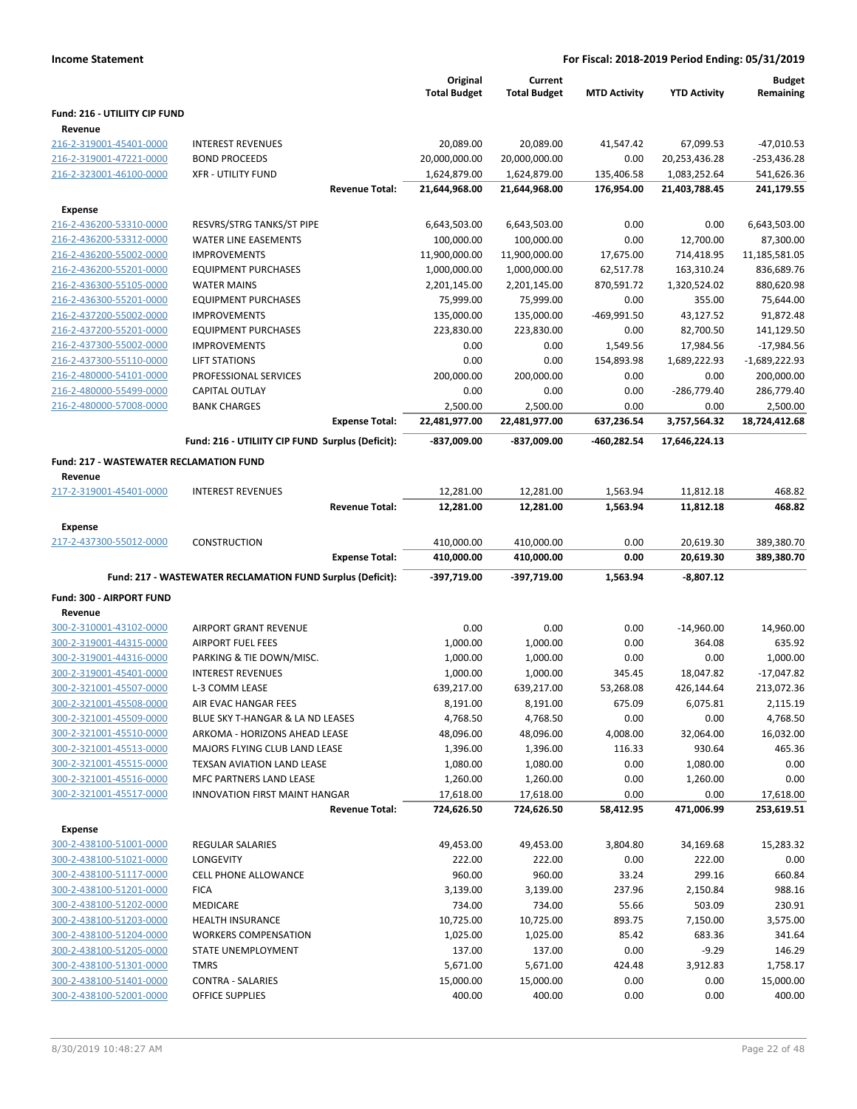| <b>Income Statement</b>                        |                                                            |                     |                     |                     | For Fiscal: 2018-2019 Period Ending: 05/31/2019 |                 |
|------------------------------------------------|------------------------------------------------------------|---------------------|---------------------|---------------------|-------------------------------------------------|-----------------|
|                                                |                                                            | Original            | Current             |                     |                                                 | <b>Budget</b>   |
|                                                |                                                            | <b>Total Budget</b> | <b>Total Budget</b> | <b>MTD Activity</b> | <b>YTD Activity</b>                             | Remaining       |
| Fund: 216 - UTILIITY CIP FUND                  |                                                            |                     |                     |                     |                                                 |                 |
| Revenue<br>216-2-319001-45401-0000             | <b>INTEREST REVENUES</b>                                   | 20,089.00           | 20,089.00           | 41,547.42           | 67,099.53                                       | $-47,010.53$    |
| 216-2-319001-47221-0000                        | <b>BOND PROCEEDS</b>                                       | 20,000,000.00       | 20,000,000.00       | 0.00                | 20,253,436.28                                   | -253,436.28     |
| 216-2-323001-46100-0000                        | <b>XFR - UTILITY FUND</b>                                  | 1,624,879.00        | 1,624,879.00        | 135,406.58          | 1,083,252.64                                    | 541,626.36      |
|                                                | <b>Revenue Total:</b>                                      | 21,644,968.00       | 21,644,968.00       | 176,954.00          | 21,403,788.45                                   | 241,179.55      |
| <b>Expense</b>                                 |                                                            |                     |                     |                     |                                                 |                 |
| 216-2-436200-53310-0000                        | RESVRS/STRG TANKS/ST PIPE                                  | 6,643,503.00        | 6,643,503.00        | 0.00                | 0.00                                            | 6,643,503.00    |
| 216-2-436200-53312-0000                        | <b>WATER LINE EASEMENTS</b>                                | 100,000.00          | 100,000.00          | 0.00                | 12,700.00                                       | 87,300.00       |
| 216-2-436200-55002-0000                        | <b>IMPROVEMENTS</b>                                        | 11,900,000.00       | 11,900,000.00       | 17,675.00           | 714,418.95                                      | 11,185,581.05   |
| 216-2-436200-55201-0000                        | <b>EQUIPMENT PURCHASES</b>                                 | 1,000,000.00        | 1,000,000.00        | 62,517.78           | 163,310.24                                      | 836,689.76      |
| 216-2-436300-55105-0000                        | <b>WATER MAINS</b>                                         | 2,201,145.00        | 2,201,145.00        | 870,591.72          | 1,320,524.02                                    | 880,620.98      |
| 216-2-436300-55201-0000                        | <b>EQUIPMENT PURCHASES</b>                                 | 75,999.00           | 75,999.00           | 0.00                | 355.00                                          | 75,644.00       |
| 216-2-437200-55002-0000                        | <b>IMPROVEMENTS</b>                                        | 135,000.00          | 135,000.00          | -469,991.50         | 43,127.52                                       | 91,872.48       |
| 216-2-437200-55201-0000                        | <b>EQUIPMENT PURCHASES</b>                                 | 223,830.00          | 223,830.00          | 0.00                | 82,700.50                                       | 141,129.50      |
| 216-2-437300-55002-0000                        | <b>IMPROVEMENTS</b>                                        | 0.00                | 0.00                | 1,549.56            | 17,984.56                                       | $-17,984.56$    |
| 216-2-437300-55110-0000                        | <b>LIFT STATIONS</b>                                       | 0.00                | 0.00                | 154,893.98          | 1,689,222.93                                    | $-1,689,222.93$ |
| 216-2-480000-54101-0000                        | PROFESSIONAL SERVICES                                      | 200,000.00          | 200,000.00          | 0.00                | 0.00                                            | 200,000.00      |
| 216-2-480000-55499-0000                        | <b>CAPITAL OUTLAY</b>                                      | 0.00                | 0.00                | 0.00                | -286,779.40                                     | 286,779.40      |
| 216-2-480000-57008-0000                        | <b>BANK CHARGES</b>                                        | 2,500.00            | 2,500.00            | 0.00                | 0.00                                            | 2,500.00        |
|                                                | <b>Expense Total:</b>                                      | 22,481,977.00       | 22,481,977.00       | 637,236.54          | 3,757,564.32                                    | 18,724,412.68   |
|                                                | Fund: 216 - UTILIITY CIP FUND Surplus (Deficit):           | -837,009.00         | -837,009.00         | -460,282.54         | 17,646,224.13                                   |                 |
| <b>Fund: 217 - WASTEWATER RECLAMATION FUND</b> |                                                            |                     |                     |                     |                                                 |                 |
| Revenue                                        |                                                            |                     |                     |                     |                                                 |                 |
| 217-2-319001-45401-0000                        | <b>INTEREST REVENUES</b>                                   | 12,281.00           | 12,281.00           | 1,563.94            | 11,812.18                                       | 468.82          |
|                                                | <b>Revenue Total:</b>                                      | 12,281.00           | 12,281.00           | 1,563.94            | 11,812.18                                       | 468.82          |
| <b>Expense</b>                                 |                                                            |                     |                     |                     |                                                 |                 |
| 217-2-437300-55012-0000                        | <b>CONSTRUCTION</b>                                        | 410,000.00          | 410,000.00          | 0.00                | 20,619.30                                       | 389,380.70      |
|                                                | <b>Expense Total:</b>                                      | 410,000.00          | 410,000.00          | 0.00                | 20,619.30                                       | 389,380.70      |
|                                                | Fund: 217 - WASTEWATER RECLAMATION FUND Surplus (Deficit): | -397,719.00         | -397,719.00         | 1,563.94            | $-8,807.12$                                     |                 |
|                                                |                                                            |                     |                     |                     |                                                 |                 |
| Fund: 300 - AIRPORT FUND                       |                                                            |                     |                     |                     |                                                 |                 |
| Revenue<br>300-2-310001-43102-0000             | AIRPORT GRANT REVENUE                                      | 0.00                | 0.00                | 0.00                | $-14,960.00$                                    | 14,960.00       |
| 300-2-319001-44315-0000                        | <b>AIRPORT FUEL FEES</b>                                   | 1,000.00            | 1,000.00            | 0.00                | 364.08                                          | 635.92          |
| 300-2-319001-44316-0000                        | PARKING & TIE DOWN/MISC.                                   | 1,000.00            | 1,000.00            | 0.00                | 0.00                                            | 1,000.00        |
| 300-2-319001-45401-0000                        | <b>INTEREST REVENUES</b>                                   | 1,000.00            | 1,000.00            | 345.45              | 18,047.82                                       | $-17,047.82$    |
| 300-2-321001-45507-0000                        | L-3 COMM LEASE                                             | 639,217.00          | 639,217.00          | 53,268.08           | 426,144.64                                      | 213,072.36      |
| 300-2-321001-45508-0000                        | AIR EVAC HANGAR FEES                                       | 8,191.00            | 8,191.00            | 675.09              | 6,075.81                                        | 2,115.19        |
| 300-2-321001-45509-0000                        | BLUE SKY T-HANGAR & LA ND LEASES                           | 4,768.50            | 4,768.50            | 0.00                | 0.00                                            | 4,768.50        |
| 300-2-321001-45510-0000                        | ARKOMA - HORIZONS AHEAD LEASE                              | 48,096.00           | 48,096.00           | 4,008.00            | 32,064.00                                       | 16,032.00       |
| 300-2-321001-45513-0000                        | MAJORS FLYING CLUB LAND LEASE                              | 1,396.00            | 1,396.00            | 116.33              | 930.64                                          | 465.36          |
| 300-2-321001-45515-0000                        | TEXSAN AVIATION LAND LEASE                                 | 1,080.00            | 1,080.00            | 0.00                | 1,080.00                                        | 0.00            |
| 300-2-321001-45516-0000                        | MFC PARTNERS LAND LEASE                                    | 1,260.00            | 1,260.00            | 0.00                | 1,260.00                                        | 0.00            |
| 300-2-321001-45517-0000                        | <b>INNOVATION FIRST MAINT HANGAR</b>                       | 17,618.00           | 17,618.00           | 0.00                | 0.00                                            | 17,618.00       |
|                                                | <b>Revenue Total:</b>                                      | 724,626.50          | 724,626.50          | 58,412.95           | 471,006.99                                      | 253,619.51      |
| <b>Expense</b>                                 |                                                            |                     |                     |                     |                                                 |                 |
| 300-2-438100-51001-0000                        | REGULAR SALARIES                                           | 49,453.00           | 49,453.00           | 3,804.80            | 34,169.68                                       | 15,283.32       |
| 300-2-438100-51021-0000                        | LONGEVITY                                                  | 222.00              | 222.00              | 0.00                | 222.00                                          | 0.00            |
| 300-2-438100-51117-0000                        | <b>CELL PHONE ALLOWANCE</b>                                | 960.00              | 960.00              | 33.24               | 299.16                                          | 660.84          |
| 300-2-438100-51201-0000                        | <b>FICA</b>                                                | 3,139.00            | 3,139.00            | 237.96              | 2,150.84                                        | 988.16          |
| 300-2-438100-51202-0000                        | MEDICARE                                                   | 734.00              | 734.00              | 55.66               | 503.09                                          | 230.91          |
| 300-2-438100-51203-0000                        | <b>HEALTH INSURANCE</b>                                    | 10,725.00           | 10,725.00           | 893.75              | 7,150.00                                        | 3,575.00        |
| 300-2-438100-51204-0000                        | <b>WORKERS COMPENSATION</b>                                | 1,025.00            | 1,025.00            | 85.42               | 683.36                                          | 341.64          |

300-2-438100-51205-0000 STATE UNEMPLOYMENT 137.00 137.00 0.00 -9.29 146.29 300-2-438100-51301-0000 TMRS 5,671.00 5,671.00 424.48 3,912.83 1,758.17 300-2-438100-51401-0000 CONTRA - SALARIES 15,000.00 15,000.00 0.00 0.00 15,000.00 300-2-438100-52001-0000 OFFICE SUPPLIES 400.00 400.00 0.00 0.00 400.00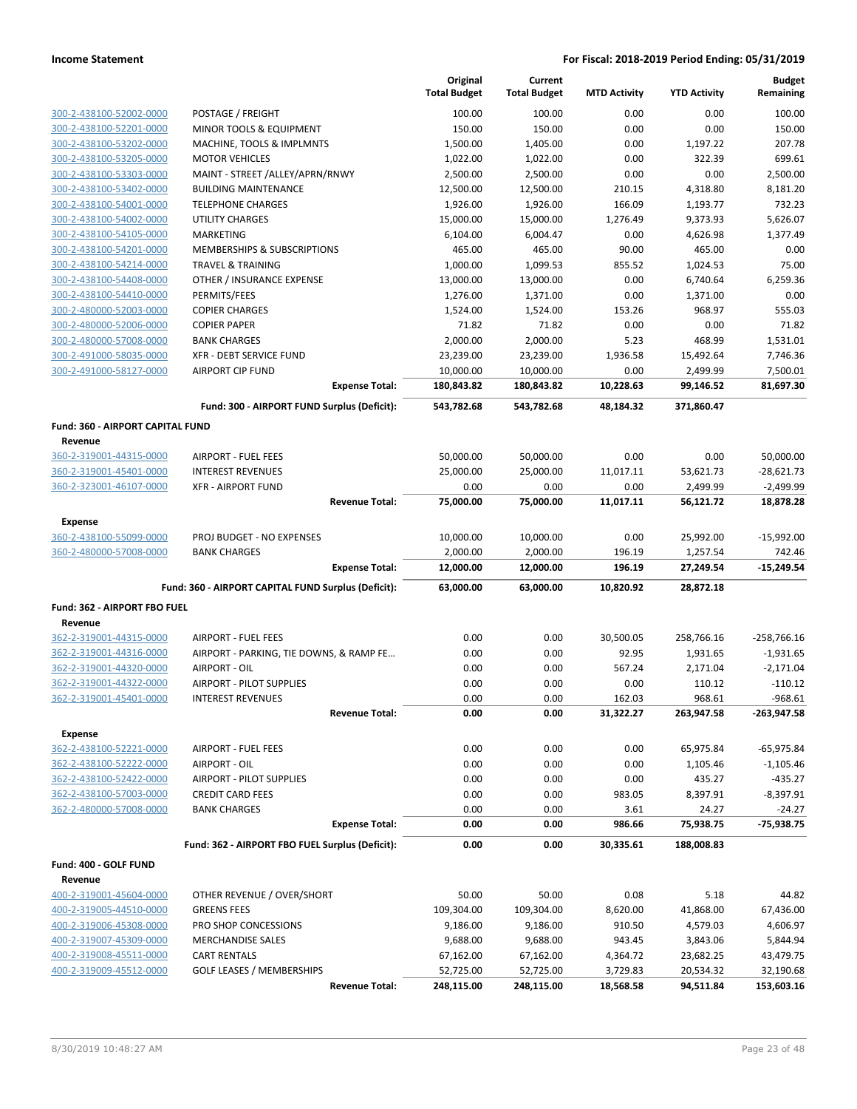|                                                    |                                                     | Original<br><b>Total Budget</b> | Current<br><b>Total Budget</b> | <b>MTD Activity</b> | <b>YTD Activity</b> | <b>Budget</b><br>Remaining |
|----------------------------------------------------|-----------------------------------------------------|---------------------------------|--------------------------------|---------------------|---------------------|----------------------------|
| 300-2-438100-52002-0000                            | POSTAGE / FREIGHT                                   | 100.00                          | 100.00                         | 0.00                | 0.00                | 100.00                     |
| 300-2-438100-52201-0000                            | MINOR TOOLS & EQUIPMENT                             | 150.00                          | 150.00                         | 0.00                | 0.00                | 150.00                     |
| 300-2-438100-53202-0000                            | MACHINE, TOOLS & IMPLMNTS                           | 1,500.00                        | 1,405.00                       | 0.00                | 1,197.22            | 207.78                     |
| 300-2-438100-53205-0000                            | <b>MOTOR VEHICLES</b>                               | 1,022.00                        | 1,022.00                       | 0.00                | 322.39              | 699.61                     |
| 300-2-438100-53303-0000                            | MAINT - STREET / ALLEY/APRN/RNWY                    | 2,500.00                        | 2,500.00                       | 0.00                | 0.00                | 2,500.00                   |
| 300-2-438100-53402-0000                            | <b>BUILDING MAINTENANCE</b>                         | 12,500.00                       | 12,500.00                      | 210.15              | 4,318.80            | 8,181.20                   |
| 300-2-438100-54001-0000                            | <b>TELEPHONE CHARGES</b>                            | 1,926.00                        | 1,926.00                       | 166.09              | 1,193.77            | 732.23                     |
| 300-2-438100-54002-0000                            | <b>UTILITY CHARGES</b>                              | 15,000.00                       | 15,000.00                      | 1,276.49            | 9,373.93            | 5,626.07                   |
| 300-2-438100-54105-0000                            | <b>MARKETING</b>                                    | 6,104.00                        | 6,004.47                       | 0.00                | 4,626.98            | 1,377.49                   |
| 300-2-438100-54201-0000                            | <b>MEMBERSHIPS &amp; SUBSCRIPTIONS</b>              | 465.00                          | 465.00                         | 90.00               | 465.00              | 0.00                       |
| 300-2-438100-54214-0000                            | <b>TRAVEL &amp; TRAINING</b>                        | 1,000.00                        | 1,099.53                       | 855.52              | 1,024.53            | 75.00                      |
| 300-2-438100-54408-0000                            | OTHER / INSURANCE EXPENSE                           | 13,000.00                       | 13,000.00                      | 0.00                | 6,740.64            | 6,259.36                   |
| 300-2-438100-54410-0000                            | PERMITS/FEES                                        | 1,276.00                        | 1,371.00                       | 0.00                | 1,371.00            | 0.00                       |
| 300-2-480000-52003-0000                            | <b>COPIER CHARGES</b><br><b>COPIER PAPER</b>        | 1,524.00                        | 1,524.00                       | 153.26              | 968.97              | 555.03<br>71.82            |
| 300-2-480000-52006-0000<br>300-2-480000-57008-0000 | <b>BANK CHARGES</b>                                 | 71.82<br>2,000.00               | 71.82<br>2,000.00              | 0.00<br>5.23        | 0.00<br>468.99      | 1,531.01                   |
| 300-2-491000-58035-0000                            | XFR - DEBT SERVICE FUND                             | 23,239.00                       | 23,239.00                      | 1,936.58            | 15,492.64           | 7,746.36                   |
| 300-2-491000-58127-0000                            | <b>AIRPORT CIP FUND</b>                             | 10,000.00                       | 10,000.00                      | 0.00                | 2,499.99            | 7,500.01                   |
|                                                    | <b>Expense Total:</b>                               | 180,843.82                      | 180,843.82                     | 10,228.63           | 99,146.52           | 81,697.30                  |
|                                                    | Fund: 300 - AIRPORT FUND Surplus (Deficit):         | 543,782.68                      | 543,782.68                     | 48,184.32           | 371,860.47          |                            |
| Fund: 360 - AIRPORT CAPITAL FUND                   |                                                     |                                 |                                |                     |                     |                            |
| Revenue                                            |                                                     |                                 |                                |                     |                     |                            |
| 360-2-319001-44315-0000                            | <b>AIRPORT - FUEL FEES</b>                          | 50,000.00                       | 50,000.00                      | 0.00                | 0.00                | 50,000.00                  |
| 360-2-319001-45401-0000                            | <b>INTEREST REVENUES</b>                            | 25,000.00                       | 25,000.00                      | 11,017.11           | 53,621.73           | $-28,621.73$               |
| 360-2-323001-46107-0000                            | <b>XFR - AIRPORT FUND</b>                           | 0.00                            | 0.00                           | 0.00                | 2,499.99            | $-2,499.99$                |
|                                                    | <b>Revenue Total:</b>                               | 75,000.00                       | 75,000.00                      | 11,017.11           | 56,121.72           | 18,878.28                  |
| <b>Expense</b>                                     |                                                     |                                 |                                |                     |                     |                            |
| 360-2-438100-55099-0000                            | <b>PROJ BUDGET - NO EXPENSES</b>                    | 10,000.00                       | 10,000.00                      | 0.00                | 25,992.00           | $-15,992.00$               |
| 360-2-480000-57008-0000                            | <b>BANK CHARGES</b>                                 | 2,000.00                        | 2,000.00                       | 196.19              | 1,257.54            | 742.46                     |
|                                                    | <b>Expense Total:</b>                               | 12,000.00                       | 12,000.00                      | 196.19              | 27,249.54           | $-15,249.54$               |
|                                                    | Fund: 360 - AIRPORT CAPITAL FUND Surplus (Deficit): | 63,000.00                       | 63,000.00                      | 10,820.92           | 28,872.18           |                            |
| Fund: 362 - AIRPORT FBO FUEL                       |                                                     |                                 |                                |                     |                     |                            |
| Revenue                                            |                                                     |                                 |                                |                     |                     |                            |
| 362-2-319001-44315-0000                            | <b>AIRPORT - FUEL FEES</b>                          | 0.00                            | 0.00                           | 30,500.05           | 258,766.16          | $-258,766.16$              |
| 362-2-319001-44316-0000                            | AIRPORT - PARKING, TIE DOWNS, & RAMP FE             | 0.00                            | 0.00                           | 92.95               | 1,931.65            | $-1,931.65$                |
| 362-2-319001-44320-0000                            | AIRPORT - OIL                                       | 0.00                            | 0.00                           | 567.24              | 2,171.04            | $-2,171.04$                |
| 362-2-319001-44322-0000                            | <b>AIRPORT - PILOT SUPPLIES</b>                     | 0.00                            | 0.00                           | 0.00                | 110.12              | $-110.12$                  |
| 362-2-319001-45401-0000                            | <b>INTEREST REVENUES</b><br><b>Revenue Total:</b>   | 0.00                            | 0.00                           | 162.03              | 968.61              | $-968.61$                  |
|                                                    |                                                     | 0.00                            | 0.00                           | 31,322.27           | 263,947.58          | -263,947.58                |
| <b>Expense</b>                                     |                                                     |                                 |                                |                     |                     |                            |
| 362-2-438100-52221-0000                            | <b>AIRPORT - FUEL FEES</b>                          | 0.00                            | 0.00                           | 0.00                | 65,975.84           | $-65,975.84$               |
| 362-2-438100-52222-0000                            | AIRPORT - OIL                                       | 0.00                            | 0.00                           | 0.00                | 1,105.46            | $-1,105.46$                |
| 362-2-438100-52422-0000                            | AIRPORT - PILOT SUPPLIES                            | 0.00                            | 0.00                           | 0.00                | 435.27              | $-435.27$                  |
| 362-2-438100-57003-0000                            | <b>CREDIT CARD FEES</b>                             | 0.00                            | 0.00                           | 983.05              | 8,397.91            | $-8,397.91$                |
| 362-2-480000-57008-0000                            | <b>BANK CHARGES</b><br><b>Expense Total:</b>        | 0.00<br>0.00                    | 0.00<br>0.00                   | 3.61<br>986.66      | 24.27<br>75,938.75  | $-24.27$<br>$-75,938.75$   |
|                                                    | Fund: 362 - AIRPORT FBO FUEL Surplus (Deficit):     | 0.00                            | 0.00                           | 30,335.61           | 188,008.83          |                            |
|                                                    |                                                     |                                 |                                |                     |                     |                            |
| Fund: 400 - GOLF FUND<br>Revenue                   |                                                     |                                 |                                |                     |                     |                            |
| 400-2-319001-45604-0000                            | OTHER REVENUE / OVER/SHORT                          | 50.00                           | 50.00                          | 0.08                | 5.18                | 44.82                      |
| 400-2-319005-44510-0000                            | <b>GREENS FEES</b>                                  | 109,304.00                      | 109,304.00                     | 8,620.00            | 41,868.00           | 67,436.00                  |
| 400-2-319006-45308-0000                            | PRO SHOP CONCESSIONS                                | 9,186.00                        | 9,186.00                       | 910.50              | 4,579.03            | 4,606.97                   |
| 400-2-319007-45309-0000                            | <b>MERCHANDISE SALES</b>                            | 9,688.00                        | 9,688.00                       | 943.45              | 3,843.06            | 5,844.94                   |
| 400-2-319008-45511-0000                            | <b>CART RENTALS</b>                                 | 67,162.00                       | 67,162.00                      | 4,364.72            | 23,682.25           | 43,479.75                  |
| 400-2-319009-45512-0000                            | <b>GOLF LEASES / MEMBERSHIPS</b>                    | 52,725.00                       | 52,725.00                      | 3,729.83            | 20,534.32           | 32,190.68                  |
|                                                    | <b>Revenue Total:</b>                               | 248,115.00                      | 248,115.00                     | 18,568.58           | 94,511.84           | 153,603.16                 |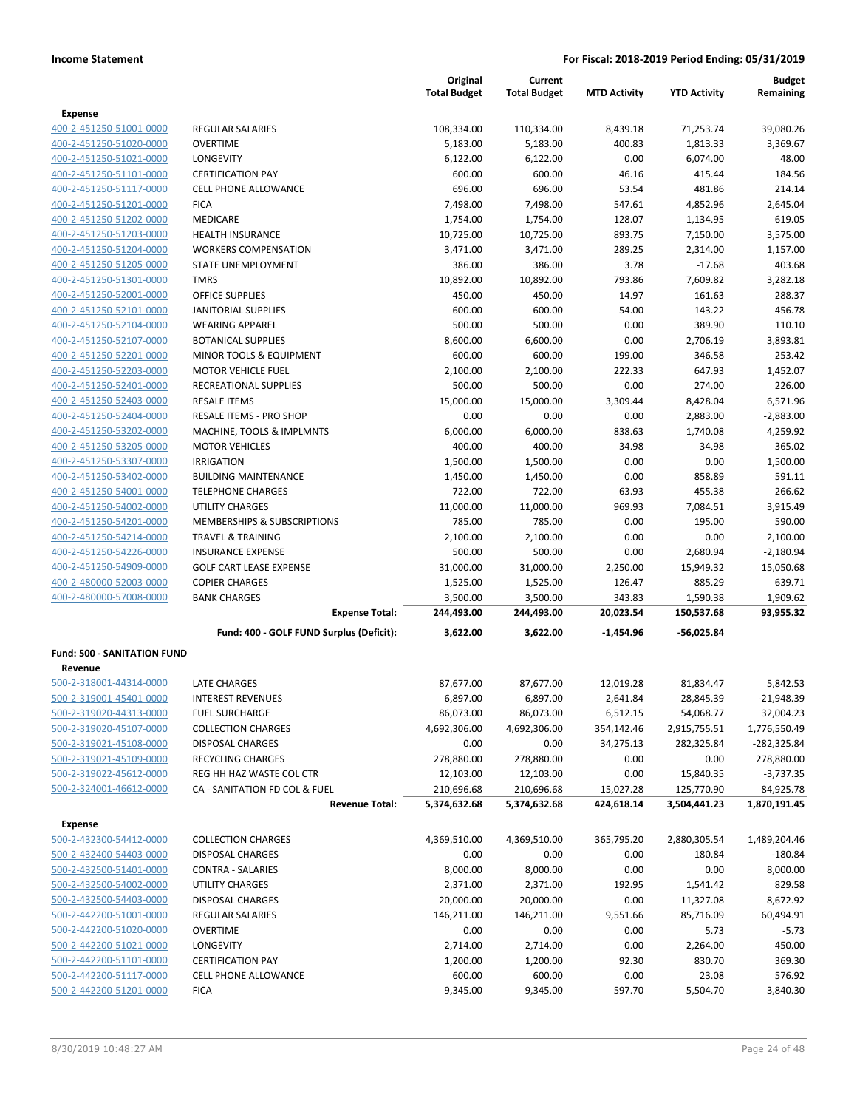|                                                    |                                                        | Original<br><b>Total Budget</b> | Current<br><b>Total Budget</b> | <b>MTD Activity</b> | <b>YTD Activity</b> | <b>Budget</b><br>Remaining |
|----------------------------------------------------|--------------------------------------------------------|---------------------------------|--------------------------------|---------------------|---------------------|----------------------------|
| <b>Expense</b>                                     |                                                        |                                 |                                |                     |                     |                            |
| 400-2-451250-51001-0000                            | <b>REGULAR SALARIES</b>                                | 108,334.00                      | 110,334.00                     | 8,439.18            | 71,253.74           | 39,080.26                  |
| 400-2-451250-51020-0000                            | <b>OVERTIME</b>                                        | 5,183.00                        | 5,183.00                       | 400.83              | 1,813.33            | 3,369.67                   |
| 400-2-451250-51021-0000                            | LONGEVITY                                              | 6,122.00                        | 6,122.00                       | 0.00                | 6,074.00            | 48.00                      |
| 400-2-451250-51101-0000                            | <b>CERTIFICATION PAY</b>                               | 600.00                          | 600.00                         | 46.16               | 415.44              | 184.56                     |
| 400-2-451250-51117-0000                            | <b>CELL PHONE ALLOWANCE</b>                            | 696.00                          | 696.00                         | 53.54               | 481.86              | 214.14                     |
| 400-2-451250-51201-0000                            | <b>FICA</b>                                            | 7,498.00                        | 7,498.00                       | 547.61              | 4,852.96            | 2,645.04                   |
| 400-2-451250-51202-0000                            | MEDICARE                                               | 1,754.00                        | 1,754.00                       | 128.07              | 1,134.95            | 619.05                     |
| 400-2-451250-51203-0000                            | <b>HEALTH INSURANCE</b>                                | 10,725.00                       | 10,725.00                      | 893.75              | 7,150.00            | 3.575.00                   |
| 400-2-451250-51204-0000                            | <b>WORKERS COMPENSATION</b>                            | 3,471.00                        | 3,471.00                       | 289.25              | 2,314.00            | 1,157.00                   |
| 400-2-451250-51205-0000                            | STATE UNEMPLOYMENT                                     | 386.00                          | 386.00                         | 3.78                | $-17.68$            | 403.68                     |
| 400-2-451250-51301-0000                            | <b>TMRS</b>                                            | 10,892.00                       | 10,892.00                      | 793.86              | 7,609.82            | 3,282.18                   |
| 400-2-451250-52001-0000                            | <b>OFFICE SUPPLIES</b>                                 | 450.00                          | 450.00                         | 14.97               | 161.63              | 288.37                     |
| 400-2-451250-52101-0000                            | <b>JANITORIAL SUPPLIES</b>                             | 600.00                          | 600.00                         | 54.00               | 143.22              | 456.78                     |
| 400-2-451250-52104-0000                            | <b>WEARING APPAREL</b>                                 | 500.00                          | 500.00                         | 0.00                | 389.90              | 110.10                     |
| 400-2-451250-52107-0000                            | <b>BOTANICAL SUPPLIES</b><br>MINOR TOOLS & EQUIPMENT   | 8,600.00                        | 6,600.00                       | 0.00                | 2,706.19            | 3,893.81                   |
| 400-2-451250-52201-0000<br>400-2-451250-52203-0000 | <b>MOTOR VEHICLE FUEL</b>                              | 600.00                          | 600.00                         | 199.00<br>222.33    | 346.58<br>647.93    | 253.42<br>1,452.07         |
| 400-2-451250-52401-0000                            | RECREATIONAL SUPPLIES                                  | 2,100.00<br>500.00              | 2,100.00<br>500.00             | 0.00                | 274.00              | 226.00                     |
| 400-2-451250-52403-0000                            | <b>RESALE ITEMS</b>                                    | 15,000.00                       | 15,000.00                      | 3,309.44            | 8,428.04            | 6,571.96                   |
| 400-2-451250-52404-0000                            | RESALE ITEMS - PRO SHOP                                | 0.00                            | 0.00                           | 0.00                | 2,883.00            | $-2,883.00$                |
| 400-2-451250-53202-0000                            | MACHINE, TOOLS & IMPLMNTS                              | 6,000.00                        | 6,000.00                       | 838.63              | 1,740.08            | 4,259.92                   |
| 400-2-451250-53205-0000                            | <b>MOTOR VEHICLES</b>                                  | 400.00                          | 400.00                         | 34.98               | 34.98               | 365.02                     |
| 400-2-451250-53307-0000                            | <b>IRRIGATION</b>                                      | 1,500.00                        | 1,500.00                       | 0.00                | 0.00                | 1,500.00                   |
| 400-2-451250-53402-0000                            | <b>BUILDING MAINTENANCE</b>                            | 1,450.00                        | 1,450.00                       | 0.00                | 858.89              | 591.11                     |
| 400-2-451250-54001-0000                            | <b>TELEPHONE CHARGES</b>                               | 722.00                          | 722.00                         | 63.93               | 455.38              | 266.62                     |
| 400-2-451250-54002-0000                            | <b>UTILITY CHARGES</b>                                 | 11,000.00                       | 11,000.00                      | 969.93              | 7,084.51            | 3,915.49                   |
| 400-2-451250-54201-0000                            | MEMBERSHIPS & SUBSCRIPTIONS                            | 785.00                          | 785.00                         | 0.00                | 195.00              | 590.00                     |
| 400-2-451250-54214-0000                            | <b>TRAVEL &amp; TRAINING</b>                           | 2,100.00                        | 2,100.00                       | 0.00                | 0.00                | 2,100.00                   |
| 400-2-451250-54226-0000                            | <b>INSURANCE EXPENSE</b>                               | 500.00                          | 500.00                         | 0.00                | 2,680.94            | $-2,180.94$                |
| 400-2-451250-54909-0000                            | <b>GOLF CART LEASE EXPENSE</b>                         | 31,000.00                       | 31,000.00                      | 2,250.00            | 15,949.32           | 15,050.68                  |
| 400-2-480000-52003-0000                            | <b>COPIER CHARGES</b>                                  | 1,525.00                        | 1,525.00                       | 126.47              | 885.29              | 639.71                     |
| 400-2-480000-57008-0000                            | <b>BANK CHARGES</b>                                    | 3,500.00                        | 3,500.00                       | 343.83              | 1,590.38            | 1,909.62                   |
|                                                    | <b>Expense Total:</b>                                  | 244,493.00                      | 244,493.00                     | 20,023.54           | 150,537.68          | 93,955.32                  |
|                                                    | Fund: 400 - GOLF FUND Surplus (Deficit):               | 3,622.00                        | 3,622.00                       | $-1,454.96$         | -56,025.84          |                            |
| <b>Fund: 500 - SANITATION FUND</b>                 |                                                        |                                 |                                |                     |                     |                            |
| Revenue                                            |                                                        |                                 |                                |                     |                     |                            |
| 500-2-318001-44314-0000                            | <b>LATE CHARGES</b>                                    | 87,677.00                       | 87,677.00                      | 12,019.28           | 81,834.47           | 5,842.53                   |
| 500-2-319001-45401-0000                            | <b>INTEREST REVENUES</b>                               | 6,897.00                        | 6,897.00                       | 2,641.84            | 28,845.39           | $-21,948.39$               |
| 500-2-319020-44313-0000                            | <b>FUEL SURCHARGE</b>                                  | 86,073.00                       | 86,073.00                      | 6,512.15            | 54,068.77           | 32,004.23                  |
| 500-2-319020-45107-0000                            | <b>COLLECTION CHARGES</b>                              | 4,692,306.00                    | 4,692,306.00                   | 354,142.46          | 2,915,755.51        | 1,776,550.49               |
| 500-2-319021-45108-0000                            | <b>DISPOSAL CHARGES</b>                                | 0.00                            | 0.00                           | 34,275.13           | 282,325.84          | $-282,325.84$              |
| 500-2-319021-45109-0000                            | RECYCLING CHARGES                                      | 278,880.00                      | 278,880.00                     | 0.00                | 0.00                | 278,880.00                 |
| 500-2-319022-45612-0000                            | REG HH HAZ WASTE COL CTR                               | 12,103.00                       | 12,103.00                      | 0.00                | 15,840.35           | $-3,737.35$                |
| 500-2-324001-46612-0000                            | CA - SANITATION FD COL & FUEL<br><b>Revenue Total:</b> | 210,696.68<br>5,374,632.68      | 210,696.68                     | 15,027.28           | 125,770.90          | 84,925.78                  |
|                                                    |                                                        |                                 | 5,374,632.68                   | 424,618.14          | 3,504,441.23        | 1,870,191.45               |
| <b>Expense</b>                                     |                                                        |                                 |                                |                     |                     |                            |
| 500-2-432300-54412-0000                            | <b>COLLECTION CHARGES</b>                              | 4,369,510.00                    | 4,369,510.00                   | 365,795.20          | 2,880,305.54        | 1,489,204.46               |
| 500-2-432400-54403-0000                            | <b>DISPOSAL CHARGES</b>                                | 0.00                            | 0.00                           | 0.00                | 180.84              | $-180.84$                  |
| 500-2-432500-51401-0000                            | <b>CONTRA - SALARIES</b>                               | 8,000.00                        | 8,000.00                       | 0.00                | 0.00                | 8,000.00                   |
| 500-2-432500-54002-0000                            | UTILITY CHARGES                                        | 2,371.00                        | 2,371.00                       | 192.95              | 1,541.42            | 829.58                     |
| 500-2-432500-54403-0000                            | <b>DISPOSAL CHARGES</b>                                | 20,000.00                       | 20,000.00                      | 0.00                | 11,327.08           | 8,672.92                   |
| 500-2-442200-51001-0000                            | <b>REGULAR SALARIES</b>                                | 146,211.00                      | 146,211.00                     | 9,551.66            | 85,716.09           | 60,494.91                  |
| 500-2-442200-51020-0000                            | <b>OVERTIME</b>                                        | 0.00                            | 0.00                           | 0.00                | 5.73                | $-5.73$                    |
| 500-2-442200-51021-0000                            | LONGEVITY                                              | 2,714.00                        | 2,714.00                       | 0.00                | 2,264.00            | 450.00                     |
| 500-2-442200-51101-0000                            | <b>CERTIFICATION PAY</b>                               | 1,200.00                        | 1,200.00                       | 92.30               | 830.70              | 369.30                     |
| 500-2-442200-51117-0000<br>500-2-442200-51201-0000 | CELL PHONE ALLOWANCE<br><b>FICA</b>                    | 600.00<br>9,345.00              | 600.00<br>9,345.00             | 0.00<br>597.70      | 23.08<br>5,504.70   | 576.92<br>3,840.30         |
|                                                    |                                                        |                                 |                                |                     |                     |                            |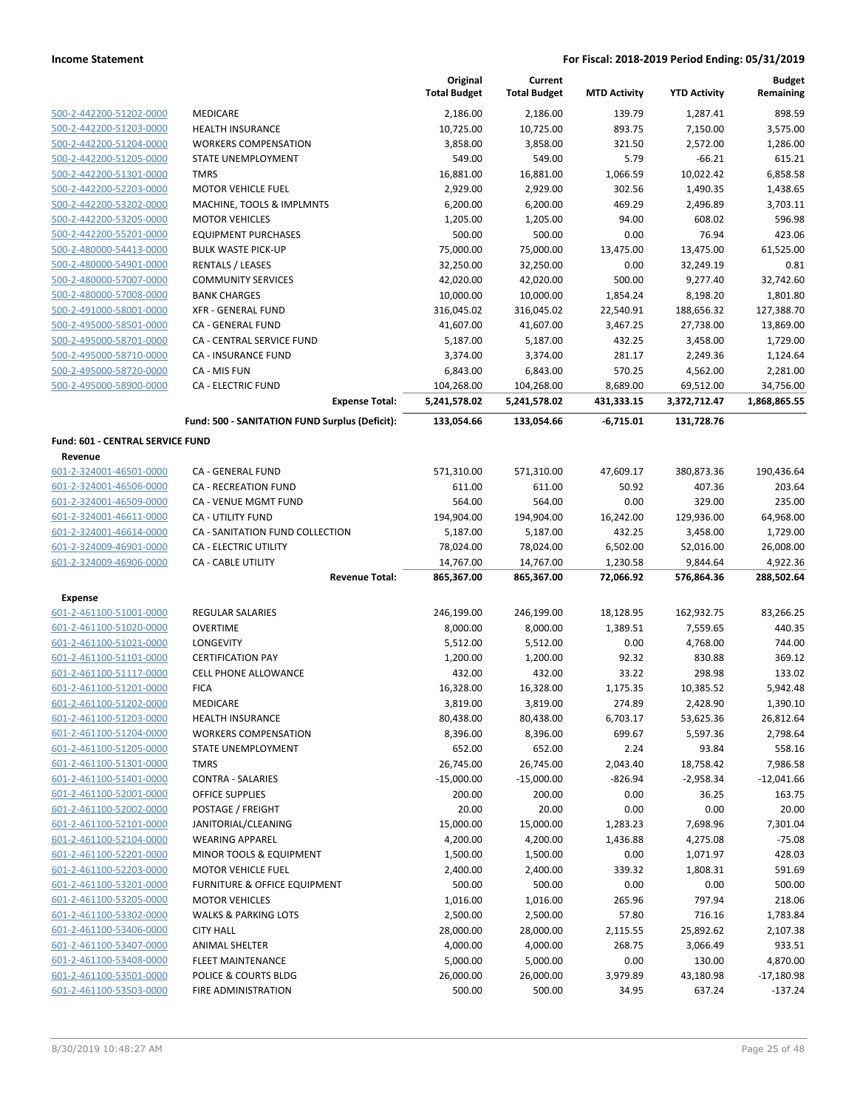|                                  |                                                    | Original<br><b>Total Budget</b> | Current<br><b>Total Budget</b> | <b>MTD Activity</b>   | <b>YTD Activity</b>    | <b>Budget</b><br>Remaining |
|----------------------------------|----------------------------------------------------|---------------------------------|--------------------------------|-----------------------|------------------------|----------------------------|
| 500-2-442200-51202-0000          | <b>MEDICARE</b>                                    | 2,186.00                        | 2,186.00                       | 139.79                | 1,287.41               | 898.59                     |
| 500-2-442200-51203-0000          | <b>HEALTH INSURANCE</b>                            | 10,725.00                       | 10,725.00                      | 893.75                | 7,150.00               | 3,575.00                   |
| 500-2-442200-51204-0000          | <b>WORKERS COMPENSATION</b>                        | 3,858.00                        | 3,858.00                       | 321.50                | 2,572.00               | 1,286.00                   |
| 500-2-442200-51205-0000          | <b>STATE UNEMPLOYMENT</b>                          | 549.00                          | 549.00                         | 5.79                  | $-66.21$               | 615.21                     |
| 500-2-442200-51301-0000          | <b>TMRS</b>                                        | 16,881.00                       | 16,881.00                      | 1,066.59              | 10,022.42              | 6,858.58                   |
| 500-2-442200-52203-0000          | <b>MOTOR VEHICLE FUEL</b>                          | 2,929.00                        | 2,929.00                       | 302.56                | 1,490.35               | 1,438.65                   |
| 500-2-442200-53202-0000          | MACHINE, TOOLS & IMPLMNTS                          | 6,200.00                        | 6,200.00                       | 469.29                | 2,496.89               | 3,703.11                   |
| 500-2-442200-53205-0000          | <b>MOTOR VEHICLES</b>                              | 1,205.00                        | 1,205.00                       | 94.00                 | 608.02                 | 596.98                     |
| 500-2-442200-55201-0000          | <b>EQUIPMENT PURCHASES</b>                         | 500.00                          | 500.00                         | 0.00                  | 76.94                  | 423.06                     |
| 500-2-480000-54413-0000          | <b>BULK WASTE PICK-UP</b>                          | 75,000.00                       | 75,000.00                      | 13,475.00             | 13,475.00              | 61,525.00                  |
| 500-2-480000-54901-0000          | <b>RENTALS / LEASES</b>                            | 32,250.00                       | 32,250.00                      | 0.00                  | 32,249.19              | 0.81                       |
| 500-2-480000-57007-0000          | <b>COMMUNITY SERVICES</b>                          | 42,020.00                       | 42,020.00                      | 500.00                | 9,277.40               | 32,742.60                  |
| 500-2-480000-57008-0000          | <b>BANK CHARGES</b>                                | 10,000.00                       | 10,000.00                      | 1,854.24              | 8,198.20               | 1,801.80                   |
| 500-2-491000-58001-0000          | <b>XFR - GENERAL FUND</b>                          | 316,045.02                      | 316,045.02                     | 22,540.91             | 188,656.32             | 127,388.70                 |
| 500-2-495000-58501-0000          | CA - GENERAL FUND                                  | 41,607.00                       | 41,607.00                      | 3,467.25              | 27,738.00              | 13,869.00                  |
| 500-2-495000-58701-0000          | CA - CENTRAL SERVICE FUND                          | 5,187.00                        | 5,187.00                       | 432.25                | 3,458.00               | 1,729.00                   |
| 500-2-495000-58710-0000          | CA - INSURANCE FUND                                | 3,374.00                        | 3,374.00                       | 281.17                | 2,249.36               | 1,124.64                   |
| 500-2-495000-58720-0000          | CA - MIS FUN                                       | 6,843.00                        | 6,843.00                       | 570.25                | 4,562.00               | 2,281.00                   |
| 500-2-495000-58900-0000          | <b>CA - ELECTRIC FUND</b>                          | 104,268.00                      | 104,268.00                     | 8,689.00              | 69,512.00              | 34,756.00                  |
|                                  | <b>Expense Total:</b>                              | 5,241,578.02                    | 5,241,578.02                   | 431,333.15            | 3,372,712.47           | 1,868,865.55               |
|                                  | Fund: 500 - SANITATION FUND Surplus (Deficit):     | 133,054.66                      | 133,054.66                     | $-6,715.01$           | 131,728.76             |                            |
| Fund: 601 - CENTRAL SERVICE FUND |                                                    |                                 |                                |                       |                        |                            |
| Revenue                          |                                                    |                                 |                                |                       |                        |                            |
| 601-2-324001-46501-0000          | CA - GENERAL FUND                                  | 571,310.00                      | 571,310.00                     | 47,609.17             | 380,873.36             | 190,436.64                 |
| 601-2-324001-46506-0000          | CA - RECREATION FUND                               | 611.00                          | 611.00                         | 50.92                 | 407.36                 | 203.64                     |
| 601-2-324001-46509-0000          | CA - VENUE MGMT FUND                               | 564.00                          | 564.00                         | 0.00                  | 329.00                 | 235.00                     |
| 601-2-324001-46611-0000          | <b>CA - UTILITY FUND</b>                           | 194,904.00                      | 194,904.00                     | 16,242.00             | 129,936.00             | 64,968.00                  |
| 601-2-324001-46614-0000          | CA - SANITATION FUND COLLECTION                    | 5,187.00                        | 5,187.00                       | 432.25                | 3,458.00               | 1,729.00                   |
| 601-2-324009-46901-0000          | <b>CA - ELECTRIC UTILITY</b>                       | 78,024.00                       | 78,024.00                      | 6,502.00              | 52,016.00              | 26,008.00                  |
| 601-2-324009-46906-0000          | <b>CA - CABLE UTILITY</b><br><b>Revenue Total:</b> | 14,767.00<br>865,367.00         | 14,767.00<br>865,367.00        | 1,230.58<br>72,066.92 | 9,844.64<br>576,864.36 | 4,922.36<br>288,502.64     |
| <b>Expense</b>                   |                                                    |                                 |                                |                       |                        |                            |
| 601-2-461100-51001-0000          | <b>REGULAR SALARIES</b>                            | 246,199.00                      | 246,199.00                     | 18,128.95             | 162,932.75             | 83,266.25                  |
| 601-2-461100-51020-0000          | <b>OVERTIME</b>                                    | 8,000.00                        | 8,000.00                       | 1,389.51              | 7,559.65               | 440.35                     |
| 601-2-461100-51021-0000          | <b>LONGEVITY</b>                                   | 5,512.00                        | 5,512.00                       | 0.00                  | 4,768.00               | 744.00                     |
| 601-2-461100-51101-0000          | <b>CERTIFICATION PAY</b>                           | 1,200.00                        | 1,200.00                       | 92.32                 | 830.88                 | 369.12                     |
| 601-2-461100-51117-0000          | <b>CELL PHONE ALLOWANCE</b>                        | 432.00                          | 432.00                         | 33.22                 | 298.98                 | 133.02                     |
| 601-2-461100-51201-0000          | <b>FICA</b>                                        | 16,328.00                       | 16,328.00                      | 1,175.35              | 10,385.52              | 5,942.48                   |
| 601-2-461100-51202-0000          | MEDICARE                                           | 3,819.00                        | 3,819.00                       | 274.89                | 2,428.90               | 1,390.10                   |
| 601-2-461100-51203-0000          | <b>HEALTH INSURANCE</b>                            | 80,438.00                       | 80,438.00                      | 6,703.17              | 53,625.36              | 26,812.64                  |
| 601-2-461100-51204-0000          | <b>WORKERS COMPENSATION</b>                        | 8,396.00                        | 8,396.00                       | 699.67                | 5,597.36               | 2,798.64                   |
| 601-2-461100-51205-0000          | STATE UNEMPLOYMENT                                 | 652.00                          | 652.00                         | 2.24                  | 93.84                  | 558.16                     |
| 601-2-461100-51301-0000          | TMRS                                               | 26,745.00                       | 26,745.00                      | 2,043.40              | 18,758.42              | 7,986.58                   |
| 601-2-461100-51401-0000          | <b>CONTRA - SALARIES</b>                           | $-15,000.00$                    | -15,000.00                     | $-826.94$             | $-2,958.34$            | $-12,041.66$               |
| 601-2-461100-52001-0000          | OFFICE SUPPLIES                                    | 200.00                          | 200.00                         | 0.00                  | 36.25                  | 163.75                     |
| 601-2-461100-52002-0000          | POSTAGE / FREIGHT                                  | 20.00                           | 20.00                          | 0.00                  | 0.00                   | 20.00                      |
| 601-2-461100-52101-0000          | JANITORIAL/CLEANING                                | 15,000.00                       | 15,000.00                      | 1,283.23              | 7,698.96               | 7,301.04                   |
| 601-2-461100-52104-0000          | <b>WEARING APPAREL</b>                             | 4,200.00                        | 4,200.00                       | 1,436.88              | 4,275.08               | $-75.08$                   |
| 601-2-461100-52201-0000          | MINOR TOOLS & EQUIPMENT                            | 1,500.00                        | 1,500.00                       | 0.00                  | 1,071.97               | 428.03                     |
| 601-2-461100-52203-0000          | <b>MOTOR VEHICLE FUEL</b>                          | 2,400.00                        | 2,400.00                       | 339.32                | 1,808.31               | 591.69                     |
| 601-2-461100-53201-0000          | FURNITURE & OFFICE EQUIPMENT                       | 500.00                          | 500.00                         | 0.00                  | 0.00                   | 500.00                     |
| 601-2-461100-53205-0000          | <b>MOTOR VEHICLES</b>                              | 1,016.00                        | 1,016.00                       | 265.96                | 797.94                 | 218.06                     |
| 601-2-461100-53302-0000          | <b>WALKS &amp; PARKING LOTS</b>                    | 2,500.00                        | 2,500.00                       | 57.80                 | 716.16                 | 1,783.84                   |
| 601-2-461100-53406-0000          | <b>CITY HALL</b>                                   | 28,000.00                       | 28,000.00                      | 2,115.55              | 25,892.62              | 2,107.38                   |
| 601-2-461100-53407-0000          | ANIMAL SHELTER                                     | 4,000.00                        | 4,000.00                       | 268.75                | 3,066.49               | 933.51                     |
| 601-2-461100-53408-0000          | <b>FLEET MAINTENANCE</b>                           | 5,000.00                        | 5,000.00                       | 0.00                  | 130.00                 | 4,870.00                   |
| 601-2-461100-53501-0000          | POLICE & COURTS BLDG                               | 26,000.00                       | 26,000.00                      | 3,979.89              | 43,180.98              | $-17,180.98$               |
| 601-2-461100-53503-0000          | FIRE ADMINISTRATION                                | 500.00                          | 500.00                         | 34.95                 | 637.24                 | $-137.24$                  |
|                                  |                                                    |                                 |                                |                       |                        |                            |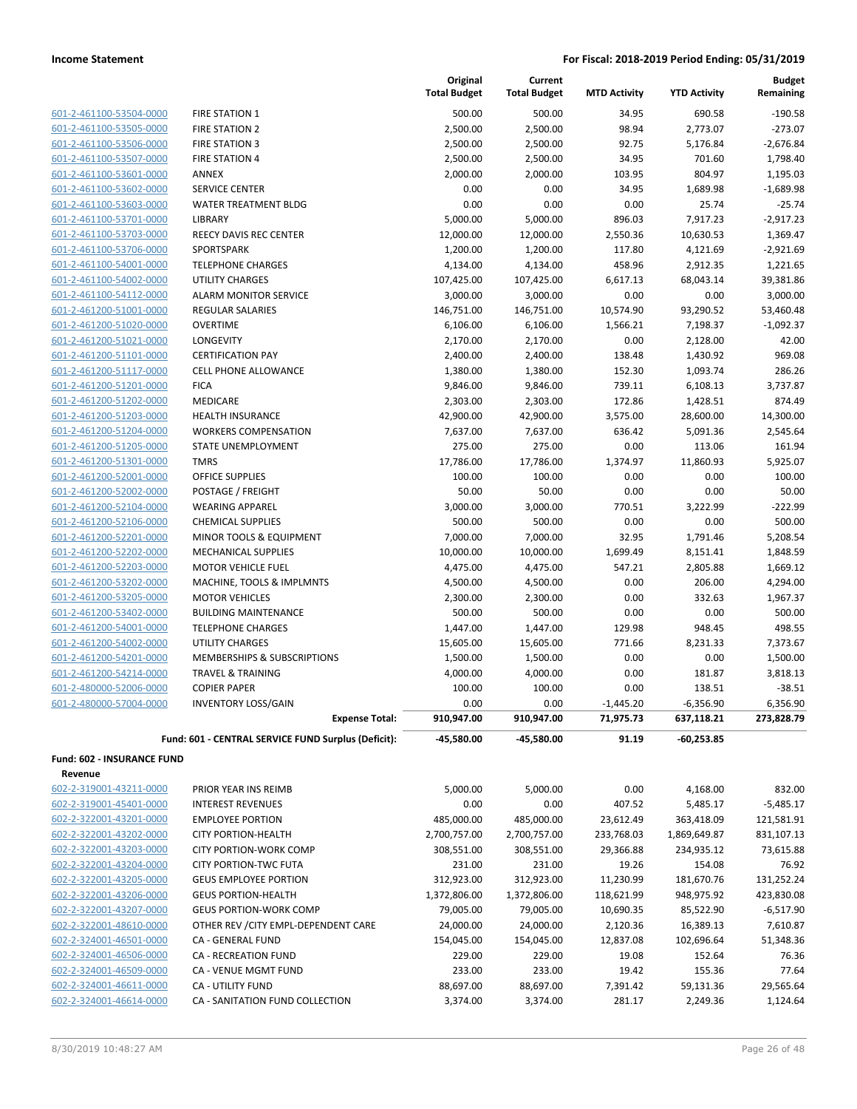| 601-2-461100-53504-0000         |
|---------------------------------|
| 601-2-461100-53505-0000         |
| 601-2-461100-53506-0000         |
| 601-2-461100-53507-0000         |
| 601-2-461100-53601-0000         |
| 601-2-461100-53602-0000         |
| 601-2-461100-53603-0000         |
| 601-2-461100-53701-0000         |
| 601-2-461100-53703-0000         |
| 601-2-461100-53706-0000         |
| 601-2-461100-54001-0000         |
| 601-2-461100-54002-0000         |
| 601-2-461100-54112-0000         |
| 601-2-461200-51001-0000         |
| 601-2-461200-51020-0000         |
| 601-2-461200-51021-0000         |
| 601-2-461200-51101-0000         |
| 601-2-461200-51117-0000         |
| 601-2-461200-51201-0000         |
| 601-2-461200-51202-0000         |
| 601-2-461200-51203-0000         |
| 601-2-461200-51204-0000         |
| 601-2-461200-51205-0000         |
| 601-2-461200-51301-0000         |
| -2-461200-52001-0000<br>$601 -$ |
| 601-2-461200-52002-0000         |
| 601-2-461200-52104-0000         |
| 601-2-461200-52106-0000         |
| 601-2-461200-52201-0000         |
| 601-2-461200-52202-0000         |
| 601-2-461200-52203-0000         |
| 601-2-461200-53202-0000         |
| 601-2-461200-53205-0000         |
| 601-2-461200-53402-0000         |
| 601-2-461200-54001-0000         |
| 601-2-461200-54002-0000         |
| 601-2-461200-54201-0000         |
| 601-2-461200-54214-0000         |
| 601-2-480000-52006-0000         |
| 601-2-480000-57004-0000         |

|                                                    |                                                     | Original<br><b>Total Budget</b> | Current<br><b>Total Budget</b> | <b>MTD Activity</b> | <b>YTD Activity</b>  | <b>Budget</b><br>Remaining |
|----------------------------------------------------|-----------------------------------------------------|---------------------------------|--------------------------------|---------------------|----------------------|----------------------------|
| 601-2-461100-53504-0000                            | FIRE STATION 1                                      | 500.00                          | 500.00                         | 34.95               | 690.58               | $-190.58$                  |
| 601-2-461100-53505-0000                            | <b>FIRE STATION 2</b>                               | 2,500.00                        | 2,500.00                       | 98.94               | 2,773.07             | $-273.07$                  |
| 601-2-461100-53506-0000                            | <b>FIRE STATION 3</b>                               | 2,500.00                        | 2,500.00                       | 92.75               | 5,176.84             | $-2,676.84$                |
| 601-2-461100-53507-0000                            | <b>FIRE STATION 4</b>                               | 2,500.00                        | 2,500.00                       | 34.95               | 701.60               | 1,798.40                   |
| 601-2-461100-53601-0000                            | <b>ANNEX</b>                                        | 2,000.00                        | 2,000.00                       | 103.95              | 804.97               | 1,195.03                   |
| 601-2-461100-53602-0000                            | SERVICE CENTER                                      | 0.00                            | 0.00                           | 34.95               | 1,689.98             | $-1,689.98$                |
| 601-2-461100-53603-0000                            | WATER TREATMENT BLDG                                | 0.00                            | 0.00                           | 0.00                | 25.74                | $-25.74$                   |
| 601-2-461100-53701-0000                            | <b>LIBRARY</b>                                      | 5,000.00                        | 5,000.00                       | 896.03              | 7,917.23             | $-2,917.23$                |
| 601-2-461100-53703-0000                            | REECY DAVIS REC CENTER                              | 12,000.00                       | 12,000.00                      | 2,550.36            | 10,630.53            | 1,369.47                   |
| 601-2-461100-53706-0000                            | SPORTSPARK                                          | 1,200.00                        | 1,200.00                       | 117.80              | 4,121.69             | $-2,921.69$                |
| 601-2-461100-54001-0000                            | <b>TELEPHONE CHARGES</b>                            | 4,134.00                        | 4,134.00                       | 458.96              | 2,912.35             | 1,221.65                   |
| 601-2-461100-54002-0000                            | UTILITY CHARGES                                     | 107,425.00                      | 107,425.00                     | 6,617.13            | 68,043.14            | 39,381.86                  |
| 601-2-461100-54112-0000                            | <b>ALARM MONITOR SERVICE</b>                        | 3,000.00                        | 3,000.00                       | 0.00                | 0.00                 | 3,000.00                   |
| 601-2-461200-51001-0000                            | <b>REGULAR SALARIES</b>                             | 146,751.00                      | 146,751.00                     | 10,574.90           | 93,290.52            | 53,460.48                  |
| 601-2-461200-51020-0000                            | <b>OVERTIME</b>                                     | 6,106.00                        | 6,106.00                       | 1,566.21            | 7,198.37             | $-1,092.37$                |
| 601-2-461200-51021-0000                            | LONGEVITY                                           | 2,170.00                        | 2,170.00                       | 0.00                | 2,128.00             | 42.00                      |
| 601-2-461200-51101-0000                            | <b>CERTIFICATION PAY</b>                            | 2,400.00                        | 2,400.00                       | 138.48              | 1,430.92             | 969.08                     |
| 601-2-461200-51117-0000                            | <b>CELL PHONE ALLOWANCE</b>                         | 1,380.00                        | 1,380.00                       | 152.30              | 1,093.74             | 286.26                     |
| 601-2-461200-51201-0000<br>601-2-461200-51202-0000 | <b>FICA</b><br>MEDICARE                             | 9,846.00<br>2,303.00            | 9,846.00<br>2,303.00           | 739.11<br>172.86    | 6,108.13<br>1,428.51 | 3,737.87<br>874.49         |
| 601-2-461200-51203-0000                            | <b>HEALTH INSURANCE</b>                             | 42,900.00                       | 42,900.00                      | 3,575.00            | 28,600.00            | 14,300.00                  |
| 601-2-461200-51204-0000                            | <b>WORKERS COMPENSATION</b>                         | 7,637.00                        | 7,637.00                       | 636.42              | 5,091.36             | 2,545.64                   |
| 601-2-461200-51205-0000                            | <b>STATE UNEMPLOYMENT</b>                           | 275.00                          | 275.00                         | 0.00                | 113.06               | 161.94                     |
| 601-2-461200-51301-0000                            | <b>TMRS</b>                                         | 17,786.00                       | 17,786.00                      | 1,374.97            | 11,860.93            | 5,925.07                   |
| 601-2-461200-52001-0000                            | OFFICE SUPPLIES                                     | 100.00                          | 100.00                         | 0.00                | 0.00                 | 100.00                     |
| 601-2-461200-52002-0000                            | POSTAGE / FREIGHT                                   | 50.00                           | 50.00                          | 0.00                | 0.00                 | 50.00                      |
| 601-2-461200-52104-0000                            | <b>WEARING APPAREL</b>                              | 3,000.00                        | 3,000.00                       | 770.51              | 3,222.99             | $-222.99$                  |
| 601-2-461200-52106-0000                            | <b>CHEMICAL SUPPLIES</b>                            | 500.00                          | 500.00                         | 0.00                | 0.00                 | 500.00                     |
| 601-2-461200-52201-0000                            | MINOR TOOLS & EQUIPMENT                             | 7,000.00                        | 7,000.00                       | 32.95               | 1,791.46             | 5,208.54                   |
| 601-2-461200-52202-0000                            | MECHANICAL SUPPLIES                                 | 10,000.00                       | 10,000.00                      | 1,699.49            | 8,151.41             | 1,848.59                   |
| 601-2-461200-52203-0000                            | <b>MOTOR VEHICLE FUEL</b>                           | 4,475.00                        | 4,475.00                       | 547.21              | 2,805.88             | 1,669.12                   |
| 601-2-461200-53202-0000                            | MACHINE, TOOLS & IMPLMNTS                           | 4,500.00                        | 4,500.00                       | 0.00                | 206.00               | 4,294.00                   |
| 601-2-461200-53205-0000                            | <b>MOTOR VEHICLES</b>                               | 2,300.00                        | 2,300.00                       | 0.00                | 332.63               | 1,967.37                   |
| 601-2-461200-53402-0000                            | <b>BUILDING MAINTENANCE</b>                         | 500.00                          | 500.00                         | 0.00                | 0.00                 | 500.00                     |
| 601-2-461200-54001-0000                            | <b>TELEPHONE CHARGES</b>                            | 1,447.00                        | 1,447.00                       | 129.98              | 948.45               | 498.55                     |
| 601-2-461200-54002-0000                            | UTILITY CHARGES                                     | 15,605.00                       | 15,605.00                      | 771.66              | 8,231.33             | 7,373.67                   |
| 601-2-461200-54201-0000                            | MEMBERSHIPS & SUBSCRIPTIONS                         | 1,500.00                        | 1,500.00                       | 0.00                | 0.00                 | 1,500.00                   |
| 601-2-461200-54214-0000                            | <b>TRAVEL &amp; TRAINING</b>                        | 4,000.00                        | 4,000.00                       | 0.00                | 181.87               | 3,818.13                   |
| 601-2-480000-52006-0000                            | <b>COPIER PAPER</b>                                 | 100.00                          | 100.00                         | 0.00                | 138.51               | $-38.51$                   |
| 601-2-480000-57004-0000                            | INVENTORY LOSS/GAIN                                 | 0.00                            | 0.00                           | $-1,445.20$         | $-6,356.90$          | 6,356.90                   |
|                                                    | <b>Expense Total:</b>                               | 910,947.00                      | 910,947.00                     | 71,975.73           | 637,118.21           | 273,828.79                 |
|                                                    | Fund: 601 - CENTRAL SERVICE FUND Surplus (Deficit): | $-45,580.00$                    | $-45,580.00$                   | 91.19               | $-60,253.85$         |                            |
| Fund: 602 - INSURANCE FUND                         |                                                     |                                 |                                |                     |                      |                            |
| Revenue                                            |                                                     |                                 |                                |                     |                      |                            |
| 602-2-319001-43211-0000                            | PRIOR YEAR INS REIMB                                | 5,000.00                        | 5,000.00                       | 0.00                | 4,168.00             | 832.00                     |
| 602-2-319001-45401-0000                            | <b>INTEREST REVENUES</b>                            | 0.00                            | 0.00                           | 407.52              | 5,485.17             | $-5,485.17$                |
| 602-2-322001-43201-0000                            | <b>EMPLOYEE PORTION</b>                             | 485,000.00                      | 485,000.00                     | 23,612.49           | 363,418.09           | 121,581.91                 |
| 602-2-322001-43202-0000                            | <b>CITY PORTION-HEALTH</b>                          | 2,700,757.00                    | 2,700,757.00                   | 233,768.03          | 1,869,649.87         | 831,107.13                 |
| 602-2-322001-43203-0000                            | <b>CITY PORTION-WORK COMP</b>                       | 308,551.00                      | 308,551.00                     | 29,366.88           | 234,935.12           | 73,615.88                  |
| 602-2-322001-43204-0000                            | <b>CITY PORTION-TWC FUTA</b>                        | 231.00                          | 231.00                         | 19.26               | 154.08               | 76.92                      |
| 602-2-322001-43205-0000                            | <b>GEUS EMPLOYEE PORTION</b>                        | 312,923.00                      | 312,923.00                     | 11,230.99           | 181,670.76           | 131,252.24                 |
| 602-2-322001-43206-0000                            | <b>GEUS PORTION-HEALTH</b>                          | 1,372,806.00                    | 1,372,806.00                   | 118,621.99          | 948,975.92           | 423,830.08                 |
| 602-2-322001-43207-0000                            | <b>GEUS PORTION-WORK COMP</b>                       | 79,005.00                       | 79,005.00                      | 10,690.35           | 85,522.90            | $-6,517.90$                |
| 602-2-322001-48610-0000                            | OTHER REV / CITY EMPL-DEPENDENT CARE                | 24,000.00                       | 24,000.00                      | 2,120.36            | 16,389.13            | 7,610.87                   |
| 602-2-324001-46501-0000                            | CA - GENERAL FUND                                   | 154,045.00                      | 154,045.00                     | 12,837.08           | 102,696.64           | 51,348.36                  |
| 602-2-324001-46506-0000                            | CA - RECREATION FUND                                | 229.00                          | 229.00                         | 19.08               | 152.64               | 76.36                      |
| 602-2-324001-46509-0000                            | CA - VENUE MGMT FUND                                | 233.00                          | 233.00                         | 19.42               | 155.36               | 77.64                      |
| 602-2-324001-46611-0000                            | CA - UTILITY FUND                                   | 88,697.00                       | 88,697.00                      | 7,391.42            | 59,131.36            | 29,565.64                  |
| 602-2-324001-46614-0000                            | CA - SANITATION FUND COLLECTION                     | 3,374.00                        | 3,374.00                       | 281.17              | 2,249.36             | 1,124.64                   |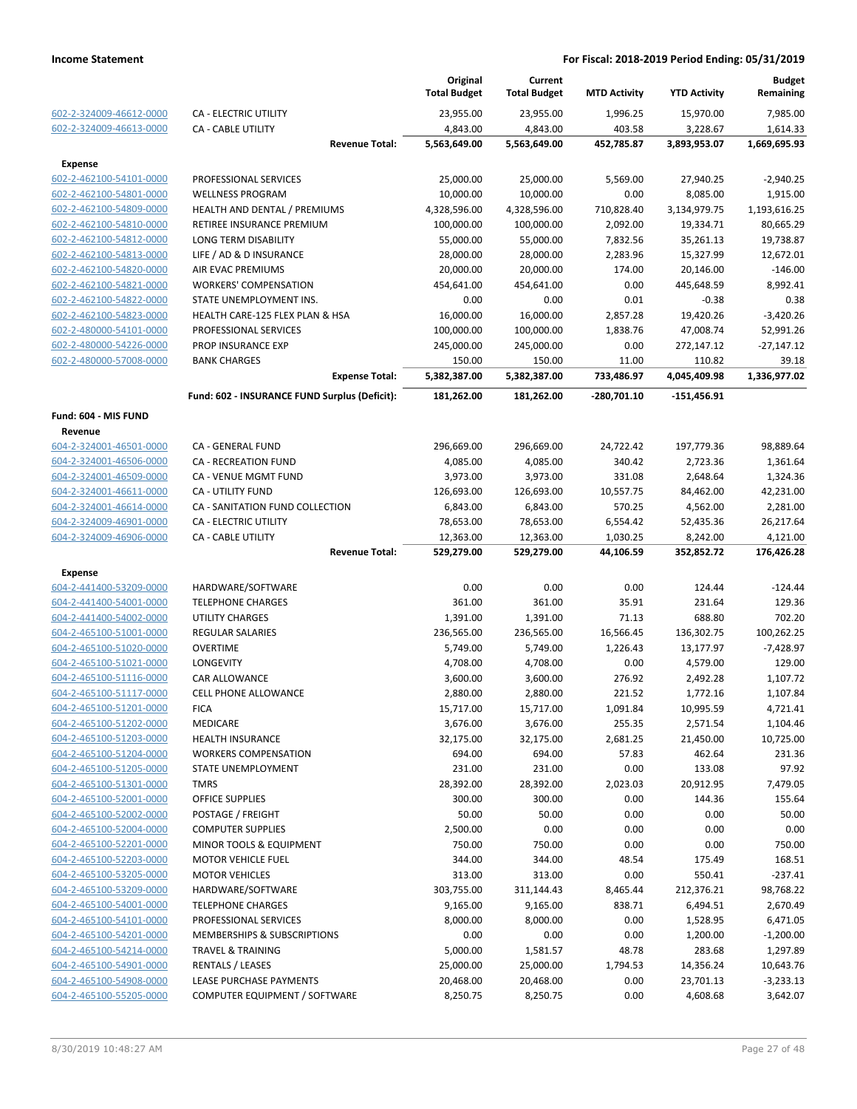|                         |                                               | Original<br><b>Total Budget</b> | Current<br><b>Total Budget</b> | <b>MTD Activity</b> | <b>YTD Activity</b> | <b>Budget</b><br>Remaining |
|-------------------------|-----------------------------------------------|---------------------------------|--------------------------------|---------------------|---------------------|----------------------------|
| 602-2-324009-46612-0000 | <b>CA - ELECTRIC UTILITY</b>                  | 23,955.00                       | 23,955.00                      | 1,996.25            | 15,970.00           | 7,985.00                   |
| 602-2-324009-46613-0000 | <b>CA - CABLE UTILITY</b>                     | 4,843.00                        | 4,843.00                       | 403.58              | 3,228.67            | 1,614.33                   |
|                         | <b>Revenue Total:</b>                         | 5,563,649.00                    | 5,563,649.00                   | 452,785.87          | 3,893,953.07        | 1,669,695.93               |
| <b>Expense</b>          |                                               |                                 |                                |                     |                     |                            |
| 602-2-462100-54101-0000 | PROFESSIONAL SERVICES                         | 25,000.00                       | 25,000.00                      | 5,569.00            | 27,940.25           | $-2,940.25$                |
| 602-2-462100-54801-0000 | <b>WELLNESS PROGRAM</b>                       | 10,000.00                       | 10,000.00                      | 0.00                | 8,085.00            | 1,915.00                   |
| 602-2-462100-54809-0000 | HEALTH AND DENTAL / PREMIUMS                  | 4,328,596.00                    | 4,328,596.00                   | 710,828.40          | 3,134,979.75        | 1,193,616.25               |
| 602-2-462100-54810-0000 | RETIREE INSURANCE PREMIUM                     | 100,000.00                      | 100,000.00                     | 2,092.00            | 19,334.71           | 80,665.29                  |
| 602-2-462100-54812-0000 | LONG TERM DISABILITY                          | 55,000.00                       | 55,000.00                      | 7,832.56            | 35,261.13           | 19,738.87                  |
| 602-2-462100-54813-0000 | LIFE / AD & D INSURANCE                       | 28,000.00                       | 28,000.00                      | 2,283.96            | 15,327.99           | 12,672.01                  |
| 602-2-462100-54820-0000 | AIR EVAC PREMIUMS                             | 20,000.00                       | 20,000.00                      | 174.00              | 20,146.00           | $-146.00$                  |
| 602-2-462100-54821-0000 | <b>WORKERS' COMPENSATION</b>                  | 454,641.00                      | 454,641.00                     | 0.00                | 445,648.59          | 8,992.41                   |
| 602-2-462100-54822-0000 | STATE UNEMPLOYMENT INS.                       | 0.00                            | 0.00                           | 0.01                | $-0.38$             | 0.38                       |
| 602-2-462100-54823-0000 | HEALTH CARE-125 FLEX PLAN & HSA               | 16,000.00                       | 16,000.00                      | 2,857.28            | 19,420.26           | $-3,420.26$                |
| 602-2-480000-54101-0000 | PROFESSIONAL SERVICES                         | 100,000.00                      | 100,000.00                     | 1,838.76            | 47,008.74           | 52,991.26                  |
| 602-2-480000-54226-0000 | PROP INSURANCE EXP                            | 245,000.00                      | 245,000.00                     | 0.00                | 272,147.12          | $-27,147.12$               |
| 602-2-480000-57008-0000 | <b>BANK CHARGES</b>                           | 150.00                          | 150.00                         | 11.00               | 110.82              | 39.18                      |
|                         | <b>Expense Total:</b>                         | 5,382,387.00                    | 5,382,387.00                   | 733,486.97          | 4,045,409.98        | 1,336,977.02               |
|                         | Fund: 602 - INSURANCE FUND Surplus (Deficit): | 181,262.00                      | 181,262.00                     | -280,701.10         | -151,456.91         |                            |
| Fund: 604 - MIS FUND    |                                               |                                 |                                |                     |                     |                            |
| Revenue                 |                                               |                                 |                                |                     |                     |                            |
| 604-2-324001-46501-0000 | CA - GENERAL FUND                             | 296,669.00                      | 296,669.00                     | 24,722.42           | 197,779.36          | 98,889.64                  |
| 604-2-324001-46506-0000 | <b>CA - RECREATION FUND</b>                   | 4,085.00                        | 4,085.00                       | 340.42              | 2,723.36            | 1,361.64                   |
| 604-2-324001-46509-0000 | CA - VENUE MGMT FUND                          | 3,973.00                        | 3,973.00                       | 331.08              | 2,648.64            | 1,324.36                   |
| 604-2-324001-46611-0000 | <b>CA - UTILITY FUND</b>                      | 126,693.00                      | 126,693.00                     | 10,557.75           | 84,462.00           | 42,231.00                  |
| 604-2-324001-46614-0000 | CA - SANITATION FUND COLLECTION               | 6,843.00                        | 6,843.00                       | 570.25              | 4,562.00            | 2,281.00                   |
| 604-2-324009-46901-0000 | <b>CA - ELECTRIC UTILITY</b>                  | 78,653.00                       | 78,653.00                      | 6,554.42            | 52,435.36           | 26,217.64                  |
| 604-2-324009-46906-0000 | CA - CABLE UTILITY                            | 12,363.00                       | 12,363.00                      | 1,030.25            | 8,242.00            | 4,121.00                   |
|                         | <b>Revenue Total:</b>                         | 529,279.00                      | 529,279.00                     | 44,106.59           | 352,852.72          | 176,426.28                 |
| <b>Expense</b>          |                                               |                                 |                                |                     |                     |                            |
| 604-2-441400-53209-0000 | HARDWARE/SOFTWARE                             | 0.00                            | 0.00                           | 0.00                | 124.44              | $-124.44$                  |
| 604-2-441400-54001-0000 | <b>TELEPHONE CHARGES</b>                      | 361.00                          | 361.00                         | 35.91               | 231.64              | 129.36                     |
| 604-2-441400-54002-0000 | <b>UTILITY CHARGES</b>                        | 1,391.00                        | 1,391.00                       | 71.13               | 688.80              | 702.20                     |
| 604-2-465100-51001-0000 | <b>REGULAR SALARIES</b>                       | 236,565.00                      | 236,565.00                     | 16,566.45           | 136,302.75          | 100,262.25                 |
| 604-2-465100-51020-0000 | <b>OVERTIME</b>                               | 5,749.00                        | 5,749.00                       | 1,226.43            | 13,177.97           | $-7,428.97$                |
| 604-2-465100-51021-0000 | <b>LONGEVITY</b>                              | 4,708.00                        | 4,708.00                       | 0.00                | 4,579.00            | 129.00                     |
| 604-2-465100-51116-0000 | <b>CAR ALLOWANCE</b>                          | 3,600.00                        | 3,600.00                       | 276.92              | 2,492.28            | 1,107.72                   |
| 604-2-465100-51117-0000 | <b>CELL PHONE ALLOWANCE</b>                   | 2,880.00                        | 2,880.00                       | 221.52              | 1,772.16            | 1,107.84                   |
| 604-2-465100-51201-0000 | <b>FICA</b>                                   | 15,717.00                       | 15,717.00                      | 1,091.84            | 10,995.59           | 4,721.41                   |
| 604-2-465100-51202-0000 | <b>MEDICARE</b>                               | 3,676.00                        | 3,676.00                       | 255.35              | 2,571.54            | 1,104.46                   |
| 604-2-465100-51203-0000 | HEALTH INSURANCE                              | 32,175.00                       | 32,175.00                      | 2,681.25            | 21,450.00           | 10,725.00                  |
| 604-2-465100-51204-0000 | <b>WORKERS COMPENSATION</b>                   | 694.00                          | 694.00                         | 57.83               | 462.64              | 231.36                     |
| 604-2-465100-51205-0000 | STATE UNEMPLOYMENT                            | 231.00                          | 231.00                         | 0.00                | 133.08              | 97.92                      |
| 604-2-465100-51301-0000 | <b>TMRS</b>                                   | 28,392.00                       | 28,392.00                      | 2,023.03            | 20,912.95           | 7,479.05                   |
| 604-2-465100-52001-0000 | <b>OFFICE SUPPLIES</b>                        | 300.00                          | 300.00                         | 0.00                | 144.36              | 155.64                     |
| 604-2-465100-52002-0000 | POSTAGE / FREIGHT                             | 50.00                           | 50.00                          | 0.00                | 0.00                | 50.00                      |
| 604-2-465100-52004-0000 | <b>COMPUTER SUPPLIES</b>                      | 2,500.00                        | 0.00                           | 0.00                | 0.00                | 0.00                       |
| 604-2-465100-52201-0000 | MINOR TOOLS & EQUIPMENT                       | 750.00                          | 750.00                         | 0.00                | 0.00                | 750.00                     |
| 604-2-465100-52203-0000 | <b>MOTOR VEHICLE FUEL</b>                     | 344.00                          | 344.00                         | 48.54               | 175.49              | 168.51                     |
| 604-2-465100-53205-0000 | <b>MOTOR VEHICLES</b>                         | 313.00                          | 313.00                         | 0.00                | 550.41              | $-237.41$                  |
| 604-2-465100-53209-0000 | HARDWARE/SOFTWARE                             | 303,755.00                      | 311,144.43                     | 8,465.44            | 212,376.21          | 98,768.22                  |
| 604-2-465100-54001-0000 | <b>TELEPHONE CHARGES</b>                      | 9,165.00                        | 9,165.00                       | 838.71              | 6,494.51            | 2,670.49                   |
| 604-2-465100-54101-0000 | PROFESSIONAL SERVICES                         | 8,000.00                        | 8,000.00                       | 0.00                | 1,528.95            | 6,471.05                   |
| 604-2-465100-54201-0000 | MEMBERSHIPS & SUBSCRIPTIONS                   | 0.00                            | 0.00                           | 0.00                | 1,200.00            | $-1,200.00$                |
| 604-2-465100-54214-0000 | TRAVEL & TRAINING                             | 5,000.00                        | 1,581.57                       | 48.78               | 283.68              | 1,297.89                   |
| 604-2-465100-54901-0000 | <b>RENTALS / LEASES</b>                       | 25,000.00                       | 25,000.00                      | 1,794.53            | 14,356.24           | 10,643.76                  |
| 604-2-465100-54908-0000 | LEASE PURCHASE PAYMENTS                       | 20,468.00                       | 20,468.00                      | 0.00                | 23,701.13           | $-3,233.13$                |
| 604-2-465100-55205-0000 | COMPUTER EQUIPMENT / SOFTWARE                 | 8,250.75                        | 8,250.75                       | 0.00                | 4,608.68            | 3,642.07                   |
|                         |                                               |                                 |                                |                     |                     |                            |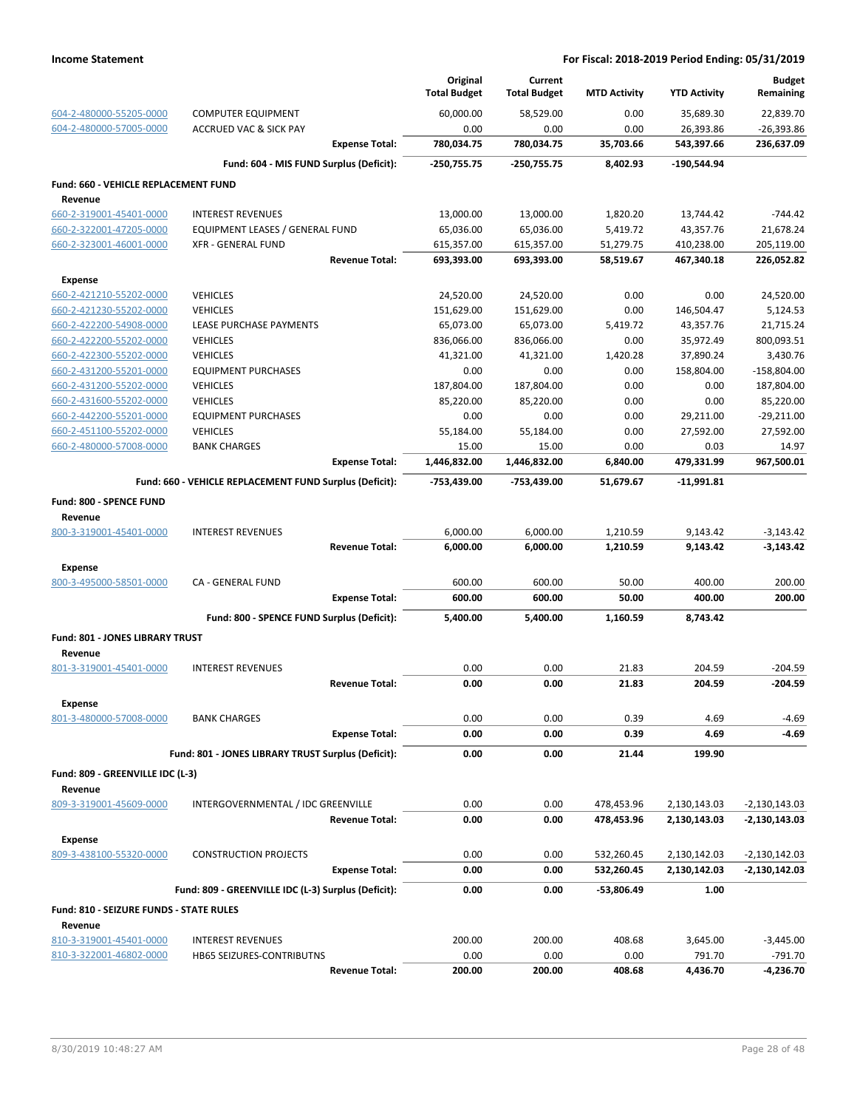|                                         |                                                         |                       | Original<br><b>Total Budget</b> | Current<br><b>Total Budget</b> | <b>MTD Activity</b> | <b>YTD Activity</b> | <b>Budget</b><br>Remaining |
|-----------------------------------------|---------------------------------------------------------|-----------------------|---------------------------------|--------------------------------|---------------------|---------------------|----------------------------|
| 604-2-480000-55205-0000                 | <b>COMPUTER EQUIPMENT</b>                               |                       | 60,000.00                       | 58,529.00                      | 0.00                | 35,689.30           | 22,839.70                  |
| 604-2-480000-57005-0000                 | <b>ACCRUED VAC &amp; SICK PAY</b>                       |                       | 0.00                            | 0.00                           | 0.00                | 26,393.86           | $-26,393.86$               |
|                                         |                                                         | <b>Expense Total:</b> | 780,034.75                      | 780,034.75                     | 35,703.66           | 543,397.66          | 236,637.09                 |
|                                         | Fund: 604 - MIS FUND Surplus (Deficit):                 |                       | $-250,755.75$                   | -250,755.75                    | 8.402.93            | -190,544.94         |                            |
| Fund: 660 - VEHICLE REPLACEMENT FUND    |                                                         |                       |                                 |                                |                     |                     |                            |
| Revenue                                 |                                                         |                       |                                 |                                |                     |                     |                            |
| 660-2-319001-45401-0000                 | <b>INTEREST REVENUES</b>                                |                       | 13,000.00                       | 13,000.00                      | 1,820.20            | 13,744.42           | $-744.42$                  |
| 660-2-322001-47205-0000                 | <b>EQUIPMENT LEASES / GENERAL FUND</b>                  |                       | 65,036.00                       | 65,036.00                      | 5,419.72            | 43,357.76           | 21,678.24                  |
| 660-2-323001-46001-0000                 | <b>XFR - GENERAL FUND</b>                               |                       | 615,357.00                      | 615,357.00                     | 51,279.75           | 410,238.00          | 205,119.00                 |
|                                         |                                                         | <b>Revenue Total:</b> | 693,393.00                      | 693,393.00                     | 58,519.67           | 467,340.18          | 226,052.82                 |
| <b>Expense</b>                          |                                                         |                       |                                 |                                |                     |                     |                            |
| 660-2-421210-55202-0000                 | <b>VEHICLES</b>                                         |                       | 24,520.00                       | 24,520.00                      | 0.00                | 0.00                | 24,520.00                  |
| 660-2-421230-55202-0000                 | <b>VEHICLES</b>                                         |                       | 151,629.00                      | 151,629.00                     | 0.00                | 146,504.47          | 5,124.53                   |
| 660-2-422200-54908-0000                 | LEASE PURCHASE PAYMENTS                                 |                       | 65,073.00                       | 65,073.00                      | 5,419.72            | 43,357.76           | 21,715.24                  |
| 660-2-422200-55202-0000                 | <b>VEHICLES</b>                                         |                       | 836,066.00                      | 836,066.00                     | 0.00                | 35,972.49           | 800,093.51                 |
| 660-2-422300-55202-0000                 | <b>VEHICLES</b>                                         |                       | 41,321.00                       | 41,321.00                      | 1,420.28            | 37,890.24           | 3,430.76                   |
| 660-2-431200-55201-0000                 | <b>EQUIPMENT PURCHASES</b>                              |                       | 0.00                            | 0.00                           | 0.00                | 158,804.00          | $-158,804.00$              |
| 660-2-431200-55202-0000                 | <b>VEHICLES</b>                                         |                       | 187,804.00                      | 187,804.00                     | 0.00                | 0.00                | 187,804.00                 |
| 660-2-431600-55202-0000                 | <b>VEHICLES</b>                                         |                       | 85,220.00                       | 85,220.00                      | 0.00                | 0.00                | 85,220.00                  |
| 660-2-442200-55201-0000                 | <b>EQUIPMENT PURCHASES</b>                              |                       | 0.00                            | 0.00                           | 0.00                | 29,211.00           | $-29,211.00$               |
| 660-2-451100-55202-0000                 | <b>VEHICLES</b>                                         |                       | 55,184.00                       | 55,184.00                      | 0.00                | 27,592.00           | 27,592.00                  |
| 660-2-480000-57008-0000                 | <b>BANK CHARGES</b>                                     |                       | 15.00                           | 15.00                          | 0.00                | 0.03                | 14.97                      |
|                                         |                                                         | <b>Expense Total:</b> | 1,446,832.00                    | 1,446,832.00                   | 6,840.00            | 479,331.99          | 967,500.01                 |
|                                         | Fund: 660 - VEHICLE REPLACEMENT FUND Surplus (Deficit): |                       | -753,439.00                     | -753,439.00                    | 51,679.67           | $-11,991.81$        |                            |
| Fund: 800 - SPENCE FUND                 |                                                         |                       |                                 |                                |                     |                     |                            |
| Revenue                                 |                                                         |                       |                                 |                                |                     |                     |                            |
| 800-3-319001-45401-0000                 | <b>INTEREST REVENUES</b>                                |                       | 6,000.00                        | 6,000.00                       | 1,210.59            | 9,143.42            | $-3,143.42$                |
|                                         |                                                         | <b>Revenue Total:</b> | 6,000.00                        | 6,000.00                       | 1,210.59            | 9,143.42            | $-3,143.42$                |
| Expense                                 |                                                         |                       |                                 |                                |                     |                     |                            |
| 800-3-495000-58501-0000                 | CA - GENERAL FUND                                       |                       | 600.00                          | 600.00                         | 50.00               | 400.00              | 200.00                     |
|                                         |                                                         | <b>Expense Total:</b> | 600.00                          | 600.00                         | 50.00               | 400.00              | 200.00                     |
|                                         | Fund: 800 - SPENCE FUND Surplus (Deficit):              |                       | 5,400.00                        | 5,400.00                       | 1.160.59            | 8,743.42            |                            |
| <b>Fund: 801 - JONES LIBRARY TRUST</b>  |                                                         |                       |                                 |                                |                     |                     |                            |
| Revenue<br>801-3-319001-45401-0000      | <b>INTEREST REVENUES</b>                                |                       | 0.00                            | 0.00                           | 21.83               | 204.59              | $-204.59$                  |
|                                         |                                                         | <b>Revenue Total:</b> | 0.00                            | 0.00                           | 21.83               | 204.59              | $-204.59$                  |
|                                         |                                                         |                       |                                 |                                |                     |                     |                            |
| <b>Expense</b>                          |                                                         |                       |                                 |                                |                     |                     |                            |
| 801-3-480000-57008-0000                 | <b>BANK CHARGES</b>                                     |                       | 0.00                            | 0.00                           | 0.39                | 4.69                | $-4.69$                    |
|                                         |                                                         | <b>Expense Total:</b> | 0.00                            | 0.00                           | 0.39                | 4.69                | $-4.69$                    |
|                                         | Fund: 801 - JONES LIBRARY TRUST Surplus (Deficit):      |                       | 0.00                            | 0.00                           | 21.44               | 199.90              |                            |
| Fund: 809 - GREENVILLE IDC (L-3)        |                                                         |                       |                                 |                                |                     |                     |                            |
| Revenue                                 |                                                         |                       |                                 |                                |                     |                     |                            |
| 809-3-319001-45609-0000                 | INTERGOVERNMENTAL / IDC GREENVILLE                      |                       | 0.00                            | 0.00                           | 478,453.96          | 2,130,143.03        | $-2,130,143.03$            |
|                                         |                                                         | <b>Revenue Total:</b> | 0.00                            | 0.00                           | 478,453.96          | 2,130,143.03        | -2,130,143.03              |
| Expense                                 |                                                         |                       |                                 |                                |                     |                     |                            |
| 809-3-438100-55320-0000                 | <b>CONSTRUCTION PROJECTS</b>                            |                       | 0.00                            | 0.00                           | 532,260.45          | 2,130,142.03        | $-2,130,142.03$            |
|                                         |                                                         | <b>Expense Total:</b> | 0.00                            | 0.00                           | 532,260.45          | 2,130,142.03        | $-2,130,142.03$            |
|                                         | Fund: 809 - GREENVILLE IDC (L-3) Surplus (Deficit):     |                       | 0.00                            | 0.00                           | -53,806.49          | 1.00                |                            |
| Fund: 810 - SEIZURE FUNDS - STATE RULES |                                                         |                       |                                 |                                |                     |                     |                            |
| Revenue                                 |                                                         |                       |                                 |                                |                     |                     |                            |
| 810-3-319001-45401-0000                 | <b>INTEREST REVENUES</b>                                |                       | 200.00                          | 200.00                         | 408.68              | 3,645.00            | $-3,445.00$                |
| 810-3-322001-46802-0000                 | HB65 SEIZURES-CONTRIBUTNS                               |                       | 0.00                            | 0.00                           | 0.00                | 791.70              | $-791.70$                  |
|                                         |                                                         | <b>Revenue Total:</b> | 200.00                          | 200.00                         | 408.68              | 4,436.70            | -4,236.70                  |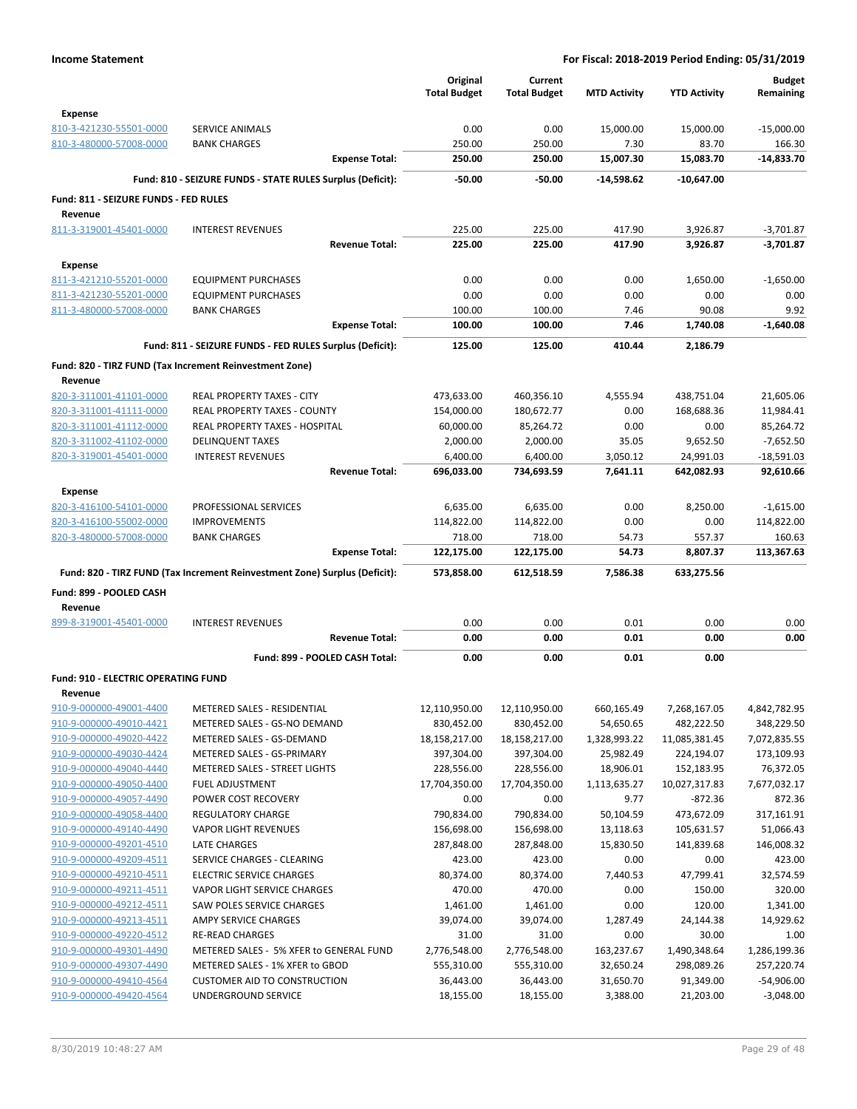|                                                       |                                                                            | Original<br><b>Total Budget</b> | Current<br><b>Total Budget</b> | <b>MTD Activity</b>    | <b>YTD Activity</b>      | <b>Budget</b><br>Remaining  |
|-------------------------------------------------------|----------------------------------------------------------------------------|---------------------------------|--------------------------------|------------------------|--------------------------|-----------------------------|
| <b>Expense</b>                                        |                                                                            |                                 |                                |                        |                          |                             |
| 810-3-421230-55501-0000                               | <b>SERVICE ANIMALS</b>                                                     | 0.00                            | 0.00                           | 15,000.00              | 15,000.00                | $-15,000.00$                |
| 810-3-480000-57008-0000                               | <b>BANK CHARGES</b>                                                        | 250.00                          | 250.00                         | 7.30                   | 83.70                    | 166.30                      |
|                                                       | <b>Expense Total:</b>                                                      | 250.00                          | 250.00                         | 15,007.30              | 15,083.70                | $-14,833.70$                |
|                                                       | Fund: 810 - SEIZURE FUNDS - STATE RULES Surplus (Deficit):                 | $-50.00$                        | $-50.00$                       | $-14,598.62$           | -10,647.00               |                             |
| Fund: 811 - SEIZURE FUNDS - FED RULES                 |                                                                            |                                 |                                |                        |                          |                             |
| Revenue                                               |                                                                            |                                 |                                |                        |                          |                             |
| 811-3-319001-45401-0000                               | <b>INTEREST REVENUES</b>                                                   | 225.00                          | 225.00                         | 417.90                 | 3,926.87                 | $-3.701.87$                 |
|                                                       | <b>Revenue Total:</b>                                                      | 225.00                          | 225.00                         | 417.90                 | 3,926.87                 | $-3,701.87$                 |
| <b>Expense</b>                                        |                                                                            |                                 |                                |                        |                          |                             |
| 811-3-421210-55201-0000                               | <b>EQUIPMENT PURCHASES</b>                                                 | 0.00                            | 0.00                           | 0.00                   | 1,650.00                 | $-1,650.00$                 |
| 811-3-421230-55201-0000                               | <b>EQUIPMENT PURCHASES</b>                                                 | 0.00                            | 0.00                           | 0.00                   | 0.00                     | 0.00                        |
| 811-3-480000-57008-0000                               | <b>BANK CHARGES</b>                                                        | 100.00                          | 100.00                         | 7.46                   | 90.08                    | 9.92                        |
|                                                       | <b>Expense Total:</b>                                                      | 100.00                          | 100.00                         | 7.46                   | 1,740.08                 | $-1,640.08$                 |
|                                                       | Fund: 811 - SEIZURE FUNDS - FED RULES Surplus (Deficit):                   | 125.00                          | 125.00                         | 410.44                 | 2,186.79                 |                             |
|                                                       | Fund: 820 - TIRZ FUND (Tax Increment Reinvestment Zone)                    |                                 |                                |                        |                          |                             |
| Revenue<br>820-3-311001-41101-0000                    | REAL PROPERTY TAXES - CITY                                                 | 473,633.00                      | 460,356.10                     | 4,555.94               | 438,751.04               | 21,605.06                   |
| 820-3-311001-41111-0000                               | REAL PROPERTY TAXES - COUNTY                                               | 154,000.00                      | 180,672.77                     | 0.00                   | 168,688.36               | 11,984.41                   |
| 820-3-311001-41112-0000                               | REAL PROPERTY TAXES - HOSPITAL                                             | 60,000.00                       | 85,264.72                      | 0.00                   | 0.00                     | 85,264.72                   |
| 820-3-311002-41102-0000                               | <b>DELINQUENT TAXES</b>                                                    | 2,000.00                        | 2,000.00                       | 35.05                  | 9,652.50                 | $-7,652.50$                 |
| 820-3-319001-45401-0000                               | <b>INTEREST REVENUES</b>                                                   | 6,400.00                        | 6,400.00                       | 3,050.12               | 24,991.03                | $-18,591.03$                |
|                                                       | <b>Revenue Total:</b>                                                      | 696,033.00                      | 734,693.59                     | 7,641.11               | 642,082.93               | 92,610.66                   |
| <b>Expense</b>                                        |                                                                            |                                 |                                |                        |                          |                             |
| 820-3-416100-54101-0000                               | PROFESSIONAL SERVICES                                                      | 6,635.00                        | 6,635.00                       | 0.00                   | 8,250.00                 | $-1,615.00$                 |
| 820-3-416100-55002-0000                               | <b>IMPROVEMENTS</b>                                                        | 114,822.00                      | 114,822.00                     | 0.00                   | 0.00                     | 114,822.00                  |
| 820-3-480000-57008-0000                               | <b>BANK CHARGES</b>                                                        | 718.00                          | 718.00                         | 54.73                  | 557.37                   | 160.63                      |
|                                                       | <b>Expense Total:</b>                                                      | 122,175.00                      | 122,175.00                     | 54.73                  | 8,807.37                 | 113,367.63                  |
|                                                       | Fund: 820 - TIRZ FUND (Tax Increment Reinvestment Zone) Surplus (Deficit): | 573,858.00                      | 612,518.59                     | 7,586.38               | 633,275.56               |                             |
| Fund: 899 - POOLED CASH                               |                                                                            |                                 |                                |                        |                          |                             |
| Revenue                                               |                                                                            |                                 |                                |                        |                          |                             |
| 899-8-319001-45401-0000                               | <b>INTEREST REVENUES</b><br><b>Revenue Total:</b>                          | 0.00<br>0.00                    | 0.00<br>0.00                   | 0.01<br>0.01           | 0.00<br>0.00             | 0.00<br>0.00                |
|                                                       |                                                                            |                                 |                                |                        |                          |                             |
|                                                       | Fund: 899 - POOLED CASH Total:                                             | 0.00                            | 0.00                           | 0.01                   | 0.00                     |                             |
| <b>Fund: 910 - ELECTRIC OPERATING FUND</b><br>Revenue |                                                                            |                                 |                                |                        |                          |                             |
| 910-9-000000-49001-4400                               | METERED SALES - RESIDENTIAL                                                | 12,110,950.00                   | 12,110,950.00                  | 660,165.49             | 7,268,167.05             | 4,842,782.95                |
| 910-9-000000-49010-4421                               | METERED SALES - GS-NO DEMAND                                               | 830,452.00                      | 830,452.00                     | 54,650.65              | 482,222.50               | 348,229.50                  |
| 910-9-000000-49020-4422                               | METERED SALES - GS-DEMAND                                                  | 18,158,217.00                   | 18,158,217.00                  | 1,328,993.22           | 11,085,381.45            | 7,072,835.55                |
| 910-9-000000-49030-4424                               | METERED SALES - GS-PRIMARY                                                 | 397,304.00                      | 397,304.00                     | 25,982.49              | 224,194.07               | 173,109.93                  |
| 910-9-000000-49040-4440                               | METERED SALES - STREET LIGHTS                                              | 228,556.00                      | 228,556.00                     | 18,906.01              | 152,183.95               | 76,372.05                   |
| 910-9-000000-49050-4400                               | <b>FUEL ADJUSTMENT</b>                                                     | 17,704,350.00                   | 17,704,350.00                  | 1,113,635.27           | 10,027,317.83            | 7,677,032.17                |
| 910-9-000000-49057-4490                               | POWER COST RECOVERY                                                        | 0.00                            | 0.00                           | 9.77                   | $-872.36$                | 872.36                      |
| 910-9-000000-49058-4400<br>910-9-000000-49140-4490    | <b>REGULATORY CHARGE</b><br><b>VAPOR LIGHT REVENUES</b>                    | 790,834.00                      | 790,834.00<br>156,698.00       | 50,104.59<br>13,118.63 | 473,672.09<br>105,631.57 | 317,161.91<br>51,066.43     |
| 910-9-000000-49201-4510                               | LATE CHARGES                                                               | 156,698.00<br>287,848.00        | 287,848.00                     | 15,830.50              | 141,839.68               | 146,008.32                  |
| 910-9-000000-49209-4511                               | SERVICE CHARGES - CLEARING                                                 | 423.00                          | 423.00                         | 0.00                   | 0.00                     | 423.00                      |
| 910-9-000000-49210-4511                               | <b>ELECTRIC SERVICE CHARGES</b>                                            | 80,374.00                       | 80,374.00                      | 7,440.53               | 47,799.41                | 32,574.59                   |
| 910-9-000000-49211-4511                               | VAPOR LIGHT SERVICE CHARGES                                                | 470.00                          | 470.00                         | 0.00                   | 150.00                   | 320.00                      |
| 910-9-000000-49212-4511                               | SAW POLES SERVICE CHARGES                                                  | 1,461.00                        | 1,461.00                       | 0.00                   | 120.00                   | 1,341.00                    |
| 910-9-000000-49213-4511                               | AMPY SERVICE CHARGES                                                       | 39,074.00                       | 39,074.00                      | 1,287.49               | 24,144.38                | 14,929.62                   |
| 910-9-000000-49220-4512                               | <b>RE-READ CHARGES</b>                                                     | 31.00                           | 31.00                          | 0.00                   | 30.00                    | 1.00                        |
| 910-9-000000-49301-4490                               | METERED SALES - 5% XFER to GENERAL FUND                                    | 2,776,548.00                    | 2,776,548.00                   | 163,237.67             | 1,490,348.64             | 1,286,199.36                |
| 910-9-000000-49307-4490                               | METERED SALES - 1% XFER to GBOD                                            | 555,310.00                      | 555,310.00                     | 32,650.24              | 298,089.26               | 257,220.74                  |
| 910-9-000000-49410-4564<br>910-9-000000-49420-4564    | <b>CUSTOMER AID TO CONSTRUCTION</b><br>UNDERGROUND SERVICE                 | 36,443.00<br>18,155.00          | 36,443.00<br>18,155.00         | 31,650.70<br>3,388.00  | 91,349.00<br>21,203.00   | $-54,906.00$<br>$-3,048.00$ |
|                                                       |                                                                            |                                 |                                |                        |                          |                             |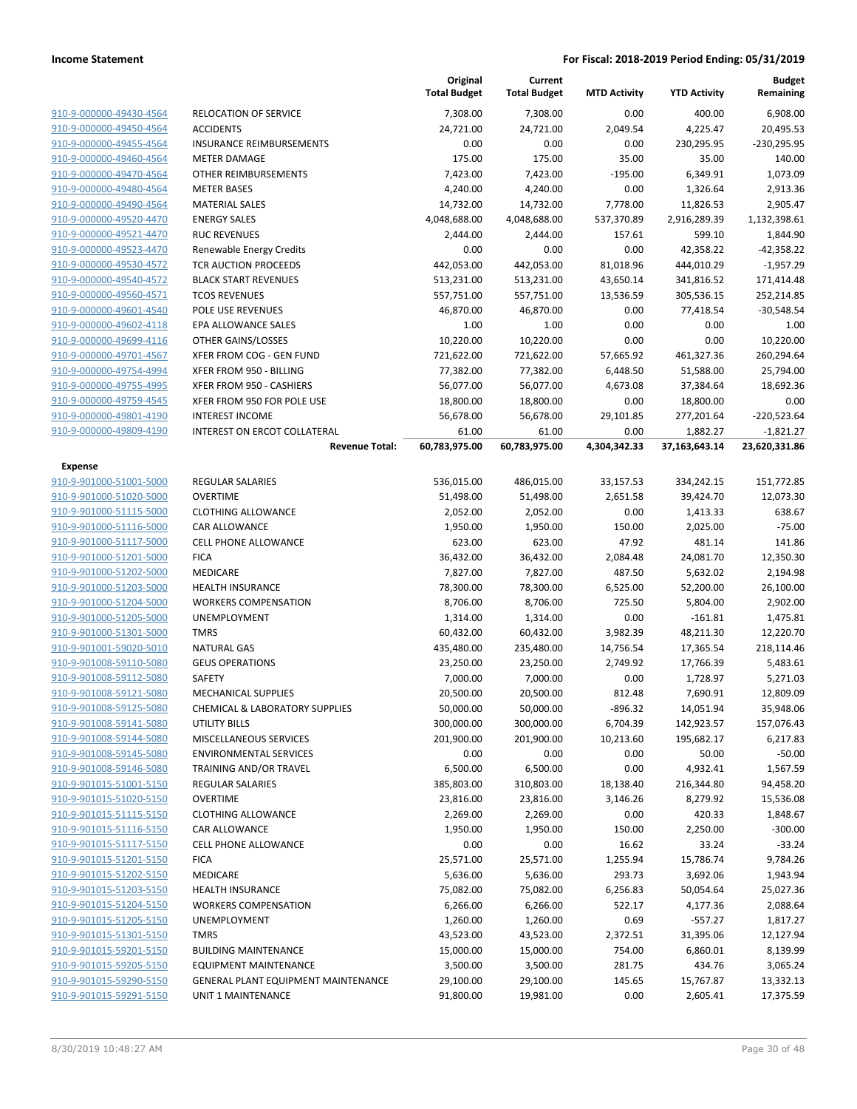|                                                    |                                                    | Original<br><b>Total Budget</b> | Current<br><b>Total Budget</b> | <b>MTD Activity</b> | <b>YTD Activity</b> | <b>Budget</b><br>Remaining |
|----------------------------------------------------|----------------------------------------------------|---------------------------------|--------------------------------|---------------------|---------------------|----------------------------|
| 910-9-000000-49430-4564                            | <b>RELOCATION OF SERVICE</b>                       | 7,308.00                        | 7,308.00                       | 0.00                | 400.00              | 6,908.00                   |
| 910-9-000000-49450-4564                            | <b>ACCIDENTS</b>                                   | 24,721.00                       | 24,721.00                      | 2,049.54            | 4,225.47            | 20,495.53                  |
| 910-9-000000-49455-4564                            | <b>INSURANCE REIMBURSEMENTS</b>                    | 0.00                            | 0.00                           | 0.00                | 230,295.95          | -230,295.95                |
| 910-9-000000-49460-4564                            | <b>METER DAMAGE</b>                                | 175.00                          | 175.00                         | 35.00               | 35.00               | 140.00                     |
| 910-9-000000-49470-4564                            | OTHER REIMBURSEMENTS                               | 7,423.00                        | 7,423.00                       | $-195.00$           | 6,349.91            | 1,073.09                   |
| 910-9-000000-49480-4564                            | <b>METER BASES</b>                                 | 4,240.00                        | 4,240.00                       | 0.00                | 1,326.64            | 2,913.36                   |
| 910-9-000000-49490-4564                            | <b>MATERIAL SALES</b>                              | 14,732.00                       | 14,732.00                      | 7,778.00            | 11,826.53           | 2,905.47                   |
| 910-9-000000-49520-4470                            | <b>ENERGY SALES</b>                                | 4,048,688.00                    | 4,048,688.00                   | 537,370.89          | 2,916,289.39        | 1,132,398.61               |
| 910-9-000000-49521-4470                            | <b>RUC REVENUES</b>                                | 2,444.00                        | 2,444.00                       | 157.61              | 599.10              | 1,844.90                   |
| 910-9-000000-49523-4470                            | Renewable Energy Credits                           | 0.00                            | 0.00                           | 0.00                | 42,358.22           | -42,358.22                 |
| 910-9-000000-49530-4572                            | TCR AUCTION PROCEEDS                               | 442,053.00                      | 442,053.00                     | 81,018.96           | 444,010.29          | $-1,957.29$                |
| 910-9-000000-49540-4572                            | <b>BLACK START REVENUES</b>                        | 513,231.00                      | 513,231.00                     | 43,650.14           | 341,816.52          | 171,414.48                 |
| 910-9-000000-49560-4571                            | <b>TCOS REVENUES</b>                               | 557,751.00                      | 557,751.00                     | 13,536.59           | 305,536.15          | 252,214.85                 |
| 910-9-000000-49601-4540                            | POLE USE REVENUES                                  | 46,870.00                       | 46,870.00                      | 0.00                | 77,418.54           | $-30,548.54$               |
| 910-9-000000-49602-4118                            | EPA ALLOWANCE SALES                                | 1.00                            | 1.00                           | 0.00                | 0.00                | 1.00                       |
| 910-9-000000-49699-4116                            | OTHER GAINS/LOSSES                                 | 10,220.00                       | 10,220.00                      | 0.00                | 0.00                | 10,220.00                  |
| 910-9-000000-49701-4567                            | XFER FROM COG - GEN FUND                           | 721,622.00                      | 721,622.00                     | 57,665.92           | 461,327.36          | 260,294.64                 |
| 910-9-000000-49754-4994                            | XFER FROM 950 - BILLING                            | 77,382.00                       | 77,382.00                      | 6,448.50            | 51,588.00           | 25,794.00                  |
| 910-9-000000-49755-4995                            | XFER FROM 950 - CASHIERS                           | 56,077.00                       | 56,077.00                      | 4,673.08            | 37,384.64           | 18,692.36                  |
| 910-9-000000-49759-4545                            | XFER FROM 950 FOR POLE USE                         | 18,800.00                       | 18,800.00                      | 0.00                | 18,800.00           | 0.00                       |
| 910-9-000000-49801-4190                            | <b>INTEREST INCOME</b>                             | 56,678.00                       | 56,678.00                      | 29,101.85           | 277,201.64          | $-220,523.64$              |
| 910-9-000000-49809-4190                            | INTEREST ON ERCOT COLLATERAL                       | 61.00                           | 61.00                          | 0.00                | 1,882.27            | $-1,821.27$                |
|                                                    | <b>Revenue Total:</b>                              | 60,783,975.00                   | 60,783,975.00                  | 4,304,342.33        | 37,163,643.14       | 23,620,331.86              |
| <b>Expense</b>                                     |                                                    |                                 |                                |                     |                     |                            |
| 910-9-901000-51001-5000                            | REGULAR SALARIES                                   | 536,015.00                      | 486,015.00                     | 33,157.53           | 334,242.15          | 151,772.85                 |
| 910-9-901000-51020-5000                            | <b>OVERTIME</b>                                    | 51,498.00                       | 51,498.00                      | 2,651.58            | 39,424.70           | 12,073.30                  |
| 910-9-901000-51115-5000                            | <b>CLOTHING ALLOWANCE</b>                          | 2,052.00                        | 2,052.00                       | 0.00                | 1,413.33            | 638.67                     |
| 910-9-901000-51116-5000                            | CAR ALLOWANCE                                      | 1,950.00                        | 1,950.00                       | 150.00              | 2,025.00            | $-75.00$                   |
| 910-9-901000-51117-5000                            | <b>CELL PHONE ALLOWANCE</b>                        | 623.00                          | 623.00                         | 47.92               | 481.14              | 141.86                     |
| 910-9-901000-51201-5000                            | <b>FICA</b>                                        | 36,432.00                       | 36,432.00                      | 2,084.48            | 24,081.70           | 12,350.30                  |
| 910-9-901000-51202-5000                            | MEDICARE                                           | 7,827.00                        | 7,827.00                       | 487.50              | 5,632.02            | 2,194.98                   |
| 910-9-901000-51203-5000                            | <b>HEALTH INSURANCE</b>                            | 78,300.00                       | 78,300.00                      | 6,525.00            | 52,200.00           | 26,100.00                  |
| 910-9-901000-51204-5000                            | <b>WORKERS COMPENSATION</b>                        | 8,706.00                        | 8,706.00                       | 725.50              | 5,804.00            | 2,902.00                   |
| 910-9-901000-51205-5000                            | <b>UNEMPLOYMENT</b>                                | 1,314.00                        | 1,314.00                       | 0.00                | $-161.81$           | 1,475.81                   |
| 910-9-901000-51301-5000                            | <b>TMRS</b>                                        | 60,432.00                       | 60,432.00                      | 3,982.39            | 48,211.30           | 12,220.70                  |
| 910-9-901001-59020-5010                            | <b>NATURAL GAS</b>                                 | 435,480.00                      | 235,480.00                     | 14,756.54           | 17,365.54           | 218,114.46                 |
| 910-9-901008-59110-5080                            | <b>GEUS OPERATIONS</b>                             | 23,250.00                       | 23,250.00                      | 2,749.92            | 17,766.39           | 5,483.61                   |
| 910-9-901008-59112-5080                            | <b>SAFETY</b>                                      | 7,000.00                        | 7,000.00                       | 0.00                | 1,728.97            | 5,271.03                   |
| 910-9-901008-59121-5080                            | MECHANICAL SUPPLIES                                | 20,500.00                       | 20,500.00                      | 812.48              | 7,690.91            | 12,809.09                  |
| 910-9-901008-59125-5080                            | <b>CHEMICAL &amp; LABORATORY SUPPLIES</b>          | 50,000.00                       | 50,000.00                      | -896.32             | 14,051.94           | 35,948.06                  |
| 910-9-901008-59141-5080                            | <b>UTILITY BILLS</b>                               | 300,000.00                      | 300,000.00                     | 6,704.39            | 142,923.57          | 157,076.43                 |
| 910-9-901008-59144-5080                            | MISCELLANEOUS SERVICES                             | 201,900.00                      | 201,900.00                     | 10,213.60           | 195,682.17          | 6,217.83                   |
| 910-9-901008-59145-5080                            | <b>ENVIRONMENTAL SERVICES</b>                      | 0.00                            | 0.00                           | 0.00                | 50.00               | $-50.00$                   |
| 910-9-901008-59146-5080                            | TRAINING AND/OR TRAVEL                             | 6,500.00                        | 6,500.00                       | 0.00                | 4,932.41            | 1,567.59                   |
| 910-9-901015-51001-5150<br>910-9-901015-51020-5150 | REGULAR SALARIES                                   | 385,803.00<br>23,816.00         | 310,803.00                     | 18,138.40           | 216,344.80          | 94,458.20                  |
| 910-9-901015-51115-5150                            | <b>OVERTIME</b>                                    |                                 | 23,816.00                      | 3,146.26            | 8,279.92            | 15,536.08                  |
| 910-9-901015-51116-5150                            | <b>CLOTHING ALLOWANCE</b>                          | 2,269.00                        | 2,269.00                       | 0.00                | 420.33              | 1,848.67<br>$-300.00$      |
| 910-9-901015-51117-5150                            | CAR ALLOWANCE                                      | 1,950.00                        | 1,950.00                       | 150.00              | 2,250.00            |                            |
| 910-9-901015-51201-5150                            | CELL PHONE ALLOWANCE<br><b>FICA</b>                | 0.00                            | 0.00<br>25,571.00              | 16.62               | 33.24               | $-33.24$                   |
|                                                    |                                                    | 25,571.00                       |                                | 1,255.94            | 15,786.74           | 9,784.26                   |
| 910-9-901015-51202-5150                            | MEDICARE                                           | 5,636.00                        | 5,636.00                       | 293.73              | 3,692.06            | 1,943.94                   |
| 910-9-901015-51203-5150                            | <b>HEALTH INSURANCE</b>                            | 75,082.00                       | 75,082.00                      | 6,256.83            | 50,054.64           | 25,027.36                  |
| 910-9-901015-51204-5150<br>910-9-901015-51205-5150 | <b>WORKERS COMPENSATION</b><br><b>UNEMPLOYMENT</b> | 6,266.00                        | 6,266.00                       | 522.17              | 4,177.36            | 2,088.64                   |
| 910-9-901015-51301-5150                            | <b>TMRS</b>                                        | 1,260.00                        | 1,260.00                       | 0.69                | $-557.27$           | 1,817.27                   |
|                                                    |                                                    | 43,523.00                       | 43,523.00                      | 2,372.51            | 31,395.06           | 12,127.94                  |
| 910-9-901015-59201-5150                            | <b>BUILDING MAINTENANCE</b>                        | 15,000.00                       | 15,000.00                      | 754.00              | 6,860.01            | 8,139.99                   |
| 910-9-901015-59205-5150<br>910-9-901015-59290-5150 | <b>EQUIPMENT MAINTENANCE</b>                       | 3,500.00                        | 3,500.00                       | 281.75              | 434.76              | 3,065.24                   |
| 910-9-901015-59291-5150                            | GENERAL PLANT EQUIPMENT MAINTENANCE                | 29,100.00                       | 29,100.00                      | 145.65              | 15,767.87           | 13,332.13                  |
|                                                    | UNIT 1 MAINTENANCE                                 | 91,800.00                       | 19,981.00                      | 0.00                | 2,605.41            | 17,375.59                  |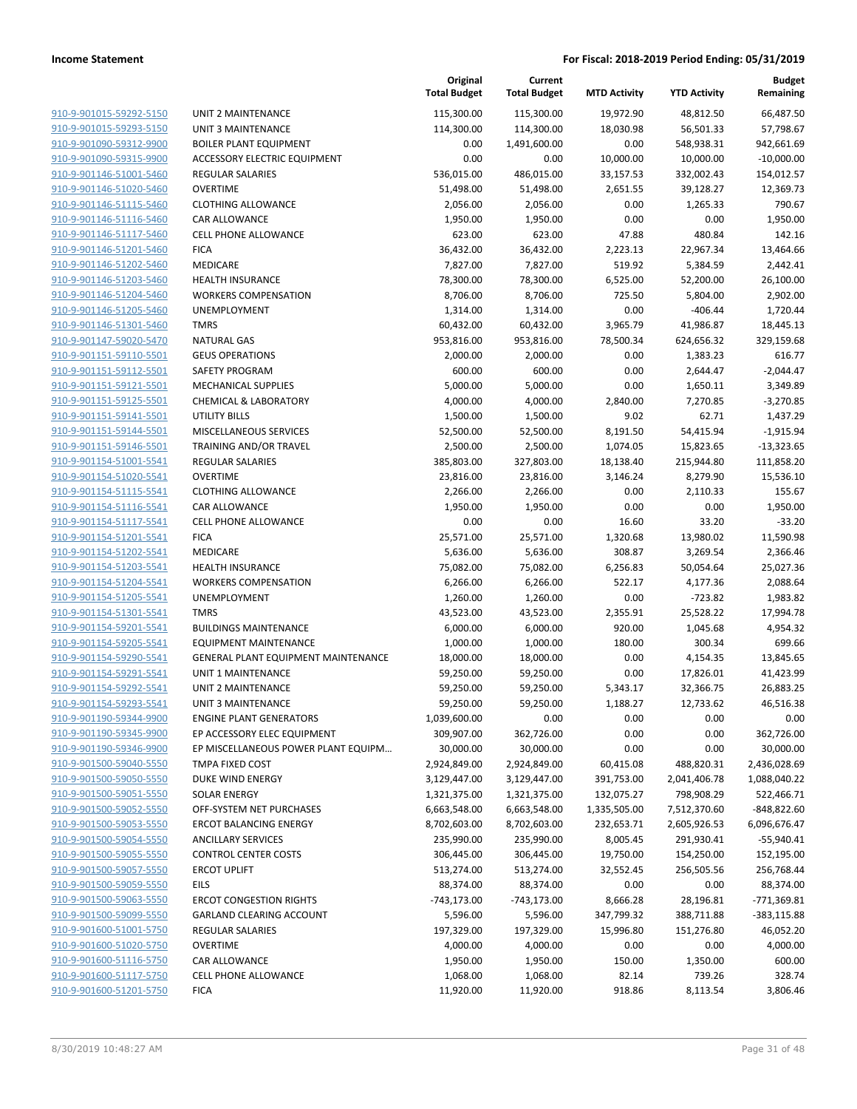|                         |                                     | Original<br><b>Total Budget</b> | Current<br><b>Total Budget</b> | <b>MTD Activity</b> | <b>YTD Activity</b> | Budget<br>Remaining |
|-------------------------|-------------------------------------|---------------------------------|--------------------------------|---------------------|---------------------|---------------------|
| 910-9-901015-59292-5150 | <b>UNIT 2 MAINTENANCE</b>           | 115,300.00                      | 115,300.00                     | 19,972.90           | 48,812.50           | 66,487.50           |
| 910-9-901015-59293-5150 | <b>UNIT 3 MAINTENANCE</b>           | 114,300.00                      | 114,300.00                     | 18,030.98           | 56,501.33           | 57,798.67           |
| 910-9-901090-59312-9900 | <b>BOILER PLANT EQUIPMENT</b>       | 0.00                            | 1,491,600.00                   | 0.00                | 548,938.31          | 942,661.69          |
| 910-9-901090-59315-9900 | <b>ACCESSORY ELECTRIC EQUIPMENT</b> | 0.00                            | 0.00                           | 10,000.00           | 10,000.00           | $-10,000.00$        |
| 910-9-901146-51001-5460 | <b>REGULAR SALARIES</b>             | 536,015.00                      | 486,015.00                     | 33,157.53           | 332,002.43          | 154,012.57          |
| 910-9-901146-51020-5460 | <b>OVERTIME</b>                     | 51,498.00                       | 51,498.00                      | 2,651.55            | 39,128.27           | 12,369.73           |
| 910-9-901146-51115-5460 | <b>CLOTHING ALLOWANCE</b>           | 2,056.00                        | 2,056.00                       | 0.00                | 1,265.33            | 790.67              |
| 910-9-901146-51116-5460 | CAR ALLOWANCE                       | 1,950.00                        | 1,950.00                       | 0.00                | 0.00                | 1,950.00            |
| 910-9-901146-51117-5460 | <b>CELL PHONE ALLOWANCE</b>         | 623.00                          | 623.00                         | 47.88               | 480.84              | 142.16              |
| 910-9-901146-51201-5460 | <b>FICA</b>                         | 36,432.00                       | 36,432.00                      | 2,223.13            | 22,967.34           | 13,464.66           |
| 910-9-901146-51202-5460 | MEDICARE                            | 7,827.00                        | 7,827.00                       | 519.92              | 5,384.59            | 2,442.41            |
| 910-9-901146-51203-5460 | <b>HEALTH INSURANCE</b>             | 78,300.00                       | 78,300.00                      | 6,525.00            | 52,200.00           | 26,100.00           |
| 910-9-901146-51204-5460 | <b>WORKERS COMPENSATION</b>         | 8,706.00                        | 8,706.00                       | 725.50              | 5,804.00            | 2,902.00            |
| 910-9-901146-51205-5460 | <b>UNEMPLOYMENT</b>                 | 1,314.00                        | 1,314.00                       | 0.00                | $-406.44$           | 1,720.44            |
| 910-9-901146-51301-5460 | <b>TMRS</b>                         | 60,432.00                       | 60,432.00                      | 3,965.79            | 41,986.87           | 18,445.13           |
| 910-9-901147-59020-5470 | <b>NATURAL GAS</b>                  | 953,816.00                      | 953,816.00                     | 78,500.34           | 624,656.32          | 329,159.68          |
| 910-9-901151-59110-5501 | <b>GEUS OPERATIONS</b>              | 2,000.00                        | 2,000.00                       | 0.00                | 1,383.23            | 616.77              |
| 910-9-901151-59112-5501 | <b>SAFETY PROGRAM</b>               | 600.00                          | 600.00                         | 0.00                | 2,644.47            | $-2,044.47$         |
| 910-9-901151-59121-5501 | <b>MECHANICAL SUPPLIES</b>          | 5,000.00                        | 5,000.00                       | 0.00                | 1,650.11            | 3,349.89            |
| 910-9-901151-59125-5501 | <b>CHEMICAL &amp; LABORATORY</b>    | 4,000.00                        | 4,000.00                       | 2,840.00            | 7,270.85            | $-3,270.85$         |
| 910-9-901151-59141-5501 | UTILITY BILLS                       | 1,500.00                        | 1,500.00                       | 9.02                | 62.71               | 1,437.29            |
| 910-9-901151-59144-5501 | MISCELLANEOUS SERVICES              | 52,500.00                       | 52,500.00                      | 8,191.50            | 54,415.94           | $-1,915.94$         |
| 910-9-901151-59146-5501 | <b>TRAINING AND/OR TRAVEL</b>       | 2,500.00                        | 2,500.00                       | 1,074.05            | 15,823.65           | $-13,323.65$        |
| 910-9-901154-51001-5541 | <b>REGULAR SALARIES</b>             | 385,803.00                      | 327,803.00                     | 18,138.40           | 215,944.80          | 111,858.20          |
| 910-9-901154-51020-5541 | <b>OVERTIME</b>                     | 23,816.00                       | 23,816.00                      | 3,146.24            | 8,279.90            | 15,536.10           |
| 910-9-901154-51115-5541 | <b>CLOTHING ALLOWANCE</b>           | 2,266.00                        | 2,266.00                       | 0.00                | 2,110.33            | 155.67              |
| 910-9-901154-51116-5541 | CAR ALLOWANCE                       | 1,950.00                        | 1,950.00                       | 0.00                | 0.00                | 1,950.00            |
| 910-9-901154-51117-5541 | <b>CELL PHONE ALLOWANCE</b>         | 0.00                            | 0.00                           | 16.60               | 33.20               | $-33.20$            |
| 910-9-901154-51201-5541 | <b>FICA</b>                         | 25,571.00                       | 25,571.00                      | 1,320.68            | 13,980.02           | 11,590.98           |
| 910-9-901154-51202-5541 | MEDICARE                            | 5,636.00                        | 5,636.00                       | 308.87              | 3,269.54            | 2,366.46            |
| 910-9-901154-51203-5541 | <b>HEALTH INSURANCE</b>             | 75,082.00                       | 75,082.00                      | 6,256.83            | 50,054.64           | 25,027.36           |
| 910-9-901154-51204-5541 | <b>WORKERS COMPENSATION</b>         | 6,266.00                        | 6,266.00                       | 522.17              | 4,177.36            | 2,088.64            |
| 910-9-901154-51205-5541 | UNEMPLOYMENT                        | 1,260.00                        | 1,260.00                       | 0.00                | $-723.82$           | 1,983.82            |
| 910-9-901154-51301-5541 | <b>TMRS</b>                         | 43,523.00                       | 43,523.00                      | 2,355.91            | 25,528.22           | 17,994.78           |
| 910-9-901154-59201-5541 | <b>BUILDINGS MAINTENANCE</b>        | 6,000.00                        | 6,000.00                       | 920.00              | 1,045.68            | 4,954.32            |
| 910-9-901154-59205-5541 | EQUIPMENT MAINTENANCE               | 1,000.00                        | 1,000.00                       | 180.00              | 300.34              | 699.66              |
| 910-9-901154-59290-5541 | GENERAL PLANT EQUIPMENT MAINTENANCE | 18,000.00                       | 18,000.00                      | 0.00                | 4,154.35            | 13,845.65           |
| 910-9-901154-59291-5541 | UNIT 1 MAINTENANCE                  | 59,250.00                       | 59,250.00                      | 0.00                | 17,826.01           | 41,423.99           |
| 910-9-901154-59292-5541 | <b>UNIT 2 MAINTENANCE</b>           | 59,250.00                       | 59,250.00                      | 5,343.17            | 32,366.75           | 26,883.25           |
| 910-9-901154-59293-5541 | <b>UNIT 3 MAINTENANCE</b>           | 59,250.00                       | 59,250.00                      | 1,188.27            | 12,733.62           | 46,516.38           |
| 910-9-901190-59344-9900 | <b>ENGINE PLANT GENERATORS</b>      | 1,039,600.00                    | 0.00                           | 0.00                | 0.00                | 0.00                |
| 910-9-901190-59345-9900 | EP ACCESSORY ELEC EQUIPMENT         | 309,907.00                      | 362,726.00                     | 0.00                | 0.00                | 362,726.00          |
| 910-9-901190-59346-9900 | EP MISCELLANEOUS POWER PLANT EQUIPM | 30,000.00                       | 30,000.00                      | 0.00                | 0.00                | 30,000.00           |
| 910-9-901500-59040-5550 | TMPA FIXED COST                     | 2,924,849.00                    | 2,924,849.00                   | 60,415.08           | 488,820.31          | 2,436,028.69        |
| 910-9-901500-59050-5550 | DUKE WIND ENERGY                    | 3,129,447.00                    | 3,129,447.00                   | 391,753.00          | 2,041,406.78        | 1,088,040.22        |
| 910-9-901500-59051-5550 | SOLAR ENERGY                        | 1,321,375.00                    | 1,321,375.00                   | 132,075.27          | 798,908.29          | 522,466.71          |
| 910-9-901500-59052-5550 | OFF-SYSTEM NET PURCHASES            | 6,663,548.00                    | 6,663,548.00                   | 1,335,505.00        | 7,512,370.60        | $-848,822.60$       |
| 910-9-901500-59053-5550 | <b>ERCOT BALANCING ENERGY</b>       | 8,702,603.00                    | 8,702,603.00                   | 232,653.71          | 2,605,926.53        | 6,096,676.47        |
| 910-9-901500-59054-5550 | <b>ANCILLARY SERVICES</b>           | 235,990.00                      | 235,990.00                     | 8,005.45            | 291,930.41          | $-55,940.41$        |
| 910-9-901500-59055-5550 | <b>CONTROL CENTER COSTS</b>         | 306,445.00                      | 306,445.00                     | 19,750.00           | 154,250.00          | 152,195.00          |
| 910-9-901500-59057-5550 | <b>ERCOT UPLIFT</b>                 | 513,274.00                      | 513,274.00                     | 32,552.45           | 256,505.56          | 256,768.44          |
| 910-9-901500-59059-5550 | EILS                                | 88,374.00                       | 88,374.00                      | 0.00                | 0.00                | 88,374.00           |
| 910-9-901500-59063-5550 | <b>ERCOT CONGESTION RIGHTS</b>      | $-743,173.00$                   | $-743,173.00$                  | 8,666.28            | 28,196.81           | $-771,369.81$       |
| 910-9-901500-59099-5550 | <b>GARLAND CLEARING ACCOUNT</b>     | 5,596.00                        | 5,596.00                       | 347,799.32          | 388,711.88          | $-383,115.88$       |
| 910-9-901600-51001-5750 | REGULAR SALARIES                    | 197,329.00                      | 197,329.00                     | 15,996.80           | 151,276.80          | 46,052.20           |
| 910-9-901600-51020-5750 | <b>OVERTIME</b>                     | 4,000.00                        | 4,000.00                       | 0.00                | 0.00                | 4,000.00            |
| 910-9-901600-51116-5750 | CAR ALLOWANCE                       | 1,950.00                        | 1,950.00                       | 150.00              | 1,350.00            | 600.00              |
| 910-9-901600-51117-5750 | <b>CELL PHONE ALLOWANCE</b>         | 1,068.00                        | 1,068.00                       | 82.14               | 739.26              | 328.74              |
| 910-9-901600-51201-5750 | <b>FICA</b>                         | 11,920.00                       | 11,920.00                      | 918.86              | 8,113.54            | 3,806.46            |
|                         |                                     |                                 |                                |                     |                     |                     |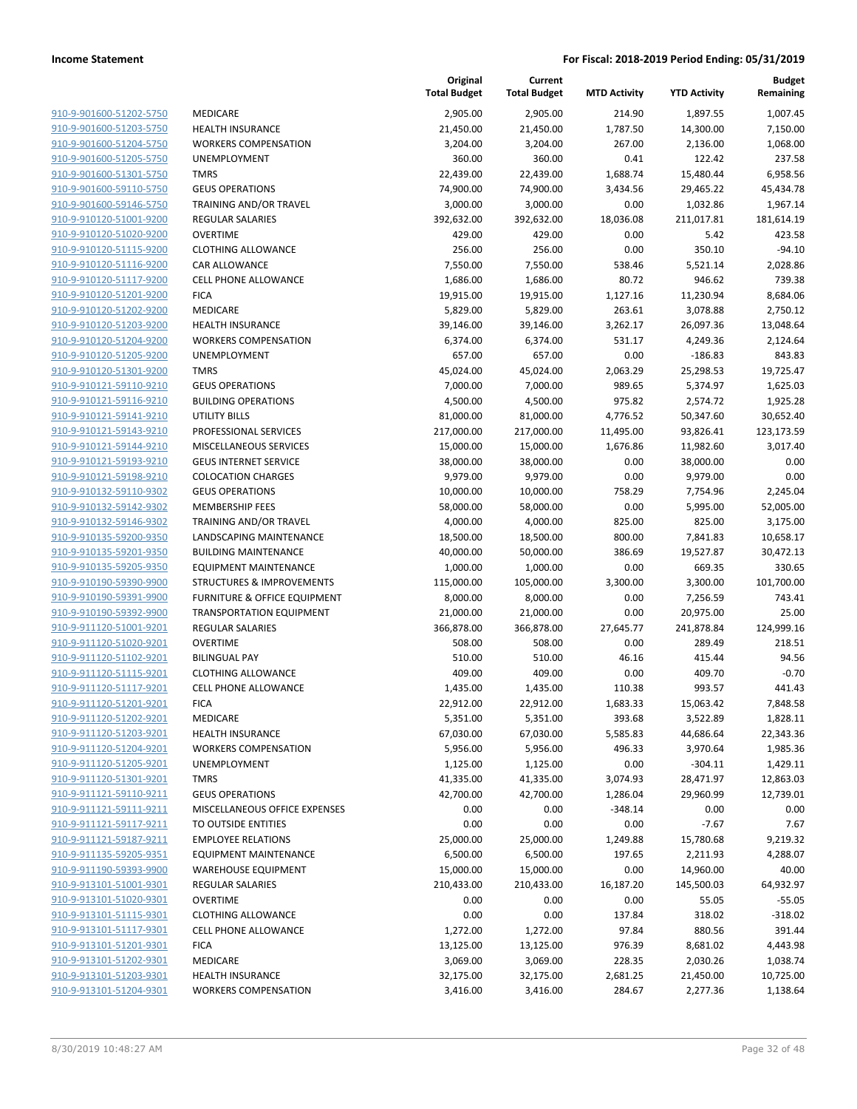**Current**

**Original**

**Budget Remaining**

|                         |                                      | <b>Total Budget</b> | <b>Total Budget</b> | <b>MTD Activity</b> | <b>YTD Activity</b> | Remaining  |
|-------------------------|--------------------------------------|---------------------|---------------------|---------------------|---------------------|------------|
| 910-9-901600-51202-5750 | MEDICARE                             | 2,905.00            | 2,905.00            | 214.90              | 1,897.55            | 1,007.45   |
| 910-9-901600-51203-5750 | <b>HEALTH INSURANCE</b>              | 21,450.00           | 21,450.00           | 1,787.50            | 14,300.00           | 7,150.00   |
| 910-9-901600-51204-5750 | <b>WORKERS COMPENSATION</b>          | 3,204.00            | 3,204.00            | 267.00              | 2,136.00            | 1,068.00   |
| 910-9-901600-51205-5750 | <b>UNEMPLOYMENT</b>                  | 360.00              | 360.00              | 0.41                | 122.42              | 237.58     |
| 910-9-901600-51301-5750 | <b>TMRS</b>                          | 22,439.00           | 22,439.00           | 1,688.74            | 15,480.44           | 6,958.56   |
| 910-9-901600-59110-5750 | <b>GEUS OPERATIONS</b>               | 74,900.00           | 74,900.00           | 3,434.56            | 29,465.22           | 45,434.78  |
| 910-9-901600-59146-5750 | TRAINING AND/OR TRAVEL               | 3,000.00            | 3,000.00            | 0.00                | 1,032.86            | 1,967.14   |
| 910-9-910120-51001-9200 | <b>REGULAR SALARIES</b>              | 392,632.00          | 392,632.00          | 18,036.08           | 211,017.81          | 181,614.19 |
| 910-9-910120-51020-9200 | <b>OVERTIME</b>                      | 429.00              | 429.00              | 0.00                | 5.42                | 423.58     |
| 910-9-910120-51115-9200 | <b>CLOTHING ALLOWANCE</b>            | 256.00              | 256.00              | 0.00                | 350.10              | $-94.10$   |
| 910-9-910120-51116-9200 | CAR ALLOWANCE                        | 7,550.00            | 7,550.00            | 538.46              | 5,521.14            | 2,028.86   |
| 910-9-910120-51117-9200 | <b>CELL PHONE ALLOWANCE</b>          | 1,686.00            | 1,686.00            | 80.72               | 946.62              | 739.38     |
| 910-9-910120-51201-9200 | <b>FICA</b>                          | 19,915.00           | 19,915.00           | 1,127.16            | 11,230.94           | 8,684.06   |
| 910-9-910120-51202-9200 | MEDICARE                             | 5,829.00            | 5,829.00            | 263.61              | 3,078.88            | 2,750.12   |
| 910-9-910120-51203-9200 | <b>HEALTH INSURANCE</b>              | 39,146.00           | 39,146.00           | 3,262.17            | 26,097.36           | 13,048.64  |
| 910-9-910120-51204-9200 | <b>WORKERS COMPENSATION</b>          | 6,374.00            | 6,374.00            | 531.17              | 4,249.36            | 2,124.64   |
| 910-9-910120-51205-9200 | UNEMPLOYMENT                         | 657.00              | 657.00              | 0.00                | $-186.83$           | 843.83     |
| 910-9-910120-51301-9200 | <b>TMRS</b>                          | 45,024.00           | 45,024.00           | 2,063.29            | 25,298.53           | 19,725.47  |
| 910-9-910121-59110-9210 | <b>GEUS OPERATIONS</b>               | 7,000.00            | 7,000.00            | 989.65              | 5,374.97            | 1,625.03   |
| 910-9-910121-59116-9210 | <b>BUILDING OPERATIONS</b>           | 4,500.00            | 4,500.00            | 975.82              | 2,574.72            | 1,925.28   |
| 910-9-910121-59141-9210 | <b>UTILITY BILLS</b>                 | 81,000.00           | 81,000.00           | 4,776.52            | 50,347.60           | 30,652.40  |
| 910-9-910121-59143-9210 | PROFESSIONAL SERVICES                | 217,000.00          | 217,000.00          | 11,495.00           | 93,826.41           | 123,173.59 |
| 910-9-910121-59144-9210 | MISCELLANEOUS SERVICES               | 15,000.00           | 15,000.00           | 1,676.86            | 11,982.60           | 3,017.40   |
| 910-9-910121-59193-9210 | <b>GEUS INTERNET SERVICE</b>         | 38,000.00           | 38,000.00           | 0.00                | 38,000.00           | 0.00       |
| 910-9-910121-59198-9210 | <b>COLOCATION CHARGES</b>            | 9,979.00            | 9,979.00            | 0.00                | 9,979.00            | 0.00       |
| 910-9-910132-59110-9302 | <b>GEUS OPERATIONS</b>               | 10,000.00           | 10,000.00           | 758.29              | 7,754.96            | 2,245.04   |
| 910-9-910132-59142-9302 | <b>MEMBERSHIP FEES</b>               | 58,000.00           | 58,000.00           | 0.00                | 5,995.00            | 52,005.00  |
| 910-9-910132-59146-9302 | TRAINING AND/OR TRAVEL               | 4,000.00            | 4,000.00            | 825.00              | 825.00              | 3,175.00   |
| 910-9-910135-59200-9350 | LANDSCAPING MAINTENANCE              | 18,500.00           | 18,500.00           | 800.00              | 7,841.83            | 10,658.17  |
| 910-9-910135-59201-9350 | <b>BUILDING MAINTENANCE</b>          | 40,000.00           | 50,000.00           | 386.69              | 19,527.87           | 30,472.13  |
| 910-9-910135-59205-9350 | <b>EQUIPMENT MAINTENANCE</b>         | 1,000.00            | 1,000.00            | 0.00                | 669.35              | 330.65     |
| 910-9-910190-59390-9900 | <b>STRUCTURES &amp; IMPROVEMENTS</b> | 115,000.00          | 105,000.00          | 3,300.00            | 3,300.00            | 101,700.00 |
| 910-9-910190-59391-9900 | FURNITURE & OFFICE EQUIPMENT         | 8,000.00            | 8,000.00            | 0.00                | 7,256.59            | 743.41     |
| 910-9-910190-59392-9900 | <b>TRANSPORTATION EQUIPMENT</b>      | 21,000.00           | 21,000.00           | 0.00                | 20,975.00           | 25.00      |
| 910-9-911120-51001-9201 | <b>REGULAR SALARIES</b>              | 366,878.00          | 366,878.00          | 27,645.77           | 241,878.84          | 124,999.16 |
| 910-9-911120-51020-9201 | <b>OVERTIME</b>                      | 508.00              | 508.00              | 0.00                | 289.49              | 218.51     |
| 910-9-911120-51102-9201 | <b>BILINGUAL PAY</b>                 | 510.00              | 510.00              | 46.16               | 415.44              | 94.56      |
| 910-9-911120-51115-9201 | <b>CLOTHING ALLOWANCE</b>            | 409.00              | 409.00              | 0.00                | 409.70              | $-0.70$    |
| 910-9-911120-51117-9201 | <b>CELL PHONE ALLOWANCE</b>          | 1,435.00            | 1,435.00            | 110.38              | 993.57              | 441.43     |
| 910-9-911120-51201-9201 | <b>FICA</b>                          | 22,912.00           | 22,912.00           | 1,683.33            | 15,063.42           | 7,848.58   |
| 910-9-911120-51202-9201 | MEDICARE                             | 5,351.00            | 5,351.00            | 393.68              | 3,522.89            | 1,828.11   |
| 910-9-911120-51203-9201 | <b>HEALTH INSURANCE</b>              | 67,030.00           | 67,030.00           | 5,585.83            | 44,686.64           | 22,343.36  |
| 910-9-911120-51204-9201 | <b>WORKERS COMPENSATION</b>          | 5,956.00            | 5,956.00            | 496.33              | 3,970.64            | 1,985.36   |
| 910-9-911120-51205-9201 | <b>UNEMPLOYMENT</b>                  | 1,125.00            | 1,125.00            | 0.00                | $-304.11$           | 1,429.11   |
| 910-9-911120-51301-9201 | <b>TMRS</b>                          | 41,335.00           | 41,335.00           | 3,074.93            | 28,471.97           | 12,863.03  |
| 910-9-911121-59110-9211 | <b>GEUS OPERATIONS</b>               | 42,700.00           | 42,700.00           | 1,286.04            | 29,960.99           | 12,739.01  |
| 910-9-911121-59111-9211 | MISCELLANEOUS OFFICE EXPENSES        | 0.00                | 0.00                | $-348.14$           | 0.00                | 0.00       |
| 910-9-911121-59117-9211 | TO OUTSIDE ENTITIES                  | 0.00                | 0.00                | 0.00                | $-7.67$             | 7.67       |
| 910-9-911121-59187-9211 | <b>EMPLOYEE RELATIONS</b>            | 25,000.00           | 25,000.00           | 1,249.88            | 15,780.68           | 9,219.32   |
| 910-9-911135-59205-9351 | <b>EQUIPMENT MAINTENANCE</b>         | 6,500.00            | 6,500.00            | 197.65              | 2,211.93            | 4,288.07   |
| 910-9-911190-59393-9900 | <b>WAREHOUSE EQUIPMENT</b>           | 15,000.00           | 15,000.00           | 0.00                | 14,960.00           | 40.00      |
| 910-9-913101-51001-9301 | <b>REGULAR SALARIES</b>              | 210,433.00          | 210,433.00          | 16,187.20           | 145,500.03          | 64,932.97  |
| 910-9-913101-51020-9301 | <b>OVERTIME</b>                      | 0.00                | 0.00                | 0.00                | 55.05               | $-55.05$   |
| 910-9-913101-51115-9301 | <b>CLOTHING ALLOWANCE</b>            | 0.00                | 0.00                | 137.84              | 318.02              | $-318.02$  |
| 910-9-913101-51117-9301 | <b>CELL PHONE ALLOWANCE</b>          | 1,272.00            | 1,272.00            | 97.84               | 880.56              | 391.44     |
| 910-9-913101-51201-9301 | <b>FICA</b>                          | 13,125.00           | 13,125.00           | 976.39              | 8,681.02            | 4,443.98   |
| 910-9-913101-51202-9301 | MEDICARE                             | 3,069.00            | 3,069.00            | 228.35              | 2,030.26            | 1,038.74   |
| 910-9-913101-51203-9301 | <b>HEALTH INSURANCE</b>              | 32,175.00           | 32,175.00           | 2,681.25            | 21,450.00           | 10,725.00  |
| 910-9-913101-51204-9301 | <b>WORKERS COMPENSATION</b>          | 3,416.00            | 3,416.00            | 284.67              | 2,277.36            | 1,138.64   |
|                         |                                      |                     |                     |                     |                     |            |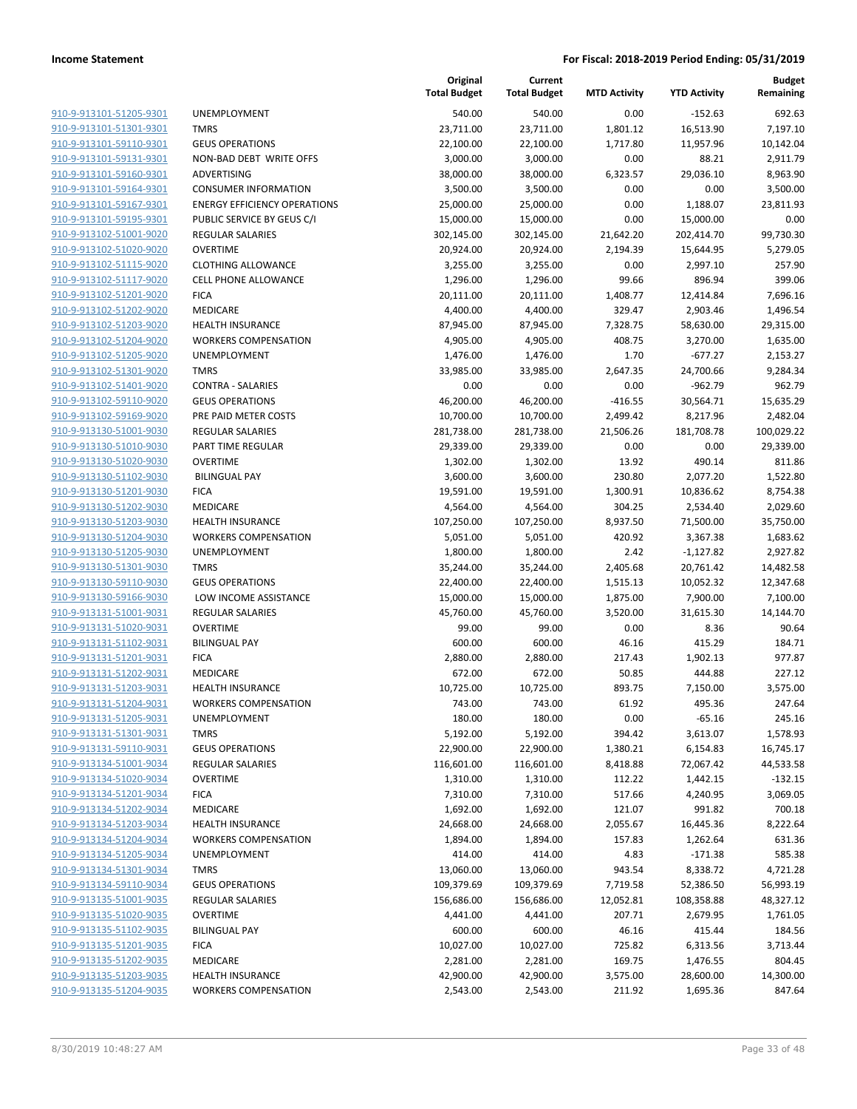| <u>910-9-913101-51205-9301</u>                     |
|----------------------------------------------------|
| 910-9-913101-51301-9301                            |
| 910-9-913101-59110-9301                            |
| 910-9-913101-59131-9301                            |
| 910-9-913101-59160-9301                            |
| 910-9-913101-59164-9301                            |
| 910-9-913101-59167-9301                            |
| 910-9-913101-59195-9301                            |
| 910-9-913102-51001-9020                            |
| 910-9-913102-51020-9020                            |
| 910-9-913102-51115-9020                            |
| 910-9-913102-51117-9020                            |
| 910-9-913102-51201-9020                            |
| 910-9-913102-51202-9020                            |
| 910-9-913102-51203-9020                            |
| <u>910-9-913102-51204-9020</u>                     |
| 910-9-913102-51205-9020                            |
| 910-9-913102-51301-9020                            |
| 910-9-913102-51401-9020                            |
| 910-9-913102-59110-9020                            |
| 910-9-913102-59169-9020                            |
| 910-9-913130-51001-9030                            |
| 910-9-913130-51010-9030                            |
| 910-9-913130-51020-9030                            |
| 910-9-913130-51102-9030                            |
| 910-9-913130-51201-9030                            |
| 910-9-913130-51202-9030                            |
| 910-9-913130-51203-9030                            |
| 910-9-913130-51204-9030                            |
| 910-9-913130-51205-9030                            |
| <u>910-9-913130-51301-9030</u>                     |
| 910-9-913130-59110-9030                            |
| 910-9-913130-59166-9030                            |
| 910-9-913131-51001-9031                            |
| <u>910-9-913131-51020-9031</u>                     |
| <u>910-9-913131-51102-9031</u>                     |
| 910-9-913131-51201-9031                            |
| 910-9-913131-51202-9031                            |
| 910-9-913131-51203-9031                            |
|                                                    |
|                                                    |
| 910-9-913131-51204-9031                            |
| <u>910-9-913131-51205-9031</u>                     |
| <u>910-9-913131-51301-9031</u>                     |
| <u>910-9-913131-59110-9031</u>                     |
| 910-9-913134-51001-9034                            |
| 910-9-913134-51020-9034                            |
| 910-9-913134-51201-9034                            |
| <u>910-9-913134-51202-9034</u>                     |
| <u>910-9-913134-51203-9034</u>                     |
| 910-9-913134-51204-9034                            |
| 910-9-913134-51205-9034                            |
| 910-9-913134-51301-9034                            |
| <u>910-9-913134-59110-9034</u>                     |
| 910-9-913135-51001-9035                            |
| 910-9-913135-51020-9035                            |
| <u>910-9-913135-51102-9035</u>                     |
| 910-9-913135-51201-9035                            |
| <u>910-9-913135-51202-9035</u>                     |
| 910-9-913135-51203-9035<br>910-9-913135-51204-9035 |

|                                                    |                                     | Original<br><b>Total Budget</b> | Current<br><b>Total Budget</b> | <b>MTD Activity</b> | <b>YTD Activity</b>   | Budget<br>Remaining |
|----------------------------------------------------|-------------------------------------|---------------------------------|--------------------------------|---------------------|-----------------------|---------------------|
| 910-9-913101-51205-9301                            | <b>UNEMPLOYMENT</b>                 | 540.00                          | 540.00                         | 0.00                | $-152.63$             | 692.63              |
| 910-9-913101-51301-9301                            | <b>TMRS</b>                         | 23,711.00                       | 23,711.00                      | 1,801.12            | 16,513.90             | 7,197.10            |
| 910-9-913101-59110-9301                            | <b>GEUS OPERATIONS</b>              | 22,100.00                       | 22,100.00                      | 1,717.80            | 11,957.96             | 10,142.04           |
| 910-9-913101-59131-9301                            | NON-BAD DEBT WRITE OFFS             | 3,000.00                        | 3,000.00                       | 0.00                | 88.21                 | 2,911.79            |
| 910-9-913101-59160-9301                            | ADVERTISING                         | 38,000.00                       | 38,000.00                      | 6,323.57            | 29,036.10             | 8,963.90            |
| 910-9-913101-59164-9301                            | <b>CONSUMER INFORMATION</b>         | 3,500.00                        | 3,500.00                       | 0.00                | 0.00                  | 3,500.00            |
| 910-9-913101-59167-9301                            | <b>ENERGY EFFICIENCY OPERATIONS</b> | 25,000.00                       | 25,000.00                      | 0.00                | 1,188.07              | 23,811.93           |
| 910-9-913101-59195-9301                            | PUBLIC SERVICE BY GEUS C/I          | 15,000.00                       | 15,000.00                      | 0.00                | 15,000.00             | 0.00                |
| 910-9-913102-51001-9020                            | <b>REGULAR SALARIES</b>             | 302,145.00                      | 302,145.00                     | 21,642.20           | 202,414.70            | 99,730.30           |
| 910-9-913102-51020-9020                            | <b>OVERTIME</b>                     | 20,924.00                       | 20,924.00                      | 2,194.39            | 15,644.95             | 5,279.05            |
| 910-9-913102-51115-9020                            | <b>CLOTHING ALLOWANCE</b>           | 3,255.00                        | 3,255.00                       | 0.00                | 2,997.10              | 257.90              |
| 910-9-913102-51117-9020                            | <b>CELL PHONE ALLOWANCE</b>         | 1,296.00                        | 1,296.00                       | 99.66               | 896.94                | 399.06              |
| 910-9-913102-51201-9020                            | <b>FICA</b>                         | 20,111.00                       | 20,111.00                      | 1,408.77            | 12,414.84             | 7,696.16            |
| 910-9-913102-51202-9020                            | MEDICARE                            | 4,400.00                        | 4,400.00                       | 329.47              | 2,903.46              | 1,496.54            |
| 910-9-913102-51203-9020                            | <b>HEALTH INSURANCE</b>             | 87,945.00                       | 87,945.00                      | 7,328.75            | 58,630.00             | 29,315.00           |
| 910-9-913102-51204-9020                            | <b>WORKERS COMPENSATION</b>         | 4,905.00                        | 4,905.00                       | 408.75              | 3,270.00              | 1,635.00            |
| 910-9-913102-51205-9020                            | <b>UNEMPLOYMENT</b>                 | 1,476.00                        | 1,476.00                       | 1.70                | $-677.27$             | 2,153.27            |
| 910-9-913102-51301-9020                            | <b>TMRS</b>                         | 33,985.00                       | 33,985.00                      | 2,647.35            | 24,700.66             | 9,284.34            |
| 910-9-913102-51401-9020                            | <b>CONTRA - SALARIES</b>            | 0.00                            | 0.00                           | 0.00                | $-962.79$             | 962.79              |
| 910-9-913102-59110-9020                            | <b>GEUS OPERATIONS</b>              | 46,200.00                       | 46,200.00                      | $-416.55$           | 30,564.71             | 15,635.29           |
| 910-9-913102-59169-9020                            | PRE PAID METER COSTS                | 10,700.00                       | 10,700.00                      | 2,499.42            | 8,217.96              | 2,482.04            |
| 910-9-913130-51001-9030                            | <b>REGULAR SALARIES</b>             | 281,738.00                      | 281,738.00                     | 21,506.26           | 181,708.78            | 100,029.22          |
| 910-9-913130-51010-9030                            | PART TIME REGULAR                   | 29,339.00                       | 29,339.00                      | 0.00                | 0.00                  | 29,339.00           |
| 910-9-913130-51020-9030                            | <b>OVERTIME</b>                     | 1,302.00                        | 1,302.00                       | 13.92               | 490.14                | 811.86              |
| 910-9-913130-51102-9030                            | <b>BILINGUAL PAY</b>                | 3,600.00                        | 3,600.00                       | 230.80              | 2,077.20              | 1,522.80            |
| 910-9-913130-51201-9030                            | <b>FICA</b>                         | 19,591.00                       | 19,591.00                      | 1,300.91            | 10,836.62             | 8,754.38            |
| 910-9-913130-51202-9030                            | MEDICARE                            | 4,564.00                        | 4,564.00                       | 304.25              | 2,534.40              | 2,029.60            |
| 910-9-913130-51203-9030                            | HEALTH INSURANCE                    | 107,250.00                      | 107,250.00                     | 8,937.50            | 71,500.00             | 35,750.00           |
| 910-9-913130-51204-9030                            | <b>WORKERS COMPENSATION</b>         | 5,051.00                        | 5,051.00                       | 420.92              | 3,367.38              | 1,683.62            |
| 910-9-913130-51205-9030                            | UNEMPLOYMENT                        | 1,800.00                        | 1,800.00                       | 2.42                | $-1,127.82$           | 2,927.82            |
| 910-9-913130-51301-9030                            | <b>TMRS</b>                         | 35,244.00                       | 35,244.00                      | 2,405.68            | 20,761.42             | 14,482.58           |
| 910-9-913130-59110-9030                            | <b>GEUS OPERATIONS</b>              | 22,400.00                       | 22,400.00                      | 1,515.13            | 10,052.32             | 12,347.68           |
| 910-9-913130-59166-9030                            | LOW INCOME ASSISTANCE               | 15,000.00                       | 15,000.00                      | 1,875.00            | 7,900.00              | 7,100.00            |
| 910-9-913131-51001-9031                            | <b>REGULAR SALARIES</b>             | 45,760.00                       | 45,760.00                      | 3,520.00            | 31,615.30             | 14,144.70           |
| 910-9-913131-51020-9031                            | <b>OVERTIME</b>                     | 99.00                           | 99.00                          | 0.00                | 8.36                  | 90.64               |
| 910-9-913131-51102-9031                            | <b>BILINGUAL PAY</b>                | 600.00                          | 600.00                         | 46.16               | 415.29                | 184.71              |
| 910-9-913131-51201-9031                            | <b>FICA</b>                         | 2,880.00                        | 2,880.00                       | 217.43              | 1,902.13              | 977.87              |
| 910-9-913131-51202-9031                            | MEDICARE                            | 672.00                          | 672.00                         | 50.85               | 444.88                | 227.12              |
| 910-9-913131-51203-9031                            | <b>HEALTH INSURANCE</b>             | 10,725.00                       | 10,725.00                      | 893.75              | 7,150.00              | 3,575.00            |
| 910-9-913131-51204-9031                            | <b>WORKERS COMPENSATION</b>         | 743.00                          | 743.00                         | 61.92               | 495.36                | 247.64              |
| 910-9-913131-51205-9031                            | <b>UNEMPLOYMENT</b>                 | 180.00                          | 180.00                         | 0.00                | $-65.16$              | 245.16              |
| 910-9-913131-51301-9031                            | <b>TMRS</b>                         | 5,192.00                        | 5,192.00                       | 394.42              | 3,613.07              | 1,578.93            |
| 910-9-913131-59110-9031                            | <b>GEUS OPERATIONS</b>              | 22,900.00                       | 22,900.00                      | 1,380.21            | 6,154.83              | 16,745.17           |
| 910-9-913134-51001-9034                            | REGULAR SALARIES                    | 116,601.00                      | 116,601.00                     | 8,418.88            | 72,067.42             | 44,533.58           |
| 910-9-913134-51020-9034                            | <b>OVERTIME</b>                     | 1,310.00                        | 1,310.00                       | 112.22              | 1,442.15              | $-132.15$           |
| 910-9-913134-51201-9034                            | <b>FICA</b>                         | 7,310.00                        | 7,310.00                       | 517.66              | 4,240.95              | 3,069.05            |
| 910-9-913134-51202-9034                            | MEDICARE                            | 1,692.00                        | 1,692.00                       | 121.07              | 991.82                | 700.18              |
| 910-9-913134-51203-9034                            | <b>HEALTH INSURANCE</b>             | 24,668.00                       | 24,668.00                      | 2,055.67            | 16,445.36             | 8,222.64            |
| 910-9-913134-51204-9034                            | <b>WORKERS COMPENSATION</b>         | 1,894.00                        | 1,894.00                       | 157.83              | 1,262.64<br>$-171.38$ | 631.36              |
| 910-9-913134-51205-9034                            | UNEMPLOYMENT<br><b>TMRS</b>         | 414.00                          | 414.00                         | 4.83                |                       | 585.38              |
| 910-9-913134-51301-9034                            |                                     | 13,060.00                       | 13,060.00                      | 943.54              | 8,338.72              | 4,721.28            |
| 910-9-913134-59110-9034                            | <b>GEUS OPERATIONS</b>              | 109,379.69                      | 109,379.69                     | 7,719.58            | 52,386.50             | 56,993.19           |
| 910-9-913135-51001-9035<br>910-9-913135-51020-9035 | REGULAR SALARIES<br><b>OVERTIME</b> | 156,686.00                      | 156,686.00                     | 12,052.81           | 108,358.88            | 48,327.12           |
| 910-9-913135-51102-9035                            | <b>BILINGUAL PAY</b>                | 4,441.00<br>600.00              | 4,441.00<br>600.00             | 207.71<br>46.16     | 2,679.95<br>415.44    | 1,761.05<br>184.56  |
| 910-9-913135-51201-9035                            | <b>FICA</b>                         | 10,027.00                       | 10,027.00                      | 725.82              | 6,313.56              | 3,713.44            |
| 910-9-913135-51202-9035                            | MEDICARE                            | 2,281.00                        | 2,281.00                       | 169.75              | 1,476.55              | 804.45              |
| 910-9-913135-51203-9035                            | <b>HEALTH INSURANCE</b>             | 42,900.00                       | 42,900.00                      | 3,575.00            | 28,600.00             | 14,300.00           |
| 910-9-913135-51204-9035                            | <b>WORKERS COMPENSATION</b>         | 2,543.00                        | 2,543.00                       | 211.92              | 1,695.36              | 847.64              |
|                                                    |                                     |                                 |                                |                     |                       |                     |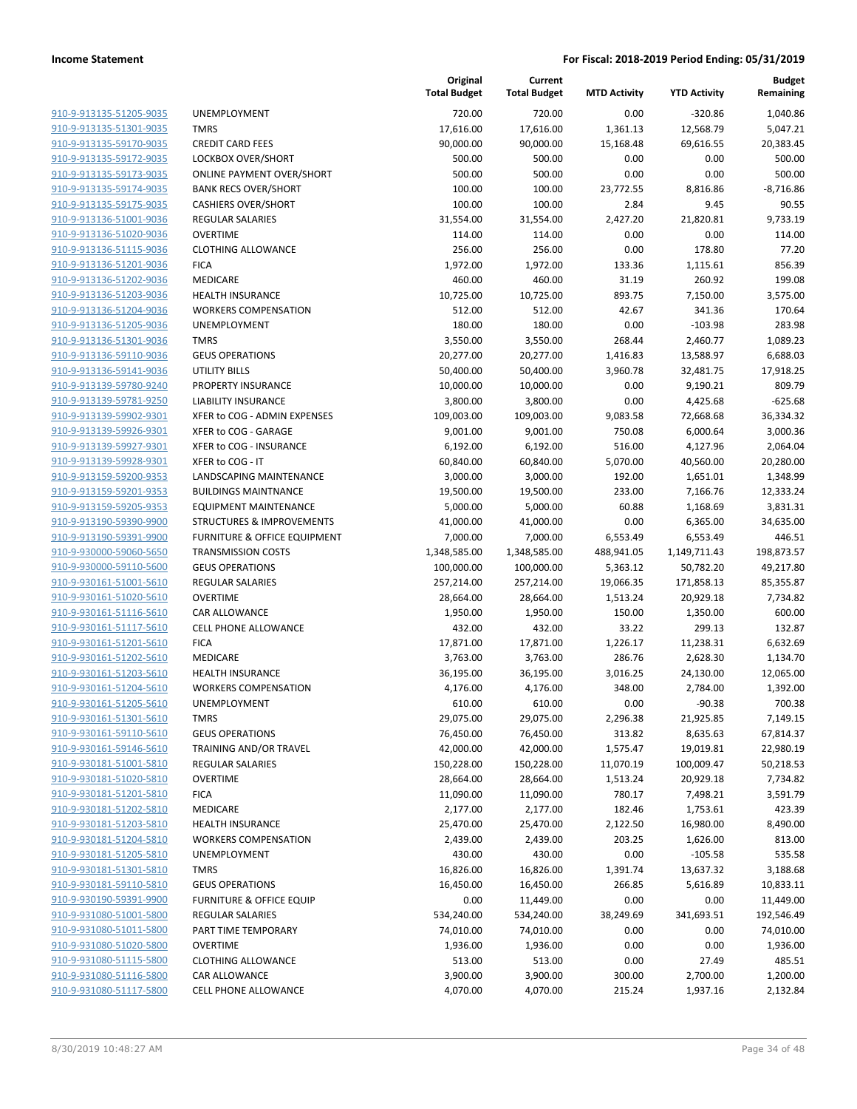| 910-9-913135-51205-9035        |
|--------------------------------|
| 910-9-913135-51301-9035        |
| 910-9-913135-59170-9035        |
| 910-9-913135-59172-9035        |
| 910-9-913135-59173-9035        |
| 910-9-913135-59174-9035        |
| 910-9-913135-59175-9035        |
| 910-9-913136-51001-9036        |
| 910-9-913136-51020-9036        |
| 910-9-913136-51115-9036        |
| 910-9-913136-51201-9036        |
| 910-9-913136-51202-9036        |
| 910-9-913136-51203-9036        |
| 910-9-913136-51204-9036        |
| 910-9-913136-51205-9036        |
| <u>910-9-913136-51301-9036</u> |
| 910-9-913136-59110-9036        |
| 910-9-913136-59141-9036        |
| 910-9-913139-59780-9240        |
| 910-9-913139-59781-9250        |
| 910-9-913139-59902-9301        |
| 910-9-913139-59926-9301        |
| 910-9-913139-59927-9301        |
| 910-9-913139-59928-9301        |
| 910-9-913159-59200-9353        |
| 910-9-913159-59201-9353        |
|                                |
| 910-9-913159-59205-9353        |
| 910-9-913190-59390-9900        |
| 910-9-913190-59391-9900        |
| 910-9-930000-59060-5650        |
| <u>910-9-930000-59110-5600</u> |
| <u>910-9-930161-51001-5610</u> |
| 910-9-930161-51020-5610        |
| 910-9-930161-51116-5610        |
| 910-9-930161-51117-5610        |
| 910-9-930161-51201-5610        |
| 910-9-930161-51202-5610        |
| 910-9-930161-51203-5610        |
| 910-9-930161-51204-5610        |
| 910-9-930161-51205-5610        |
| 910-9-930161-51301-5610        |
| <u>910-9-930161-59110-5610</u> |
| 910-9-930161-59146-5610        |
| 910-9-930181-51001-5810        |
| 910-9-930181-51020-5810        |
| <u>910-9-930181-51201-5810</u> |
| <u>910-9-930181-51202-5810</u> |
| 910-9-930181-51203-5810        |
| 910-9-930181-51204-5810        |
| 910-9-930181-51205-5810        |
| <u>910-9-930181-51301-5810</u> |
| <u>910-9-930181-59110-5810</u> |
| <u>910-9-930190-59391-9900</u> |
| 910-9-931080-51001-5800        |
| <u>910-9-931080-51011-5800</u> |
| <u>910-9-931080-51020-5800</u> |
| <u>910-9-931080-51115-5800</u> |
| 910-9-931080-51116-5800        |
| 910-9-931080-51117-5800        |
|                                |

|                                                    |                                                     | Original<br><b>Total Budget</b> | Current<br><b>Total Budget</b> | <b>MTD Activity</b> | <b>YTD Activity</b> | <b>Budget</b><br>Remaining |
|----------------------------------------------------|-----------------------------------------------------|---------------------------------|--------------------------------|---------------------|---------------------|----------------------------|
| 910-9-913135-51205-9035                            | <b>UNEMPLOYMENT</b>                                 | 720.00                          | 720.00                         | 0.00                | $-320.86$           | 1,040.86                   |
| 910-9-913135-51301-9035                            | <b>TMRS</b>                                         | 17,616.00                       | 17,616.00                      | 1,361.13            | 12,568.79           | 5,047.21                   |
| 910-9-913135-59170-9035                            | <b>CREDIT CARD FEES</b>                             | 90,000.00                       | 90,000.00                      | 15,168.48           | 69,616.55           | 20,383.45                  |
| 910-9-913135-59172-9035                            | LOCKBOX OVER/SHORT                                  | 500.00                          | 500.00                         | 0.00                | 0.00                | 500.00                     |
| 910-9-913135-59173-9035                            | <b>ONLINE PAYMENT OVER/SHORT</b>                    | 500.00                          | 500.00                         | 0.00                | 0.00                | 500.00                     |
| 910-9-913135-59174-9035                            | <b>BANK RECS OVER/SHORT</b>                         | 100.00                          | 100.00                         | 23,772.55           | 8,816.86            | $-8,716.86$                |
| 910-9-913135-59175-9035                            | <b>CASHIERS OVER/SHORT</b>                          | 100.00                          | 100.00                         | 2.84                | 9.45                | 90.55                      |
| 910-9-913136-51001-9036                            | <b>REGULAR SALARIES</b>                             | 31,554.00                       | 31,554.00                      | 2,427.20            | 21,820.81           | 9,733.19                   |
| 910-9-913136-51020-9036                            | <b>OVERTIME</b>                                     | 114.00                          | 114.00                         | 0.00                | 0.00                | 114.00                     |
| 910-9-913136-51115-9036                            | <b>CLOTHING ALLOWANCE</b>                           | 256.00                          | 256.00                         | 0.00                | 178.80              | 77.20                      |
| 910-9-913136-51201-9036                            | <b>FICA</b>                                         | 1,972.00                        | 1,972.00                       | 133.36              | 1,115.61            | 856.39                     |
| 910-9-913136-51202-9036                            | MEDICARE                                            | 460.00                          | 460.00                         | 31.19               | 260.92              | 199.08                     |
| 910-9-913136-51203-9036                            | <b>HEALTH INSURANCE</b>                             | 10,725.00                       | 10,725.00                      | 893.75              | 7,150.00            | 3,575.00                   |
| 910-9-913136-51204-9036                            | <b>WORKERS COMPENSATION</b>                         | 512.00                          | 512.00                         | 42.67               | 341.36              | 170.64                     |
| 910-9-913136-51205-9036                            | <b>UNEMPLOYMENT</b>                                 | 180.00                          | 180.00                         | 0.00                | $-103.98$           | 283.98                     |
| 910-9-913136-51301-9036                            | <b>TMRS</b>                                         | 3,550.00                        | 3,550.00                       | 268.44              | 2,460.77            | 1,089.23                   |
| 910-9-913136-59110-9036                            | <b>GEUS OPERATIONS</b>                              | 20,277.00                       | 20,277.00                      | 1,416.83            | 13,588.97           | 6,688.03                   |
| 910-9-913136-59141-9036                            | <b>UTILITY BILLS</b>                                | 50,400.00                       | 50,400.00                      | 3,960.78            | 32,481.75           | 17,918.25                  |
| 910-9-913139-59780-9240                            | PROPERTY INSURANCE                                  | 10,000.00                       | 10,000.00                      | 0.00                | 9,190.21            | 809.79                     |
| 910-9-913139-59781-9250                            | <b>LIABILITY INSURANCE</b>                          | 3,800.00                        | 3,800.00                       | 0.00                | 4,425.68            | $-625.68$                  |
| 910-9-913139-59902-9301                            | XFER to COG - ADMIN EXPENSES                        | 109,003.00                      | 109,003.00                     | 9,083.58            | 72,668.68           | 36,334.32                  |
| 910-9-913139-59926-9301                            | XFER to COG - GARAGE                                | 9,001.00                        | 9,001.00                       | 750.08              | 6,000.64            | 3,000.36                   |
| 910-9-913139-59927-9301                            | XFER to COG - INSURANCE                             | 6,192.00                        | 6,192.00                       | 516.00              | 4,127.96            | 2,064.04                   |
| 910-9-913139-59928-9301                            | XFER to COG - IT                                    | 60,840.00                       | 60,840.00                      | 5,070.00            | 40,560.00           | 20,280.00                  |
| 910-9-913159-59200-9353                            | LANDSCAPING MAINTENANCE                             | 3,000.00                        | 3,000.00                       | 192.00              | 1,651.01            | 1,348.99                   |
| 910-9-913159-59201-9353                            | <b>BUILDINGS MAINTNANCE</b>                         | 19,500.00                       | 19,500.00                      | 233.00              | 7,166.76            | 12,333.24                  |
| 910-9-913159-59205-9353                            | <b>EQUIPMENT MAINTENANCE</b>                        | 5,000.00                        | 5,000.00                       | 60.88               | 1,168.69            | 3,831.31                   |
| 910-9-913190-59390-9900                            | STRUCTURES & IMPROVEMENTS                           | 41,000.00                       | 41,000.00                      | 0.00                | 6,365.00            | 34,635.00                  |
| 910-9-913190-59391-9900                            | <b>FURNITURE &amp; OFFICE EQUIPMENT</b>             | 7,000.00                        | 7,000.00                       | 6,553.49            | 6,553.49            | 446.51                     |
| 910-9-930000-59060-5650                            | <b>TRANSMISSION COSTS</b>                           | 1,348,585.00                    | 1,348,585.00                   | 488,941.05          | 1,149,711.43        | 198,873.57                 |
| 910-9-930000-59110-5600                            | <b>GEUS OPERATIONS</b>                              | 100,000.00                      | 100,000.00                     | 5,363.12            | 50,782.20           | 49,217.80                  |
| 910-9-930161-51001-5610                            | <b>REGULAR SALARIES</b>                             | 257,214.00                      | 257,214.00                     | 19,066.35           | 171,858.13          | 85,355.87                  |
| 910-9-930161-51020-5610                            | <b>OVERTIME</b>                                     | 28,664.00                       | 28,664.00                      | 1,513.24            | 20,929.18           | 7,734.82                   |
| 910-9-930161-51116-5610<br>910-9-930161-51117-5610 | <b>CAR ALLOWANCE</b><br><b>CELL PHONE ALLOWANCE</b> | 1,950.00<br>432.00              | 1,950.00<br>432.00             | 150.00<br>33.22     | 1,350.00<br>299.13  | 600.00<br>132.87           |
| 910-9-930161-51201-5610                            | <b>FICA</b>                                         | 17,871.00                       | 17,871.00                      | 1,226.17            | 11,238.31           | 6,632.69                   |
| 910-9-930161-51202-5610                            | MEDICARE                                            | 3,763.00                        | 3,763.00                       | 286.76              | 2,628.30            | 1,134.70                   |
| 910-9-930161-51203-5610                            | <b>HEALTH INSURANCE</b>                             | 36,195.00                       | 36,195.00                      | 3,016.25            | 24,130.00           | 12,065.00                  |
| 910-9-930161-51204-5610                            | <b>WORKERS COMPENSATION</b>                         | 4,176.00                        | 4,176.00                       | 348.00              | 2,784.00            | 1,392.00                   |
| 910-9-930161-51205-5610                            | UNEMPLOYMENT                                        | 610.00                          | 610.00                         | 0.00                | $-90.38$            | 700.38                     |
| 910-9-930161-51301-5610                            | <b>TMRS</b>                                         | 29,075.00                       | 29,075.00                      | 2,296.38            | 21,925.85           | 7,149.15                   |
| 910-9-930161-59110-5610                            | <b>GEUS OPERATIONS</b>                              | 76,450.00                       | 76,450.00                      | 313.82              | 8,635.63            | 67,814.37                  |
| 910-9-930161-59146-5610                            | TRAINING AND/OR TRAVEL                              | 42,000.00                       | 42,000.00                      | 1,575.47            | 19,019.81           | 22,980.19                  |
| 910-9-930181-51001-5810                            | <b>REGULAR SALARIES</b>                             | 150,228.00                      | 150,228.00                     | 11,070.19           | 100,009.47          | 50,218.53                  |
| 910-9-930181-51020-5810                            | <b>OVERTIME</b>                                     | 28,664.00                       | 28,664.00                      | 1,513.24            | 20,929.18           | 7,734.82                   |
| 910-9-930181-51201-5810                            | <b>FICA</b>                                         | 11,090.00                       | 11,090.00                      | 780.17              | 7,498.21            | 3,591.79                   |
| 910-9-930181-51202-5810                            | MEDICARE                                            | 2,177.00                        | 2,177.00                       | 182.46              | 1,753.61            | 423.39                     |
| 910-9-930181-51203-5810                            | <b>HEALTH INSURANCE</b>                             | 25,470.00                       | 25,470.00                      | 2,122.50            | 16,980.00           | 8,490.00                   |
| 910-9-930181-51204-5810                            | <b>WORKERS COMPENSATION</b>                         | 2,439.00                        | 2,439.00                       | 203.25              | 1,626.00            | 813.00                     |
| 910-9-930181-51205-5810                            | <b>UNEMPLOYMENT</b>                                 | 430.00                          | 430.00                         | 0.00                | $-105.58$           | 535.58                     |
| 910-9-930181-51301-5810                            | <b>TMRS</b>                                         | 16,826.00                       | 16,826.00                      | 1,391.74            | 13,637.32           | 3,188.68                   |
| 910-9-930181-59110-5810                            | <b>GEUS OPERATIONS</b>                              | 16,450.00                       | 16,450.00                      | 266.85              | 5,616.89            | 10,833.11                  |
| 910-9-930190-59391-9900                            | <b>FURNITURE &amp; OFFICE EQUIP</b>                 | 0.00                            | 11,449.00                      | 0.00                | 0.00                | 11,449.00                  |
| 910-9-931080-51001-5800                            | <b>REGULAR SALARIES</b>                             | 534,240.00                      | 534,240.00                     | 38,249.69           | 341,693.51          | 192,546.49                 |
| 910-9-931080-51011-5800                            | PART TIME TEMPORARY                                 | 74,010.00                       | 74,010.00                      | 0.00                | 0.00                | 74,010.00                  |
| 910-9-931080-51020-5800                            | <b>OVERTIME</b>                                     | 1,936.00                        | 1,936.00                       | 0.00                | 0.00                | 1,936.00                   |
| 910-9-931080-51115-5800                            | <b>CLOTHING ALLOWANCE</b>                           | 513.00                          | 513.00                         | 0.00                | 27.49               | 485.51                     |
| 910-9-931080-51116-5800                            | CAR ALLOWANCE                                       | 3,900.00                        | 3,900.00                       | 300.00              | 2,700.00            | 1,200.00                   |
| 910-9-931080-51117-5800                            | CELL PHONE ALLOWANCE                                | 4,070.00                        | 4,070.00                       | 215.24              | 1,937.16            | 2,132.84                   |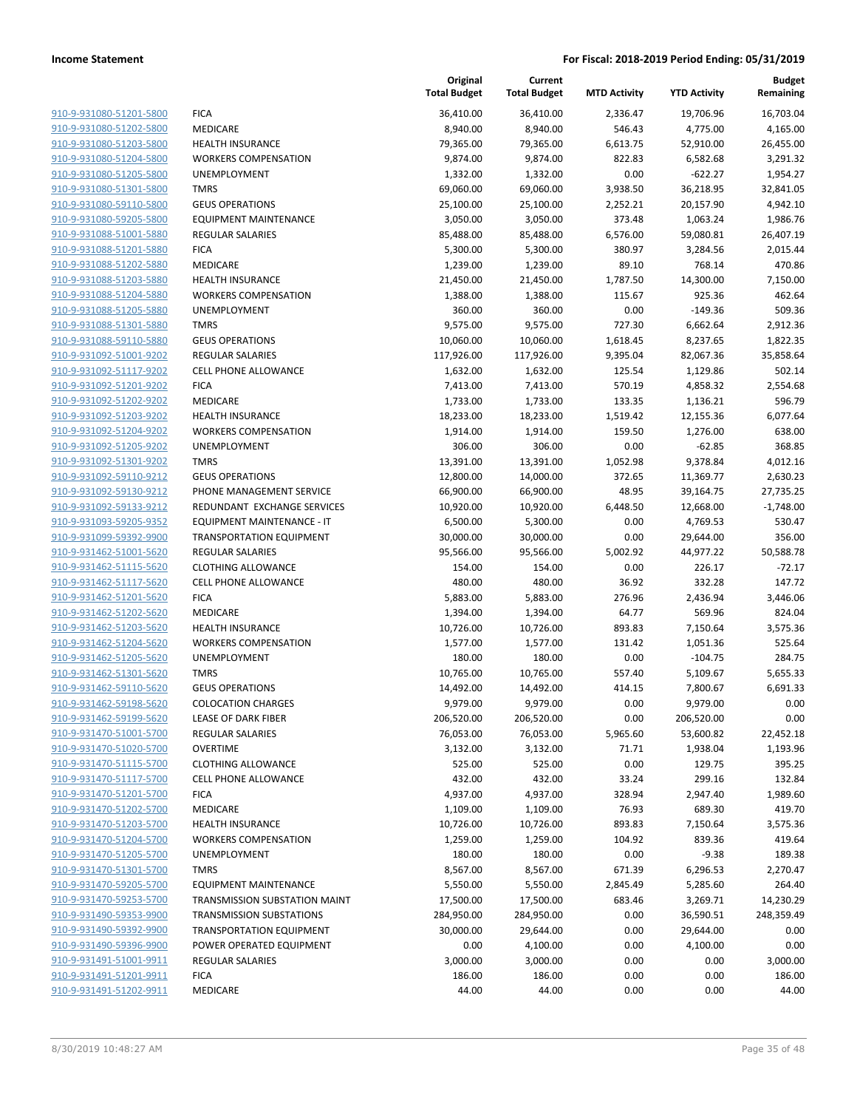| 910-9-931080-51201-5800 | <b>FICA</b>                     |
|-------------------------|---------------------------------|
| 910-9-931080-51202-5800 | <b>MEDICARE</b>                 |
| 910-9-931080-51203-5800 | <b>HEALTH INSURANCE</b>         |
| 910-9-931080-51204-5800 | <b>WORKERS COMPENSATION</b>     |
| 910-9-931080-51205-5800 | <b>UNEMPLOYMENT</b>             |
| 910-9-931080-51301-5800 | <b>TMRS</b>                     |
| 910-9-931080-59110-5800 | <b>GEUS OPERATIONS</b>          |
| 910-9-931080-59205-5800 | EQUIPMENT MAINTENANCE           |
| 910-9-931088-51001-5880 | <b>REGULAR SALARIES</b>         |
| 910-9-931088-51201-5880 | <b>FICA</b>                     |
| 910-9-931088-51202-5880 | <b>MEDICARE</b>                 |
| 910-9-931088-51203-5880 | <b>HEALTH INSURANCE</b>         |
| 910-9-931088-51204-5880 | <b>WORKERS COMPENSATION</b>     |
| 910-9-931088-51205-5880 | <b>UNEMPLOYMENT</b>             |
| 910-9-931088-51301-5880 | <b>TMRS</b>                     |
| 910-9-931088-59110-5880 | <b>GEUS OPERATIONS</b>          |
| 910-9-931092-51001-9202 | <b>REGULAR SALARIES</b>         |
| 910-9-931092-51117-9202 | <b>CELL PHONE ALLOWANCE</b>     |
| 910-9-931092-51201-9202 | <b>FICA</b>                     |
| 910-9-931092-51202-9202 | <b>MEDICARE</b>                 |
| 910-9-931092-51203-9202 | <b>HEALTH INSURANCE</b>         |
| 910-9-931092-51204-9202 | <b>WORKERS COMPENSATION</b>     |
| 910-9-931092-51205-9202 | <b>UNEMPLOYMENT</b>             |
| 910-9-931092-51301-9202 | <b>TMRS</b>                     |
| 910-9-931092-59110-9212 | <b>GEUS OPERATIONS</b>          |
| 910-9-931092-59130-9212 | PHONE MANAGEMENT SERVICE        |
| 910-9-931092-59133-9212 | REDUNDANT EXCHANGE SERVICES     |
| 910-9-931093-59205-9352 | EQUIPMENT MAINTENANCE - IT      |
| 910-9-931099-59392-9900 | <b>TRANSPORTATION EQUIPMENT</b> |
| 910-9-931462-51001-5620 | <b>REGULAR SALARIES</b>         |
| 910-9-931462-51115-5620 | <b>CLOTHING ALLOWANCE</b>       |
| 910-9-931462-51117-5620 | <b>CELL PHONE ALLOWANCE</b>     |
| 910-9-931462-51201-5620 | <b>FICA</b>                     |
| 910-9-931462-51202-5620 | MEDICARE                        |
| 910-9-931462-51203-5620 | <b>HEALTH INSURANCE</b>         |
| 910-9-931462-51204-5620 | <b>WORKERS COMPENSATION</b>     |
| 910-9-931462-51205-5620 | <b>UNEMPLOYMENT</b>             |
| 910-9-931462-51301-5620 | <b>TMRS</b>                     |
| 910-9-931462-59110-5620 | <b>GEUS OPERATIONS</b>          |
| 910-9-931462-59198-5620 | <b>COLOCATION CHARGES</b>       |
| 910-9-931462-59199-5620 | LEASE OF DARK FIBER             |
| 910-9-931470-51001-5700 | <b>REGULAR SALARIES</b>         |
| 910-9-931470-51020-5700 | <b>OVERTIME</b>                 |
| 910-9-931470-51115-5700 | <b>CLOTHING ALLOWANCE</b>       |
| 910-9-931470-51117-5700 | <b>CELL PHONE ALLOWANCE</b>     |
| 910-9-931470-51201-5700 | <b>FICA</b>                     |
| 910-9-931470-51202-5700 | <b>MEDICARE</b>                 |
| 910-9-931470-51203-5700 | <b>HEALTH INSURANCE</b>         |
| 910-9-931470-51204-5700 | <b>WORKERS COMPENSATION</b>     |
| 910-9-931470-51205-5700 | UNEMPLOYMENT                    |
| 910-9-931470-51301-5700 | <b>TMRS</b>                     |
| 910-9-931470-59205-5700 | <b>EQUIPMENT MAINTENANCE</b>    |
| 910-9-931470-59253-5700 | TRANSMISSION SUBSTATION MAINT   |
| 910-9-931490-59353-9900 | <b>TRANSMISSION SUBSTATIONS</b> |
| 910-9-931490-59392-9900 | <b>TRANSPORTATION EQUIPMENT</b> |
| 910-9-931490-59396-9900 | POWER OPERATED EQUIPMENT        |
| 910-9-931491-51001-9911 | <b>REGULAR SALARIES</b>         |
| 910-9-931491-51201-9911 | FICA                            |
|                         |                                 |

|                                                    |                                                        | Original<br><b>Total Budget</b> | Current<br><b>Total Budget</b> | <b>MTD Activity</b> | <b>YTD Activity</b>  | Budget<br>Remaining  |
|----------------------------------------------------|--------------------------------------------------------|---------------------------------|--------------------------------|---------------------|----------------------|----------------------|
| 910-9-931080-51201-5800                            | <b>FICA</b>                                            | 36,410.00                       | 36,410.00                      | 2,336.47            | 19,706.96            | 16,703.04            |
| 910-9-931080-51202-5800                            | MEDICARE                                               | 8,940.00                        | 8,940.00                       | 546.43              | 4,775.00             | 4,165.00             |
| 910-9-931080-51203-5800                            | <b>HEALTH INSURANCE</b>                                | 79,365.00                       | 79,365.00                      | 6,613.75            | 52,910.00            | 26,455.00            |
| 910-9-931080-51204-5800                            | <b>WORKERS COMPENSATION</b>                            | 9,874.00                        | 9,874.00                       | 822.83              | 6,582.68             | 3,291.32             |
| 910-9-931080-51205-5800                            | <b>UNEMPLOYMENT</b>                                    | 1,332.00                        | 1,332.00                       | 0.00                | $-622.27$            | 1,954.27             |
| 910-9-931080-51301-5800                            | <b>TMRS</b>                                            | 69,060.00                       | 69,060.00                      | 3,938.50            | 36,218.95            | 32,841.05            |
| 910-9-931080-59110-5800                            | <b>GEUS OPERATIONS</b>                                 | 25,100.00                       | 25,100.00                      | 2,252.21            | 20,157.90            | 4,942.10             |
| 910-9-931080-59205-5800                            | <b>EQUIPMENT MAINTENANCE</b>                           | 3,050.00                        | 3,050.00                       | 373.48              | 1,063.24             | 1,986.76             |
| 910-9-931088-51001-5880                            | <b>REGULAR SALARIES</b>                                | 85,488.00                       | 85,488.00                      | 6,576.00            | 59,080.81            | 26,407.19            |
| 910-9-931088-51201-5880                            | <b>FICA</b>                                            | 5,300.00                        | 5,300.00                       | 380.97              | 3,284.56             | 2,015.44             |
| 910-9-931088-51202-5880                            | MEDICARE                                               | 1,239.00                        | 1,239.00                       | 89.10               | 768.14               | 470.86               |
| 910-9-931088-51203-5880                            | <b>HEALTH INSURANCE</b>                                | 21,450.00                       | 21,450.00                      | 1,787.50            | 14,300.00            | 7,150.00             |
| 910-9-931088-51204-5880                            | <b>WORKERS COMPENSATION</b>                            | 1,388.00                        | 1,388.00                       | 115.67              | 925.36               | 462.64               |
| 910-9-931088-51205-5880                            | <b>UNEMPLOYMENT</b>                                    | 360.00                          | 360.00                         | 0.00                | $-149.36$            | 509.36               |
| 910-9-931088-51301-5880                            | <b>TMRS</b>                                            | 9,575.00                        | 9,575.00                       | 727.30              | 6,662.64             | 2,912.36             |
| 910-9-931088-59110-5880                            | <b>GEUS OPERATIONS</b>                                 | 10,060.00                       | 10,060.00                      | 1,618.45            | 8,237.65             | 1,822.35             |
| 910-9-931092-51001-9202                            | REGULAR SALARIES                                       | 117,926.00                      | 117,926.00                     | 9,395.04            | 82,067.36            | 35,858.64            |
| 910-9-931092-51117-9202                            | <b>CELL PHONE ALLOWANCE</b>                            | 1,632.00                        | 1,632.00                       | 125.54              | 1,129.86             | 502.14               |
| 910-9-931092-51201-9202                            | <b>FICA</b>                                            | 7,413.00                        | 7,413.00                       | 570.19              | 4,858.32             | 2,554.68             |
| 910-9-931092-51202-9202                            | <b>MEDICARE</b>                                        | 1,733.00                        | 1,733.00                       | 133.35              | 1,136.21             | 596.79               |
| 910-9-931092-51203-9202                            | <b>HEALTH INSURANCE</b>                                | 18,233.00                       | 18,233.00                      | 1,519.42            | 12,155.36            | 6,077.64             |
| 910-9-931092-51204-9202                            | <b>WORKERS COMPENSATION</b>                            | 1,914.00                        | 1,914.00                       | 159.50              | 1,276.00             | 638.00               |
| 910-9-931092-51205-9202                            | <b>UNEMPLOYMENT</b>                                    | 306.00                          | 306.00                         | 0.00                | $-62.85$             | 368.85               |
| 910-9-931092-51301-9202                            | <b>TMRS</b>                                            | 13,391.00                       | 13,391.00                      | 1,052.98            | 9,378.84             | 4,012.16             |
| 910-9-931092-59110-9212                            | <b>GEUS OPERATIONS</b>                                 | 12,800.00                       | 14,000.00                      | 372.65              | 11,369.77            | 2,630.23             |
| 910-9-931092-59130-9212                            | PHONE MANAGEMENT SERVICE                               | 66,900.00                       | 66,900.00                      | 48.95               | 39,164.75            | 27,735.25            |
| 910-9-931092-59133-9212                            | REDUNDANT EXCHANGE SERVICES                            | 10,920.00                       | 10,920.00                      | 6,448.50            | 12,668.00            | $-1,748.00$          |
| 910-9-931093-59205-9352                            | EQUIPMENT MAINTENANCE - IT                             | 6,500.00                        | 5,300.00                       | 0.00                | 4,769.53             | 530.47               |
| 910-9-931099-59392-9900                            | <b>TRANSPORTATION EQUIPMENT</b>                        | 30,000.00                       | 30,000.00                      | 0.00                | 29,644.00            | 356.00               |
| 910-9-931462-51001-5620                            | <b>REGULAR SALARIES</b>                                | 95,566.00                       | 95,566.00                      | 5,002.92            | 44,977.22            | 50,588.78            |
| 910-9-931462-51115-5620                            | <b>CLOTHING ALLOWANCE</b>                              | 154.00                          | 154.00                         | 0.00                | 226.17               | $-72.17$             |
| 910-9-931462-51117-5620                            | CELL PHONE ALLOWANCE                                   | 480.00                          | 480.00                         | 36.92               | 332.28               | 147.72               |
| 910-9-931462-51201-5620                            | <b>FICA</b>                                            | 5,883.00                        | 5,883.00                       | 276.96              | 2,436.94             | 3,446.06             |
| 910-9-931462-51202-5620                            | MEDICARE                                               | 1,394.00                        | 1,394.00                       | 64.77               | 569.96               | 824.04               |
| 910-9-931462-51203-5620                            | <b>HEALTH INSURANCE</b><br><b>WORKERS COMPENSATION</b> | 10,726.00                       | 10,726.00                      | 893.83              | 7,150.64             | 3,575.36             |
| 910-9-931462-51204-5620                            |                                                        | 1,577.00                        | 1,577.00                       | 131.42              | 1,051.36             | 525.64               |
| 910-9-931462-51205-5620<br>910-9-931462-51301-5620 | UNEMPLOYMENT                                           | 180.00                          | 180.00                         | 0.00                | $-104.75$            | 284.75               |
| 910-9-931462-59110-5620                            | <b>TMRS</b><br><b>GEUS OPERATIONS</b>                  | 10,765.00<br>14,492.00          | 10,765.00<br>14,492.00         | 557.40<br>414.15    | 5,109.67             | 5,655.33<br>6,691.33 |
| 910-9-931462-59198-5620                            | COLOCATION CHARGES                                     | 9,979.00                        | 9,979.00                       | 0.00                | 7,800.67<br>9,979.00 | 0.00                 |
| 910-9-931462-59199-5620                            | LEASE OF DARK FIBER                                    | 206,520.00                      | 206,520.00                     | 0.00                | 206,520.00           | 0.00                 |
| 910-9-931470-51001-5700                            | <b>REGULAR SALARIES</b>                                | 76,053.00                       | 76,053.00                      | 5,965.60            | 53,600.82            | 22,452.18            |
| 910-9-931470-51020-5700                            | <b>OVERTIME</b>                                        | 3,132.00                        | 3,132.00                       | 71.71               | 1,938.04             | 1,193.96             |
| 910-9-931470-51115-5700                            | <b>CLOTHING ALLOWANCE</b>                              | 525.00                          | 525.00                         | 0.00                | 129.75               | 395.25               |
| 910-9-931470-51117-5700                            | <b>CELL PHONE ALLOWANCE</b>                            | 432.00                          | 432.00                         | 33.24               | 299.16               | 132.84               |
| 910-9-931470-51201-5700                            | <b>FICA</b>                                            | 4,937.00                        | 4,937.00                       | 328.94              | 2,947.40             | 1,989.60             |
| 910-9-931470-51202-5700                            | MEDICARE                                               | 1,109.00                        | 1,109.00                       | 76.93               | 689.30               | 419.70               |
| 910-9-931470-51203-5700                            | <b>HEALTH INSURANCE</b>                                | 10,726.00                       | 10,726.00                      | 893.83              | 7,150.64             | 3,575.36             |
| 910-9-931470-51204-5700                            | <b>WORKERS COMPENSATION</b>                            | 1,259.00                        | 1,259.00                       | 104.92              | 839.36               | 419.64               |
| 910-9-931470-51205-5700                            | <b>UNEMPLOYMENT</b>                                    | 180.00                          | 180.00                         | 0.00                | $-9.38$              | 189.38               |
| 910-9-931470-51301-5700                            | <b>TMRS</b>                                            | 8,567.00                        | 8,567.00                       | 671.39              | 6,296.53             | 2,270.47             |
| 910-9-931470-59205-5700                            | <b>EQUIPMENT MAINTENANCE</b>                           | 5,550.00                        | 5,550.00                       | 2,845.49            | 5,285.60             | 264.40               |
| 910-9-931470-59253-5700                            | TRANSMISSION SUBSTATION MAINT                          | 17,500.00                       | 17,500.00                      | 683.46              | 3,269.71             | 14,230.29            |
| 910-9-931490-59353-9900                            | <b>TRANSMISSION SUBSTATIONS</b>                        | 284,950.00                      | 284,950.00                     | 0.00                | 36,590.51            | 248,359.49           |
| 910-9-931490-59392-9900                            | <b>TRANSPORTATION EQUIPMENT</b>                        | 30,000.00                       | 29,644.00                      | 0.00                | 29,644.00            | 0.00                 |
| 910-9-931490-59396-9900                            | POWER OPERATED EQUIPMENT                               | 0.00                            | 4,100.00                       | 0.00                | 4,100.00             | 0.00                 |
| 910-9-931491-51001-9911                            | REGULAR SALARIES                                       | 3,000.00                        | 3,000.00                       | 0.00                | 0.00                 | 3,000.00             |
| 910-9-931491-51201-9911                            | <b>FICA</b>                                            | 186.00                          | 186.00                         | 0.00                | 0.00                 | 186.00               |
| 910-9-931491-51202-9911                            | MEDICARE                                               | 44.00                           | 44.00                          | 0.00                | 0.00                 | 44.00                |
|                                                    |                                                        |                                 |                                |                     |                      |                      |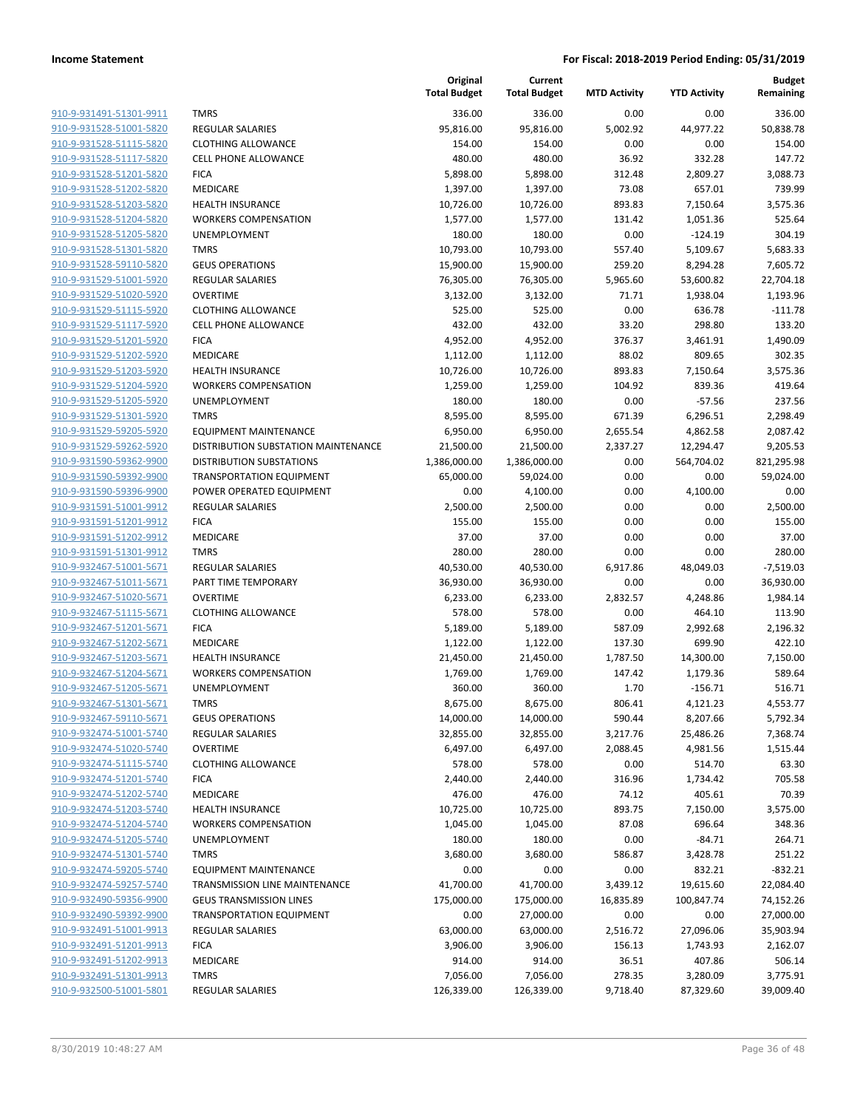|                                                    |                                                            | Original<br><b>Total Budget</b> | Current<br><b>Total Budget</b> | <b>MTD Activity</b> | <b>YTD Activity</b> | <b>Budget</b><br>Remaining |
|----------------------------------------------------|------------------------------------------------------------|---------------------------------|--------------------------------|---------------------|---------------------|----------------------------|
| 910-9-931491-51301-9911                            | <b>TMRS</b>                                                | 336.00                          | 336.00                         | 0.00                | 0.00                | 336.00                     |
| 910-9-931528-51001-5820                            | <b>REGULAR SALARIES</b>                                    | 95,816.00                       | 95,816.00                      | 5,002.92            | 44,977.22           | 50,838.78                  |
| 910-9-931528-51115-5820                            | <b>CLOTHING ALLOWANCE</b>                                  | 154.00                          | 154.00                         | 0.00                | 0.00                | 154.00                     |
| 910-9-931528-51117-5820                            | <b>CELL PHONE ALLOWANCE</b>                                | 480.00                          | 480.00                         | 36.92               | 332.28              | 147.72                     |
| 910-9-931528-51201-5820                            | <b>FICA</b>                                                | 5,898.00                        | 5,898.00                       | 312.48              | 2,809.27            | 3,088.73                   |
| 910-9-931528-51202-5820                            | MEDICARE                                                   | 1,397.00                        | 1,397.00                       | 73.08               | 657.01              | 739.99                     |
| 910-9-931528-51203-5820                            | <b>HEALTH INSURANCE</b>                                    | 10,726.00                       | 10,726.00                      | 893.83              | 7,150.64            | 3,575.36                   |
| 910-9-931528-51204-5820                            | <b>WORKERS COMPENSATION</b>                                | 1,577.00                        | 1,577.00                       | 131.42              | 1,051.36            | 525.64                     |
| 910-9-931528-51205-5820                            | UNEMPLOYMENT                                               | 180.00                          | 180.00                         | 0.00                | $-124.19$           | 304.19                     |
| 910-9-931528-51301-5820                            | <b>TMRS</b>                                                | 10,793.00                       | 10,793.00                      | 557.40              | 5,109.67            | 5,683.33                   |
| 910-9-931528-59110-5820                            | <b>GEUS OPERATIONS</b>                                     | 15,900.00                       | 15,900.00                      | 259.20              | 8,294.28            | 7,605.72                   |
| 910-9-931529-51001-5920                            | <b>REGULAR SALARIES</b>                                    | 76,305.00                       | 76,305.00                      | 5,965.60            | 53,600.82           | 22,704.18                  |
| 910-9-931529-51020-5920                            | <b>OVERTIME</b>                                            | 3,132.00                        | 3,132.00                       | 71.71               | 1,938.04            | 1,193.96                   |
| 910-9-931529-51115-5920                            | <b>CLOTHING ALLOWANCE</b>                                  | 525.00                          | 525.00                         | 0.00                | 636.78              | $-111.78$                  |
| 910-9-931529-51117-5920                            | <b>CELL PHONE ALLOWANCE</b>                                | 432.00                          | 432.00                         | 33.20               | 298.80              | 133.20                     |
| 910-9-931529-51201-5920<br>910-9-931529-51202-5920 | <b>FICA</b><br>MEDICARE                                    | 4,952.00                        | 4,952.00<br>1,112.00           | 376.37<br>88.02     | 3,461.91<br>809.65  | 1,490.09<br>302.35         |
| 910-9-931529-51203-5920                            | <b>HEALTH INSURANCE</b>                                    | 1,112.00<br>10,726.00           | 10,726.00                      | 893.83              | 7,150.64            | 3,575.36                   |
| 910-9-931529-51204-5920                            | <b>WORKERS COMPENSATION</b>                                | 1,259.00                        | 1,259.00                       | 104.92              | 839.36              | 419.64                     |
| 910-9-931529-51205-5920                            | UNEMPLOYMENT                                               | 180.00                          | 180.00                         | 0.00                | $-57.56$            | 237.56                     |
| 910-9-931529-51301-5920                            | <b>TMRS</b>                                                | 8,595.00                        | 8,595.00                       | 671.39              | 6,296.51            | 2,298.49                   |
| 910-9-931529-59205-5920                            | <b>EQUIPMENT MAINTENANCE</b>                               | 6,950.00                        | 6,950.00                       | 2,655.54            | 4,862.58            | 2,087.42                   |
| 910-9-931529-59262-5920                            | DISTRIBUTION SUBSTATION MAINTENANCE                        | 21,500.00                       | 21,500.00                      | 2,337.27            | 12,294.47           | 9,205.53                   |
| 910-9-931590-59362-9900                            | <b>DISTRIBUTION SUBSTATIONS</b>                            | 1,386,000.00                    | 1,386,000.00                   | 0.00                | 564,704.02          | 821,295.98                 |
| 910-9-931590-59392-9900                            | <b>TRANSPORTATION EQUIPMENT</b>                            | 65,000.00                       | 59,024.00                      | 0.00                | 0.00                | 59,024.00                  |
| 910-9-931590-59396-9900                            | POWER OPERATED EQUIPMENT                                   | 0.00                            | 4,100.00                       | 0.00                | 4,100.00            | 0.00                       |
| 910-9-931591-51001-9912                            | <b>REGULAR SALARIES</b>                                    | 2,500.00                        | 2,500.00                       | 0.00                | 0.00                | 2,500.00                   |
| 910-9-931591-51201-9912                            | <b>FICA</b>                                                | 155.00                          | 155.00                         | 0.00                | 0.00                | 155.00                     |
| 910-9-931591-51202-9912                            | MEDICARE                                                   | 37.00                           | 37.00                          | 0.00                | 0.00                | 37.00                      |
| 910-9-931591-51301-9912                            | <b>TMRS</b>                                                | 280.00                          | 280.00                         | 0.00                | 0.00                | 280.00                     |
| 910-9-932467-51001-5671                            | <b>REGULAR SALARIES</b>                                    | 40,530.00                       | 40,530.00                      | 6,917.86            | 48,049.03           | $-7,519.03$                |
| 910-9-932467-51011-5671                            | PART TIME TEMPORARY                                        | 36,930.00                       | 36,930.00                      | 0.00                | 0.00                | 36,930.00                  |
| 910-9-932467-51020-5671                            | <b>OVERTIME</b>                                            | 6,233.00                        | 6,233.00                       | 2,832.57            | 4,248.86            | 1,984.14                   |
| 910-9-932467-51115-5671                            | <b>CLOTHING ALLOWANCE</b>                                  | 578.00                          | 578.00                         | 0.00                | 464.10              | 113.90                     |
| 910-9-932467-51201-5671                            | <b>FICA</b>                                                | 5,189.00                        | 5,189.00                       | 587.09              | 2,992.68            | 2,196.32                   |
| 910-9-932467-51202-5671                            | MEDICARE                                                   | 1,122.00                        | 1,122.00                       | 137.30              | 699.90              | 422.10                     |
| 910-9-932467-51203-5671                            | <b>HEALTH INSURANCE</b>                                    | 21,450.00                       | 21,450.00                      | 1,787.50            | 14,300.00           | 7,150.00                   |
| 910-9-932467-51204-5671                            | <b>WORKERS COMPENSATION</b>                                | 1,769.00                        | 1,769.00                       | 147.42              | 1,179.36            | 589.64                     |
| 910-9-932467-51205-5671                            | UNEMPLOYMENT                                               | 360.00                          | 360.00                         | 1.70                | $-156.71$           | 516.71                     |
| 910-9-932467-51301-5671                            | TMRS                                                       | 8,675.00                        | 8,675.00                       | 806.41              | 4,121.23            | 4,553.77                   |
| 910-9-932467-59110-5671                            | <b>GEUS OPERATIONS</b>                                     | 14,000.00                       | 14,000.00                      | 590.44              | 8,207.66            | 5,792.34                   |
| 910-9-932474-51001-5740                            | REGULAR SALARIES                                           | 32,855.00                       | 32,855.00                      | 3,217.76            | 25,486.26           | 7,368.74                   |
| 910-9-932474-51020-5740                            | <b>OVERTIME</b>                                            | 6,497.00                        | 6,497.00                       | 2,088.45            | 4,981.56            | 1,515.44                   |
| 910-9-932474-51115-5740                            | <b>CLOTHING ALLOWANCE</b>                                  | 578.00                          | 578.00                         | 0.00                | 514.70              | 63.30                      |
| 910-9-932474-51201-5740                            | <b>FICA</b>                                                | 2,440.00                        | 2,440.00                       | 316.96              | 1,734.42            | 705.58                     |
| 910-9-932474-51202-5740                            | MEDICARE                                                   | 476.00                          | 476.00                         | 74.12               | 405.61              | 70.39                      |
| 910-9-932474-51203-5740                            | <b>HEALTH INSURANCE</b>                                    | 10,725.00                       | 10,725.00                      | 893.75              | 7,150.00            | 3,575.00                   |
| 910-9-932474-51204-5740                            | <b>WORKERS COMPENSATION</b>                                | 1,045.00                        | 1,045.00                       | 87.08               | 696.64              | 348.36                     |
| 910-9-932474-51205-5740                            | UNEMPLOYMENT                                               | 180.00                          | 180.00                         | 0.00                | $-84.71$            | 264.71                     |
| 910-9-932474-51301-5740                            | <b>TMRS</b>                                                | 3,680.00                        | 3,680.00                       | 586.87              | 3,428.78            | 251.22                     |
| 910-9-932474-59205-5740                            | <b>EQUIPMENT MAINTENANCE</b>                               | 0.00                            | 0.00                           | 0.00                | 832.21              | $-832.21$                  |
| 910-9-932474-59257-5740                            | TRANSMISSION LINE MAINTENANCE                              | 41,700.00                       | 41,700.00                      | 3,439.12            | 19,615.60           | 22,084.40                  |
| 910-9-932490-59356-9900<br>910-9-932490-59392-9900 | <b>GEUS TRANSMISSION LINES</b>                             | 175,000.00                      | 175,000.00                     | 16,835.89           | 100,847.74          | 74,152.26                  |
| 910-9-932491-51001-9913                            | <b>TRANSPORTATION EQUIPMENT</b><br><b>REGULAR SALARIES</b> | 0.00<br>63,000.00               | 27,000.00<br>63,000.00         | 0.00<br>2,516.72    | 0.00<br>27,096.06   | 27,000.00<br>35,903.94     |
| 910-9-932491-51201-9913                            | <b>FICA</b>                                                | 3,906.00                        | 3,906.00                       | 156.13              | 1,743.93            | 2,162.07                   |
| 910-9-932491-51202-9913                            | MEDICARE                                                   | 914.00                          | 914.00                         | 36.51               | 407.86              | 506.14                     |
| 910-9-932491-51301-9913                            | <b>TMRS</b>                                                | 7,056.00                        | 7,056.00                       | 278.35              | 3,280.09            | 3,775.91                   |
| 910-9-932500-51001-5801                            | REGULAR SALARIES                                           | 126,339.00                      | 126,339.00                     | 9,718.40            | 87,329.60           | 39,009.40                  |
|                                                    |                                                            |                                 |                                |                     |                     |                            |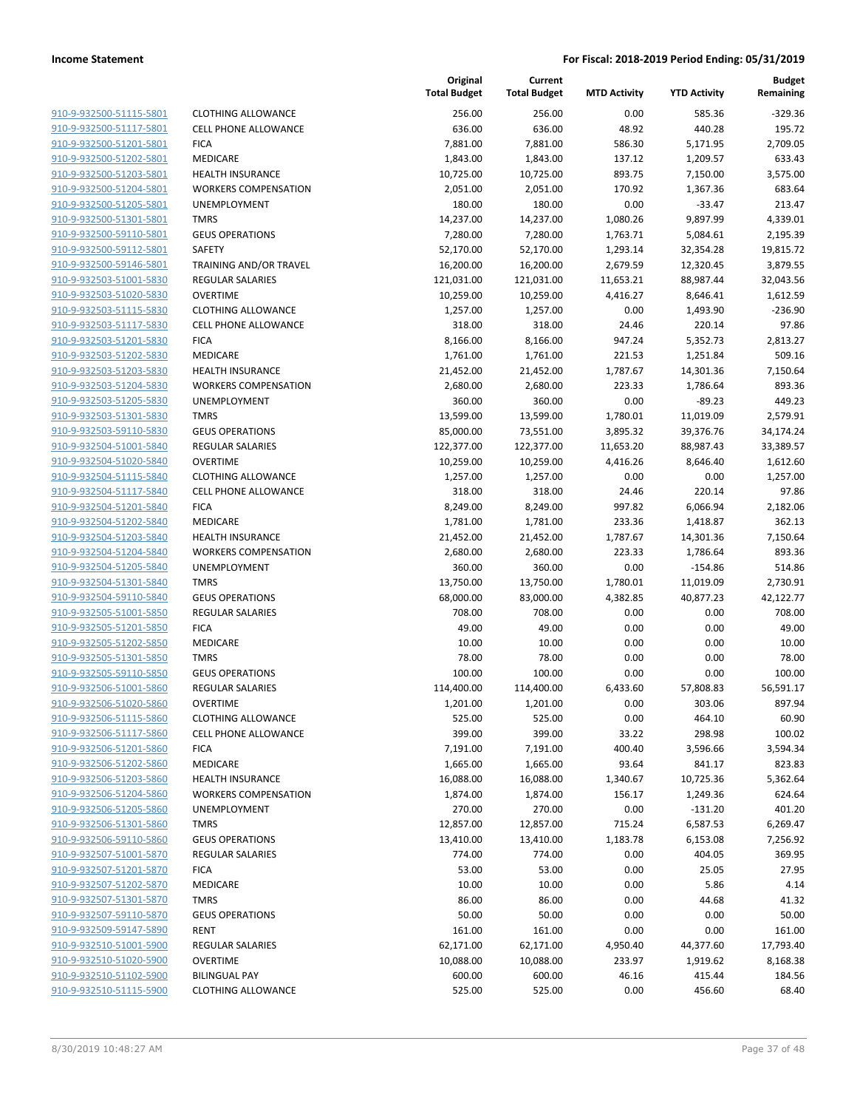| 910-9-932500-51115-5801        |
|--------------------------------|
| 910-9-932500-51117-5801        |
| 910-9-932500-51201-5801        |
| 910-9-932500-51202-5801        |
| <u>910-9-932500-51203-5801</u> |
| 910-9-932500-51204-5801        |
| 910-9-932500-51205-5801        |
| 910-9-932500-51301-5801        |
| 910-9-932500-59110-5801        |
| <u>910-9-932500-59112-5801</u> |
| 910-9-932500-59146-5801        |
| 910-9-932503-51001-5830        |
| 910-9-932503-51020-5830        |
| 910-9-932503-51115-5830        |
| <u>910-9-932503-51117-5830</u> |
| 910-9-932503-51201-5830        |
| 910-9-932503-51202-5830        |
| 910-9-932503-51203-5830        |
| 910-9-932503-51204-5830        |
| <u>910-9-932503-51205-5830</u> |
| 910-9-932503-51301-5830        |
| 910-9-932503-59110-5830        |
| 910-9-932504-51001-5840        |
| 910-9-932504-51020-5840        |
| 910-9-932504-51115-5840        |
| 910-9-932504-51117-5840        |
| 910-9-932504-51201-5840        |
| 910-9-932504-51202-5840        |
| 910-9-932504-51203-5840        |
| <u>910-9-932504-51204-5840</u> |
| 910-9-932504-51205-5840        |
| 910-9-932504-51301-5840        |
| 910-9-932504-59110-5840        |
| 910-9-932505-51001-5850        |
| <u>910-9-932505-51201-5850</u> |
| 910-9-932505-51202-5850        |
| 910-9-932505-51301-5850        |
| 910-9-932505-59110-5850        |
| 910-9-932506-51001-5860        |
| 910-9-932506-51020-5860        |
| 910-9-932506-51115-5860        |
| 910-9-932506-51117-5860        |
| 910-9-932506-51201-5860        |
| 910-9-932506-51202-5860        |
| <u>910-9-932506-51203-5860</u> |
| 910-9-932506-51204-5860        |
| 910-9-932506-51205-5860        |
| 910-9-932506-51301-5860        |
| 910-9-932506-59110-5860        |
| 910-9-932507-51001-5870        |
| 910-9-932507-51201-5870        |
| 910-9-932507-51202-5870        |
| 910-9-932507-51301-5870        |
| 910-9-932507-59110-5870        |
| <u>910-9-932509-59147-5890</u> |
| <u>910-9-932510-51001-5900</u> |
| 910-9-932510-51020-5900        |
| 910-9-932510-51102-5900        |
| 910-9-932510-51115-5900        |
|                                |

|                                                    |                                              | Original<br><b>Total Budget</b> | Current<br><b>Total Budget</b> | <b>MTD Activity</b> | <b>YTD Activity</b>  | <b>Budget</b><br>Remaining |
|----------------------------------------------------|----------------------------------------------|---------------------------------|--------------------------------|---------------------|----------------------|----------------------------|
| 910-9-932500-51115-5801                            | <b>CLOTHING ALLOWANCE</b>                    | 256.00                          | 256.00                         | 0.00                | 585.36               | $-329.36$                  |
| 910-9-932500-51117-5801                            | <b>CELL PHONE ALLOWANCE</b>                  | 636.00                          | 636.00                         | 48.92               | 440.28               | 195.72                     |
| 910-9-932500-51201-5801                            | <b>FICA</b>                                  | 7,881.00                        | 7,881.00                       | 586.30              | 5,171.95             | 2,709.05                   |
| 910-9-932500-51202-5801                            | <b>MEDICARE</b>                              | 1,843.00                        | 1,843.00                       | 137.12              | 1,209.57             | 633.43                     |
| 910-9-932500-51203-5801                            | <b>HEALTH INSURANCE</b>                      | 10,725.00                       | 10,725.00                      | 893.75              | 7,150.00             | 3,575.00                   |
| 910-9-932500-51204-5801                            | <b>WORKERS COMPENSATION</b>                  | 2,051.00                        | 2,051.00                       | 170.92              | 1,367.36             | 683.64                     |
| 910-9-932500-51205-5801                            | UNEMPLOYMENT                                 | 180.00                          | 180.00                         | 0.00                | $-33.47$             | 213.47                     |
| 910-9-932500-51301-5801                            | <b>TMRS</b>                                  | 14,237.00                       | 14,237.00                      | 1,080.26            | 9,897.99             | 4,339.01                   |
| 910-9-932500-59110-5801                            | <b>GEUS OPERATIONS</b>                       | 7,280.00                        | 7,280.00                       | 1,763.71            | 5,084.61             | 2,195.39                   |
| 910-9-932500-59112-5801                            | <b>SAFETY</b>                                | 52,170.00                       | 52,170.00                      | 1,293.14            | 32,354.28            | 19,815.72                  |
| 910-9-932500-59146-5801                            | TRAINING AND/OR TRAVEL                       | 16,200.00                       | 16,200.00                      | 2,679.59            | 12,320.45            | 3,879.55                   |
| 910-9-932503-51001-5830                            | <b>REGULAR SALARIES</b>                      | 121,031.00                      | 121,031.00                     | 11,653.21           | 88,987.44            | 32,043.56                  |
| 910-9-932503-51020-5830                            | <b>OVERTIME</b>                              | 10,259.00                       | 10,259.00                      | 4,416.27            | 8,646.41             | 1,612.59                   |
| 910-9-932503-51115-5830                            | <b>CLOTHING ALLOWANCE</b>                    | 1,257.00                        | 1,257.00                       | 0.00                | 1,493.90             | $-236.90$                  |
| 910-9-932503-51117-5830                            | <b>CELL PHONE ALLOWANCE</b>                  | 318.00                          | 318.00                         | 24.46               | 220.14               | 97.86                      |
| 910-9-932503-51201-5830                            | <b>FICA</b>                                  | 8,166.00                        | 8,166.00                       | 947.24              | 5,352.73             | 2,813.27                   |
| 910-9-932503-51202-5830                            | MEDICARE                                     | 1,761.00                        | 1,761.00                       | 221.53              | 1,251.84             | 509.16                     |
| 910-9-932503-51203-5830                            | <b>HEALTH INSURANCE</b>                      | 21,452.00                       | 21,452.00                      | 1,787.67            | 14,301.36            | 7,150.64                   |
| 910-9-932503-51204-5830                            | <b>WORKERS COMPENSATION</b>                  | 2,680.00                        | 2,680.00                       | 223.33              | 1,786.64             | 893.36                     |
| 910-9-932503-51205-5830                            | UNEMPLOYMENT                                 | 360.00                          | 360.00                         | 0.00                | -89.23               | 449.23                     |
| 910-9-932503-51301-5830                            | <b>TMRS</b>                                  | 13,599.00                       | 13,599.00                      | 1,780.01            | 11,019.09            | 2,579.91                   |
| 910-9-932503-59110-5830                            | <b>GEUS OPERATIONS</b>                       | 85,000.00                       | 73,551.00                      | 3,895.32            | 39,376.76            | 34,174.24                  |
| 910-9-932504-51001-5840<br>910-9-932504-51020-5840 | <b>REGULAR SALARIES</b>                      | 122,377.00                      | 122,377.00                     | 11,653.20           | 88,987.43            | 33,389.57                  |
|                                                    | <b>OVERTIME</b><br><b>CLOTHING ALLOWANCE</b> | 10,259.00<br>1,257.00           | 10,259.00                      | 4,416.26            | 8,646.40             | 1,612.60                   |
| 910-9-932504-51115-5840                            | <b>CELL PHONE ALLOWANCE</b>                  |                                 | 1,257.00                       | 0.00                | 0.00                 | 1,257.00                   |
| 910-9-932504-51117-5840<br>910-9-932504-51201-5840 |                                              | 318.00                          | 318.00                         | 24.46               | 220.14               | 97.86                      |
| 910-9-932504-51202-5840                            | <b>FICA</b><br>MEDICARE                      | 8,249.00<br>1,781.00            | 8,249.00<br>1,781.00           | 997.82<br>233.36    | 6,066.94<br>1,418.87 | 2,182.06<br>362.13         |
| 910-9-932504-51203-5840                            | <b>HEALTH INSURANCE</b>                      | 21,452.00                       | 21,452.00                      | 1,787.67            | 14,301.36            | 7,150.64                   |
| 910-9-932504-51204-5840                            | <b>WORKERS COMPENSATION</b>                  | 2,680.00                        | 2,680.00                       | 223.33              | 1,786.64             | 893.36                     |
| 910-9-932504-51205-5840                            | UNEMPLOYMENT                                 | 360.00                          | 360.00                         | 0.00                | $-154.86$            | 514.86                     |
| 910-9-932504-51301-5840                            | <b>TMRS</b>                                  | 13,750.00                       | 13,750.00                      | 1,780.01            | 11,019.09            | 2,730.91                   |
| 910-9-932504-59110-5840                            | <b>GEUS OPERATIONS</b>                       | 68,000.00                       | 83,000.00                      | 4,382.85            | 40,877.23            | 42,122.77                  |
| 910-9-932505-51001-5850                            | <b>REGULAR SALARIES</b>                      | 708.00                          | 708.00                         | 0.00                | 0.00                 | 708.00                     |
| 910-9-932505-51201-5850                            | <b>FICA</b>                                  | 49.00                           | 49.00                          | 0.00                | 0.00                 | 49.00                      |
| 910-9-932505-51202-5850                            | MEDICARE                                     | 10.00                           | 10.00                          | 0.00                | 0.00                 | 10.00                      |
| 910-9-932505-51301-5850                            | <b>TMRS</b>                                  | 78.00                           | 78.00                          | 0.00                | 0.00                 | 78.00                      |
| 910-9-932505-59110-5850                            | <b>GEUS OPERATIONS</b>                       | 100.00                          | 100.00                         | 0.00                | 0.00                 | 100.00                     |
| 910-9-932506-51001-5860                            | <b>REGULAR SALARIES</b>                      | 114,400.00                      | 114,400.00                     | 6,433.60            | 57,808.83            | 56,591.17                  |
| 910-9-932506-51020-5860                            | OVERTIME                                     | 1,201.00                        | 1,201.00                       | 0.00                | 303.06               | 897.94                     |
| 910-9-932506-51115-5860                            | <b>CLOTHING ALLOWANCE</b>                    | 525.00                          | 525.00                         | 0.00                | 464.10               | 60.90                      |
| 910-9-932506-51117-5860                            | <b>CELL PHONE ALLOWANCE</b>                  | 399.00                          | 399.00                         | 33.22               | 298.98               | 100.02                     |
| 910-9-932506-51201-5860                            | <b>FICA</b>                                  | 7,191.00                        | 7,191.00                       | 400.40              | 3,596.66             | 3,594.34                   |
| 910-9-932506-51202-5860                            | <b>MEDICARE</b>                              | 1,665.00                        | 1,665.00                       | 93.64               | 841.17               | 823.83                     |
| 910-9-932506-51203-5860                            | <b>HEALTH INSURANCE</b>                      | 16,088.00                       | 16,088.00                      | 1,340.67            | 10,725.36            | 5,362.64                   |
| 910-9-932506-51204-5860                            | <b>WORKERS COMPENSATION</b>                  | 1,874.00                        | 1,874.00                       | 156.17              | 1,249.36             | 624.64                     |
| 910-9-932506-51205-5860                            | UNEMPLOYMENT                                 | 270.00                          | 270.00                         | 0.00                | $-131.20$            | 401.20                     |
| 910-9-932506-51301-5860                            | <b>TMRS</b>                                  | 12,857.00                       | 12,857.00                      | 715.24              | 6,587.53             | 6,269.47                   |
| 910-9-932506-59110-5860                            | <b>GEUS OPERATIONS</b>                       | 13,410.00                       | 13,410.00                      | 1,183.78            | 6,153.08             | 7,256.92                   |
| 910-9-932507-51001-5870                            | REGULAR SALARIES                             | 774.00                          | 774.00                         | 0.00                | 404.05               | 369.95                     |
| 910-9-932507-51201-5870                            | <b>FICA</b>                                  | 53.00                           | 53.00                          | 0.00                | 25.05                | 27.95                      |
| 910-9-932507-51202-5870                            | MEDICARE                                     | 10.00                           | 10.00                          | 0.00                | 5.86                 | 4.14                       |
| 910-9-932507-51301-5870                            | <b>TMRS</b>                                  | 86.00                           | 86.00                          | 0.00                | 44.68                | 41.32                      |
| 910-9-932507-59110-5870                            | <b>GEUS OPERATIONS</b>                       | 50.00                           | 50.00                          | 0.00                | 0.00                 | 50.00                      |
| 910-9-932509-59147-5890                            | <b>RENT</b>                                  | 161.00                          | 161.00                         | 0.00                | 0.00                 | 161.00                     |
| 910-9-932510-51001-5900                            | REGULAR SALARIES                             | 62,171.00                       | 62,171.00                      | 4,950.40            | 44,377.60            | 17,793.40                  |
| 910-9-932510-51020-5900                            | <b>OVERTIME</b>                              | 10,088.00                       | 10,088.00                      | 233.97              | 1,919.62             | 8,168.38                   |
| 910-9-932510-51102-5900                            | <b>BILINGUAL PAY</b>                         | 600.00                          | 600.00                         | 46.16               | 415.44               | 184.56                     |
| 910-9-932510-51115-5900                            | <b>CLOTHING ALLOWANCE</b>                    | 525.00                          | 525.00                         | 0.00                | 456.60               | 68.40                      |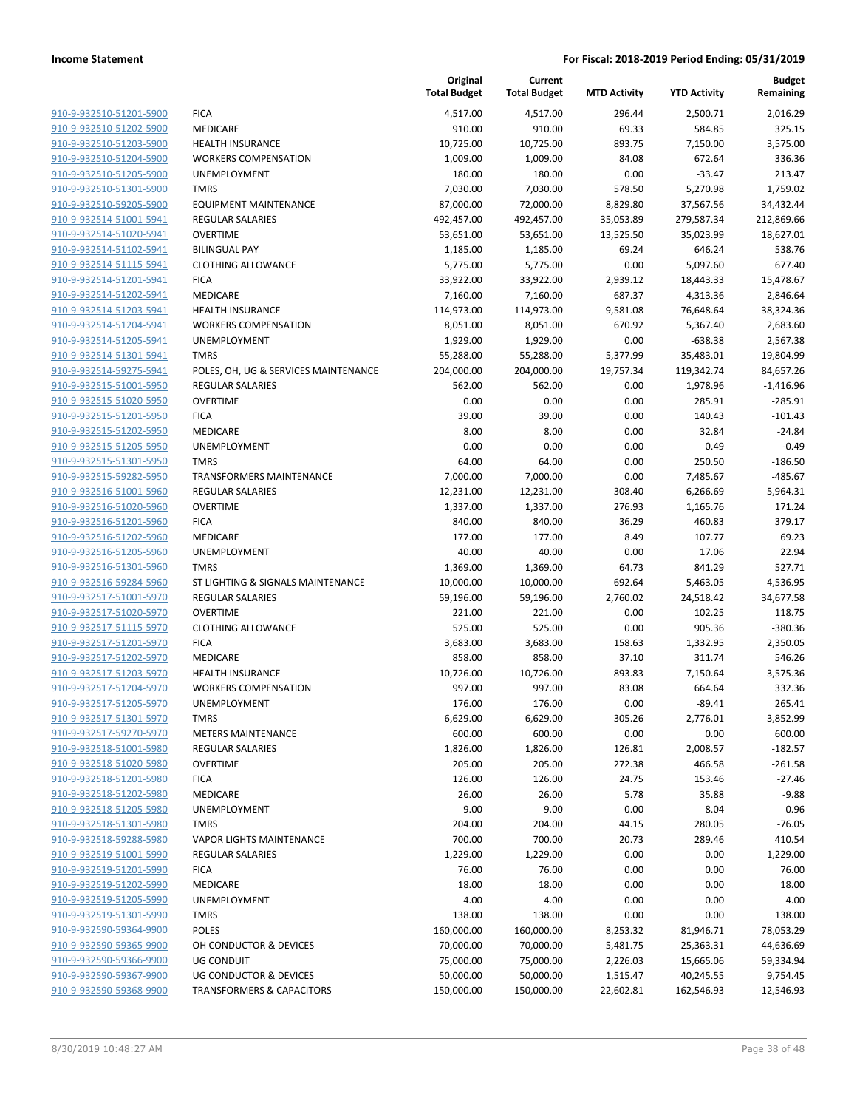|                                                    |                                                  | Original<br><b>Total Budget</b> | Current<br><b>Total Budget</b> | <b>MTD Activity</b> | <b>YTD Activity</b>   | Budget<br>Remaining   |
|----------------------------------------------------|--------------------------------------------------|---------------------------------|--------------------------------|---------------------|-----------------------|-----------------------|
| 910-9-932510-51201-5900                            | <b>FICA</b>                                      | 4,517.00                        | 4,517.00                       | 296.44              | 2,500.71              | 2,016.29              |
| 910-9-932510-51202-5900                            | MEDICARE                                         | 910.00                          | 910.00                         | 69.33               | 584.85                | 325.15                |
| 910-9-932510-51203-5900                            | <b>HEALTH INSURANCE</b>                          | 10,725.00                       | 10,725.00                      | 893.75              | 7,150.00              | 3,575.00              |
| 910-9-932510-51204-5900                            | <b>WORKERS COMPENSATION</b>                      | 1,009.00                        | 1,009.00                       | 84.08               | 672.64                | 336.36                |
| 910-9-932510-51205-5900                            | <b>UNEMPLOYMENT</b>                              | 180.00                          | 180.00                         | 0.00                | $-33.47$              | 213.47                |
| 910-9-932510-51301-5900                            | <b>TMRS</b>                                      | 7,030.00                        | 7,030.00                       | 578.50              | 5,270.98              | 1,759.02              |
| 910-9-932510-59205-5900                            | <b>EQUIPMENT MAINTENANCE</b>                     | 87,000.00                       | 72,000.00                      | 8,829.80            | 37,567.56             | 34,432.44             |
| 910-9-932514-51001-5941                            | <b>REGULAR SALARIES</b>                          | 492,457.00                      | 492,457.00                     | 35,053.89           | 279,587.34            | 212,869.66            |
| 910-9-932514-51020-5941                            | <b>OVERTIME</b>                                  | 53,651.00                       | 53,651.00                      | 13,525.50           | 35,023.99             | 18,627.01             |
| 910-9-932514-51102-5941                            | <b>BILINGUAL PAY</b>                             | 1,185.00                        | 1,185.00                       | 69.24               | 646.24                | 538.76                |
| 910-9-932514-51115-5941                            | <b>CLOTHING ALLOWANCE</b>                        | 5,775.00                        | 5,775.00                       | 0.00                | 5,097.60              | 677.40                |
| 910-9-932514-51201-5941                            | <b>FICA</b>                                      | 33,922.00                       | 33,922.00                      | 2,939.12            | 18,443.33             | 15,478.67             |
| 910-9-932514-51202-5941                            | MEDICARE                                         | 7,160.00                        | 7,160.00                       | 687.37              | 4,313.36              | 2,846.64              |
| 910-9-932514-51203-5941                            | <b>HEALTH INSURANCE</b>                          | 114,973.00                      | 114,973.00                     | 9,581.08            | 76,648.64             | 38,324.36             |
| 910-9-932514-51204-5941                            | <b>WORKERS COMPENSATION</b>                      | 8,051.00                        | 8,051.00                       | 670.92              | 5,367.40              | 2,683.60              |
| 910-9-932514-51205-5941                            | UNEMPLOYMENT                                     | 1,929.00                        | 1,929.00                       | 0.00                | -638.38               | 2,567.38              |
| 910-9-932514-51301-5941                            | <b>TMRS</b>                                      | 55,288.00                       | 55,288.00                      | 5,377.99            | 35,483.01             | 19,804.99             |
| 910-9-932514-59275-5941                            | POLES, OH, UG & SERVICES MAINTENANCE             | 204,000.00                      | 204,000.00                     | 19,757.34           | 119,342.74            | 84,657.26             |
| 910-9-932515-51001-5950                            | <b>REGULAR SALARIES</b>                          | 562.00                          | 562.00                         | 0.00                | 1,978.96              | $-1,416.96$           |
| 910-9-932515-51020-5950                            | <b>OVERTIME</b>                                  | 0.00                            | 0.00                           | 0.00                | 285.91                | $-285.91$             |
| 910-9-932515-51201-5950                            | <b>FICA</b>                                      | 39.00                           | 39.00                          | 0.00                | 140.43                | $-101.43$             |
| 910-9-932515-51202-5950                            | MEDICARE                                         | 8.00                            | 8.00                           | 0.00                | 32.84                 | $-24.84$              |
| 910-9-932515-51205-5950                            | UNEMPLOYMENT                                     | 0.00                            | 0.00                           | 0.00                | 0.49                  | $-0.49$               |
| 910-9-932515-51301-5950                            | <b>TMRS</b>                                      | 64.00                           | 64.00                          | 0.00                | 250.50                | $-186.50$             |
| 910-9-932515-59282-5950                            | <b>TRANSFORMERS MAINTENANCE</b>                  | 7,000.00                        | 7,000.00                       | 0.00                | 7,485.67              | $-485.67$             |
| 910-9-932516-51001-5960                            | <b>REGULAR SALARIES</b>                          | 12,231.00                       | 12,231.00                      | 308.40              | 6,266.69              | 5,964.31              |
| 910-9-932516-51020-5960                            | <b>OVERTIME</b>                                  | 1,337.00                        | 1,337.00                       | 276.93              | 1,165.76              | 171.24                |
| 910-9-932516-51201-5960                            | <b>FICA</b>                                      | 840.00                          | 840.00                         | 36.29               | 460.83                | 379.17                |
| 910-9-932516-51202-5960                            | MEDICARE                                         | 177.00                          | 177.00                         | 8.49                | 107.77                | 69.23                 |
| 910-9-932516-51205-5960                            | <b>UNEMPLOYMENT</b>                              | 40.00                           | 40.00                          | 0.00                | 17.06                 | 22.94                 |
| 910-9-932516-51301-5960<br>910-9-932516-59284-5960 | <b>TMRS</b><br>ST LIGHTING & SIGNALS MAINTENANCE | 1,369.00                        | 1,369.00                       | 64.73               | 841.29                | 527.71                |
| 910-9-932517-51001-5970                            | <b>REGULAR SALARIES</b>                          | 10,000.00<br>59,196.00          | 10,000.00<br>59,196.00         | 692.64<br>2,760.02  | 5,463.05<br>24,518.42 | 4,536.95<br>34,677.58 |
| 910-9-932517-51020-5970                            | <b>OVERTIME</b>                                  | 221.00                          | 221.00                         | 0.00                | 102.25                | 118.75                |
| 910-9-932517-51115-5970                            | <b>CLOTHING ALLOWANCE</b>                        | 525.00                          | 525.00                         | 0.00                | 905.36                | $-380.36$             |
| 910-9-932517-51201-5970                            | <b>FICA</b>                                      | 3,683.00                        | 3,683.00                       | 158.63              | 1,332.95              | 2,350.05              |
| 910-9-932517-51202-5970                            | MEDICARE                                         | 858.00                          | 858.00                         | 37.10               | 311.74                | 546.26                |
| 910-9-932517-51203-5970                            | <b>HEALTH INSURANCE</b>                          | 10,726.00                       | 10,726.00                      | 893.83              | 7,150.64              | 3,575.36              |
| 910-9-932517-51204-5970                            | <b>WORKERS COMPENSATION</b>                      | 997.00                          | 997.00                         | 83.08               | 664.64                | 332.36                |
| 910-9-932517-51205-5970                            | UNEMPLOYMENT                                     | 176.00                          | 176.00                         | 0.00                | $-89.41$              | 265.41                |
| 910-9-932517-51301-5970                            | <b>TMRS</b>                                      | 6,629.00                        | 6,629.00                       | 305.26              | 2,776.01              | 3,852.99              |
| 910-9-932517-59270-5970                            | <b>METERS MAINTENANCE</b>                        | 600.00                          | 600.00                         | 0.00                | 0.00                  | 600.00                |
| 910-9-932518-51001-5980                            | <b>REGULAR SALARIES</b>                          | 1,826.00                        | 1,826.00                       | 126.81              | 2,008.57              | $-182.57$             |
| 910-9-932518-51020-5980                            | <b>OVERTIME</b>                                  | 205.00                          | 205.00                         | 272.38              | 466.58                | $-261.58$             |
| 910-9-932518-51201-5980                            | <b>FICA</b>                                      | 126.00                          | 126.00                         | 24.75               | 153.46                | $-27.46$              |
| 910-9-932518-51202-5980                            | MEDICARE                                         | 26.00                           | 26.00                          | 5.78                | 35.88                 | $-9.88$               |
| 910-9-932518-51205-5980                            | <b>UNEMPLOYMENT</b>                              | 9.00                            | 9.00                           | 0.00                | 8.04                  | 0.96                  |
| 910-9-932518-51301-5980                            | <b>TMRS</b>                                      | 204.00                          | 204.00                         | 44.15               | 280.05                | $-76.05$              |
| 910-9-932518-59288-5980                            | <b>VAPOR LIGHTS MAINTENANCE</b>                  | 700.00                          | 700.00                         | 20.73               | 289.46                | 410.54                |
| 910-9-932519-51001-5990                            | REGULAR SALARIES                                 | 1,229.00                        | 1,229.00                       | 0.00                | 0.00                  | 1,229.00              |
| 910-9-932519-51201-5990                            | <b>FICA</b>                                      | 76.00                           | 76.00                          | 0.00                | 0.00                  | 76.00                 |
| 910-9-932519-51202-5990                            | MEDICARE                                         | 18.00                           | 18.00                          | 0.00                | 0.00                  | 18.00                 |
| 910-9-932519-51205-5990                            | UNEMPLOYMENT                                     | 4.00                            | 4.00                           | 0.00                | 0.00                  | 4.00                  |
| 910-9-932519-51301-5990                            | <b>TMRS</b>                                      | 138.00                          | 138.00                         | 0.00                | 0.00                  | 138.00                |
| 910-9-932590-59364-9900                            | <b>POLES</b>                                     | 160,000.00                      | 160,000.00                     | 8,253.32            | 81,946.71             | 78,053.29             |
| 910-9-932590-59365-9900                            | OH CONDUCTOR & DEVICES                           | 70,000.00                       | 70,000.00                      | 5,481.75            | 25,363.31             | 44,636.69             |
| 910-9-932590-59366-9900                            | <b>UG CONDUIT</b>                                | 75,000.00                       | 75,000.00                      | 2,226.03            | 15,665.06             | 59,334.94             |
| 910-9-932590-59367-9900                            | <b>UG CONDUCTOR &amp; DEVICES</b>                | 50,000.00                       | 50,000.00                      | 1,515.47            | 40,245.55             | 9,754.45              |
| 910-9-932590-59368-9900                            | <b>TRANSFORMERS &amp; CAPACITORS</b>             | 150,000.00                      | 150,000.00                     | 22,602.81           | 162,546.93            | $-12,546.93$          |
|                                                    |                                                  |                                 |                                |                     |                       |                       |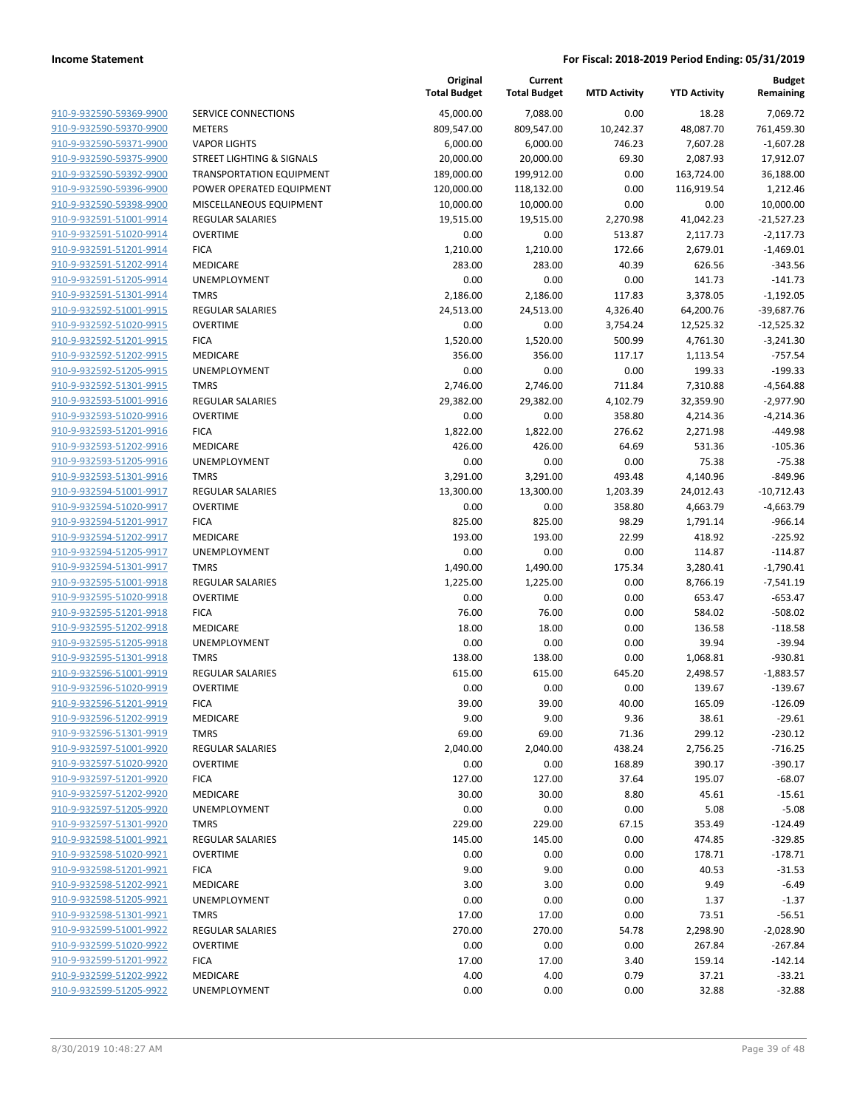|                         |                                 | Total Budget | Total Budget | MID ACTIVITY | Y I D ACTIVITY | Remaining    |
|-------------------------|---------------------------------|--------------|--------------|--------------|----------------|--------------|
| 910-9-932590-59369-9900 | SERVICE CONNECTIONS             | 45,000.00    | 7,088.00     | 0.00         | 18.28          | 7,069.72     |
| 910-9-932590-59370-9900 | <b>METERS</b>                   | 809,547.00   | 809,547.00   | 10,242.37    | 48,087.70      | 761,459.30   |
| 910-9-932590-59371-9900 | <b>VAPOR LIGHTS</b>             | 6,000.00     | 6,000.00     | 746.23       | 7,607.28       | $-1,607.28$  |
| 910-9-932590-59375-9900 | STREET LIGHTING & SIGNALS       | 20,000.00    | 20,000.00    | 69.30        | 2,087.93       | 17,912.07    |
| 910-9-932590-59392-9900 | <b>TRANSPORTATION EQUIPMENT</b> | 189,000.00   | 199,912.00   | 0.00         | 163,724.00     | 36,188.00    |
| 910-9-932590-59396-9900 | POWER OPERATED EQUIPMENT        | 120,000.00   | 118,132.00   | 0.00         | 116,919.54     | 1,212.46     |
| 910-9-932590-59398-9900 | MISCELLANEOUS EQUIPMENT         | 10,000.00    | 10,000.00    | 0.00         | 0.00           | 10,000.00    |
| 910-9-932591-51001-9914 | <b>REGULAR SALARIES</b>         | 19,515.00    | 19,515.00    | 2,270.98     | 41,042.23      | $-21,527.23$ |
| 910-9-932591-51020-9914 | <b>OVERTIME</b>                 | 0.00         | 0.00         | 513.87       | 2,117.73       | $-2,117.73$  |
| 910-9-932591-51201-9914 | <b>FICA</b>                     | 1,210.00     | 1,210.00     | 172.66       | 2,679.01       | $-1,469.01$  |
| 910-9-932591-51202-9914 | <b>MEDICARE</b>                 | 283.00       | 283.00       | 40.39        | 626.56         | $-343.56$    |
| 910-9-932591-51205-9914 | <b>UNEMPLOYMENT</b>             | 0.00         | 0.00         | 0.00         | 141.73         | $-141.73$    |
| 910-9-932591-51301-9914 | <b>TMRS</b>                     | 2,186.00     | 2,186.00     | 117.83       | 3,378.05       | $-1,192.05$  |
| 910-9-932592-51001-9915 | <b>REGULAR SALARIES</b>         | 24,513.00    | 24,513.00    | 4,326.40     | 64,200.76      | $-39,687.76$ |
| 910-9-932592-51020-9915 | <b>OVERTIME</b>                 | 0.00         | 0.00         | 3,754.24     | 12,525.32      | $-12,525.32$ |
| 910-9-932592-51201-9915 | <b>FICA</b>                     | 1,520.00     | 1,520.00     | 500.99       | 4,761.30       | $-3,241.30$  |
| 910-9-932592-51202-9915 | <b>MEDICARE</b>                 | 356.00       | 356.00       | 117.17       | 1,113.54       | $-757.54$    |
| 910-9-932592-51205-9915 | UNEMPLOYMENT                    | 0.00         | 0.00         | 0.00         | 199.33         | $-199.33$    |
| 910-9-932592-51301-9915 | <b>TMRS</b>                     | 2,746.00     | 2,746.00     | 711.84       | 7,310.88       | $-4,564.88$  |
| 910-9-932593-51001-9916 | <b>REGULAR SALARIES</b>         | 29,382.00    | 29,382.00    | 4,102.79     | 32,359.90      | $-2,977.90$  |
| 910-9-932593-51020-9916 | <b>OVERTIME</b>                 | 0.00         | 0.00         | 358.80       | 4,214.36       | $-4,214.36$  |
| 910-9-932593-51201-9916 | <b>FICA</b>                     | 1,822.00     | 1,822.00     | 276.62       | 2,271.98       | $-449.98$    |
| 910-9-932593-51202-9916 | <b>MEDICARE</b>                 | 426.00       | 426.00       | 64.69        | 531.36         | $-105.36$    |
| 910-9-932593-51205-9916 | UNEMPLOYMENT                    | 0.00         | 0.00         | 0.00         | 75.38          | $-75.38$     |
| 910-9-932593-51301-9916 | <b>TMRS</b>                     | 3,291.00     | 3,291.00     | 493.48       | 4,140.96       | $-849.96$    |
| 910-9-932594-51001-9917 | <b>REGULAR SALARIES</b>         | 13,300.00    | 13,300.00    | 1,203.39     | 24,012.43      | $-10,712.43$ |
| 910-9-932594-51020-9917 | <b>OVERTIME</b>                 | 0.00         | 0.00         | 358.80       | 4,663.79       | $-4,663.79$  |
| 910-9-932594-51201-9917 | <b>FICA</b>                     | 825.00       | 825.00       | 98.29        | 1,791.14       | $-966.14$    |
| 910-9-932594-51202-9917 | <b>MEDICARE</b>                 | 193.00       | 193.00       | 22.99        | 418.92         | $-225.92$    |
| 910-9-932594-51205-9917 | UNEMPLOYMENT                    | 0.00         | 0.00         | 0.00         | 114.87         | $-114.87$    |
| 910-9-932594-51301-9917 | <b>TMRS</b>                     | 1,490.00     | 1,490.00     | 175.34       | 3,280.41       | $-1,790.41$  |
| 910-9-932595-51001-9918 | <b>REGULAR SALARIES</b>         | 1,225.00     | 1,225.00     | 0.00         | 8,766.19       | $-7,541.19$  |
| 910-9-932595-51020-9918 | <b>OVERTIME</b>                 | 0.00         | 0.00         | 0.00         | 653.47         | $-653.47$    |
| 910-9-932595-51201-9918 | <b>FICA</b>                     | 76.00        | 76.00        | 0.00         | 584.02         | $-508.02$    |
| 910-9-932595-51202-9918 | MEDICARE                        | 18.00        | 18.00        | 0.00         | 136.58         | $-118.58$    |
| 910-9-932595-51205-9918 | UNEMPLOYMENT                    | 0.00         | 0.00         | 0.00         | 39.94          | $-39.94$     |
| 910-9-932595-51301-9918 | <b>TMRS</b>                     | 138.00       | 138.00       | 0.00         | 1,068.81       | $-930.81$    |
| 910-9-932596-51001-9919 | <b>REGULAR SALARIES</b>         | 615.00       | 615.00       | 645.20       | 2,498.57       | $-1,883.57$  |
| 910-9-932596-51020-9919 | <b>OVERTIME</b>                 | 0.00         | 0.00         | 0.00         | 139.67         | $-139.67$    |
| 910-9-932596-51201-9919 | <b>FICA</b>                     | 39.00        | 39.00        | 40.00        | 165.09         | $-126.09$    |
| 910-9-932596-51202-9919 | MEDICARE                        | 9.00         | 9.00         | 9.36         | 38.61          | $-29.61$     |
| 910-9-932596-51301-9919 | TMRS                            | 69.00        | 69.00        | 71.36        | 299.12         | $-230.12$    |
| 910-9-932597-51001-9920 | <b>REGULAR SALARIES</b>         | 2,040.00     | 2,040.00     | 438.24       | 2,756.25       | $-716.25$    |
| 910-9-932597-51020-9920 | <b>OVERTIME</b>                 | 0.00         | 0.00         | 168.89       | 390.17         | $-390.17$    |
| 910-9-932597-51201-9920 | <b>FICA</b>                     | 127.00       | 127.00       | 37.64        | 195.07         | $-68.07$     |
| 910-9-932597-51202-9920 | MEDICARE                        | 30.00        | 30.00        | 8.80         | 45.61          | $-15.61$     |
| 910-9-932597-51205-9920 | <b>UNEMPLOYMENT</b>             | 0.00         | 0.00         | 0.00         | 5.08           | $-5.08$      |
| 910-9-932597-51301-9920 | TMRS                            | 229.00       | 229.00       | 67.15        | 353.49         | $-124.49$    |
| 910-9-932598-51001-9921 | REGULAR SALARIES                | 145.00       | 145.00       | 0.00         | 474.85         | $-329.85$    |
| 910-9-932598-51020-9921 | <b>OVERTIME</b>                 | 0.00         | 0.00         | 0.00         | 178.71         | $-178.71$    |
| 910-9-932598-51201-9921 | <b>FICA</b>                     | 9.00         | 9.00         | 0.00         | 40.53          | $-31.53$     |
| 910-9-932598-51202-9921 | MEDICARE                        | 3.00         | 3.00         | 0.00         | 9.49           | $-6.49$      |
| 910-9-932598-51205-9921 | UNEMPLOYMENT                    | 0.00         | 0.00         | 0.00         | 1.37           | $-1.37$      |
| 910-9-932598-51301-9921 | <b>TMRS</b>                     | 17.00        | 17.00        | 0.00         | 73.51          | $-56.51$     |
| 910-9-932599-51001-9922 | REGULAR SALARIES                | 270.00       | 270.00       | 54.78        | 2,298.90       | $-2,028.90$  |
| 910-9-932599-51020-9922 | <b>OVERTIME</b>                 | 0.00         | 0.00         | 0.00         | 267.84         | $-267.84$    |
| 910-9-932599-51201-9922 | <b>FICA</b>                     | 17.00        | 17.00        | 3.40         | 159.14         | $-142.14$    |
| 910-9-932599-51202-9922 | MEDICARE                        | 4.00         | 4.00         | 0.79         | 37.21          | $-33.21$     |
| 910-9-932599-51205-9922 | UNEMPLOYMENT                    | 0.00         | 0.00         | 0.00         | 32.88          | $-32.88$     |
|                         |                                 |              |              |              |                |              |

|                         |                                      | Original<br><b>Total Budget</b> | Current<br><b>Total Budget</b> | <b>MTD Activity</b> | <b>YTD Activity</b> | <b>Budget</b><br>Remaining |
|-------------------------|--------------------------------------|---------------------------------|--------------------------------|---------------------|---------------------|----------------------------|
| 910-9-932590-59369-9900 | SERVICE CONNECTIONS                  | 45,000.00                       | 7,088.00                       | 0.00                | 18.28               | 7,069.72                   |
| 910-9-932590-59370-9900 | <b>METERS</b>                        | 809,547.00                      | 809,547.00                     | 10,242.37           | 48,087.70           | 761,459.30                 |
| 910-9-932590-59371-9900 | <b>VAPOR LIGHTS</b>                  | 6,000.00                        | 6,000.00                       | 746.23              | 7,607.28            | $-1,607.28$                |
| 910-9-932590-59375-9900 | <b>STREET LIGHTING &amp; SIGNALS</b> | 20,000.00                       | 20,000.00                      | 69.30               | 2,087.93            | 17,912.07                  |
| 910-9-932590-59392-9900 | <b>TRANSPORTATION EQUIPMENT</b>      | 189,000.00                      | 199,912.00                     | 0.00                | 163,724.00          | 36,188.00                  |
| 910-9-932590-59396-9900 | POWER OPERATED EQUIPMENT             | 120,000.00                      | 118,132.00                     | 0.00                | 116,919.54          | 1,212.46                   |
| 910-9-932590-59398-9900 | MISCELLANEOUS EQUIPMENT              | 10,000.00                       | 10,000.00                      | 0.00                | 0.00                | 10,000.00                  |
| 910-9-932591-51001-9914 | <b>REGULAR SALARIES</b>              | 19,515.00                       | 19,515.00                      | 2,270.98            | 41,042.23           | $-21,527.23$               |
| 910-9-932591-51020-9914 | <b>OVERTIME</b>                      | 0.00                            | 0.00                           | 513.87              | 2,117.73            | $-2,117.73$                |
| 910-9-932591-51201-9914 | <b>FICA</b>                          | 1,210.00                        | 1,210.00                       | 172.66              | 2,679.01            | $-1,469.01$                |
| 910-9-932591-51202-9914 | MEDICARE                             | 283.00                          | 283.00                         | 40.39               | 626.56              | $-343.56$                  |
| 910-9-932591-51205-9914 | <b>UNEMPLOYMENT</b>                  | 0.00                            | 0.00                           | 0.00                | 141.73              | $-141.73$                  |
| 910-9-932591-51301-9914 | <b>TMRS</b>                          | 2,186.00                        | 2,186.00                       | 117.83              | 3,378.05            | $-1,192.05$                |
| 910-9-932592-51001-9915 | <b>REGULAR SALARIES</b>              | 24,513.00                       | 24,513.00                      | 4,326.40            | 64,200.76           | $-39,687.76$               |
| 910-9-932592-51020-9915 | <b>OVERTIME</b>                      | 0.00                            | 0.00                           | 3,754.24            | 12,525.32           | $-12,525.32$               |
| 910-9-932592-51201-9915 | <b>FICA</b>                          | 1,520.00                        | 1,520.00                       | 500.99              | 4,761.30            | $-3,241.30$                |
| 910-9-932592-51202-9915 | MEDICARE                             | 356.00                          | 356.00                         | 117.17              | 1,113.54            | $-757.54$                  |
| 910-9-932592-51205-9915 | UNEMPLOYMENT                         | 0.00                            | 0.00                           | 0.00                | 199.33              | $-199.33$                  |
| 910-9-932592-51301-9915 | <b>TMRS</b>                          | 2,746.00                        | 2,746.00                       | 711.84              | 7,310.88            | $-4,564.88$                |
| 910-9-932593-51001-9916 | <b>REGULAR SALARIES</b>              | 29,382.00                       | 29,382.00                      | 4,102.79            | 32,359.90           | $-2,977.90$                |
| 910-9-932593-51020-9916 | <b>OVERTIME</b>                      | 0.00                            | 0.00                           | 358.80              | 4,214.36            | $-4,214.36$                |
| 910-9-932593-51201-9916 | <b>FICA</b>                          | 1,822.00                        | 1,822.00                       | 276.62              | 2,271.98            | -449.98                    |
| 910-9-932593-51202-9916 | MEDICARE                             | 426.00                          | 426.00                         | 64.69               | 531.36              | $-105.36$                  |
| 910-9-932593-51205-9916 | <b>UNEMPLOYMENT</b>                  | 0.00                            | 0.00                           | 0.00                | 75.38               | $-75.38$                   |
| 910-9-932593-51301-9916 | <b>TMRS</b>                          | 3,291.00                        | 3,291.00                       | 493.48              | 4,140.96            | $-849.96$                  |
| 910-9-932594-51001-9917 | <b>REGULAR SALARIES</b>              | 13,300.00                       | 13,300.00                      | 1,203.39            | 24,012.43           | $-10,712.43$               |
| 910-9-932594-51020-9917 | <b>OVERTIME</b>                      | 0.00                            | 0.00                           | 358.80              | 4,663.79            | $-4,663.79$                |
| 910-9-932594-51201-9917 | <b>FICA</b>                          | 825.00                          | 825.00                         | 98.29               | 1,791.14            | $-966.14$                  |
| 910-9-932594-51202-9917 | MEDICARE                             | 193.00                          | 193.00                         | 22.99               | 418.92              | $-225.92$                  |
| 910-9-932594-51205-9917 | <b>UNEMPLOYMENT</b>                  | 0.00                            | 0.00                           | 0.00                | 114.87              | $-114.87$                  |
| 910-9-932594-51301-9917 | <b>TMRS</b>                          | 1,490.00                        | 1,490.00                       | 175.34              | 3,280.41            | $-1,790.41$                |
| 910-9-932595-51001-9918 | <b>REGULAR SALARIES</b>              | 1,225.00                        | 1,225.00                       | 0.00                | 8,766.19            | $-7,541.19$                |
| 910-9-932595-51020-9918 | <b>OVERTIME</b>                      | 0.00                            | 0.00                           | 0.00                | 653.47              | $-653.47$                  |
| 910-9-932595-51201-9918 | <b>FICA</b>                          | 76.00                           | 76.00                          | 0.00                | 584.02              | $-508.02$                  |
| 910-9-932595-51202-9918 | MEDICARE                             | 18.00                           | 18.00                          | 0.00                | 136.58              | $-118.58$                  |
| 910-9-932595-51205-9918 | UNEMPLOYMENT                         | 0.00                            | 0.00                           | 0.00                | 39.94               | $-39.94$                   |
| 910-9-932595-51301-9918 | <b>TMRS</b>                          | 138.00                          | 138.00                         | 0.00                | 1,068.81            | $-930.81$                  |
| 910-9-932596-51001-9919 | <b>REGULAR SALARIES</b>              | 615.00                          | 615.00                         | 645.20              | 2,498.57            | $-1,883.57$                |
| 910-9-932596-51020-9919 | <b>OVERTIME</b>                      | 0.00                            | 0.00                           | 0.00                | 139.67              | $-139.67$                  |
| 910-9-932596-51201-9919 | <b>FICA</b>                          | 39.00                           | 39.00                          | 40.00               | 165.09              | $-126.09$                  |
| 910-9-932596-51202-9919 | MEDICARE                             | 9.00                            | 9.00                           | 9.36                | 38.61               | $-29.61$                   |
| 910-9-932596-51301-9919 | <b>TMRS</b>                          | 69.00                           | 69.00                          | 71.36               | 299.12              | $-230.12$                  |
| 910-9-932597-51001-9920 | REGULAR SALARIES                     | 2,040.00                        | 2,040.00                       | 438.24              | 2,756.25            | $-716.25$                  |
| 910-9-932597-51020-9920 | <b>OVERTIME</b>                      | 0.00                            | 0.00                           | 168.89              | 390.17              | $-390.17$                  |
| 910-9-932597-51201-9920 | <b>FICA</b>                          | 127.00                          | 127.00                         | 37.64               | 195.07              | $-68.07$                   |
| 910-9-932597-51202-9920 | MEDICARE                             | 30.00                           | 30.00                          | 8.80                | 45.61               | $-15.61$                   |
| 910-9-932597-51205-9920 | UNEMPLOYMENT                         | 0.00                            | 0.00                           | 0.00                | 5.08                | $-5.08$                    |
| 910-9-932597-51301-9920 | <b>TMRS</b>                          | 229.00                          | 229.00                         | 67.15               | 353.49              | $-124.49$                  |
| 910-9-932598-51001-9921 | <b>REGULAR SALARIES</b>              | 145.00                          | 145.00                         | 0.00                | 474.85              | $-329.85$                  |
| 910-9-932598-51020-9921 | <b>OVERTIME</b>                      | 0.00                            | 0.00                           | 0.00                | 178.71              | $-178.71$                  |
| 910-9-932598-51201-9921 | <b>FICA</b>                          | 9.00                            | 9.00                           | 0.00                | 40.53               | $-31.53$                   |
| 910-9-932598-51202-9921 | MEDICARE                             | 3.00                            | 3.00                           | 0.00                | 9.49                | $-6.49$                    |
| 910-9-932598-51205-9921 | UNEMPLOYMENT                         | 0.00                            | 0.00                           | 0.00                | 1.37                | $-1.37$                    |
| 910-9-932598-51301-9921 | <b>TMRS</b>                          | 17.00                           | 17.00                          | 0.00                | 73.51               | $-56.51$                   |
| 910-9-932599-51001-9922 | <b>REGULAR SALARIES</b>              | 270.00                          | 270.00                         | 54.78               | 2,298.90            | $-2,028.90$                |
| 910-9-932599-51020-9922 | <b>OVERTIME</b>                      | 0.00                            | 0.00                           | 0.00                | 267.84              | $-267.84$                  |
| 910-9-932599-51201-9922 | <b>FICA</b>                          | 17.00                           | 17.00                          | 3.40                | 159.14              | $-142.14$                  |
| 910-9-932599-51202-9922 | MEDICARE                             | 4.00                            | 4.00                           | 0.79                | 37.21               | $-33.21$                   |
|                         |                                      |                                 |                                |                     |                     |                            |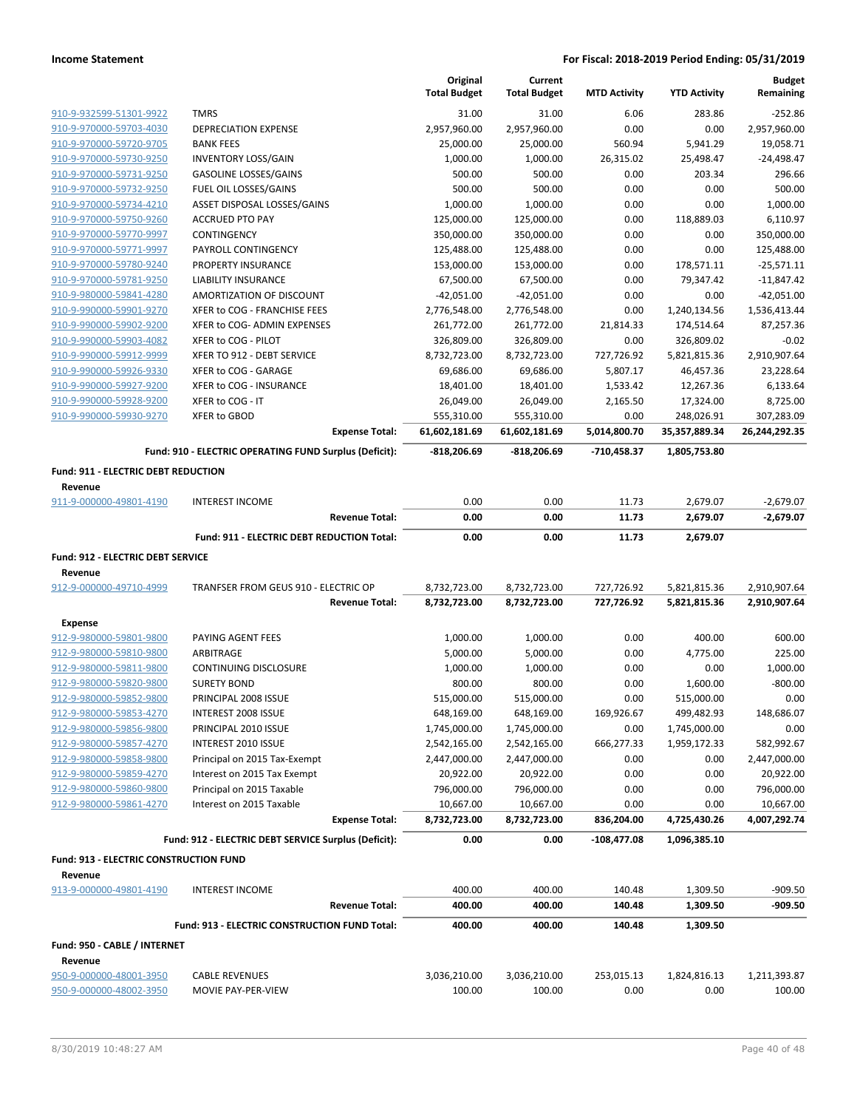|                                                    |                                                            |                       | Original<br><b>Total Budget</b> | Current<br><b>Total Budget</b> | <b>MTD Activity</b> | <b>YTD Activity</b>   | <b>Budget</b><br>Remaining |
|----------------------------------------------------|------------------------------------------------------------|-----------------------|---------------------------------|--------------------------------|---------------------|-----------------------|----------------------------|
|                                                    |                                                            |                       |                                 |                                |                     |                       |                            |
| 910-9-932599-51301-9922                            | <b>TMRS</b>                                                |                       | 31.00                           | 31.00                          | 6.06                | 283.86                | $-252.86$                  |
| 910-9-970000-59703-4030                            | <b>DEPRECIATION EXPENSE</b>                                |                       | 2,957,960.00                    | 2,957,960.00                   | 0.00                | 0.00                  | 2,957,960.00               |
| 910-9-970000-59720-9705<br>910-9-970000-59730-9250 | <b>BANK FEES</b>                                           |                       | 25,000.00                       | 25,000.00                      | 560.94              | 5,941.29<br>25,498.47 | 19,058.71<br>$-24,498.47$  |
| 910-9-970000-59731-9250                            | <b>INVENTORY LOSS/GAIN</b><br><b>GASOLINE LOSSES/GAINS</b> |                       | 1,000.00<br>500.00              | 1,000.00<br>500.00             | 26,315.02<br>0.00   | 203.34                | 296.66                     |
| 910-9-970000-59732-9250                            | FUEL OIL LOSSES/GAINS                                      |                       | 500.00                          | 500.00                         | 0.00                | 0.00                  | 500.00                     |
| 910-9-970000-59734-4210                            | ASSET DISPOSAL LOSSES/GAINS                                |                       | 1,000.00                        | 1,000.00                       | 0.00                | 0.00                  | 1,000.00                   |
| 910-9-970000-59750-9260                            | <b>ACCRUED PTO PAY</b>                                     |                       | 125,000.00                      | 125,000.00                     | 0.00                | 118,889.03            | 6,110.97                   |
| 910-9-970000-59770-9997                            | CONTINGENCY                                                |                       | 350,000.00                      | 350,000.00                     | 0.00                | 0.00                  | 350,000.00                 |
| 910-9-970000-59771-9997                            | PAYROLL CONTINGENCY                                        |                       | 125,488.00                      | 125,488.00                     | 0.00                | 0.00                  | 125,488.00                 |
| 910-9-970000-59780-9240                            | PROPERTY INSURANCE                                         |                       | 153,000.00                      | 153,000.00                     | 0.00                | 178,571.11            | $-25,571.11$               |
| 910-9-970000-59781-9250                            | <b>LIABILITY INSURANCE</b>                                 |                       | 67,500.00                       | 67,500.00                      | 0.00                | 79,347.42             | $-11,847.42$               |
| 910-9-980000-59841-4280                            | AMORTIZATION OF DISCOUNT                                   |                       | $-42,051.00$                    | $-42,051.00$                   | 0.00                | 0.00                  | $-42,051.00$               |
| 910-9-990000-59901-9270                            | XFER to COG - FRANCHISE FEES                               |                       | 2,776,548.00                    | 2,776,548.00                   | 0.00                | 1,240,134.56          | 1,536,413.44               |
| 910-9-990000-59902-9200                            | XFER to COG- ADMIN EXPENSES                                |                       | 261,772.00                      | 261,772.00                     | 21,814.33           | 174,514.64            | 87,257.36                  |
| 910-9-990000-59903-4082                            | XFER to COG - PILOT                                        |                       | 326,809.00                      | 326,809.00                     | 0.00                | 326,809.02            | $-0.02$                    |
| 910-9-990000-59912-9999                            | XFER TO 912 - DEBT SERVICE                                 |                       | 8,732,723.00                    | 8,732,723.00                   | 727,726.92          | 5,821,815.36          | 2,910,907.64               |
| 910-9-990000-59926-9330                            | XFER to COG - GARAGE                                       |                       | 69,686.00                       | 69,686.00                      | 5,807.17            | 46,457.36             | 23,228.64                  |
| 910-9-990000-59927-9200                            | XFER to COG - INSURANCE                                    |                       | 18,401.00                       | 18,401.00                      | 1,533.42            | 12,267.36             | 6,133.64                   |
| 910-9-990000-59928-9200                            | XFER to COG - IT                                           |                       | 26,049.00                       | 26,049.00                      | 2,165.50            | 17,324.00             | 8,725.00                   |
| 910-9-990000-59930-9270                            | XFER to GBOD                                               |                       | 555,310.00                      | 555,310.00                     | 0.00                | 248,026.91            | 307,283.09                 |
|                                                    |                                                            | <b>Expense Total:</b> | 61,602,181.69                   | 61,602,181.69                  | 5,014,800.70        | 35,357,889.34         | 26,244,292.35              |
|                                                    | Fund: 910 - ELECTRIC OPERATING FUND Surplus (Deficit):     |                       | $-818,206.69$                   | -818,206.69                    | -710,458.37         | 1,805,753.80          |                            |
| <b>Fund: 911 - ELECTRIC DEBT REDUCTION</b>         |                                                            |                       |                                 |                                |                     |                       |                            |
| Revenue                                            |                                                            |                       |                                 |                                |                     |                       |                            |
| 911-9-000000-49801-4190                            | <b>INTEREST INCOME</b>                                     |                       | 0.00                            | 0.00                           | 11.73               | 2,679.07              | $-2,679.07$                |
|                                                    |                                                            | <b>Revenue Total:</b> | 0.00                            | 0.00                           | 11.73               | 2,679.07              | -2,679.07                  |
|                                                    | Fund: 911 - ELECTRIC DEBT REDUCTION Total:                 |                       | 0.00                            | 0.00                           | 11.73               | 2,679.07              |                            |
| Fund: 912 - ELECTRIC DEBT SERVICE                  |                                                            |                       |                                 |                                |                     |                       |                            |
| Revenue                                            |                                                            |                       |                                 |                                |                     |                       |                            |
| 912-9-000000-49710-4999                            | TRANFSER FROM GEUS 910 - ELECTRIC OP                       |                       | 8,732,723.00                    | 8,732,723.00                   | 727,726.92          | 5,821,815.36          | 2,910,907.64               |
|                                                    |                                                            | <b>Revenue Total:</b> | 8,732,723.00                    | 8,732,723.00                   | 727,726.92          | 5,821,815.36          | 2,910,907.64               |
| <b>Expense</b>                                     |                                                            |                       |                                 |                                |                     |                       |                            |
| 912-9-980000-59801-9800                            | PAYING AGENT FEES                                          |                       | 1,000.00                        | 1,000.00                       | 0.00                | 400.00                | 600.00                     |
| 912-9-980000-59810-9800                            | ARBITRAGE                                                  |                       | 5,000.00                        |                                |                     |                       |                            |
| 912-9-980000-59811-9800                            | CONTINUING DISCLOSURE                                      |                       |                                 |                                |                     |                       |                            |
| 912-9-980000-59820-9800                            |                                                            |                       |                                 | 5,000.00                       | 0.00<br>0.00        | 4,775.00<br>0.00      | 225.00<br>1,000.00         |
| 912-9-980000-59852-9800                            | <b>SURETY BOND</b>                                         |                       | 1,000.00<br>800.00              | 1,000.00<br>800.00             | 0.00                | 1,600.00              | $-800.00$                  |
|                                                    | PRINCIPAL 2008 ISSUE                                       |                       | 515,000.00                      | 515,000.00                     | 0.00                | 515,000.00            | 0.00                       |
| 912-9-980000-59853-4270                            | INTEREST 2008 ISSUE                                        |                       | 648,169.00                      | 648,169.00                     | 169,926.67          | 499,482.93            | 148,686.07                 |
| 912-9-980000-59856-9800                            | PRINCIPAL 2010 ISSUE                                       |                       | 1,745,000.00                    | 1,745,000.00                   | 0.00                | 1,745,000.00          | 0.00                       |
| 912-9-980000-59857-4270                            | INTEREST 2010 ISSUE                                        |                       | 2,542,165.00                    | 2,542,165.00                   | 666,277.33          | 1,959,172.33          | 582,992.67                 |
| 912-9-980000-59858-9800                            | Principal on 2015 Tax-Exempt                               |                       | 2,447,000.00                    | 2,447,000.00                   | 0.00                | 0.00                  | 2,447,000.00               |
| 912-9-980000-59859-4270                            | Interest on 2015 Tax Exempt                                |                       | 20,922.00                       | 20,922.00                      | 0.00                | 0.00                  | 20,922.00                  |
| 912-9-980000-59860-9800                            | Principal on 2015 Taxable                                  |                       | 796,000.00                      | 796,000.00                     | 0.00                | 0.00                  | 796,000.00                 |
| 912-9-980000-59861-4270                            | Interest on 2015 Taxable                                   |                       | 10,667.00                       | 10,667.00                      | 0.00                | 0.00                  | 10,667.00                  |
|                                                    |                                                            | <b>Expense Total:</b> | 8,732,723.00                    | 8,732,723.00                   | 836,204.00          | 4,725,430.26          | 4,007,292.74               |
|                                                    | Fund: 912 - ELECTRIC DEBT SERVICE Surplus (Deficit):       |                       | 0.00                            | 0.00                           | $-108,477.08$       | 1,096,385.10          |                            |
| Fund: 913 - ELECTRIC CONSTRUCTION FUND             |                                                            |                       |                                 |                                |                     |                       |                            |
| Revenue                                            |                                                            |                       |                                 |                                |                     |                       |                            |
| 913-9-000000-49801-4190                            | <b>INTEREST INCOME</b>                                     |                       | 400.00                          | 400.00                         | 140.48              | 1,309.50              | $-909.50$                  |
|                                                    |                                                            | <b>Revenue Total:</b> | 400.00                          | 400.00                         | 140.48              | 1,309.50              | $-909.50$                  |
|                                                    | Fund: 913 - ELECTRIC CONSTRUCTION FUND Total:              |                       | 400.00                          | 400.00                         | 140.48              | 1,309.50              |                            |
| Fund: 950 - CABLE / INTERNET                       |                                                            |                       |                                 |                                |                     |                       |                            |
| Revenue                                            |                                                            |                       |                                 |                                |                     |                       |                            |
| 950-9-000000-48001-3950                            | <b>CABLE REVENUES</b>                                      |                       | 3,036,210.00                    | 3,036,210.00                   | 253,015.13          | 1,824,816.13          | 1,211,393.87               |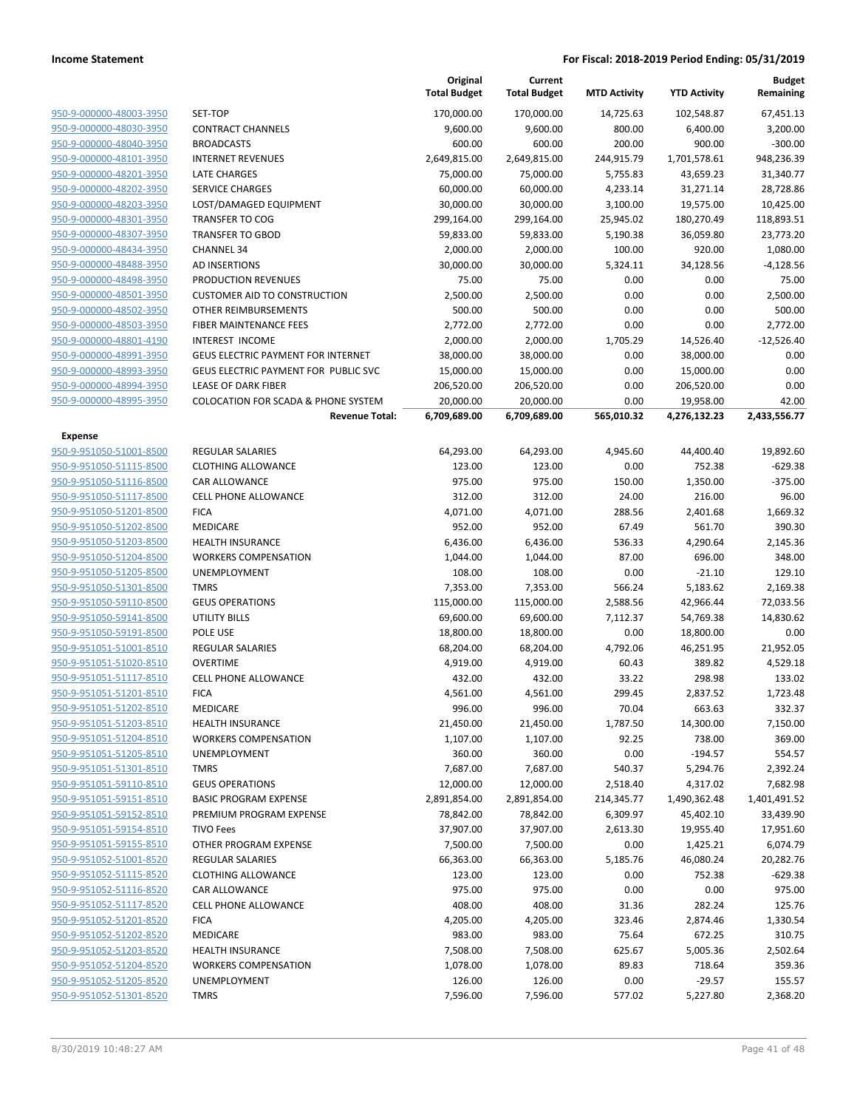|                         |                                                | Original<br><b>Total Budget</b> | Current<br><b>Total Budget</b> | <b>MTD Activity</b> | <b>YTD Activity</b> | <b>Budget</b><br>Remaining |
|-------------------------|------------------------------------------------|---------------------------------|--------------------------------|---------------------|---------------------|----------------------------|
| 950-9-000000-48003-3950 | SET-TOP                                        | 170,000.00                      | 170,000.00                     | 14,725.63           | 102,548.87          | 67,451.13                  |
| 950-9-000000-48030-3950 | <b>CONTRACT CHANNELS</b>                       | 9,600.00                        | 9,600.00                       | 800.00              | 6,400.00            | 3,200.00                   |
| 950-9-000000-48040-3950 | <b>BROADCASTS</b>                              | 600.00                          | 600.00                         | 200.00              | 900.00              | $-300.00$                  |
| 950-9-000000-48101-3950 | <b>INTERNET REVENUES</b>                       | 2,649,815.00                    | 2,649,815.00                   | 244,915.79          | 1,701,578.61        | 948,236.39                 |
| 950-9-000000-48201-3950 | <b>LATE CHARGES</b>                            | 75,000.00                       | 75,000.00                      | 5,755.83            | 43,659.23           | 31,340.77                  |
| 950-9-000000-48202-3950 | <b>SERVICE CHARGES</b>                         | 60,000.00                       | 60,000.00                      | 4,233.14            | 31,271.14           | 28,728.86                  |
| 950-9-000000-48203-3950 | LOST/DAMAGED EQUIPMENT                         | 30,000.00                       | 30,000.00                      | 3,100.00            | 19,575.00           | 10,425.00                  |
| 950-9-000000-48301-3950 | <b>TRANSFER TO COG</b>                         | 299,164.00                      | 299,164.00                     | 25,945.02           | 180,270.49          | 118,893.51                 |
| 950-9-000000-48307-3950 | <b>TRANSFER TO GBOD</b>                        | 59,833.00                       | 59,833.00                      | 5,190.38            | 36,059.80           | 23,773.20                  |
| 950-9-000000-48434-3950 | <b>CHANNEL 34</b>                              | 2,000.00                        | 2,000.00                       | 100.00              | 920.00              | 1,080.00                   |
| 950-9-000000-48488-3950 | <b>AD INSERTIONS</b>                           | 30,000.00                       | 30,000.00                      | 5,324.11            | 34,128.56           | $-4,128.56$                |
| 950-9-000000-48498-3950 | PRODUCTION REVENUES                            | 75.00                           | 75.00                          | 0.00                | 0.00                | 75.00                      |
| 950-9-000000-48501-3950 | <b>CUSTOMER AID TO CONSTRUCTION</b>            | 2,500.00                        | 2,500.00                       | 0.00                | 0.00                | 2,500.00                   |
| 950-9-000000-48502-3950 | OTHER REIMBURSEMENTS                           | 500.00                          | 500.00                         | 0.00                | 0.00                | 500.00                     |
| 950-9-000000-48503-3950 | FIBER MAINTENANCE FEES                         | 2,772.00                        | 2,772.00                       | 0.00                | 0.00                | 2,772.00                   |
| 950-9-000000-48801-4190 | <b>INTEREST INCOME</b>                         | 2,000.00                        | 2,000.00                       | 1,705.29            | 14,526.40           | $-12,526.40$               |
| 950-9-000000-48991-3950 | <b>GEUS ELECTRIC PAYMENT FOR INTERNET</b>      | 38,000.00                       | 38,000.00                      | 0.00                | 38,000.00           | 0.00                       |
| 950-9-000000-48993-3950 | GEUS ELECTRIC PAYMENT FOR PUBLIC SVC           | 15,000.00                       | 15,000.00                      | 0.00                | 15,000.00           | 0.00                       |
| 950-9-000000-48994-3950 | <b>LEASE OF DARK FIBER</b>                     | 206,520.00                      | 206,520.00                     | 0.00                | 206,520.00          | 0.00                       |
| 950-9-000000-48995-3950 | <b>COLOCATION FOR SCADA &amp; PHONE SYSTEM</b> | 20,000.00                       | 20,000.00                      | 0.00                | 19,958.00           | 42.00                      |
|                         | <b>Revenue Total:</b>                          | 6,709,689.00                    | 6,709,689.00                   | 565,010.32          | 4,276,132.23        | 2,433,556.77               |
| <b>Expense</b>          |                                                |                                 |                                |                     |                     |                            |
| 950-9-951050-51001-8500 | <b>REGULAR SALARIES</b>                        | 64,293.00                       | 64,293.00                      | 4,945.60            | 44,400.40           | 19,892.60                  |
| 950-9-951050-51115-8500 | <b>CLOTHING ALLOWANCE</b>                      | 123.00                          | 123.00                         | 0.00                | 752.38              | $-629.38$                  |
| 950-9-951050-51116-8500 | CAR ALLOWANCE                                  | 975.00                          | 975.00                         | 150.00              | 1,350.00            | $-375.00$                  |
| 950-9-951050-51117-8500 | <b>CELL PHONE ALLOWANCE</b>                    | 312.00                          | 312.00                         | 24.00               | 216.00              | 96.00                      |
| 950-9-951050-51201-8500 | <b>FICA</b>                                    | 4,071.00                        | 4,071.00                       | 288.56              | 2,401.68            | 1,669.32                   |
| 950-9-951050-51202-8500 | MEDICARE                                       | 952.00                          | 952.00                         | 67.49               | 561.70              | 390.30                     |
| 950-9-951050-51203-8500 | <b>HEALTH INSURANCE</b>                        | 6,436.00                        | 6,436.00                       | 536.33              | 4,290.64            | 2,145.36                   |
| 950-9-951050-51204-8500 | <b>WORKERS COMPENSATION</b>                    | 1,044.00                        | 1,044.00                       | 87.00               | 696.00              | 348.00                     |
| 950-9-951050-51205-8500 | UNEMPLOYMENT                                   | 108.00                          | 108.00                         | 0.00                | $-21.10$            | 129.10                     |
| 950-9-951050-51301-8500 | <b>TMRS</b>                                    | 7,353.00                        | 7,353.00                       | 566.24              | 5,183.62            | 2,169.38                   |
| 950-9-951050-59110-8500 | <b>GEUS OPERATIONS</b>                         | 115,000.00                      | 115,000.00                     | 2,588.56            | 42,966.44           | 72,033.56                  |
| 950-9-951050-59141-8500 | <b>UTILITY BILLS</b>                           | 69,600.00                       | 69,600.00                      | 7,112.37            | 54,769.38           | 14,830.62                  |
| 950-9-951050-59191-8500 | POLE USE                                       | 18,800.00                       | 18,800.00                      | 0.00                | 18,800.00           | 0.00                       |
| 950-9-951051-51001-8510 | <b>REGULAR SALARIES</b>                        | 68,204.00                       | 68,204.00                      | 4,792.06            | 46,251.95           | 21,952.05                  |
| 950-9-951051-51020-8510 | <b>OVERTIME</b>                                | 4,919.00                        | 4,919.00                       | 60.43               | 389.82              | 4,529.18                   |
| 950-9-951051-51117-8510 | <b>CELL PHONE ALLOWANCE</b>                    | 432.00                          | 432.00                         | 33.22               | 298.98              | 133.02                     |
| 950-9-951051-51201-8510 | <b>FICA</b>                                    | 4,561.00                        | 4,561.00                       | 299.45              | 2,837.52            | 1,723.48                   |
| 950-9-951051-51202-8510 | MEDICARE                                       | 996.00                          | 996.00                         | 70.04               | 663.63              | 332.37                     |
| 950-9-951051-51203-8510 | <b>HEALTH INSURANCE</b>                        | 21,450.00                       | 21,450.00                      | 1,787.50            | 14,300.00           | 7,150.00                   |
| 950-9-951051-51204-8510 | <b>WORKERS COMPENSATION</b>                    | 1,107.00                        | 1,107.00                       | 92.25               | 738.00              | 369.00                     |
| 950-9-951051-51205-8510 | <b>UNEMPLOYMENT</b>                            | 360.00                          | 360.00                         | 0.00                | $-194.57$           | 554.57                     |
| 950-9-951051-51301-8510 | <b>TMRS</b>                                    | 7,687.00                        | 7,687.00                       | 540.37              | 5,294.76            | 2,392.24                   |
| 950-9-951051-59110-8510 | <b>GEUS OPERATIONS</b>                         | 12,000.00                       | 12,000.00                      | 2,518.40            | 4,317.02            | 7,682.98                   |
| 950-9-951051-59151-8510 | <b>BASIC PROGRAM EXPENSE</b>                   | 2,891,854.00                    | 2,891,854.00                   | 214,345.77          | 1,490,362.48        | 1,401,491.52               |
| 950-9-951051-59152-8510 | PREMIUM PROGRAM EXPENSE                        | 78,842.00                       | 78,842.00                      | 6,309.97            | 45,402.10           | 33,439.90                  |
| 950-9-951051-59154-8510 | <b>TIVO Fees</b>                               | 37,907.00                       | 37,907.00                      | 2,613.30            | 19,955.40           | 17,951.60                  |
| 950-9-951051-59155-8510 | OTHER PROGRAM EXPENSE                          | 7,500.00                        | 7,500.00                       | 0.00                | 1,425.21            | 6,074.79                   |
| 950-9-951052-51001-8520 | <b>REGULAR SALARIES</b>                        | 66,363.00                       | 66,363.00                      | 5,185.76            | 46,080.24           | 20,282.76                  |
| 950-9-951052-51115-8520 | <b>CLOTHING ALLOWANCE</b>                      | 123.00                          | 123.00                         | 0.00                | 752.38              | $-629.38$                  |
| 950-9-951052-51116-8520 | <b>CAR ALLOWANCE</b>                           | 975.00                          | 975.00                         | 0.00                | 0.00                | 975.00                     |
| 950-9-951052-51117-8520 | <b>CELL PHONE ALLOWANCE</b>                    | 408.00                          | 408.00                         | 31.36               | 282.24              | 125.76                     |
| 950-9-951052-51201-8520 | <b>FICA</b>                                    | 4,205.00                        | 4,205.00                       | 323.46              | 2,874.46            | 1,330.54                   |
| 950-9-951052-51202-8520 | MEDICARE                                       | 983.00                          | 983.00                         | 75.64               | 672.25              | 310.75                     |
| 950-9-951052-51203-8520 | <b>HEALTH INSURANCE</b>                        | 7,508.00                        | 7,508.00                       | 625.67              | 5,005.36            | 2,502.64                   |
| 950-9-951052-51204-8520 | <b>WORKERS COMPENSATION</b>                    | 1,078.00                        | 1,078.00                       | 89.83               | 718.64              | 359.36                     |
| 950-9-951052-51205-8520 | UNEMPLOYMENT                                   | 126.00                          | 126.00                         | 0.00                | $-29.57$            | 155.57                     |
| 950-9-951052-51301-8520 | <b>TMRS</b>                                    | 7,596.00                        | 7,596.00                       | 577.02              | 5,227.80            | 2,368.20                   |
|                         |                                                |                                 |                                |                     |                     |                            |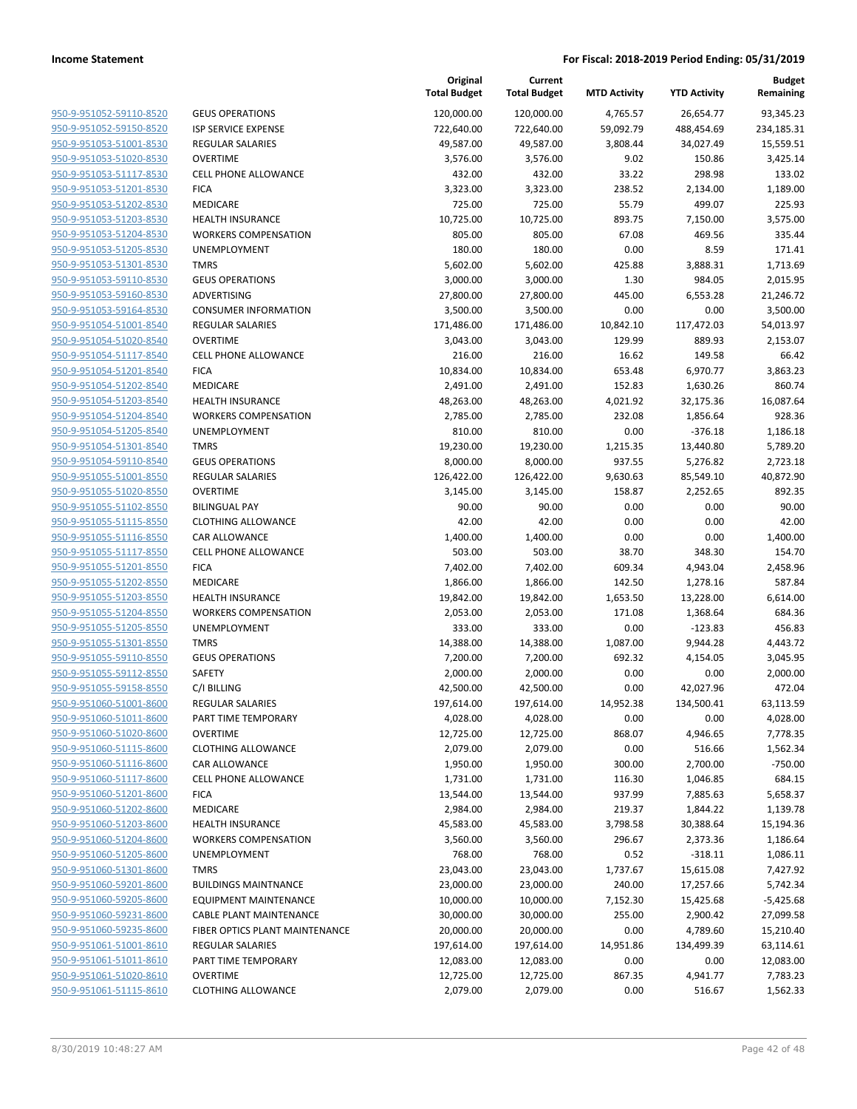| 950-9-951052-59110-8520        |
|--------------------------------|
| 950-9-951052-59150-8520        |
| 950-9-951053-51001-8530        |
| <u>950-9-951053-51020-8530</u> |
| 950-9-951053-51117-8530        |
| 950-9-951053-51201-8530        |
| 950-9-951053-51202-8530        |
| 950-9-951053-51203-8530        |
| 950-9-951053-51204-8530        |
| 950-9-951053-51205-8530        |
| 950-9-951053-51301-8530        |
| 950-9-951053-59110-8530        |
| 950-9-951053-59160-8530        |
| <u>950-9-951053-59164-8530</u> |
| 950-9-951054-51001-8540        |
| 950-9-951054-51020-8540        |
| 950-9-951054-51117-8540        |
|                                |
| 950-9-951054-51201-8540        |
| 950-9-951054-51202-8540        |
| 950-9-951054-51203-8540        |
| 950-9-951054-51204-8540        |
| 950-9-951054-51205-8540        |
| 950-9-951054-51301-8540        |
| 950-9-951054-59110-8540        |
| <u>950-9-951055-51001-8550</u> |
| 950-9-951055-51020-8550        |
| 950-9-951055-51102-8550        |
| 950-9-951055-51115-8550        |
| 950-9-951055-51116-8550        |
| <u>950-9-951055-51117-8550</u> |
| 950-9-951055-51201-8550        |
| 950-9-951055-51202-8550        |
| 950-9-951055-51203-8550        |
| 950-9-951055-51204-8550        |
| <u>950-9-951055-51205-8550</u> |
| 950-9-951055-51301-8550        |
| 950-9-951055-59110-8550        |
| 950-9-951055-59112-8550        |
|                                |
| <u>950-9-951055-59158-8550</u> |
| <u>950-9-951060-51001-8600</u> |
| 950-9-951060-51011-8600        |
| <u>950-9-951060-51020-8600</u> |
| 950-9-951060-51115-8600        |
| 950-9-951060-51116-8600        |
| <u>950-9-951060-51117-8600</u> |
| 950-9-951060-51201-8600        |
| 950-9-951060-51202-8600        |
| 950-9-951060-51203-8600        |
| <u>950-9-951060-51204-8600</u> |
| <u>950-9-951060-51205-8600</u> |
| <u>950-9-951060-51301-8600</u> |
| 950-9-951060-59201-8600        |
| 950-9-951060-59205-8600        |
| <u>950-9-951060-59231-8600</u> |
| <u>950-9-951060-59235-8600</u> |
| <u>950-9-951061-51001-8610</u> |
|                                |
| <u>950-9-951061-51011-8610</u> |
| 950-9-951061-51020-8610        |
| <u>950-9-951061-51115-8610</u> |

| <b>GEUS OPERATIONS</b>                             |
|----------------------------------------------------|
| <b>ISP SERVICE EXPENSE</b>                         |
| <b>REGULAR SALARIES</b>                            |
| <b>OVERTIME</b>                                    |
| <b>CELL PHONE ALLOWANCE</b>                        |
| <b>FICA</b>                                        |
| <b>MEDICARE</b>                                    |
| <b>HEALTH INSURANCE</b>                            |
| <b>WORKERS COMPENSATION</b>                        |
| <b>UNEMPLOYMENT</b>                                |
| <b>TMRS</b>                                        |
| <b>GEUS OPERATIONS</b>                             |
| <b>ADVERTISING</b>                                 |
| <b>CONSUMER INFORMATION</b>                        |
| <b>REGULAR SALARIES</b>                            |
| <b>OVERTIME</b>                                    |
| <b>CELL PHONE ALLOWANCE</b>                        |
| <b>FICA</b>                                        |
| <b>MEDICARE</b>                                    |
| <b>HEALTH INSURANCE</b>                            |
| <b>WORKERS COMPENSATION</b>                        |
| <b>UNEMPLOYMENT</b>                                |
| <b>TMRS</b>                                        |
| <b>GEUS OPERATIONS</b>                             |
| <b>REGULAR SALARIES</b><br><b>OVERTIME</b>         |
| <b>BILINGUAL PAY</b>                               |
| <b>CLOTHING ALLOWANCE</b>                          |
| <b>CAR ALLOWANCE</b>                               |
| <b>CELL PHONE ALLOWANCE</b>                        |
| <b>FICA</b>                                        |
| <b>MEDICARE</b>                                    |
| <b>HEALTH INSURANCE</b>                            |
| <b>WORKERS COMPENSATION</b>                        |
| <b>UNEMPLOYMENT</b>                                |
| <b>TMRS</b>                                        |
| <b>GEUS OPERATIONS</b>                             |
| SAFETY                                             |
| C/I BILLING                                        |
| <b>REGULAR SALARIES</b>                            |
| PART TIME TEMPORARY                                |
| <b>OVERTIME</b>                                    |
| <b>CLOTHING ALLOWANCE</b>                          |
| <b>CAR ALLOWANCE</b>                               |
| <b>CELL PHONE ALLOWANCE</b>                        |
| <b>FICA</b>                                        |
| <b>MEDICARE</b>                                    |
| <b>HEALTH INSURANCE</b>                            |
| <b>WORKERS COMPENSATION</b><br><b>UNEMPLOYMENT</b> |
| <b>TMRS</b>                                        |
| <b>BUILDINGS MAINTNANCE</b>                        |
| <b>EQUIPMENT MAINTENANCE</b>                       |
| <b>CABLE PLANT MAINTENANCE</b>                     |
| FIBER OPTICS PLANT MAINTENANCE                     |
| <b>REGULAR SALARIES</b>                            |
| PART TIME TEMPORARY                                |
| <b>OVERTIME</b>                                    |
| <b>CLOTHING ALLOWANCE</b>                          |

|                         |                                | Original<br><b>Total Budget</b> | Current<br><b>Total Budget</b> | <b>MTD Activity</b> | <b>YTD Activity</b> | <b>Budget</b><br>Remaining |
|-------------------------|--------------------------------|---------------------------------|--------------------------------|---------------------|---------------------|----------------------------|
| 950-9-951052-59110-8520 | <b>GEUS OPERATIONS</b>         | 120,000.00                      | 120,000.00                     | 4,765.57            | 26,654.77           | 93,345.23                  |
| 950-9-951052-59150-8520 | <b>ISP SERVICE EXPENSE</b>     | 722,640.00                      | 722,640.00                     | 59,092.79           | 488,454.69          | 234,185.31                 |
| 950-9-951053-51001-8530 | <b>REGULAR SALARIES</b>        | 49,587.00                       | 49,587.00                      | 3,808.44            | 34,027.49           | 15,559.51                  |
| 950-9-951053-51020-8530 | <b>OVERTIME</b>                | 3,576.00                        | 3,576.00                       | 9.02                | 150.86              | 3,425.14                   |
| 950-9-951053-51117-8530 | <b>CELL PHONE ALLOWANCE</b>    | 432.00                          | 432.00                         | 33.22               | 298.98              | 133.02                     |
| 950-9-951053-51201-8530 | <b>FICA</b>                    | 3,323.00                        | 3,323.00                       | 238.52              | 2,134.00            | 1,189.00                   |
| 950-9-951053-51202-8530 | MEDICARE                       | 725.00                          | 725.00                         | 55.79               | 499.07              | 225.93                     |
| 950-9-951053-51203-8530 | <b>HEALTH INSURANCE</b>        | 10,725.00                       | 10,725.00                      | 893.75              | 7,150.00            | 3,575.00                   |
| 950-9-951053-51204-8530 | <b>WORKERS COMPENSATION</b>    | 805.00                          | 805.00                         | 67.08               | 469.56              | 335.44                     |
| 950-9-951053-51205-8530 | UNEMPLOYMENT                   | 180.00                          | 180.00                         | 0.00                | 8.59                | 171.41                     |
| 950-9-951053-51301-8530 | <b>TMRS</b>                    | 5,602.00                        | 5,602.00                       | 425.88              | 3,888.31            | 1,713.69                   |
| 950-9-951053-59110-8530 | <b>GEUS OPERATIONS</b>         | 3,000.00                        | 3,000.00                       | 1.30                | 984.05              | 2,015.95                   |
| 950-9-951053-59160-8530 | ADVERTISING                    | 27,800.00                       | 27,800.00                      | 445.00              | 6,553.28            | 21,246.72                  |
| 950-9-951053-59164-8530 | <b>CONSUMER INFORMATION</b>    | 3,500.00                        | 3,500.00                       | 0.00                | 0.00                | 3,500.00                   |
| 950-9-951054-51001-8540 | REGULAR SALARIES               | 171,486.00                      | 171,486.00                     | 10,842.10           | 117,472.03          | 54,013.97                  |
| 950-9-951054-51020-8540 | <b>OVERTIME</b>                | 3,043.00                        | 3,043.00                       | 129.99              | 889.93              | 2,153.07                   |
| 950-9-951054-51117-8540 | <b>CELL PHONE ALLOWANCE</b>    | 216.00                          | 216.00                         | 16.62               | 149.58              | 66.42                      |
| 950-9-951054-51201-8540 | <b>FICA</b>                    | 10,834.00                       | 10,834.00                      | 653.48              | 6,970.77            | 3,863.23                   |
| 950-9-951054-51202-8540 | MEDICARE                       | 2,491.00                        | 2,491.00                       | 152.83              | 1,630.26            | 860.74                     |
| 950-9-951054-51203-8540 | <b>HEALTH INSURANCE</b>        | 48,263.00                       | 48,263.00                      | 4,021.92            | 32,175.36           | 16,087.64                  |
| 950-9-951054-51204-8540 | <b>WORKERS COMPENSATION</b>    | 2,785.00                        | 2,785.00                       | 232.08              | 1,856.64            | 928.36                     |
| 950-9-951054-51205-8540 | UNEMPLOYMENT                   | 810.00                          | 810.00                         | 0.00                | $-376.18$           | 1,186.18                   |
| 950-9-951054-51301-8540 | <b>TMRS</b>                    | 19,230.00                       | 19,230.00                      | 1,215.35            | 13,440.80           | 5,789.20                   |
| 950-9-951054-59110-8540 | <b>GEUS OPERATIONS</b>         | 8,000.00                        | 8,000.00                       | 937.55              | 5,276.82            | 2,723.18                   |
| 950-9-951055-51001-8550 | REGULAR SALARIES               | 126,422.00                      | 126,422.00                     | 9,630.63            | 85,549.10           | 40,872.90                  |
| 950-9-951055-51020-8550 | <b>OVERTIME</b>                | 3,145.00                        | 3,145.00                       | 158.87              | 2,252.65            | 892.35                     |
| 950-9-951055-51102-8550 | <b>BILINGUAL PAY</b>           | 90.00                           | 90.00                          | 0.00                | 0.00                | 90.00                      |
| 950-9-951055-51115-8550 | <b>CLOTHING ALLOWANCE</b>      | 42.00                           | 42.00                          | 0.00                | 0.00                | 42.00                      |
| 950-9-951055-51116-8550 | <b>CAR ALLOWANCE</b>           | 1,400.00                        | 1,400.00                       | 0.00                | 0.00                | 1,400.00                   |
| 950-9-951055-51117-8550 | CELL PHONE ALLOWANCE           | 503.00                          | 503.00                         | 38.70               | 348.30              | 154.70                     |
| 950-9-951055-51201-8550 | <b>FICA</b>                    | 7,402.00                        | 7,402.00                       | 609.34              | 4,943.04            | 2,458.96                   |
| 950-9-951055-51202-8550 | MEDICARE                       | 1,866.00                        | 1,866.00                       | 142.50              | 1,278.16            | 587.84                     |
| 950-9-951055-51203-8550 | <b>HEALTH INSURANCE</b>        | 19,842.00                       | 19,842.00                      | 1,653.50            | 13,228.00           | 6,614.00                   |
| 950-9-951055-51204-8550 | <b>WORKERS COMPENSATION</b>    | 2,053.00                        | 2,053.00                       | 171.08              | 1,368.64            | 684.36                     |
| 950-9-951055-51205-8550 | UNEMPLOYMENT                   | 333.00                          | 333.00                         | 0.00                | $-123.83$           | 456.83                     |
| 950-9-951055-51301-8550 | <b>TMRS</b>                    | 14,388.00                       | 14,388.00                      | 1,087.00            | 9,944.28            | 4,443.72                   |
| 950-9-951055-59110-8550 | <b>GEUS OPERATIONS</b>         | 7,200.00                        | 7,200.00                       | 692.32              | 4,154.05            | 3,045.95                   |
| 950-9-951055-59112-8550 | SAFETY                         | 2,000.00                        | 2,000.00                       | 0.00                | 0.00                | 2,000.00                   |
| 950-9-951055-59158-8550 | C/I BILLING                    | 42,500.00                       | 42,500.00                      | 0.00                | 42,027.96           | 472.04                     |
| 950-9-951060-51001-8600 | REGULAR SALARIES               | 197,614.00                      | 197,614.00                     | 14,952.38           | 134,500.41          | 63,113.59                  |
| 950-9-951060-51011-8600 | PART TIME TEMPORARY            | 4,028.00                        | 4,028.00                       | 0.00                | 0.00                | 4,028.00                   |
| 950-9-951060-51020-8600 | <b>OVERTIME</b>                | 12,725.00                       | 12,725.00                      | 868.07              | 4,946.65            | 7,778.35                   |
| 950-9-951060-51115-8600 | <b>CLOTHING ALLOWANCE</b>      | 2,079.00                        | 2,079.00                       | 0.00                | 516.66              | 1,562.34                   |
| 950-9-951060-51116-8600 | CAR ALLOWANCE                  | 1,950.00                        | 1,950.00                       | 300.00              | 2,700.00            | $-750.00$                  |
| 950-9-951060-51117-8600 | CELL PHONE ALLOWANCE           | 1,731.00                        | 1,731.00                       | 116.30              | 1,046.85            | 684.15                     |
| 950-9-951060-51201-8600 | <b>FICA</b>                    | 13,544.00                       | 13,544.00                      | 937.99              | 7,885.63            | 5,658.37                   |
| 950-9-951060-51202-8600 | MEDICARE                       | 2,984.00                        | 2,984.00                       | 219.37              | 1,844.22            | 1,139.78                   |
| 950-9-951060-51203-8600 | <b>HEALTH INSURANCE</b>        | 45,583.00                       | 45,583.00                      | 3,798.58            | 30,388.64           | 15,194.36                  |
| 950-9-951060-51204-8600 | <b>WORKERS COMPENSATION</b>    | 3,560.00                        | 3,560.00                       | 296.67              | 2,373.36            | 1,186.64                   |
| 950-9-951060-51205-8600 | <b>UNEMPLOYMENT</b>            | 768.00                          | 768.00                         | 0.52                | $-318.11$           | 1,086.11                   |
| 950-9-951060-51301-8600 | <b>TMRS</b>                    | 23,043.00                       | 23,043.00                      | 1,737.67            | 15,615.08           | 7,427.92                   |
| 950-9-951060-59201-8600 | <b>BUILDINGS MAINTNANCE</b>    | 23,000.00                       | 23,000.00                      | 240.00              | 17,257.66           | 5,742.34                   |
| 950-9-951060-59205-8600 | <b>EQUIPMENT MAINTENANCE</b>   | 10,000.00                       | 10,000.00                      | 7,152.30            | 15,425.68           | $-5,425.68$                |
| 950-9-951060-59231-8600 | <b>CABLE PLANT MAINTENANCE</b> | 30,000.00                       | 30,000.00                      | 255.00              | 2,900.42            | 27,099.58                  |
| 950-9-951060-59235-8600 | FIBER OPTICS PLANT MAINTENANCE | 20,000.00                       | 20,000.00                      | 0.00                | 4,789.60            | 15,210.40                  |
| 950-9-951061-51001-8610 | REGULAR SALARIES               | 197,614.00                      | 197,614.00                     | 14,951.86           | 134,499.39          | 63,114.61                  |
| 950-9-951061-51011-8610 | PART TIME TEMPORARY            | 12,083.00                       | 12,083.00                      | 0.00                | 0.00                | 12,083.00                  |
| 950-9-951061-51020-8610 | <b>OVERTIME</b>                | 12,725.00                       | 12,725.00                      | 867.35              | 4,941.77            | 7,783.23                   |
| 950-9-951061-51115-8610 | <b>CLOTHING ALLOWANCE</b>      | 2,079.00                        | 2,079.00                       | 0.00                | 516.67              | 1,562.33                   |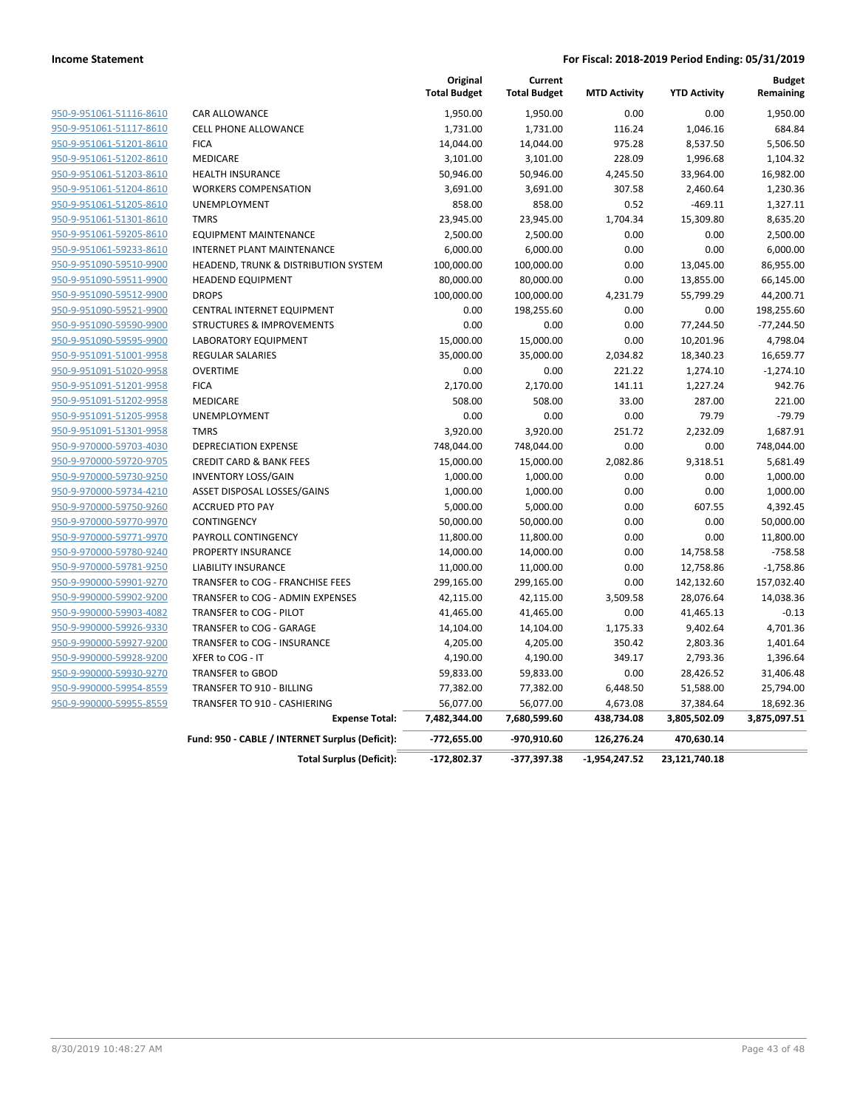|                         |                                                 | Original<br><b>Total Budget</b> | Current<br><b>Total Budget</b> | <b>MTD Activity</b> | <b>YTD Activity</b> | <b>Budget</b><br>Remaining |
|-------------------------|-------------------------------------------------|---------------------------------|--------------------------------|---------------------|---------------------|----------------------------|
| 950-9-951061-51116-8610 | CAR ALLOWANCE                                   | 1,950.00                        | 1,950.00                       | 0.00                | 0.00                | 1,950.00                   |
| 950-9-951061-51117-8610 | CELL PHONE ALLOWANCE                            | 1,731.00                        | 1,731.00                       | 116.24              | 1,046.16            | 684.84                     |
| 950-9-951061-51201-8610 | <b>FICA</b>                                     | 14,044.00                       | 14,044.00                      | 975.28              | 8,537.50            | 5,506.50                   |
| 950-9-951061-51202-8610 | <b>MEDICARE</b>                                 | 3,101.00                        | 3,101.00                       | 228.09              | 1,996.68            | 1,104.32                   |
| 950-9-951061-51203-8610 | <b>HEALTH INSURANCE</b>                         | 50,946.00                       | 50,946.00                      | 4,245.50            | 33,964.00           | 16,982.00                  |
| 950-9-951061-51204-8610 | <b>WORKERS COMPENSATION</b>                     | 3,691.00                        | 3,691.00                       | 307.58              | 2,460.64            | 1,230.36                   |
| 950-9-951061-51205-8610 | <b>UNEMPLOYMENT</b>                             | 858.00                          | 858.00                         | 0.52                | $-469.11$           | 1,327.11                   |
| 950-9-951061-51301-8610 | <b>TMRS</b>                                     | 23,945.00                       | 23,945.00                      | 1,704.34            | 15,309.80           | 8,635.20                   |
| 950-9-951061-59205-8610 | <b>EQUIPMENT MAINTENANCE</b>                    | 2,500.00                        | 2,500.00                       | 0.00                | 0.00                | 2,500.00                   |
| 950-9-951061-59233-8610 | <b>INTERNET PLANT MAINTENANCE</b>               | 6,000.00                        | 6,000.00                       | 0.00                | 0.00                | 6,000.00                   |
| 950-9-951090-59510-9900 | <b>HEADEND, TRUNK &amp; DISTRIBUTION SYSTEM</b> | 100,000.00                      | 100,000.00                     | 0.00                | 13,045.00           | 86,955.00                  |
| 950-9-951090-59511-9900 | <b>HEADEND EQUIPMENT</b>                        | 80,000.00                       | 80,000.00                      | 0.00                | 13,855.00           | 66,145.00                  |
| 950-9-951090-59512-9900 | <b>DROPS</b>                                    | 100,000.00                      | 100,000.00                     | 4,231.79            | 55,799.29           | 44,200.71                  |
| 950-9-951090-59521-9900 | CENTRAL INTERNET EQUIPMENT                      | 0.00                            | 198,255.60                     | 0.00                | 0.00                | 198,255.60                 |
| 950-9-951090-59590-9900 | <b>STRUCTURES &amp; IMPROVEMENTS</b>            | 0.00                            | 0.00                           | 0.00                | 77,244.50           | $-77,244.50$               |
| 950-9-951090-59595-9900 | <b>LABORATORY EQUIPMENT</b>                     | 15,000.00                       | 15,000.00                      | 0.00                | 10,201.96           | 4,798.04                   |
| 950-9-951091-51001-9958 | <b>REGULAR SALARIES</b>                         | 35,000.00                       | 35,000.00                      | 2,034.82            | 18,340.23           | 16,659.77                  |
| 950-9-951091-51020-9958 | <b>OVERTIME</b>                                 | 0.00                            | 0.00                           | 221.22              | 1,274.10            | $-1,274.10$                |
| 950-9-951091-51201-9958 | <b>FICA</b>                                     | 2,170.00                        | 2,170.00                       | 141.11              | 1,227.24            | 942.76                     |
| 950-9-951091-51202-9958 | <b>MEDICARE</b>                                 | 508.00                          | 508.00                         | 33.00               | 287.00              | 221.00                     |
| 950-9-951091-51205-9958 | UNEMPLOYMENT                                    | 0.00                            | 0.00                           | 0.00                | 79.79               | $-79.79$                   |
| 950-9-951091-51301-9958 | <b>TMRS</b>                                     | 3,920.00                        | 3,920.00                       | 251.72              | 2,232.09            | 1,687.91                   |
| 950-9-970000-59703-4030 | <b>DEPRECIATION EXPENSE</b>                     | 748,044.00                      | 748,044.00                     | 0.00                | 0.00                | 748,044.00                 |
| 950-9-970000-59720-9705 | <b>CREDIT CARD &amp; BANK FEES</b>              | 15,000.00                       | 15,000.00                      | 2,082.86            | 9,318.51            | 5,681.49                   |
| 950-9-970000-59730-9250 | <b>INVENTORY LOSS/GAIN</b>                      | 1,000.00                        | 1,000.00                       | 0.00                | 0.00                | 1,000.00                   |
| 950-9-970000-59734-4210 | ASSET DISPOSAL LOSSES/GAINS                     | 1,000.00                        | 1,000.00                       | 0.00                | 0.00                | 1,000.00                   |
| 950-9-970000-59750-9260 | <b>ACCRUED PTO PAY</b>                          | 5,000.00                        | 5,000.00                       | 0.00                | 607.55              | 4,392.45                   |
| 950-9-970000-59770-9970 | CONTINGENCY                                     | 50,000.00                       | 50,000.00                      | 0.00                | 0.00                | 50,000.00                  |
| 950-9-970000-59771-9970 | PAYROLL CONTINGENCY                             | 11,800.00                       | 11,800.00                      | 0.00                | 0.00                | 11,800.00                  |
| 950-9-970000-59780-9240 | <b>PROPERTY INSURANCE</b>                       | 14,000.00                       | 14,000.00                      | 0.00                | 14,758.58           | $-758.58$                  |
| 950-9-970000-59781-9250 | <b>LIABILITY INSURANCE</b>                      | 11,000.00                       | 11,000.00                      | 0.00                | 12,758.86           | $-1,758.86$                |
| 950-9-990000-59901-9270 | TRANSFER to COG - FRANCHISE FEES                | 299,165.00                      | 299,165.00                     | 0.00                | 142,132.60          | 157,032.40                 |
| 950-9-990000-59902-9200 | TRANSFER to COG - ADMIN EXPENSES                | 42,115.00                       | 42,115.00                      | 3,509.58            | 28,076.64           | 14,038.36                  |
| 950-9-990000-59903-4082 | TRANSFER to COG - PILOT                         | 41,465.00                       | 41,465.00                      | 0.00                | 41,465.13           | $-0.13$                    |
| 950-9-990000-59926-9330 | TRANSFER to COG - GARAGE                        | 14,104.00                       | 14,104.00                      | 1,175.33            | 9,402.64            | 4,701.36                   |
| 950-9-990000-59927-9200 | TRANSFER to COG - INSURANCE                     | 4,205.00                        | 4,205.00                       | 350.42              | 2,803.36            | 1,401.64                   |
| 950-9-990000-59928-9200 | XFER to COG - IT                                | 4,190.00                        | 4,190.00                       | 349.17              | 2,793.36            | 1,396.64                   |
| 950-9-990000-59930-9270 | <b>TRANSFER to GBOD</b>                         | 59,833.00                       | 59,833.00                      | 0.00                | 28,426.52           | 31,406.48                  |
| 950-9-990000-59954-8559 | <b>TRANSFER TO 910 - BILLING</b>                | 77,382.00                       | 77,382.00                      | 6,448.50            | 51,588.00           | 25,794.00                  |
| 950-9-990000-59955-8559 | TRANSFER TO 910 - CASHIERING                    | 56,077.00                       | 56,077.00                      | 4,673.08            | 37,384.64           | 18,692.36                  |
|                         | <b>Expense Total:</b>                           | 7,482,344.00                    | 7,680,599.60                   | 438,734.08          | 3,805,502.09        | 3,875,097.51               |
|                         | Fund: 950 - CABLE / INTERNET Surplus (Deficit): | -772,655.00                     | -970,910.60                    | 126,276.24          | 470,630.14          |                            |
|                         | <b>Total Surplus (Deficit):</b>                 | -172,802.37                     | -377,397.38                    | $-1,954,247.52$     | 23,121,740.18       |                            |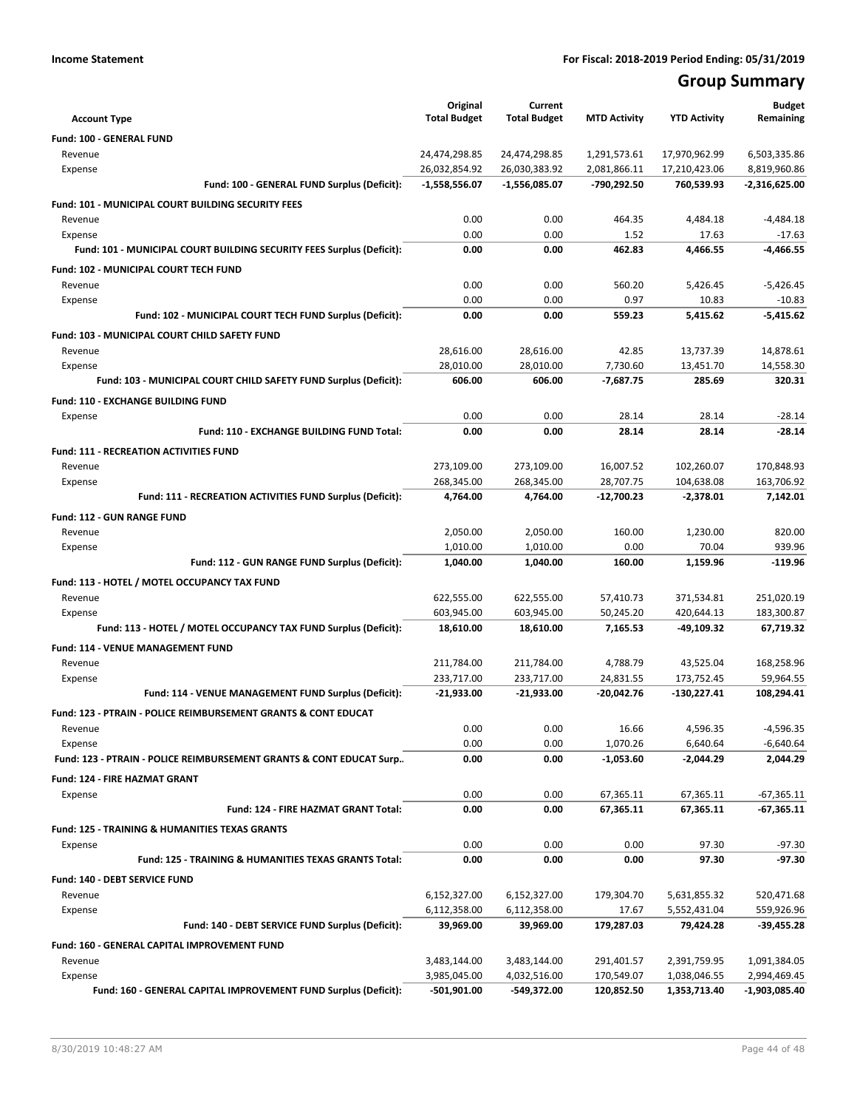# **Group Summary**

| <b>Account Type</b>                                                            | Original<br><b>Total Budget</b> | Current<br><b>Total Budget</b> | <b>MTD Activity</b>     | <b>YTD Activity</b>      | <b>Budget</b><br>Remaining |
|--------------------------------------------------------------------------------|---------------------------------|--------------------------------|-------------------------|--------------------------|----------------------------|
| <b>Fund: 100 - GENERAL FUND</b>                                                |                                 |                                |                         |                          |                            |
| Revenue                                                                        | 24,474,298.85                   | 24,474,298.85                  | 1,291,573.61            | 17,970,962.99            | 6,503,335.86               |
| Expense                                                                        | 26,032,854.92                   | 26,030,383.92                  | 2,081,866.11            | 17,210,423.06            | 8,819,960.86               |
| Fund: 100 - GENERAL FUND Surplus (Deficit):                                    | $-1,558,556.07$                 | $-1,556,085.07$                | -790,292.50             | 760,539.93               | $-2,316,625.00$            |
| <b>Fund: 101 - MUNICIPAL COURT BUILDING SECURITY FEES</b>                      |                                 |                                |                         |                          |                            |
| Revenue                                                                        | 0.00                            | 0.00                           | 464.35                  | 4,484.18                 | $-4,484.18$                |
| Expense                                                                        | 0.00                            | 0.00                           | 1.52                    | 17.63                    | $-17.63$                   |
| Fund: 101 - MUNICIPAL COURT BUILDING SECURITY FEES Surplus (Deficit):          | 0.00                            | 0.00                           | 462.83                  | 4.466.55                 | $-4,466.55$                |
| Fund: 102 - MUNICIPAL COURT TECH FUND                                          |                                 |                                |                         |                          |                            |
| Revenue                                                                        | 0.00                            | 0.00                           | 560.20                  | 5,426.45                 | $-5,426.45$                |
| Expense                                                                        | 0.00                            | 0.00                           | 0.97                    | 10.83                    | $-10.83$                   |
| Fund: 102 - MUNICIPAL COURT TECH FUND Surplus (Deficit):                       | 0.00                            | 0.00                           | 559.23                  | 5,415.62                 | $-5,415.62$                |
| Fund: 103 - MUNICIPAL COURT CHILD SAFETY FUND                                  |                                 |                                |                         |                          |                            |
| Revenue                                                                        | 28,616.00                       | 28,616.00                      | 42.85                   | 13,737.39                | 14,878.61                  |
| Expense                                                                        | 28,010.00                       | 28,010.00                      | 7,730.60                | 13,451.70                | 14,558.30                  |
| Fund: 103 - MUNICIPAL COURT CHILD SAFETY FUND Surplus (Deficit):               | 606.00                          | 606.00                         | $-7,687.75$             | 285.69                   | 320.31                     |
| Fund: 110 - EXCHANGE BUILDING FUND                                             |                                 |                                |                         |                          |                            |
| Expense                                                                        | 0.00                            | 0.00                           | 28.14                   | 28.14                    | $-28.14$                   |
| Fund: 110 - EXCHANGE BUILDING FUND Total:                                      | 0.00                            | 0.00                           | 28.14                   | 28.14                    | $-28.14$                   |
| <b>Fund: 111 - RECREATION ACTIVITIES FUND</b>                                  |                                 |                                |                         |                          |                            |
| Revenue                                                                        | 273,109.00                      | 273,109.00                     | 16,007.52               | 102,260.07               | 170,848.93                 |
| Expense                                                                        | 268,345.00                      | 268,345.00                     | 28,707.75               | 104,638.08               | 163,706.92                 |
| Fund: 111 - RECREATION ACTIVITIES FUND Surplus (Deficit):                      | 4,764.00                        | 4,764.00                       | $-12,700.23$            | $-2,378.01$              | 7,142.01                   |
|                                                                                |                                 |                                |                         |                          |                            |
| Fund: 112 - GUN RANGE FUND<br>Revenue                                          |                                 |                                | 160.00                  | 1,230.00                 | 820.00                     |
| Expense                                                                        | 2,050.00<br>1,010.00            | 2,050.00<br>1,010.00           | 0.00                    | 70.04                    | 939.96                     |
| Fund: 112 - GUN RANGE FUND Surplus (Deficit):                                  | 1,040.00                        | 1,040.00                       | 160.00                  | 1,159.96                 | $-119.96$                  |
|                                                                                |                                 |                                |                         |                          |                            |
| Fund: 113 - HOTEL / MOTEL OCCUPANCY TAX FUND                                   |                                 |                                |                         |                          |                            |
| Revenue                                                                        | 622,555.00<br>603,945.00        | 622,555.00<br>603,945.00       | 57,410.73<br>50,245.20  | 371,534.81<br>420,644.13 | 251,020.19<br>183,300.87   |
| Expense<br>Fund: 113 - HOTEL / MOTEL OCCUPANCY TAX FUND Surplus (Deficit):     | 18,610.00                       | 18,610.00                      | 7,165.53                | -49,109.32               | 67,719.32                  |
|                                                                                |                                 |                                |                         |                          |                            |
| Fund: 114 - VENUE MANAGEMENT FUND                                              |                                 |                                |                         |                          |                            |
| Revenue<br>Expense                                                             | 211,784.00<br>233,717.00        | 211,784.00<br>233,717.00       | 4,788.79<br>24,831.55   | 43,525.04<br>173,752.45  | 168,258.96<br>59,964.55    |
| Fund: 114 - VENUE MANAGEMENT FUND Surplus (Deficit):                           | -21,933.00                      | -21,933.00                     | -20,042.76              | $-130,227.41$            | 108,294.41                 |
|                                                                                |                                 |                                |                         |                          |                            |
| <b>Fund: 123 - PTRAIN - POLICE REIMBURSEMENT GRANTS &amp; CONT EDUCAT</b>      |                                 |                                |                         |                          |                            |
| Revenue                                                                        | 0.00                            | 0.00                           | 16.66                   | 4,596.35                 | $-4,596.35$                |
| Expense<br>Fund: 123 - PTRAIN - POLICE REIMBURSEMENT GRANTS & CONT EDUCAT Surp | 0.00<br>0.00                    | 0.00<br>0.00                   | 1,070.26<br>$-1,053.60$ | 6,640.64<br>$-2,044.29$  | $-6,640.64$<br>2.044.29    |
|                                                                                |                                 |                                |                         |                          |                            |
| <b>Fund: 124 - FIRE HAZMAT GRANT</b>                                           |                                 |                                |                         |                          |                            |
| Expense                                                                        | 0.00                            | 0.00                           | 67,365.11               | 67,365.11                | $-67,365.11$               |
| Fund: 124 - FIRE HAZMAT GRANT Total:                                           | 0.00                            | 0.00                           | 67,365.11               | 67,365.11                | $-67,365.11$               |
| <b>Fund: 125 - TRAINING &amp; HUMANITIES TEXAS GRANTS</b>                      |                                 |                                |                         |                          |                            |
| Expense                                                                        | 0.00                            | 0.00                           | 0.00                    | 97.30                    | $-97.30$                   |
| Fund: 125 - TRAINING & HUMANITIES TEXAS GRANTS Total:                          | 0.00                            | 0.00                           | 0.00                    | 97.30                    | $-97.30$                   |
| Fund: 140 - DEBT SERVICE FUND                                                  |                                 |                                |                         |                          |                            |
| Revenue                                                                        | 6,152,327.00                    | 6,152,327.00                   | 179,304.70              | 5,631,855.32             | 520,471.68                 |
| Expense                                                                        | 6,112,358.00                    | 6,112,358.00                   | 17.67                   | 5,552,431.04             | 559,926.96                 |
| Fund: 140 - DEBT SERVICE FUND Surplus (Deficit):                               | 39,969.00                       | 39,969.00                      | 179,287.03              | 79,424.28                | -39,455.28                 |
| Fund: 160 - GENERAL CAPITAL IMPROVEMENT FUND                                   |                                 |                                |                         |                          |                            |
| Revenue                                                                        | 3,483,144.00                    | 3,483,144.00                   | 291,401.57              | 2,391,759.95             | 1,091,384.05               |
| Expense                                                                        | 3,985,045.00                    | 4,032,516.00                   | 170,549.07              | 1,038,046.55             | 2,994,469.45               |
| Fund: 160 - GENERAL CAPITAL IMPROVEMENT FUND Surplus (Deficit):                | $-501,901.00$                   | -549,372.00                    | 120,852.50              | 1,353,713.40             | -1,903,085.40              |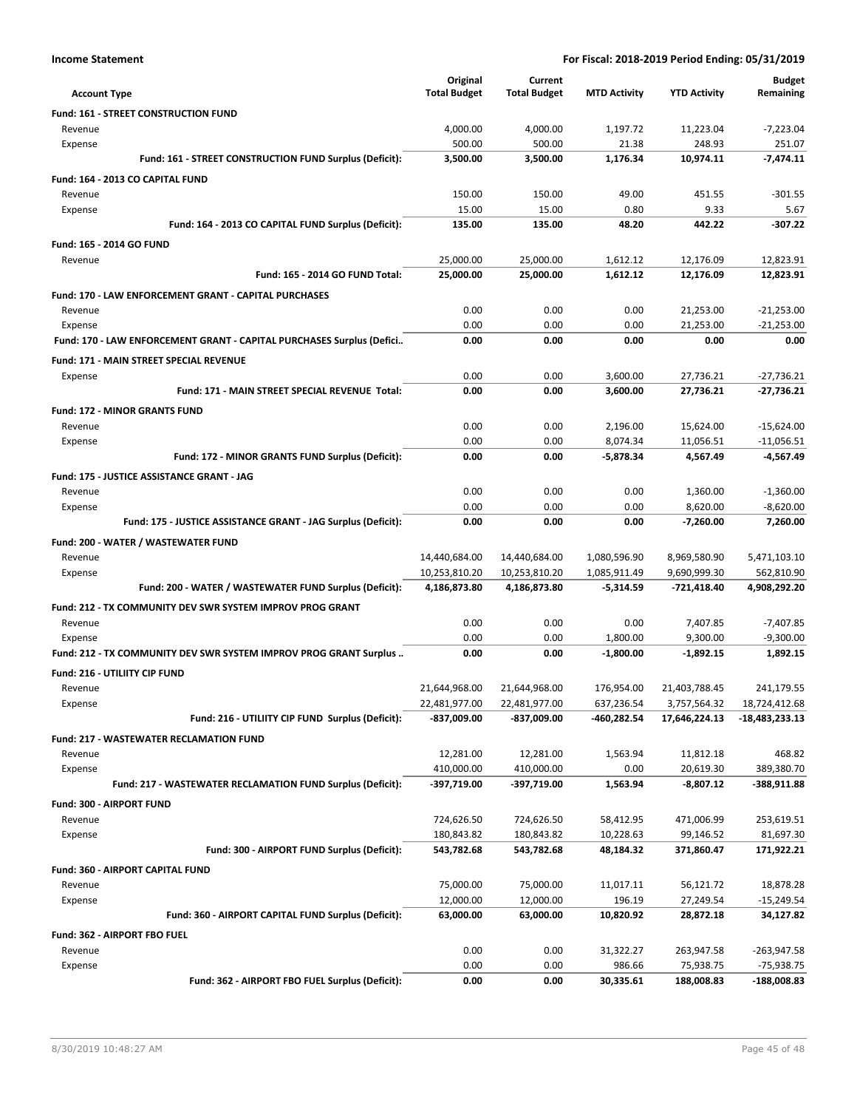| <b>Income Statement</b> |  |
|-------------------------|--|
|-------------------------|--|

| <b>Account Type</b>                                                   | Original<br><b>Total Budget</b> | Current<br><b>Total Budget</b> | <b>MTD Activity</b>      | <b>YTD Activity</b>           | <b>Budget</b><br>Remaining |
|-----------------------------------------------------------------------|---------------------------------|--------------------------------|--------------------------|-------------------------------|----------------------------|
| <b>Fund: 161 - STREET CONSTRUCTION FUND</b>                           |                                 |                                |                          |                               |                            |
| Revenue                                                               | 4,000.00                        | 4,000.00                       | 1,197.72                 | 11,223.04                     | $-7,223.04$                |
| Expense                                                               | 500.00                          | 500.00                         | 21.38                    | 248.93                        | 251.07                     |
| Fund: 161 - STREET CONSTRUCTION FUND Surplus (Deficit):               | 3,500.00                        | 3,500.00                       | 1,176.34                 | 10.974.11                     | $-7,474.11$                |
| Fund: 164 - 2013 CO CAPITAL FUND                                      |                                 |                                |                          |                               |                            |
| Revenue                                                               | 150.00                          | 150.00                         | 49.00                    | 451.55                        | $-301.55$                  |
| Expense                                                               | 15.00                           | 15.00                          | 0.80                     | 9.33                          | 5.67                       |
| Fund: 164 - 2013 CO CAPITAL FUND Surplus (Deficit):                   | 135.00                          | 135.00                         | 48.20                    | 442.22                        | $-307.22$                  |
| Fund: 165 - 2014 GO FUND                                              |                                 |                                |                          |                               |                            |
| Revenue                                                               | 25,000.00                       | 25,000.00                      | 1,612.12                 | 12,176.09                     | 12,823.91                  |
| <b>Fund: 165 - 2014 GO FUND Total:</b>                                | 25,000.00                       | 25,000.00                      | 1,612.12                 | 12,176.09                     | 12,823.91                  |
| Fund: 170 - LAW ENFORCEMENT GRANT - CAPITAL PURCHASES                 |                                 |                                |                          |                               |                            |
| Revenue                                                               | 0.00                            | 0.00                           | 0.00                     | 21,253.00                     | $-21,253.00$               |
| Expense                                                               | 0.00                            | 0.00                           | 0.00                     | 21,253.00                     | $-21,253.00$               |
| Fund: 170 - LAW ENFORCEMENT GRANT - CAPITAL PURCHASES Surplus (Defici | 0.00                            | 0.00                           | 0.00                     | 0.00                          | 0.00                       |
| Fund: 171 - MAIN STREET SPECIAL REVENUE                               |                                 |                                |                          |                               |                            |
| Expense                                                               | 0.00                            | 0.00                           | 3,600.00                 | 27,736.21                     | $-27,736.21$               |
| <b>Fund: 171 - MAIN STREET SPECIAL REVENUE Total:</b>                 | 0.00                            | 0.00                           | 3,600.00                 | 27,736.21                     | $-27.736.21$               |
| <b>Fund: 172 - MINOR GRANTS FUND</b>                                  |                                 |                                |                          |                               |                            |
| Revenue                                                               | 0.00                            | 0.00                           | 2,196.00                 | 15,624.00                     | $-15,624.00$               |
| Expense                                                               | 0.00                            | 0.00                           | 8,074.34                 | 11,056.51                     | $-11,056.51$               |
| Fund: 172 - MINOR GRANTS FUND Surplus (Deficit):                      | 0.00                            | 0.00                           | $-5,878.34$              | 4,567.49                      | $-4,567.49$                |
| Fund: 175 - JUSTICE ASSISTANCE GRANT - JAG                            |                                 |                                |                          |                               |                            |
| Revenue                                                               | 0.00                            | 0.00                           | 0.00                     | 1,360.00                      | $-1,360.00$                |
| Expense                                                               | 0.00                            | 0.00                           | 0.00                     | 8,620.00                      | $-8,620.00$                |
| Fund: 175 - JUSTICE ASSISTANCE GRANT - JAG Surplus (Deficit):         | 0.00                            | 0.00                           | 0.00                     | $-7,260.00$                   | 7,260.00                   |
| Fund: 200 - WATER / WASTEWATER FUND                                   |                                 |                                |                          |                               |                            |
| Revenue                                                               | 14,440,684.00                   | 14,440,684.00                  | 1,080,596.90             | 8,969,580.90                  | 5,471,103.10               |
| Expense                                                               | 10,253,810.20                   | 10,253,810.20                  | 1,085,911.49             | 9,690,999.30                  | 562,810.90                 |
| Fund: 200 - WATER / WASTEWATER FUND Surplus (Deficit):                | 4,186,873.80                    | 4,186,873.80                   | -5,314.59                | -721,418.40                   | 4,908,292.20               |
| Fund: 212 - TX COMMUNITY DEV SWR SYSTEM IMPROV PROG GRANT             |                                 |                                |                          |                               |                            |
| Revenue                                                               | 0.00                            | 0.00                           | 0.00                     | 7,407.85                      | $-7,407.85$                |
| Expense                                                               | 0.00                            | 0.00                           | 1,800.00                 | 9,300.00                      | $-9,300.00$                |
| Fund: 212 - TX COMMUNITY DEV SWR SYSTEM IMPROV PROG GRANT Surplus     | 0.00                            | 0.00                           | $-1,800.00$              | $-1,892.15$                   | 1,892.15                   |
|                                                                       |                                 |                                |                          |                               |                            |
| <b>Fund: 216 - UTILIITY CIP FUND</b>                                  |                                 |                                |                          |                               | 241.179.55                 |
| Revenue<br>Expense                                                    | 21,644,968.00<br>22,481,977.00  | 21,644,968.00<br>22,481,977.00 | 176,954.00<br>637,236.54 | 21,403,788.45<br>3,757,564.32 | 18,724,412.68              |
| Fund: 216 - UTILIITY CIP FUND Surplus (Deficit):                      | -837,009.00                     | -837,009.00                    | -460,282.54              | 17,646,224.13                 | $-18,483,233.13$           |
|                                                                       |                                 |                                |                          |                               |                            |
| <b>Fund: 217 - WASTEWATER RECLAMATION FUND</b><br>Revenue             | 12,281.00                       | 12,281.00                      | 1,563.94                 | 11,812.18                     | 468.82                     |
| Expense                                                               | 410,000.00                      | 410,000.00                     | 0.00                     | 20,619.30                     | 389,380.70                 |
| Fund: 217 - WASTEWATER RECLAMATION FUND Surplus (Deficit):            | -397,719.00                     | -397,719.00                    | 1,563.94                 | $-8,807.12$                   | $-388,911.88$              |
|                                                                       |                                 |                                |                          |                               |                            |
| Fund: 300 - AIRPORT FUND                                              |                                 |                                |                          |                               |                            |
| Revenue                                                               | 724,626.50<br>180,843.82        | 724,626.50<br>180,843.82       | 58,412.95<br>10,228.63   | 471,006.99<br>99,146.52       | 253,619.51<br>81,697.30    |
| Expense<br>Fund: 300 - AIRPORT FUND Surplus (Deficit):                | 543,782.68                      | 543,782.68                     | 48,184.32                | 371,860.47                    | 171,922.21                 |
|                                                                       |                                 |                                |                          |                               |                            |
| Fund: 360 - AIRPORT CAPITAL FUND                                      |                                 |                                |                          |                               |                            |
| Revenue                                                               | 75,000.00                       | 75,000.00                      | 11,017.11                | 56,121.72                     | 18,878.28                  |
| Expense<br>Fund: 360 - AIRPORT CAPITAL FUND Surplus (Deficit):        | 12,000.00<br>63,000.00          | 12,000.00<br>63,000.00         | 196.19<br>10,820.92      | 27,249.54<br>28,872.18        | $-15,249.54$<br>34,127.82  |
|                                                                       |                                 |                                |                          |                               |                            |
| Fund: 362 - AIRPORT FBO FUEL                                          |                                 |                                |                          |                               |                            |
| Revenue                                                               | 0.00                            | 0.00                           | 31,322.27                | 263,947.58                    | -263,947.58                |
| Expense<br>Fund: 362 - AIRPORT FBO FUEL Surplus (Deficit):            | 0.00                            | 0.00<br>0.00                   | 986.66                   | 75,938.75                     | -75,938.75                 |
|                                                                       | 0.00                            |                                | 30,335.61                | 188,008.83                    | -188,008.83                |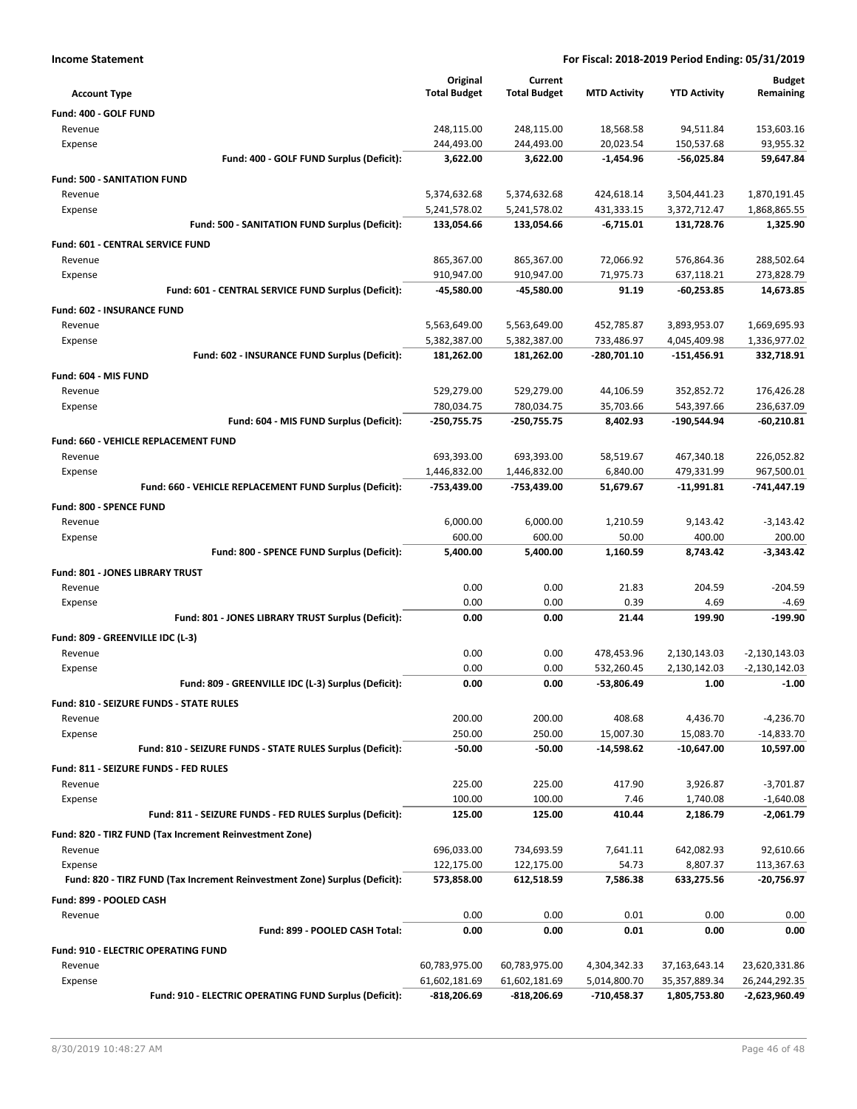| <b>Income Statement</b>                                                    | For Fiscal: 2018-2019 Period Ending: 05/31/2019 |                     |                          |                              |                                    |
|----------------------------------------------------------------------------|-------------------------------------------------|---------------------|--------------------------|------------------------------|------------------------------------|
|                                                                            | Original                                        | Current             |                          |                              | <b>Budget</b>                      |
| <b>Account Type</b>                                                        | <b>Total Budget</b>                             | <b>Total Budget</b> | <b>MTD Activity</b>      | <b>YTD Activity</b>          | Remaining                          |
| Fund: 400 - GOLF FUND                                                      |                                                 |                     |                          |                              |                                    |
| Revenue                                                                    | 248,115.00                                      | 248,115.00          | 18,568.58                | 94,511.84                    | 153,603.16                         |
| Expense                                                                    | 244,493.00                                      | 244,493.00          | 20,023.54                | 150,537.68                   | 93,955.32                          |
| Fund: 400 - GOLF FUND Surplus (Deficit):                                   | 3,622.00                                        | 3,622.00            | $-1,454.96$              | -56,025.84                   | 59,647.84                          |
| <b>Fund: 500 - SANITATION FUND</b>                                         |                                                 |                     |                          |                              |                                    |
| Revenue                                                                    | 5,374,632.68                                    | 5,374,632.68        | 424,618.14               | 3,504,441.23                 | 1,870,191.45                       |
| Expense                                                                    | 5,241,578.02                                    | 5,241,578.02        | 431,333.15               | 3,372,712.47                 | 1,868,865.55                       |
| Fund: 500 - SANITATION FUND Surplus (Deficit):                             | 133,054.66                                      | 133,054.66          | -6,715.01                | 131,728.76                   | 1,325.90                           |
| Fund: 601 - CENTRAL SERVICE FUND                                           |                                                 |                     |                          |                              |                                    |
| Revenue                                                                    | 865,367.00                                      | 865,367.00          | 72,066.92                | 576,864.36                   | 288,502.64                         |
| Expense                                                                    | 910,947.00                                      | 910,947.00          | 71,975.73                | 637,118.21                   | 273,828.79                         |
| Fund: 601 - CENTRAL SERVICE FUND Surplus (Deficit):                        | -45,580.00                                      | -45,580.00          | 91.19                    | -60,253.85                   | 14,673.85                          |
| Fund: 602 - INSURANCE FUND                                                 |                                                 |                     |                          |                              |                                    |
| Revenue                                                                    | 5,563,649.00                                    | 5,563,649.00        | 452,785.87               | 3,893,953.07                 | 1,669,695.93                       |
| Expense                                                                    | 5,382,387.00                                    | 5,382,387.00        | 733,486.97               | 4,045,409.98                 | 1,336,977.02                       |
| Fund: 602 - INSURANCE FUND Surplus (Deficit):                              | 181,262.00                                      | 181,262.00          | -280,701.10              | $-151,456.91$                | 332,718.91                         |
| Fund: 604 - MIS FUND                                                       |                                                 |                     |                          |                              |                                    |
| Revenue                                                                    | 529,279.00                                      | 529,279.00          | 44,106.59                | 352,852.72                   | 176,426.28                         |
| Expense                                                                    | 780,034.75                                      | 780,034.75          | 35,703.66                | 543,397.66                   | 236,637.09                         |
| Fund: 604 - MIS FUND Surplus (Deficit):                                    | -250,755.75                                     | -250,755.75         | 8,402.93                 | -190,544.94                  | $-60,210.81$                       |
| Fund: 660 - VEHICLE REPLACEMENT FUND                                       |                                                 |                     |                          |                              |                                    |
| Revenue                                                                    | 693,393.00                                      | 693,393.00          | 58,519.67                | 467,340.18                   | 226,052.82                         |
| Expense                                                                    | 1,446,832.00                                    | 1,446,832.00        | 6,840.00                 | 479,331.99                   | 967,500.01                         |
| Fund: 660 - VEHICLE REPLACEMENT FUND Surplus (Deficit):                    | -753,439.00                                     | -753,439.00         | 51,679.67                | $-11,991.81$                 | -741,447.19                        |
| Fund: 800 - SPENCE FUND                                                    |                                                 |                     |                          |                              |                                    |
| Revenue                                                                    | 6,000.00                                        | 6,000.00            | 1,210.59                 | 9,143.42                     | $-3,143.42$                        |
| Expense                                                                    | 600.00                                          | 600.00              | 50.00                    | 400.00                       | 200.00                             |
| Fund: 800 - SPENCE FUND Surplus (Deficit):                                 | 5,400.00                                        | 5,400.00            | 1,160.59                 | 8,743.42                     | -3,343.42                          |
|                                                                            |                                                 |                     |                          |                              |                                    |
| Fund: 801 - JONES LIBRARY TRUST<br>Revenue                                 | 0.00                                            | 0.00                | 21.83                    | 204.59                       | $-204.59$                          |
| Expense                                                                    | 0.00                                            | 0.00                | 0.39                     | 4.69                         | $-4.69$                            |
| Fund: 801 - JONES LIBRARY TRUST Surplus (Deficit):                         | 0.00                                            | 0.00                | 21.44                    | 199.90                       | $-199.90$                          |
|                                                                            |                                                 |                     |                          |                              |                                    |
| Fund: 809 - GREENVILLE IDC (L-3)<br>Revenue                                |                                                 |                     |                          |                              |                                    |
|                                                                            | 0.00<br>0.00                                    | 0.00<br>0.00        | 478,453.96<br>532,260.45 | 2,130,143.03<br>2,130,142.03 | $-2,130,143.03$<br>$-2,130,142.03$ |
| Expense<br>Fund: 809 - GREENVILLE IDC (L-3) Surplus (Deficit):             | 0.00                                            | 0.00                | -53,806.49               | 1.00                         | $-1.00$                            |
|                                                                            |                                                 |                     |                          |                              |                                    |
| <b>Fund: 810 - SEIZURE FUNDS - STATE RULES</b>                             |                                                 |                     |                          |                              |                                    |
| Revenue                                                                    | 200.00                                          | 200.00              | 408.68                   | 4,436.70                     | $-4,236.70$                        |
| Expense<br>Fund: 810 - SEIZURE FUNDS - STATE RULES Surplus (Deficit):      | 250.00<br>$-50.00$                              | 250.00<br>$-50.00$  | 15,007.30<br>-14,598.62  | 15,083.70<br>-10,647.00      | $-14,833.70$<br>10,597.00          |
|                                                                            |                                                 |                     |                          |                              |                                    |
| Fund: 811 - SEIZURE FUNDS - FED RULES                                      |                                                 |                     |                          |                              |                                    |
| Revenue                                                                    | 225.00                                          | 225.00              | 417.90                   | 3,926.87                     | $-3,701.87$                        |
| Expense                                                                    | 100.00                                          | 100.00<br>125.00    | 7.46<br>410.44           | 1,740.08                     | $-1,640.08$                        |
| Fund: 811 - SEIZURE FUNDS - FED RULES Surplus (Deficit):                   | 125.00                                          |                     |                          | 2,186.79                     | $-2,061.79$                        |
| Fund: 820 - TIRZ FUND (Tax Increment Reinvestment Zone)                    |                                                 |                     |                          |                              |                                    |
| Revenue                                                                    | 696,033.00                                      | 734,693.59          | 7,641.11                 | 642,082.93                   | 92,610.66                          |
| Expense                                                                    | 122,175.00                                      | 122,175.00          | 54.73                    | 8,807.37                     | 113,367.63                         |
| Fund: 820 - TIRZ FUND (Tax Increment Reinvestment Zone) Surplus (Deficit): | 573,858.00                                      | 612,518.59          | 7,586.38                 | 633,275.56                   | -20,756.97                         |
| Fund: 899 - POOLED CASH                                                    |                                                 |                     |                          |                              |                                    |
| Revenue                                                                    | 0.00                                            | 0.00                | 0.01                     | 0.00                         | 0.00                               |
| Fund: 899 - POOLED CASH Total:                                             | 0.00                                            | 0.00                | 0.01                     | 0.00                         | 0.00                               |
| <b>Fund: 910 - ELECTRIC OPERATING FUND</b>                                 |                                                 |                     |                          |                              |                                    |
| Revenue                                                                    | 60,783,975.00                                   | 60,783,975.00       | 4,304,342.33             | 37,163,643.14                | 23,620,331.86                      |
| Expense                                                                    | 61,602,181.69                                   | 61,602,181.69       | 5,014,800.70             | 35,357,889.34                | 26,244,292.35                      |
| Fund: 910 - ELECTRIC OPERATING FUND Surplus (Deficit):                     | $-818,206.69$                                   | -818,206.69         | -710,458.37              | 1,805,753.80                 | -2,623,960.49                      |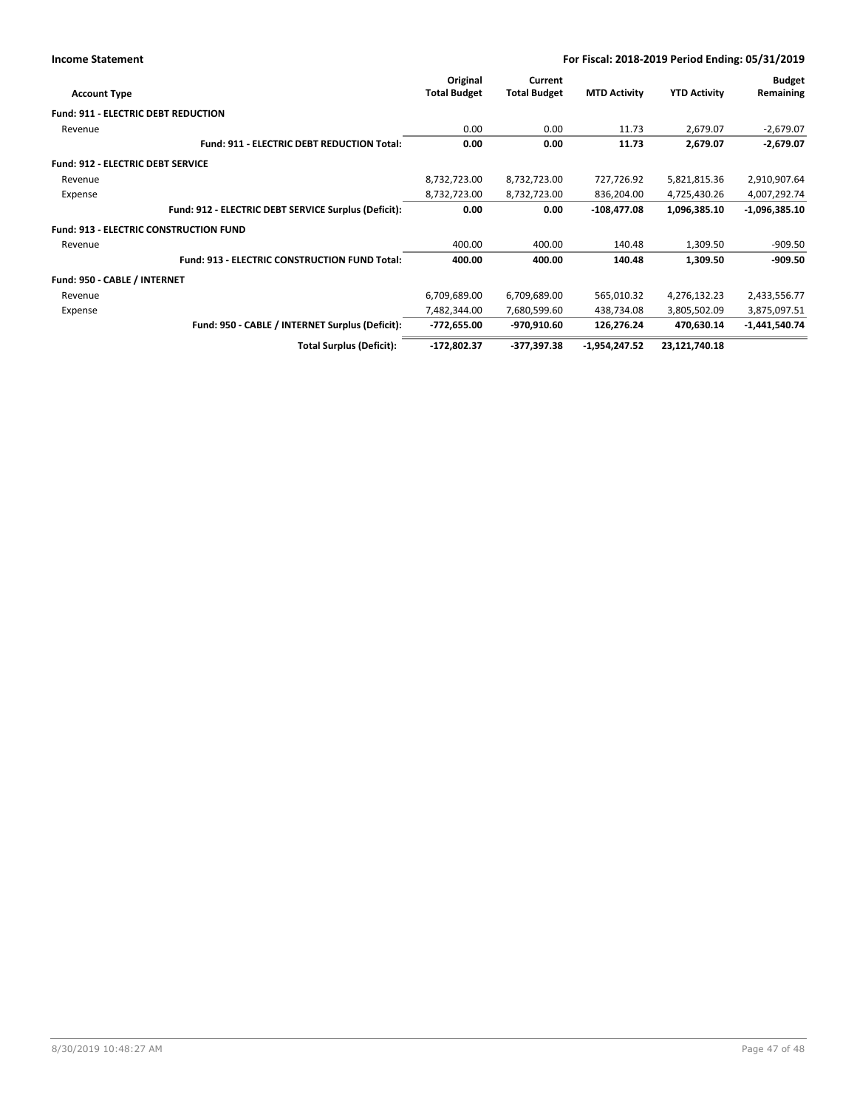| For Fiscal: 2018-2019 Period Ending: 05/31/2019 |
|-------------------------------------------------|
|-------------------------------------------------|

| <b>Account Type</b>                           |                                                      | Original<br><b>Total Budget</b> | Current<br><b>Total Budget</b> | <b>MTD Activity</b> | <b>YTD Activity</b> | <b>Budget</b><br>Remaining |
|-----------------------------------------------|------------------------------------------------------|---------------------------------|--------------------------------|---------------------|---------------------|----------------------------|
| <b>Fund: 911 - ELECTRIC DEBT REDUCTION</b>    |                                                      |                                 |                                |                     |                     |                            |
| Revenue                                       |                                                      | 0.00                            | 0.00                           | 11.73               | 2,679.07            | $-2,679.07$                |
|                                               | <b>Fund: 911 - ELECTRIC DEBT REDUCTION Total:</b>    | 0.00                            | 0.00                           | 11.73               | 2,679.07            | $-2,679.07$                |
| <b>Fund: 912 - ELECTRIC DEBT SERVICE</b>      |                                                      |                                 |                                |                     |                     |                            |
| Revenue                                       |                                                      | 8,732,723.00                    | 8,732,723.00                   | 727,726.92          | 5,821,815.36        | 2,910,907.64               |
| Expense                                       |                                                      | 8,732,723.00                    | 8,732,723.00                   | 836,204.00          | 4,725,430.26        | 4,007,292.74               |
|                                               | Fund: 912 - ELECTRIC DEBT SERVICE Surplus (Deficit): | 0.00                            | 0.00                           | $-108,477.08$       | 1,096,385.10        | $-1,096,385.10$            |
| <b>Fund: 913 - ELECTRIC CONSTRUCTION FUND</b> |                                                      |                                 |                                |                     |                     |                            |
| Revenue                                       |                                                      | 400.00                          | 400.00                         | 140.48              | 1,309.50            | $-909.50$                  |
|                                               | Fund: 913 - ELECTRIC CONSTRUCTION FUND Total:        | 400.00                          | 400.00                         | 140.48              | 1,309.50            | $-909.50$                  |
| Fund: 950 - CABLE / INTERNET                  |                                                      |                                 |                                |                     |                     |                            |
| Revenue                                       |                                                      | 6,709,689.00                    | 6,709,689.00                   | 565,010.32          | 4,276,132.23        | 2,433,556.77               |
| Expense                                       |                                                      | 7,482,344.00                    | 7,680,599.60                   | 438,734.08          | 3,805,502.09        | 3,875,097.51               |
|                                               | Fund: 950 - CABLE / INTERNET Surplus (Deficit):      | -772,655.00                     | -970,910.60                    | 126,276.24          | 470,630.14          | $-1,441,540.74$            |
|                                               | <b>Total Surplus (Deficit):</b>                      | -172,802.37                     | -377,397.38                    | -1,954,247.52       | 23,121,740.18       |                            |

**Income Statement**